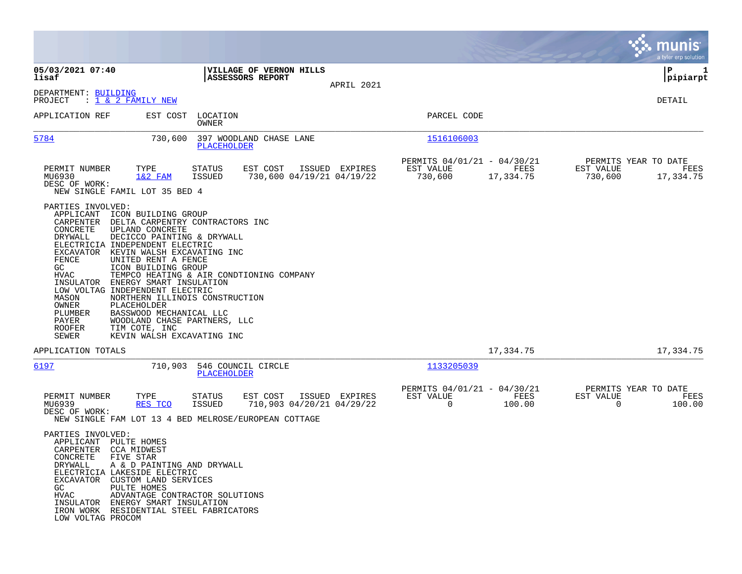|                                                                                                                                                                                                                                                                                                                                                                                                                                                                                                                                                                                                                                        |                                                                  |                |                                                     |                   | munis<br>a tyler erp solution                             |                |
|----------------------------------------------------------------------------------------------------------------------------------------------------------------------------------------------------------------------------------------------------------------------------------------------------------------------------------------------------------------------------------------------------------------------------------------------------------------------------------------------------------------------------------------------------------------------------------------------------------------------------------------|------------------------------------------------------------------|----------------|-----------------------------------------------------|-------------------|-----------------------------------------------------------|----------------|
| 05/03/2021 07:40<br>lisaf                                                                                                                                                                                                                                                                                                                                                                                                                                                                                                                                                                                                              | <b>VILLAGE OF VERNON HILLS</b><br><b>ASSESSORS REPORT</b>        |                |                                                     |                   | l P                                                       | 1<br> pipiarpt |
| DEPARTMENT: BUILDING<br>: <u>1 &amp; 2 FAMILY NEW</u><br>PROJECT                                                                                                                                                                                                                                                                                                                                                                                                                                                                                                                                                                       |                                                                  | APRIL 2021     |                                                     |                   | DETAIL                                                    |                |
| APPLICATION REF<br>EST COST                                                                                                                                                                                                                                                                                                                                                                                                                                                                                                                                                                                                            | LOCATION<br>OWNER                                                |                | PARCEL CODE                                         |                   |                                                           |                |
| 5784<br>730,600                                                                                                                                                                                                                                                                                                                                                                                                                                                                                                                                                                                                                        | 397 WOODLAND CHASE LANE<br>PLACEHOLDER                           |                | 1516106003                                          |                   |                                                           |                |
| PERMIT NUMBER<br>TYPE<br>MU6930<br>$1&2$ FAM<br>DESC OF WORK:<br>NEW SINGLE FAMIL LOT 35 BED 4                                                                                                                                                                                                                                                                                                                                                                                                                                                                                                                                         | EST COST<br><b>STATUS</b><br>730,600 04/19/21 04/19/22<br>ISSUED | ISSUED EXPIRES | PERMITS 04/01/21 - 04/30/21<br>EST VALUE<br>730,600 | FEES<br>17,334.75 | PERMITS YEAR TO DATE<br>EST VALUE<br>730,600<br>17,334.75 | FEES           |
| PARTIES INVOLVED:<br>APPLICANT<br>ICON BUILDING GROUP<br>CARPENTER<br>DELTA CARPENTRY CONTRACTORS INC<br>CONCRETE<br>UPLAND CONCRETE<br>DRYWALL<br>DECICCO PAINTING & DRYWALL<br>ELECTRICIA INDEPENDENT ELECTRIC<br>EXCAVATOR<br>KEVIN WALSH EXCAVATING INC<br>FENCE<br>UNITED RENT A FENCE<br>GC<br>ICON BUILDING GROUP<br>HVAC<br>INSULATOR<br>ENERGY SMART INSULATION<br>LOW VOLTAG INDEPENDENT ELECTRIC<br>MASON<br>NORTHERN ILLINOIS CONSTRUCTION<br>OWNER<br>PLACEHOLDER<br>PLUMBER<br>BASSWOOD MECHANICAL LLC<br>WOODLAND CHASE PARTNERS, LLC<br>PAYER<br><b>ROOFER</b><br>TIM COTE, INC<br>SEWER<br>KEVIN WALSH EXCAVATING INC | TEMPCO HEATING & AIR CONDTIONING COMPANY                         |                |                                                     |                   |                                                           |                |
| APPLICATION TOTALS                                                                                                                                                                                                                                                                                                                                                                                                                                                                                                                                                                                                                     |                                                                  |                |                                                     | 17,334.75         | 17,334.75                                                 |                |
| 6197<br>710,903                                                                                                                                                                                                                                                                                                                                                                                                                                                                                                                                                                                                                        | 546 COUNCIL CIRCLE<br><b>PLACEHOLDER</b>                         |                | 1133205039                                          |                   |                                                           |                |
| PERMIT NUMBER<br>TYPE<br>MU6939<br>RES TCO<br>DESC OF WORK:<br>NEW SINGLE FAM LOT 13 4 BED MELROSE/EUROPEAN COTTAGE                                                                                                                                                                                                                                                                                                                                                                                                                                                                                                                    | EST COST<br>STATUS<br>710,903 04/20/21 04/29/22<br>ISSUED        | ISSUED EXPIRES | PERMITS 04/01/21 - 04/30/21<br>EST VALUE<br>0       | FEES<br>100.00    | PERMITS YEAR TO DATE<br>EST VALUE<br>$\Omega$             | FEES<br>100.00 |
| PARTIES INVOLVED:<br>APPLICANT<br>PULTE HOMES<br>CARPENTER CCA MIDWEST<br>CONCRETE<br>FIVE STAR<br>DRYWALL<br>A & D PAINTING AND DRYWALL<br>ELECTRICIA LAKESIDE ELECTRIC<br>EXCAVATOR CUSTOM LAND SERVICES<br>GC<br>PULTE HOMES<br>HVAC<br>ADVANTAGE CONTRACTOR SOLUTIONS<br>INSULATOR ENERGY SMART INSULATION<br>IRON WORK RESIDENTIAL STEEL FABRICATORS<br>LOW VOLTAG PROCOM                                                                                                                                                                                                                                                         |                                                                  |                |                                                     |                   |                                                           |                |

 $\sim$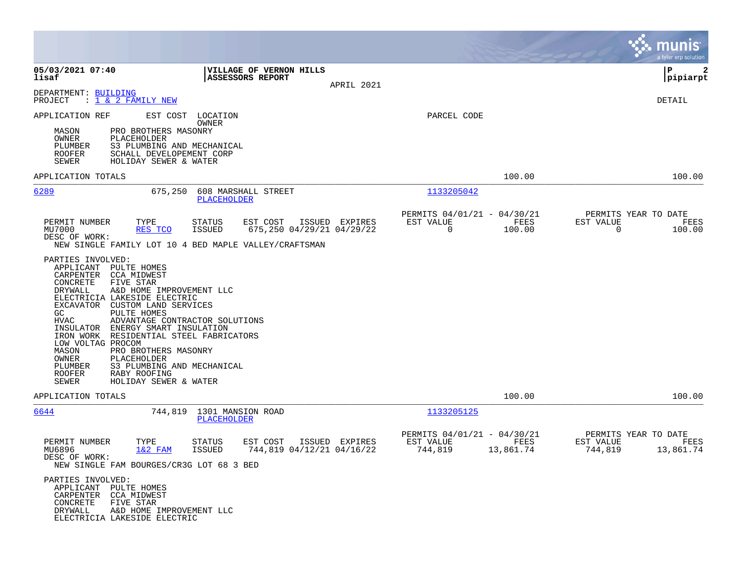|                                                                                                                                                                                                                                                                                                                                                                                                                                                                                                                                                                                                                                                                                                                                 |                                                                                                                          | munis<br>a tyler erp solution                                      |
|---------------------------------------------------------------------------------------------------------------------------------------------------------------------------------------------------------------------------------------------------------------------------------------------------------------------------------------------------------------------------------------------------------------------------------------------------------------------------------------------------------------------------------------------------------------------------------------------------------------------------------------------------------------------------------------------------------------------------------|--------------------------------------------------------------------------------------------------------------------------|--------------------------------------------------------------------|
| 05/03/2021 07:40<br>VILLAGE OF VERNON HILLS<br>lisaf<br>ASSESSORS REPORT                                                                                                                                                                                                                                                                                                                                                                                                                                                                                                                                                                                                                                                        | APRIL 2021                                                                                                               | l P<br>2<br>pipiarpt                                               |
| DEPARTMENT: BUILDING<br>: <u>1 &amp; 2 FAMILY NEW</u><br>PROJECT                                                                                                                                                                                                                                                                                                                                                                                                                                                                                                                                                                                                                                                                |                                                                                                                          | DETAIL                                                             |
| APPLICATION REF<br>EST COST LOCATION<br>OWNER<br>MASON<br>PRO BROTHERS MASONRY<br>OWNER<br>PLACEHOLDER<br>PLUMBER<br>S3 PLUMBING AND MECHANICAL<br><b>ROOFER</b><br>SCHALL DEVELOPEMENT CORP<br>SEWER<br>HOLIDAY SEWER & WATER                                                                                                                                                                                                                                                                                                                                                                                                                                                                                                  | PARCEL CODE                                                                                                              |                                                                    |
| APPLICATION TOTALS                                                                                                                                                                                                                                                                                                                                                                                                                                                                                                                                                                                                                                                                                                              | 100.00                                                                                                                   | 100.00                                                             |
| 6289<br>675,250<br>608 MARSHALL STREET<br>PLACEHOLDER                                                                                                                                                                                                                                                                                                                                                                                                                                                                                                                                                                                                                                                                           | 1133205042                                                                                                               |                                                                    |
| PERMIT NUMBER<br>TYPE<br>EST COST<br>STATUS<br>MU7000<br>RES TCO<br><b>ISSUED</b><br>DESC OF WORK:<br>NEW SINGLE FAMILY LOT 10 4 BED MAPLE VALLEY/CRAFTSMAN<br>PARTIES INVOLVED:<br>APPLICANT PULTE HOMES<br>CARPENTER<br>CCA MIDWEST<br>CONCRETE<br>FIVE STAR<br>DRYWALL<br>A&D HOME IMPROVEMENT LLC<br>ELECTRICIA LAKESIDE ELECTRIC<br>EXCAVATOR CUSTOM LAND SERVICES<br>GC.<br>PULTE HOMES<br><b>HVAC</b><br>ADVANTAGE CONTRACTOR SOLUTIONS<br>INSULATOR ENERGY SMART INSULATION<br>IRON WORK RESIDENTIAL STEEL FABRICATORS<br>LOW VOLTAG PROCOM<br>MASON<br>PRO BROTHERS MASONRY<br><b>OWNER</b><br>PLACEHOLDER<br>PLUMBER<br>S3 PLUMBING AND MECHANICAL<br>RABY ROOFING<br><b>ROOFER</b><br>SEWER<br>HOLIDAY SEWER & WATER | PERMITS 04/01/21 - 04/30/21<br>ISSUED EXPIRES<br>EST VALUE<br>FEES<br>$\mathbf 0$<br>675,250 04/29/21 04/29/22<br>100.00 | PERMITS YEAR TO DATE<br>EST VALUE<br>FEES<br>$\mathbf 0$<br>100.00 |
| APPLICATION TOTALS                                                                                                                                                                                                                                                                                                                                                                                                                                                                                                                                                                                                                                                                                                              | 100.00                                                                                                                   | 100.00                                                             |
| 6644<br>744,819 1301 MANSION ROAD<br>PLACEHOLDER                                                                                                                                                                                                                                                                                                                                                                                                                                                                                                                                                                                                                                                                                | 1133205125                                                                                                               |                                                                    |
| PERMIT NUMBER<br>TYPE<br><b>STATUS</b><br>EST COST<br>$1&2$ FAM<br>ISSUED<br>MU6896<br>DESC OF WORK:<br>NEW SINGLE FAM BOURGES/CR3G LOT 68 3 BED<br>PARTIES INVOLVED:<br>APPLICANT PULTE HOMES<br>CCA MIDWEST<br>CARPENTER<br>CONCRETE<br>FIVE STAR<br>DRYWALL<br>A&D HOME IMPROVEMENT LLC<br>ELECTRICIA LAKESIDE ELECTRIC                                                                                                                                                                                                                                                                                                                                                                                                      | PERMITS 04/01/21 - 04/30/21<br>ISSUED EXPIRES<br>EST VALUE<br>FEES<br>744,819 04/12/21 04/16/22<br>744,819<br>13,861.74  | PERMITS YEAR TO DATE<br>EST VALUE<br>FEES<br>744,819<br>13,861.74  |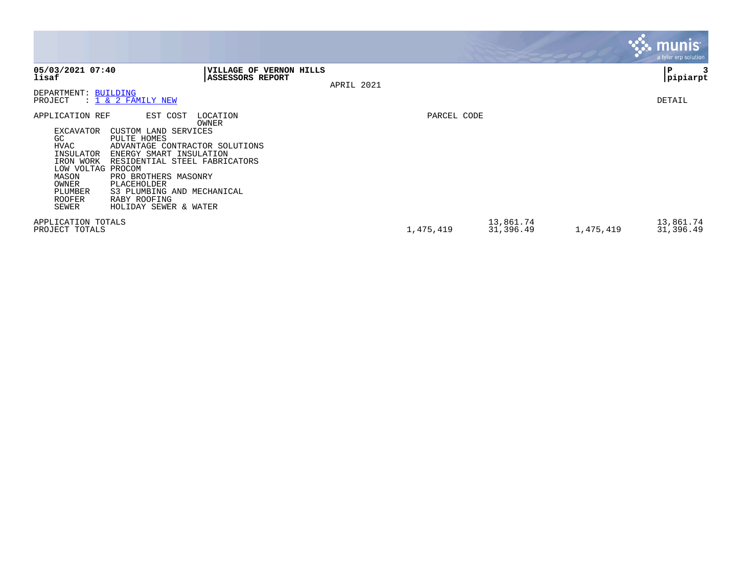|                                                                                                                                                   |                                                                                                                                                                                                                                                                                  |                                             |            |             |                        |           | <u>munis l</u><br>a tyler erp solution |
|---------------------------------------------------------------------------------------------------------------------------------------------------|----------------------------------------------------------------------------------------------------------------------------------------------------------------------------------------------------------------------------------------------------------------------------------|---------------------------------------------|------------|-------------|------------------------|-----------|----------------------------------------|
| 05/03/2021 07:40<br>lisaf                                                                                                                         |                                                                                                                                                                                                                                                                                  | VILLAGE OF VERNON HILLS<br>ASSESSORS REPORT | APRIL 2021 |             |                        |           | P<br> pipiarpt                         |
| DEPARTMENT: BUILDING<br>PROJECT                                                                                                                   | $\therefore$ 1 & 2 FAMILY NEW                                                                                                                                                                                                                                                    |                                             |            |             |                        |           | <b>DETAIL</b>                          |
| APPLICATION REF<br>EXCAVATOR<br>GC.<br>HVAC<br>INSULATOR<br>IRON WORK<br>LOW VOLTAG PROCOM<br>MASON<br>OWNER<br>PLUMBER<br><b>ROOFER</b><br>SEWER | EST COST<br>LOCATION<br>OWNER<br>CUSTOM LAND SERVICES<br>PULTE HOMES<br>ADVANTAGE CONTRACTOR SOLUTIONS<br>ENERGY SMART INSULATION<br>RESIDENTIAL STEEL FABRICATORS<br>PRO BROTHERS MASONRY<br>PLACEHOLDER<br>S3 PLUMBING AND MECHANICAL<br>RABY ROOFING<br>HOLIDAY SEWER & WATER |                                             |            | PARCEL CODE |                        |           |                                        |
| APPLICATION TOTALS<br>PROJECT TOTALS                                                                                                              |                                                                                                                                                                                                                                                                                  |                                             |            | 1,475,419   | 13,861.74<br>31,396.49 | 1,475,419 | 13,861.74<br>31,396.49                 |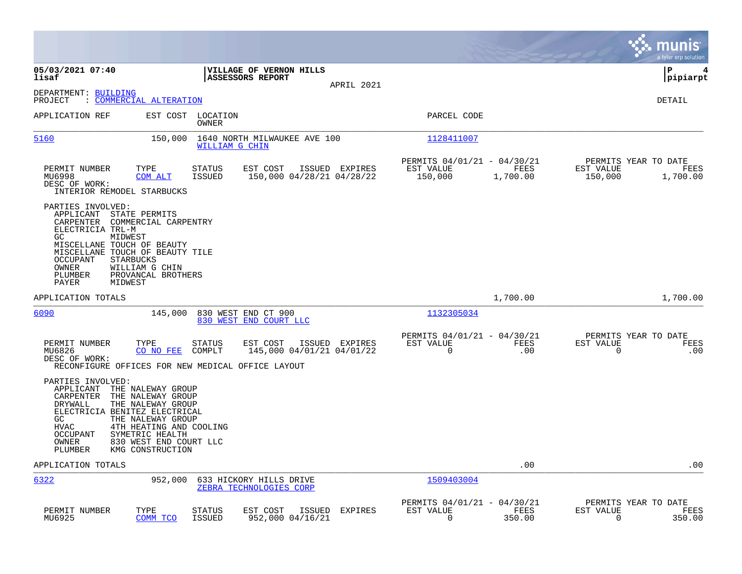|                                                                                                                                                                                                                                                                                                                               |                                                                                                                                  |                                                                         | munis<br>a tyler erp solution                                    |
|-------------------------------------------------------------------------------------------------------------------------------------------------------------------------------------------------------------------------------------------------------------------------------------------------------------------------------|----------------------------------------------------------------------------------------------------------------------------------|-------------------------------------------------------------------------|------------------------------------------------------------------|
| 05/03/2021 07:40<br>lisaf                                                                                                                                                                                                                                                                                                     | VILLAGE OF VERNON HILLS<br>ASSESSORS REPORT<br>APRIL 2021                                                                        |                                                                         | ΙP<br>4<br> pipiarpt                                             |
| DEPARTMENT: BUILDING<br>: COMMERCIAL ALTERATION<br>PROJECT                                                                                                                                                                                                                                                                    |                                                                                                                                  |                                                                         | <b>DETAIL</b>                                                    |
| APPLICATION REF                                                                                                                                                                                                                                                                                                               | EST COST LOCATION<br>OWNER                                                                                                       | PARCEL CODE                                                             |                                                                  |
| 5160<br>150,000                                                                                                                                                                                                                                                                                                               | 1640 NORTH MILWAUKEE AVE 100<br>WILLIAM G CHIN                                                                                   | 1128411007                                                              |                                                                  |
| TYPE<br>PERMIT NUMBER<br>MU6998<br>COM ALT<br>DESC OF WORK:<br>INTERIOR REMODEL STARBUCKS                                                                                                                                                                                                                                     | EST COST<br>ISSUED EXPIRES<br>STATUS<br>ISSUED<br>150,000 04/28/21 04/28/22                                                      | PERMITS 04/01/21 - 04/30/21<br>EST VALUE<br>FEES<br>150,000<br>1,700.00 | PERMITS YEAR TO DATE<br>EST VALUE<br>FEES<br>150,000<br>1,700.00 |
| PARTIES INVOLVED:<br>APPLICANT<br>STATE PERMITS<br>CARPENTER<br>COMMERCIAL CARPENTRY<br>ELECTRICIA TRL-M<br>GC.<br>MIDWEST<br>MISCELLANE TOUCH OF BEAUTY<br>MISCELLANE TOUCH OF BEAUTY TILE<br>OCCUPANT<br><b>STARBUCKS</b><br>OWNER<br>WILLIAM G CHIN<br><b>PLUMBER</b><br>PROVANCAL BROTHERS<br>PAYER<br>MIDWEST            |                                                                                                                                  |                                                                         |                                                                  |
| APPLICATION TOTALS                                                                                                                                                                                                                                                                                                            |                                                                                                                                  | 1,700.00                                                                | 1,700.00                                                         |
| 6090<br>145,000                                                                                                                                                                                                                                                                                                               | 830 WEST END CT 900<br>830 WEST END COURT LLC                                                                                    | 1132305034                                                              |                                                                  |
| PERMIT NUMBER<br>TYPE<br>CO NO FEE<br>MU6826<br>DESC OF WORK:                                                                                                                                                                                                                                                                 | STATUS<br>EST COST<br>ISSUED EXPIRES<br>COMPLT<br>145,000 04/01/21 04/01/22<br>RECONFIGURE OFFICES FOR NEW MEDICAL OFFICE LAYOUT | PERMITS 04/01/21 - 04/30/21<br>EST VALUE<br>FEES<br>$\mathbf 0$<br>.00  | PERMITS YEAR TO DATE<br>EST VALUE<br>FEES<br>$\mathbf 0$<br>.00  |
| PARTIES INVOLVED:<br>APPLICANT<br>THE NALEWAY GROUP<br>CARPENTER<br>THE NALEWAY GROUP<br>DRYWALL<br>THE NALEWAY GROUP<br>ELECTRICIA BENITEZ ELECTRICAL<br>THE NALEWAY GROUP<br>GC.<br><b>HVAC</b><br>4TH HEATING AND COOLING<br>OCCUPANT<br>SYMETRIC HEALTH<br>OWNER<br>830 WEST END COURT LLC<br>PLUMBER<br>KMG CONSTRUCTION |                                                                                                                                  |                                                                         |                                                                  |
| APPLICATION TOTALS                                                                                                                                                                                                                                                                                                            |                                                                                                                                  | .00                                                                     | .00                                                              |
| 6322<br>952,000                                                                                                                                                                                                                                                                                                               | 633 HICKORY HILLS DRIVE<br>ZEBRA TECHNOLOGIES CORP                                                                               | 1509403004                                                              |                                                                  |
| PERMIT NUMBER<br>TYPE<br>MU6925<br>COMM TCO                                                                                                                                                                                                                                                                                   | EST COST<br><b>EXPIRES</b><br>STATUS<br>ISSUED<br><b>ISSUED</b><br>952,000 04/16/21                                              | PERMITS 04/01/21 - 04/30/21<br>EST VALUE<br>FEES<br>$\Omega$<br>350.00  | PERMITS YEAR TO DATE<br>EST VALUE<br>FEES<br>0<br>350.00         |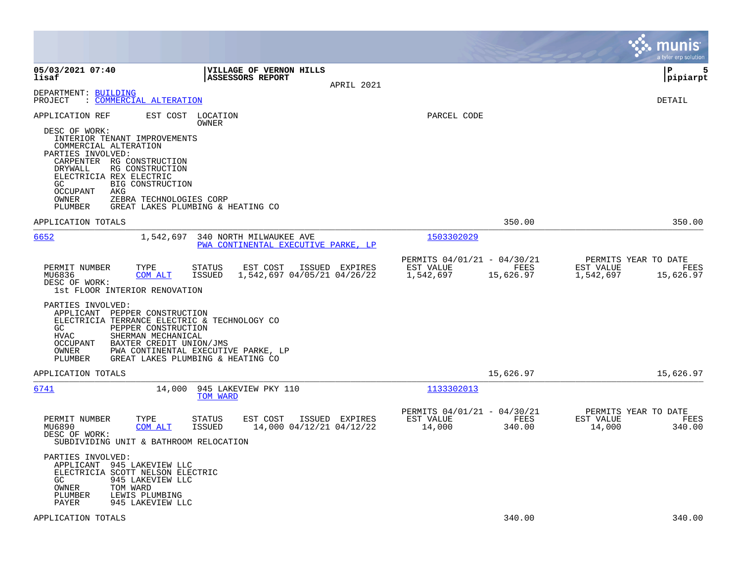|                                                                                                                                                                                                                                                                                                                                                                                                                                                                                                                                                                                            |                                                                                          | munis<br>a tyler erp solution                                       |
|--------------------------------------------------------------------------------------------------------------------------------------------------------------------------------------------------------------------------------------------------------------------------------------------------------------------------------------------------------------------------------------------------------------------------------------------------------------------------------------------------------------------------------------------------------------------------------------------|------------------------------------------------------------------------------------------|---------------------------------------------------------------------|
| 05/03/2021 07:40<br><b>VILLAGE OF VERNON HILLS</b><br>lisaf<br>ASSESSORS REPORT<br>APRIL 2021                                                                                                                                                                                                                                                                                                                                                                                                                                                                                              |                                                                                          | l P<br>5<br> pipiarpt                                               |
| DEPARTMENT: BUILDING<br>: COMMERCIAL ALTERATION<br>PROJECT                                                                                                                                                                                                                                                                                                                                                                                                                                                                                                                                 |                                                                                          | <b>DETAIL</b>                                                       |
| APPLICATION REF<br>EST COST<br>LOCATION<br>OWNER<br>DESC OF WORK:<br>INTERIOR TENANT IMPROVEMENTS<br>COMMERCIAL ALTERATION<br>PARTIES INVOLVED:<br>CARPENTER RG CONSTRUCTION<br>DRYWALL<br>RG CONSTRUCTION<br>ELECTRICIA REX ELECTRIC<br>BIG CONSTRUCTION<br>GC.<br><b>OCCUPANT</b><br>AKG<br>OWNER<br>ZEBRA TECHNOLOGIES CORP<br>PLUMBER<br>GREAT LAKES PLUMBING & HEATING CO                                                                                                                                                                                                             | PARCEL CODE                                                                              |                                                                     |
| APPLICATION TOTALS                                                                                                                                                                                                                                                                                                                                                                                                                                                                                                                                                                         | 350.00                                                                                   | 350.00                                                              |
| 6652<br>1,542,697<br>340 NORTH MILWAUKEE AVE<br>PWA CONTINENTAL EXECUTIVE PARKE, LP<br>PERMIT NUMBER<br>TYPE<br>EST COST<br>ISSUED EXPIRES<br>STATUS<br>MU6836<br>ISSUED<br>1,542,697 04/05/21 04/26/22<br>COM ALT<br>DESC OF WORK:<br>1st FLOOR INTERIOR RENOVATION<br>PARTIES INVOLVED:<br>APPLICANT PEPPER CONSTRUCTION<br>ELECTRICIA TERRANCE ELECTRIC & TECHNOLOGY CO<br>GC<br>PEPPER CONSTRUCTION<br><b>HVAC</b><br>SHERMAN MECHANICAL<br><b>OCCUPANT</b><br>BAXTER CREDIT UNION/JMS<br>OWNER<br>PWA CONTINENTAL EXECUTIVE PARKE, LP<br>GREAT LAKES PLUMBING & HEATING CO<br>PLUMBER | 1503302029<br>PERMITS 04/01/21 - 04/30/21<br>EST VALUE<br>FEES<br>1,542,697<br>15,626.97 | PERMITS YEAR TO DATE<br>EST VALUE<br>FEES<br>1,542,697<br>15,626.97 |
| APPLICATION TOTALS                                                                                                                                                                                                                                                                                                                                                                                                                                                                                                                                                                         | 15,626.97                                                                                | 15,626.97                                                           |
| 6741<br>945 LAKEVIEW PKY 110<br>14,000<br>TOM WARD<br>PERMIT NUMBER<br>EST COST<br>ISSUED EXPIRES<br>TYPE<br>STATUS<br>14,000 04/12/21 04/12/22<br>MU6890<br>COM ALT<br>ISSUED<br>DESC OF WORK:<br>SUBDIVIDING UNIT & BATHROOM RELOCATION<br>PARTIES INVOLVED:<br>APPLICANT 945 LAKEVIEW LLC<br>ELECTRICIA SCOTT NELSON ELECTRIC<br>GC.<br>945 LAKEVIEW LLC<br>OWNER<br>TOM WARD<br>PLUMBER<br>LEWIS PLUMBING<br>PAYER<br>945 LAKEVIEW LLC                                                                                                                                                 | 1133302013<br>PERMITS 04/01/21 - 04/30/21<br>EST VALUE<br>FEES<br>14,000<br>340.00       | PERMITS YEAR TO DATE<br>EST VALUE<br>FEES<br>14,000<br>340.00       |
| APPLICATION TOTALS                                                                                                                                                                                                                                                                                                                                                                                                                                                                                                                                                                         | 340.00                                                                                   | 340.00                                                              |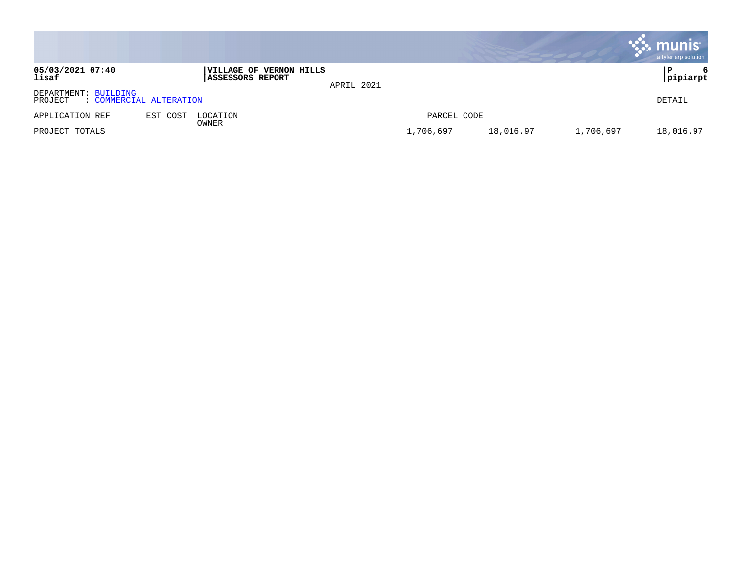|                                                            |          |                                                    |            |             |           |           | munis<br>a tyler erp solution |
|------------------------------------------------------------|----------|----------------------------------------------------|------------|-------------|-----------|-----------|-------------------------------|
| 05/03/2021 07:40<br>lisaf                                  |          | VILLAGE OF VERNON HILLS<br><b>ASSESSORS REPORT</b> | APRIL 2021 |             |           |           | 6<br>P<br>pipiarpt            |
| DEPARTMENT: BUILDING<br>: COMMERCIAL ALTERATION<br>PROJECT |          |                                                    |            |             |           |           | DETAIL                        |
| APPLICATION REF                                            | EST COST | LOCATION                                           |            | PARCEL CODE |           |           |                               |
| PROJECT TOTALS                                             |          | OWNER                                              |            | 1,706,697   | 18,016.97 | 1,706,697 | 18,016.97                     |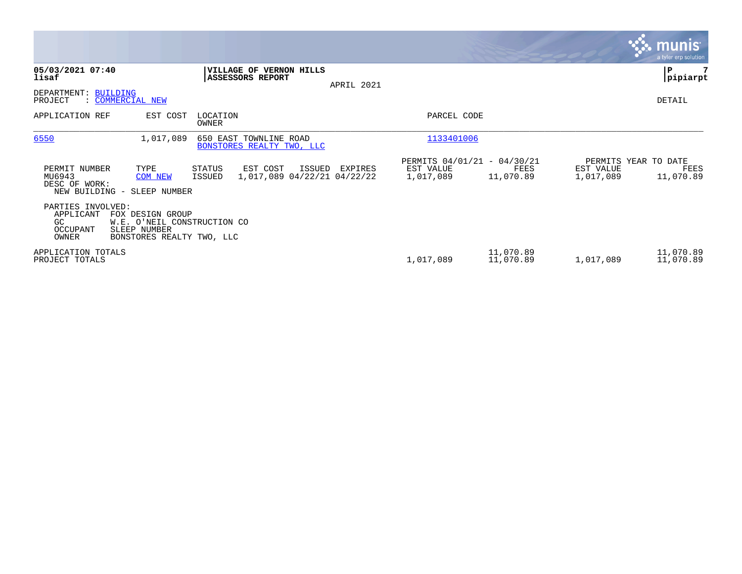|                                                           |                                                                                              |                                                                       |            |                                                       |                        |                        | $\sim$ munis $\sim$<br>a tyler erp solution |
|-----------------------------------------------------------|----------------------------------------------------------------------------------------------|-----------------------------------------------------------------------|------------|-------------------------------------------------------|------------------------|------------------------|---------------------------------------------|
| 05/03/2021 07:40<br>lisaf                                 |                                                                                              | VILLAGE OF VERNON HILLS<br>ASSESSORS REPORT                           | APRIL 2021 |                                                       |                        |                        | l P<br> pipiarpt                            |
| DEPARTMENT: BUILDING<br>PROJECT                           | : COMMERCIAL NEW                                                                             |                                                                       |            |                                                       |                        |                        | DETAIL                                      |
| APPLICATION REF                                           | EST COST                                                                                     | LOCATION<br><b>OWNER</b>                                              |            | PARCEL CODE                                           |                        |                        |                                             |
| 6550                                                      | 1,017,089                                                                                    | 650 EAST TOWNLINE ROAD<br>BONSTORES REALTY TWO, LLC                   |            | 1133401006                                            |                        |                        |                                             |
| PERMIT NUMBER<br>MU6943<br>DESC OF WORK:                  | TYPE<br><b>COM NEW</b><br>NEW BUILDING - SLEEP NUMBER                                        | ISSUED<br>STATUS<br>EST COST<br>1,017,089 04/22/21 04/22/22<br>ISSUED | EXPIRES    | PERMITS 04/01/21 - 04/30/21<br>EST VALUE<br>1,017,089 | FEES<br>11,070.89      | EST VALUE<br>1,017,089 | PERMITS YEAR TO DATE<br>FEES<br>11,070.89   |
| PARTIES INVOLVED:<br>APPLICANT<br>GC<br>OCCUPANT<br>OWNER | FOX DESIGN GROUP<br>W.E. O'NEIL CONSTRUCTION CO<br>SLEEP NUMBER<br>BONSTORES REALTY TWO, LLC |                                                                       |            |                                                       |                        |                        |                                             |
| APPLICATION TOTALS<br>PROJECT TOTALS                      |                                                                                              |                                                                       |            | 1,017,089                                             | 11,070.89<br>11,070.89 | 1,017,089              | 11,070.89<br>11,070.89                      |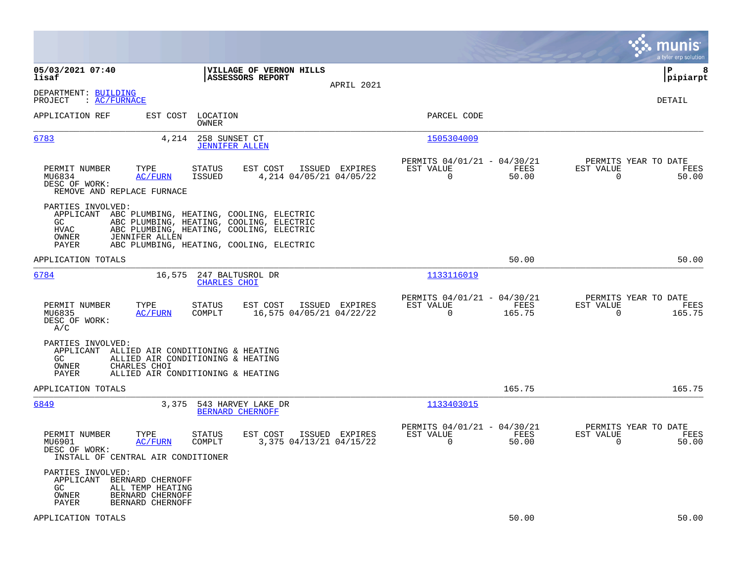|                                                                                                                                      |                                                                                                                                                                                        |                |                                                                |                                              | munis<br>a tyler erp solution          |
|--------------------------------------------------------------------------------------------------------------------------------------|----------------------------------------------------------------------------------------------------------------------------------------------------------------------------------------|----------------|----------------------------------------------------------------|----------------------------------------------|----------------------------------------|
| 05/03/2021 07:40<br>lisaf                                                                                                            | VILLAGE OF VERNON HILLS<br><b>ASSESSORS REPORT</b>                                                                                                                                     | APRIL 2021     |                                                                |                                              | l P<br>8<br> pipiarpt                  |
| DEPARTMENT: BUILDING<br>PROJECT<br>$\colon$ AC/FURNACE                                                                               |                                                                                                                                                                                        |                |                                                                |                                              | DETAIL                                 |
| APPLICATION REF                                                                                                                      | EST COST LOCATION<br>OWNER                                                                                                                                                             |                | PARCEL CODE                                                    |                                              |                                        |
| 6783<br>4,214                                                                                                                        | 258 SUNSET CT<br><b>JENNIFER ALLEN</b>                                                                                                                                                 |                | 1505304009                                                     |                                              |                                        |
| TYPE<br>PERMIT NUMBER<br>MU6834<br>AC/FURN<br>DESC OF WORK:<br>REMOVE AND REPLACE FURNACE                                            | STATUS<br>EST COST<br>ISSUED<br>4,214 04/05/21 04/05/22                                                                                                                                | ISSUED EXPIRES | PERMITS 04/01/21 - 04/30/21<br>EST VALUE<br>$\overline{0}$     | FEES<br>EST VALUE<br>$\overline{0}$<br>50.00 | PERMITS YEAR TO DATE<br>FEES<br>50.00  |
| PARTIES INVOLVED:<br>GC.<br>HVAC<br>JENNIFER ALLEN<br>OWNER<br>PAYER                                                                 | APPLICANT ABC PLUMBING, HEATING, COOLING, ELECTRIC<br>ABC PLUMBING, HEATING, COOLING, ELECTRIC<br>ABC PLUMBING, HEATING, COOLING, ELECTRIC<br>ABC PLUMBING, HEATING, COOLING, ELECTRIC |                |                                                                |                                              |                                        |
| APPLICATION TOTALS                                                                                                                   |                                                                                                                                                                                        |                |                                                                | 50.00                                        | 50.00                                  |
| 6784<br>16,575                                                                                                                       | 247 BALTUSROL DR<br><b>CHARLES CHOI</b>                                                                                                                                                |                | 1133116019                                                     |                                              |                                        |
| PERMIT NUMBER<br>TYPE<br>MU6835<br>AC/FURN<br>DESC OF WORK:<br>A/C                                                                   | STATUS<br>EST COST<br>16,575 04/05/21 04/22/22<br>COMPLT                                                                                                                               | ISSUED EXPIRES | PERMITS 04/01/21 - 04/30/21<br>EST VALUE<br>$\Omega$<br>165.75 | EST VALUE<br>FEES<br>$\Omega$                | PERMITS YEAR TO DATE<br>FEES<br>165.75 |
| PARTIES INVOLVED:<br>APPLICANT ALLIED AIR CONDITIONING & HEATING<br>GC.<br>OWNER<br>CHARLES CHOI<br>PAYER                            | ALLIED AIR CONDITIONING & HEATING<br>ALLIED AIR CONDITIONING & HEATING                                                                                                                 |                |                                                                |                                              |                                        |
| APPLICATION TOTALS                                                                                                                   |                                                                                                                                                                                        |                | 165.75                                                         |                                              | 165.75                                 |
| 6849<br>3,375                                                                                                                        | 543 HARVEY LAKE DR<br>BERNARD CHERNOFF                                                                                                                                                 |                | 1133403015                                                     |                                              |                                        |
| PERMIT NUMBER<br>TYPE<br>MU6901<br><b>AC/FURN</b><br>DESC OF WORK:<br>INSTALL OF CENTRAL AIR CONDITIONER                             | EST COST<br>STATUS<br>COMPLT<br>3,375 04/13/21 04/15/22                                                                                                                                | ISSUED EXPIRES | PERMITS 04/01/21 - 04/30/21<br>EST VALUE<br>$\Omega$           | FEES<br>EST VALUE<br>50.00<br>$\Omega$       | PERMITS YEAR TO DATE<br>FEES<br>50.00  |
| PARTIES INVOLVED:<br>APPLICANT BERNARD CHERNOFF<br>ALL TEMP HEATING<br>GC.<br>BERNARD CHERNOFF<br>OWNER<br>PAYER<br>BERNARD CHERNOFF |                                                                                                                                                                                        |                |                                                                |                                              |                                        |
| APPLICATION TOTALS                                                                                                                   |                                                                                                                                                                                        |                |                                                                | 50.00                                        | 50.00                                  |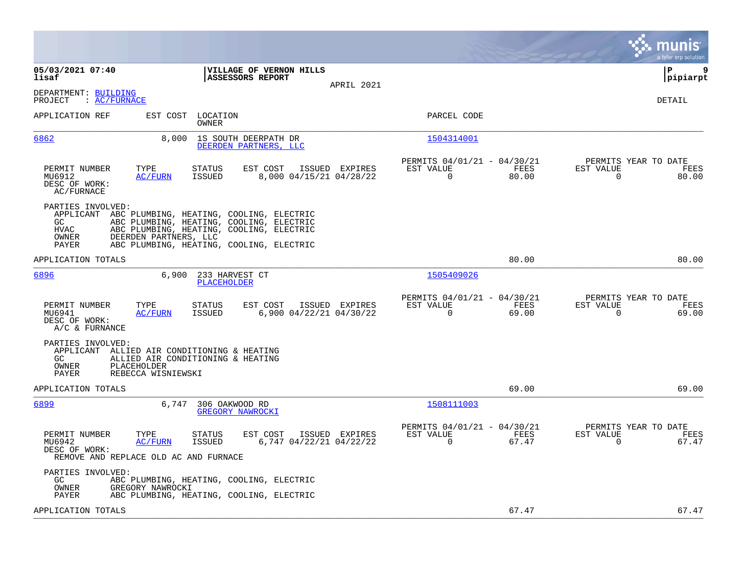|                                                                                                                                                                                                                                                                             |                                                                          | munis<br>a tyler erp solution                                     |
|-----------------------------------------------------------------------------------------------------------------------------------------------------------------------------------------------------------------------------------------------------------------------------|--------------------------------------------------------------------------|-------------------------------------------------------------------|
| 05/03/2021 07:40<br>VILLAGE OF VERNON HILLS<br>lisaf<br>ASSESSORS REPORT<br>APRIL 2021                                                                                                                                                                                      |                                                                          | lР<br>9<br> pipiarpt                                              |
| DEPARTMENT: BUILDING<br>PROJECT<br>: AC/FURNACE                                                                                                                                                                                                                             |                                                                          | DETAIL                                                            |
| APPLICATION REF<br>EST COST LOCATION<br><b>OWNER</b>                                                                                                                                                                                                                        | PARCEL CODE                                                              |                                                                   |
| 6862<br>8,000<br>1S SOUTH DEERPATH DR<br>DEERDEN PARTNERS, LLC                                                                                                                                                                                                              | 1504314001                                                               |                                                                   |
| PERMIT NUMBER<br>TYPE<br><b>STATUS</b><br>EST COST<br>ISSUED EXPIRES<br>MU6912<br>AC/FURN<br>ISSUED<br>8,000 04/15/21 04/28/22<br>DESC OF WORK:<br>AC/FURNACE                                                                                                               | PERMITS 04/01/21 - 04/30/21<br>EST VALUE<br>FEES<br>$\mathbf 0$<br>80.00 | PERMITS YEAR TO DATE<br>EST VALUE<br>FEES<br>$\mathbf 0$<br>80.00 |
| PARTIES INVOLVED:<br>APPLICANT ABC PLUMBING, HEATING, COOLING, ELECTRIC<br>ABC PLUMBING, HEATING, COOLING, ELECTRIC<br>GC<br><b>HVAC</b><br>ABC PLUMBING, HEATING, COOLING, ELECTRIC<br>DEERDEN PARTNERS, LLC<br>OWNER<br>ABC PLUMBING, HEATING, COOLING, ELECTRIC<br>PAYER |                                                                          |                                                                   |
| APPLICATION TOTALS                                                                                                                                                                                                                                                          | 80.00                                                                    | 80.00                                                             |
| 6896<br>6,900<br>233 HARVEST CT<br><b>PLACEHOLDER</b>                                                                                                                                                                                                                       | 1505409026                                                               |                                                                   |
| PERMIT NUMBER<br>TYPE<br><b>STATUS</b><br>EST COST<br>ISSUED EXPIRES<br>6,900 04/22/21 04/30/22<br>MU6941<br>AC/FURN<br><b>ISSUED</b><br>DESC OF WORK:<br>A/C & FURNANCE                                                                                                    | PERMITS 04/01/21 - 04/30/21<br>EST VALUE<br>FEES<br>$\mathbf 0$<br>69.00 | PERMITS YEAR TO DATE<br>EST VALUE<br>FEES<br>$\mathbf 0$<br>69.00 |
| PARTIES INVOLVED:<br>APPLICANT ALLIED AIR CONDITIONING & HEATING<br>ALLIED AIR CONDITIONING & HEATING<br>GC<br><b>OWNER</b><br><b>PLACEHOLDER</b><br>REBECCA WISNIEWSKI<br>PAYER                                                                                            |                                                                          |                                                                   |
| APPLICATION TOTALS                                                                                                                                                                                                                                                          | 69.00                                                                    | 69.00                                                             |
| 6899<br>6,747<br>306 OAKWOOD RD<br>GREGORY NAWROCKI                                                                                                                                                                                                                         | 1508111003                                                               |                                                                   |
| PERMIT NUMBER<br>TYPE<br>STATUS<br>EST COST<br>ISSUED EXPIRES<br>MU6942<br>AC/FURN<br><b>ISSUED</b><br>6,747 04/22/21 04/22/22<br>DESC OF WORK:<br>REMOVE AND REPLACE OLD AC AND FURNACE                                                                                    | PERMITS 04/01/21 - 04/30/21<br>EST VALUE<br>FEES<br>$\mathbf 0$<br>67.47 | PERMITS YEAR TO DATE<br>EST VALUE<br>FEES<br>67.47<br>0           |
| PARTIES INVOLVED:<br>GC<br>ABC PLUMBING, HEATING, COOLING, ELECTRIC<br>OWNER<br>GREGORY NAWROCKI<br><b>PAYER</b><br>ABC PLUMBING, HEATING, COOLING, ELECTRIC                                                                                                                |                                                                          |                                                                   |
| APPLICATION TOTALS                                                                                                                                                                                                                                                          | 67.47                                                                    | 67.47                                                             |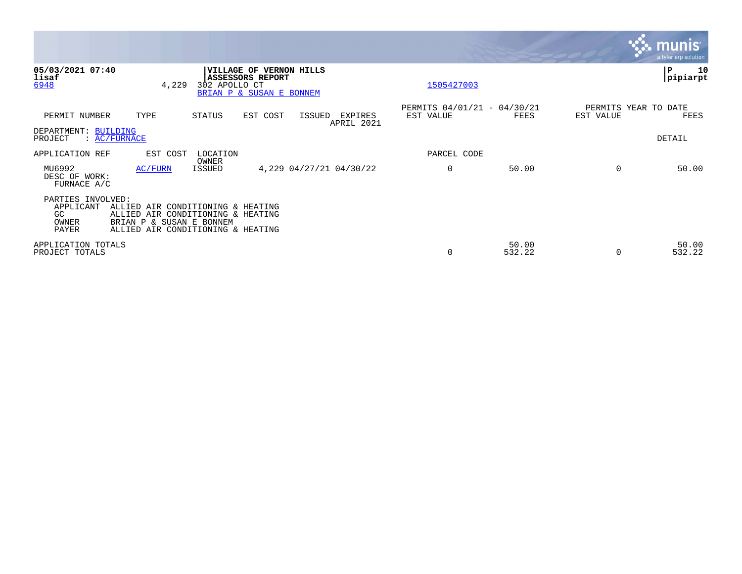|                                                         |                                                                                                                                         |                   |                                                                                |        |                         |                                          |                 |           | <b>munis</b><br>a tyler erp solution |
|---------------------------------------------------------|-----------------------------------------------------------------------------------------------------------------------------------------|-------------------|--------------------------------------------------------------------------------|--------|-------------------------|------------------------------------------|-----------------|-----------|--------------------------------------|
| 05/03/2021 07:40<br>lisaf<br>6948                       | 4,229                                                                                                                                   | 302 APOLLO CT     | VILLAGE OF VERNON HILLS<br><b>ASSESSORS REPORT</b><br>BRIAN P & SUSAN E BONNEM |        |                         | 1505427003                               |                 |           | 10<br>P<br>pipiarpt                  |
| PERMIT NUMBER                                           | TYPE                                                                                                                                    | STATUS            | EST COST                                                                       | ISSUED | EXPIRES<br>APRIL 2021   | PERMITS 04/01/21 - 04/30/21<br>EST VALUE | FEES            | EST VALUE | PERMITS YEAR TO DATE<br>FEES         |
| DEPARTMENT: BUILDING<br>PROJECT                         | $\colon$ AC/FURNACE                                                                                                                     |                   |                                                                                |        |                         |                                          |                 |           | <b>DETAIL</b>                        |
| APPLICATION REF                                         | EST COST                                                                                                                                | LOCATION<br>OWNER |                                                                                |        |                         | PARCEL CODE                              |                 |           |                                      |
| MU6992<br>DESC OF WORK:<br>FURNACE A/C                  | AC/FURN                                                                                                                                 | ISSUED            |                                                                                |        | 4,229 04/27/21 04/30/22 | $\mathbf 0$                              | 50.00           | $\Omega$  | 50.00                                |
| PARTIES INVOLVED:<br>APPLICANT<br>GC.<br>OWNER<br>PAYER | ALLIED AIR CONDITIONING & HEATING<br>ALLIED AIR CONDITIONING & HEATING<br>BRIAN P & SUSAN E BONNEM<br>ALLIED AIR CONDITIONING & HEATING |                   |                                                                                |        |                         |                                          |                 |           |                                      |
| APPLICATION TOTALS<br>PROJECT TOTALS                    |                                                                                                                                         |                   |                                                                                |        |                         | $\Omega$                                 | 50.00<br>532.22 | $\Omega$  | 50.00<br>532.22                      |

the contract of the contract of

and the contract of the contract of the contract of the contract of the contract of the contract of the contract of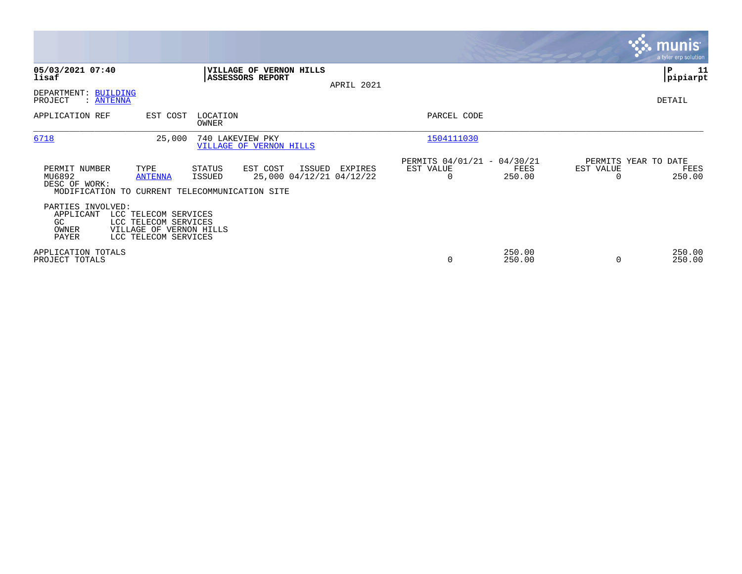|                                                         |                                                                                                 |                                             |                                                |            |                                               |                  |                                   | <b>munis</b><br>a tyler erp solution |
|---------------------------------------------------------|-------------------------------------------------------------------------------------------------|---------------------------------------------|------------------------------------------------|------------|-----------------------------------------------|------------------|-----------------------------------|--------------------------------------|
| 05/03/2021 07:40<br>lisaf                               |                                                                                                 | ASSESSORS REPORT                            | VILLAGE OF VERNON HILLS                        | APRIL 2021 |                                               |                  |                                   | $\mathbf{P}$<br>11<br> pipiarpt      |
| DEPARTMENT: BUILDING<br>PROJECT<br>: <u>ANTENNA</u>     |                                                                                                 |                                             |                                                |            |                                               |                  |                                   | DETAIL                               |
| APPLICATION REF                                         | EST COST                                                                                        | LOCATION<br>OWNER                           |                                                |            | PARCEL CODE                                   |                  |                                   |                                      |
| 6718                                                    | 25,000                                                                                          | 740 LAKEVIEW PKY<br>VILLAGE OF VERNON HILLS |                                                |            | 1504111030                                    |                  |                                   |                                      |
| PERMIT NUMBER<br>MU6892<br>DESC OF WORK:                | TYPE<br><b>ANTENNA</b><br>MODIFICATION TO CURRENT TELECOMMUNICATION SITE                        | STATUS<br>ISSUED                            | EST COST<br>ISSUED<br>25,000 04/12/21 04/12/22 | EXPIRES    | PERMITS 04/01/21 - 04/30/21<br>EST VALUE<br>0 | FEES<br>250.00   | PERMITS YEAR TO DATE<br>EST VALUE | FEES<br>250.00                       |
| PARTIES INVOLVED:<br>APPLICANT<br>GC.<br>OWNER<br>PAYER | LCC TELECOM SERVICES<br>LCC TELECOM SERVICES<br>VILLAGE OF VERNON HILLS<br>LCC TELECOM SERVICES |                                             |                                                |            |                                               |                  |                                   |                                      |
| APPLICATION TOTALS<br>PROJECT TOTALS                    |                                                                                                 |                                             |                                                |            | 0                                             | 250.00<br>250.00 | $\Omega$                          | 250.00<br>250.00                     |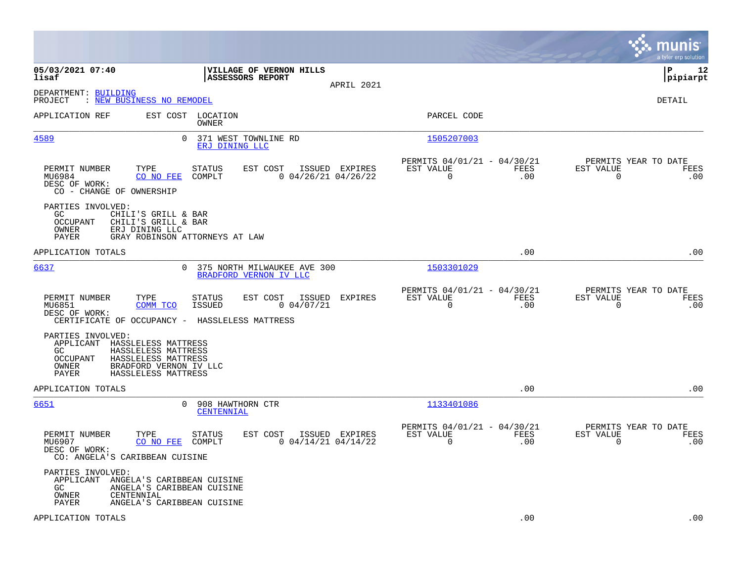|                                                                                                                                                                                               |                                                                                                                    |                                                                        | munis<br>a tyler erp solution                                   |
|-----------------------------------------------------------------------------------------------------------------------------------------------------------------------------------------------|--------------------------------------------------------------------------------------------------------------------|------------------------------------------------------------------------|-----------------------------------------------------------------|
| 05/03/2021 07:40<br>lisaf                                                                                                                                                                     | VILLAGE OF VERNON HILLS<br><b>ASSESSORS REPORT</b><br>APRIL 2021                                                   |                                                                        | l P<br>12<br> pipiarpt                                          |
| DEPARTMENT: BUILDING<br>PROJECT<br>: NEW BUSINESS NO REMODEL                                                                                                                                  |                                                                                                                    |                                                                        | DETAIL                                                          |
| APPLICATION REF                                                                                                                                                                               | EST COST LOCATION<br>OWNER                                                                                         | PARCEL CODE                                                            |                                                                 |
| 4589                                                                                                                                                                                          | $\Omega$<br>371 WEST TOWNLINE RD<br>ERJ DINING LLC                                                                 | 1505207003                                                             |                                                                 |
| PERMIT NUMBER<br>TYPE<br>MU6984<br>CO NO FEE<br>DESC OF WORK:<br>CO - CHANGE OF OWNERSHIP                                                                                                     | EST COST<br>ISSUED EXPIRES<br>STATUS<br>COMPLT<br>$0$ 04/26/21 04/26/22                                            | PERMITS 04/01/21 - 04/30/21<br>EST VALUE<br>FEES<br>$\mathbf 0$<br>.00 | PERMITS YEAR TO DATE<br>EST VALUE<br>FEES<br>$\mathbf 0$<br>.00 |
| PARTIES INVOLVED:<br>GC.<br>CHILI'S GRILL & BAR<br><b>OCCUPANT</b><br>CHILI'S GRILL & BAR<br>OWNER<br>ERJ DINING LLC<br><b>PAYER</b>                                                          | GRAY ROBINSON ATTORNEYS AT LAW                                                                                     |                                                                        |                                                                 |
| APPLICATION TOTALS                                                                                                                                                                            |                                                                                                                    | .00                                                                    | .00                                                             |
| 6637                                                                                                                                                                                          | 0<br>375 NORTH MILWAUKEE AVE 300<br>BRADFORD VERNON IV LLC                                                         | 1503301029                                                             |                                                                 |
| PERMIT NUMBER<br>TYPE<br>COMM TCO<br>MU6851<br>DESC OF WORK:                                                                                                                                  | STATUS<br>EST COST ISSUED EXPIRES<br><b>ISSUED</b><br>0.04/07/21<br>CERTIFICATE OF OCCUPANCY - HASSLELESS MATTRESS | PERMITS 04/01/21 - 04/30/21<br>EST VALUE<br>FEES<br>$\Omega$<br>.00    | PERMITS YEAR TO DATE<br>EST VALUE<br>FEES<br>$\Omega$<br>.00    |
| PARTIES INVOLVED:<br>APPLICANT HASSLELESS MATTRESS<br>GC.<br>HASSLELESS MATTRESS<br><b>OCCUPANT</b><br>HASSLELESS MATTRESS<br>BRADFORD VERNON IV LLC<br>OWNER<br>PAYER<br>HASSLELESS MATTRESS |                                                                                                                    |                                                                        |                                                                 |
| APPLICATION TOTALS                                                                                                                                                                            |                                                                                                                    | .00                                                                    | .00                                                             |
| 6651                                                                                                                                                                                          | $\mathbf{0}$<br>908 HAWTHORN CTR<br>CENTENNIAL                                                                     | 1133401086                                                             |                                                                 |
| PERMIT NUMBER<br>TYPE<br>CO NO FEE<br>MU6907<br>DESC OF WORK:<br>CO: ANGELA'S CARIBBEAN CUISINE                                                                                               | <b>STATUS</b><br>EST COST<br>ISSUED EXPIRES<br>COMPLT<br>$0$ 04/14/21 04/14/22                                     | PERMITS 04/01/21 - 04/30/21<br>EST VALUE<br>FEES<br>$\mathbf 0$<br>.00 | PERMITS YEAR TO DATE<br>EST VALUE<br>FEES<br>$\mathbf 0$<br>.00 |
| PARTIES INVOLVED:<br>APPLICANT ANGELA'S CARIBBEAN CUISINE<br>GC.<br>OWNER<br>CENTENNIAL<br>PAYER                                                                                              | ANGELA'S CARIBBEAN CUISINE<br>ANGELA'S CARIBBEAN CUISINE                                                           |                                                                        |                                                                 |
| APPLICATION TOTALS                                                                                                                                                                            |                                                                                                                    | .00                                                                    | .00                                                             |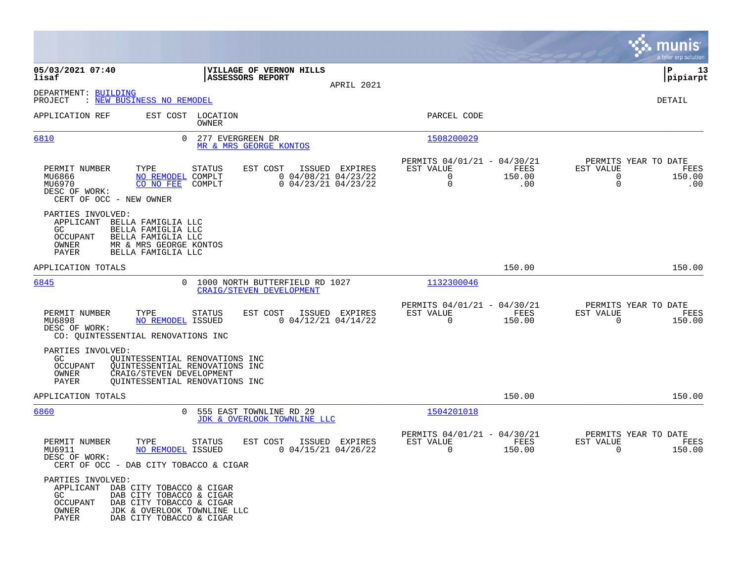|                                                                                                                                                                                                                       |                                                                   |                                                           |                                                              |                       | munis<br>a tyler erp solution                                             |             |
|-----------------------------------------------------------------------------------------------------------------------------------------------------------------------------------------------------------------------|-------------------------------------------------------------------|-----------------------------------------------------------|--------------------------------------------------------------|-----------------------|---------------------------------------------------------------------------|-------------|
| 05/03/2021 07:40<br>lisaf                                                                                                                                                                                             | VILLAGE OF VERNON HILLS<br>ASSESSORS REPORT                       | APRIL 2021                                                |                                                              |                       | ∣P<br>pipiarpt                                                            | 13          |
| DEPARTMENT: BUILDING<br>PROJECT<br>: NEW BUSINESS NO REMODEL                                                                                                                                                          |                                                                   |                                                           |                                                              |                       | DETAIL                                                                    |             |
| APPLICATION REF                                                                                                                                                                                                       | EST COST LOCATION<br>OWNER                                        |                                                           | PARCEL CODE                                                  |                       |                                                                           |             |
| 6810<br>$\Omega$                                                                                                                                                                                                      | 277 EVERGREEN DR<br>MR & MRS GEORGE KONTOS                        |                                                           | 1508200029                                                   |                       |                                                                           |             |
| PERMIT NUMBER<br>TYPE<br>NO REMODEL COMPLT<br>MU6866<br>MU6970<br>CO NO FEE<br>DESC OF WORK:<br>CERT OF OCC - NEW OWNER                                                                                               | EST COST<br>ISSUED<br><b>STATUS</b><br>COMPLT                     | EXPIRES<br>$0$ 04/08/21 04/23/22<br>$0$ 04/23/21 04/23/22 | PERMITS 04/01/21 - 04/30/21<br>EST VALUE<br>$\mathbf 0$<br>0 | FEES<br>150.00<br>.00 | PERMITS YEAR TO DATE<br>EST VALUE<br>$\mathbf 0$<br>150.00<br>$\mathbf 0$ | FEES<br>.00 |
| PARTIES INVOLVED:<br>APPLICANT BELLA FAMIGLIA LLC<br>GC<br>BELLA FAMIGLIA LLC<br>OCCUPANT<br>BELLA FAMIGLIA LLC<br>OWNER<br>MR & MRS GEORGE KONTOS<br>PAYER<br>BELLA FAMIGLIA LLC                                     |                                                                   |                                                           |                                                              |                       |                                                                           |             |
| APPLICATION TOTALS                                                                                                                                                                                                    |                                                                   |                                                           |                                                              | 150.00                | 150.00                                                                    |             |
| 6845<br>$\Omega$                                                                                                                                                                                                      | 1000 NORTH BUTTERFIELD RD 1027<br><b>CRAIG/STEVEN DEVELOPMENT</b> |                                                           | 1132300046                                                   |                       |                                                                           |             |
| PERMIT NUMBER<br>TYPE<br>MU6898<br>NO REMODEL ISSUED<br>DESC OF WORK:<br>CO: QUINTESSENTIAL RENOVATIONS INC                                                                                                           | <b>STATUS</b><br>EST COST                                         | ISSUED EXPIRES<br>$0$ 04/12/21 04/14/22                   | PERMITS 04/01/21 - 04/30/21<br>EST VALUE<br>$\Omega$         | FEES<br>150.00        | PERMITS YEAR TO DATE<br>EST VALUE<br>$\mathbf 0$<br>150.00                | FEES        |
| PARTIES INVOLVED:<br>GC.<br>QUINTESSENTIAL RENOVATIONS INC<br>OCCUPANT<br>QUINTESSENTIAL RENOVATIONS INC<br>CRAIG/STEVEN DEVELOPMENT<br>OWNER<br>PAYER<br>OUINTESSENTIAL RENOVATIONS INC                              |                                                                   |                                                           |                                                              |                       |                                                                           |             |
| APPLICATION TOTALS                                                                                                                                                                                                    |                                                                   |                                                           |                                                              | 150.00                | 150.00                                                                    |             |
| 6860<br>0                                                                                                                                                                                                             | 555 EAST TOWNLINE RD 29<br>JDK & OVERLOOK TOWNLINE LLC            |                                                           | 1504201018                                                   |                       |                                                                           |             |
| PERMIT NUMBER<br>TYPE<br>NO REMODEL ISSUED<br>MU6911<br>DESC OF WORK:<br>CERT OF OCC - DAB CITY TOBACCO & CIGAR                                                                                                       | <b>STATUS</b><br>EST COST                                         | ISSUED EXPIRES<br>$0$ 04/15/21 04/26/22                   | PERMITS 04/01/21 - 04/30/21<br>EST VALUE<br>$\Omega$         | FEES<br>150.00        | PERMITS YEAR TO DATE<br>EST VALUE<br>$\Omega$<br>150.00                   | FEES        |
| PARTIES INVOLVED:<br>APPLICANT DAB CITY TOBACCO & CIGAR<br>GC<br>DAB CITY TOBACCO & CIGAR<br><b>OCCUPANT</b><br>DAB CITY TOBACCO & CIGAR<br>JDK & OVERLOOK TOWNLINE LLC<br>OWNER<br>PAYER<br>DAB CITY TOBACCO & CIGAR |                                                                   |                                                           |                                                              |                       |                                                                           |             |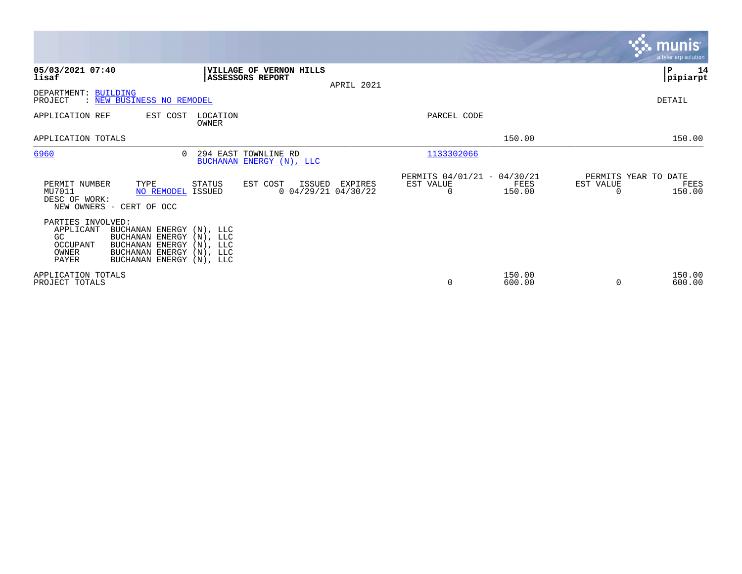|                                                                                                                                                                                                                |                                                                         |                                               |                  | <b>munis</b><br>a tyler erp solution                |
|----------------------------------------------------------------------------------------------------------------------------------------------------------------------------------------------------------------|-------------------------------------------------------------------------|-----------------------------------------------|------------------|-----------------------------------------------------|
| 05/03/2021 07:40<br>lisaf                                                                                                                                                                                      | VILLAGE OF VERNON HILLS<br>ASSESSORS REPORT<br>APRIL 2021               |                                               |                  | ∣P<br>14<br> pipiarpt                               |
| DEPARTMENT: BUILDING<br>PROJECT<br>: NEW BUSINESS NO REMODEL                                                                                                                                                   |                                                                         |                                               |                  | DETAIL                                              |
| APPLICATION REF<br>EST COST                                                                                                                                                                                    | LOCATION<br>OWNER                                                       | PARCEL CODE                                   |                  |                                                     |
| APPLICATION TOTALS                                                                                                                                                                                             |                                                                         |                                               | 150.00           | 150.00                                              |
| 6960<br>$\cap$                                                                                                                                                                                                 | 294 EAST TOWNLINE RD<br>BUCHANAN ENERGY (N), LLC                        | 1133302066                                    |                  |                                                     |
| PERMIT NUMBER<br>TYPE<br>MU7011<br><b>NO REMODEL ISSUED</b><br>DESC OF WORK:<br>NEW OWNERS - CERT OF OCC                                                                                                       | <b>STATUS</b><br>EST COST<br>ISSUED<br>EXPIRES<br>$0$ 04/29/21 04/30/22 | PERMITS 04/01/21 - 04/30/21<br>EST VALUE<br>0 | FEES<br>150.00   | PERMITS YEAR TO DATE<br>EST VALUE<br>FEES<br>150.00 |
| PARTIES INVOLVED:<br>APPLICANT<br>BUCHANAN ENERGY (N), LLC<br>BUCHANAN ENERGY (N), LLC<br>GC<br>OCCUPANT<br>BUCHANAN ENERGY (N), LLC<br>BUCHANAN ENERGY (N), LLC<br>OWNER<br>PAYER<br>BUCHANAN ENERGY (N), LLC |                                                                         |                                               |                  |                                                     |
| APPLICATION TOTALS<br>PROJECT TOTALS                                                                                                                                                                           |                                                                         | $\mathbf 0$                                   | 150.00<br>600.00 | 150.00<br>$\Omega$<br>600.00                        |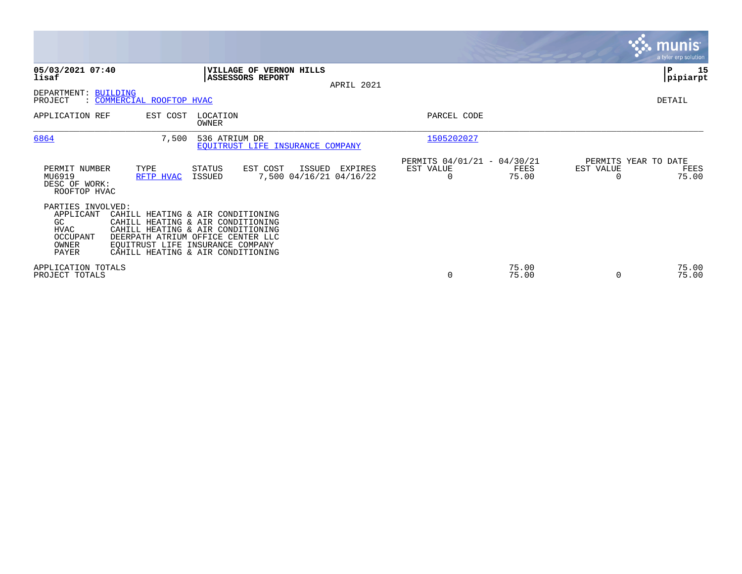|                                                                                          |                                                                                                                                                                                                                           |                         |                                               |            |                                               |                |           | <b>munis</b><br>a tyler erp solution  |
|------------------------------------------------------------------------------------------|---------------------------------------------------------------------------------------------------------------------------------------------------------------------------------------------------------------------------|-------------------------|-----------------------------------------------|------------|-----------------------------------------------|----------------|-----------|---------------------------------------|
| 05/03/2021 07:40<br>lisaf                                                                |                                                                                                                                                                                                                           | ASSESSORS REPORT        | VILLAGE OF VERNON HILLS                       | APRIL 2021 |                                               |                |           | ∣P<br>15<br> pipiarpt                 |
| DEPARTMENT: BUILDING<br>PROJECT                                                          | : COMMERCIAL ROOFTOP HVAC                                                                                                                                                                                                 |                         |                                               |            |                                               |                |           | DETAIL                                |
| APPLICATION REF                                                                          | EST COST                                                                                                                                                                                                                  | LOCATION<br>OWNER       |                                               |            | PARCEL CODE                                   |                |           |                                       |
| 6864                                                                                     | 7,500                                                                                                                                                                                                                     | 536 ATRIUM DR           | EQUITRUST LIFE INSURANCE COMPANY              |            | 1505202027                                    |                |           |                                       |
| PERMIT NUMBER<br>MU6919<br>DESC OF WORK:<br>ROOFTOP HVAC                                 | TYPE<br>RFTP HVAC                                                                                                                                                                                                         | STATUS<br><b>ISSUED</b> | EST COST<br>ISSUED<br>7,500 04/16/21 04/16/22 | EXPIRES    | PERMITS 04/01/21 - 04/30/21<br>EST VALUE<br>O | FEES<br>75.00  | EST VALUE | PERMITS YEAR TO DATE<br>FEES<br>75.00 |
| PARTIES INVOLVED:<br>APPLICANT<br>GC<br><b>HVAC</b><br>OCCUPANT<br>OWNER<br><b>PAYER</b> | CAHILL HEATING & AIR CONDITIONING<br>CAHILL HEATING & AIR CONDITIONING<br>CAHILL HEATING & AIR CONDITIONING<br>DEERPATH ATRIUM OFFICE CENTER LLC<br>EQUITRUST LIFE INSURANCE COMPANY<br>CAHILL HEATING & AIR CONDITIONING |                         |                                               |            |                                               |                |           |                                       |
| APPLICATION TOTALS<br>PROJECT TOTALS                                                     |                                                                                                                                                                                                                           |                         |                                               |            | 0                                             | 75.00<br>75.00 | 0         | 75.00<br>75.00                        |

**Contract**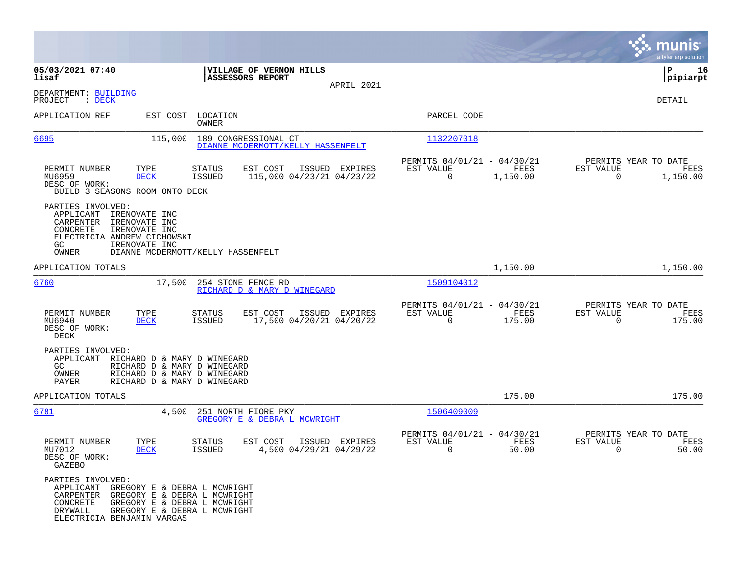|                                                                                                                                                                                                                            |                                                                                         |                                                                           | munis<br>a tyler erp solution                                        |
|----------------------------------------------------------------------------------------------------------------------------------------------------------------------------------------------------------------------------|-----------------------------------------------------------------------------------------|---------------------------------------------------------------------------|----------------------------------------------------------------------|
| 05/03/2021 07:40<br>lisaf                                                                                                                                                                                                  | VILLAGE OF VERNON HILLS<br>ASSESSORS REPORT<br>APRIL 2021                               |                                                                           | 16<br>IΡ<br> pipiarpt                                                |
| DEPARTMENT: BUILDING<br>PROJECT<br>$\therefore$ DECK                                                                                                                                                                       |                                                                                         |                                                                           | DETAIL                                                               |
| APPLICATION REF                                                                                                                                                                                                            | EST COST LOCATION<br>OWNER                                                              | PARCEL CODE                                                               |                                                                      |
| <u>6695</u><br>115,000                                                                                                                                                                                                     | 189 CONGRESSIONAL CT<br>DIANNE MCDERMOTT/KELLY HASSENFELT                               | 1132207018                                                                |                                                                      |
| PERMIT NUMBER<br>TYPE<br>MU6959<br><b>DECK</b><br>DESC OF WORK:<br>BUILD 3 SEASONS ROOM ONTO DECK                                                                                                                          | <b>STATUS</b><br>EST COST<br>ISSUED EXPIRES<br>115,000 04/23/21 04/23/22<br>ISSUED      | PERMITS 04/01/21 - 04/30/21<br>EST VALUE<br>FEES<br>0<br>1,150.00         | PERMITS YEAR TO DATE<br>EST VALUE<br>FEES<br>$\mathbf 0$<br>1,150.00 |
| PARTIES INVOLVED:<br>APPLICANT<br>IRENOVATE INC<br>CARPENTER<br>IRENOVATE INC<br>CONCRETE<br>IRENOVATE INC<br>ELECTRICIA ANDREW CICHOWSKI<br>GC<br>IRENOVATE INC<br>OWNER                                                  | DIANNE MCDERMOTT/KELLY HASSENFELT                                                       |                                                                           |                                                                      |
| APPLICATION TOTALS                                                                                                                                                                                                         |                                                                                         | 1,150.00                                                                  | 1,150.00                                                             |
| <u>6760</u><br>17,500                                                                                                                                                                                                      | 254 STONE FENCE RD<br>RICHARD D & MARY D WINEGARD                                       | 1509104012                                                                |                                                                      |
| PERMIT NUMBER<br>TYPE<br>MU6940<br><b>DECK</b><br>DESC OF WORK:<br>DECK                                                                                                                                                    | EST COST<br>ISSUED EXPIRES<br>STATUS<br>17,500 04/20/21 04/20/22<br>ISSUED              | PERMITS 04/01/21 - 04/30/21<br>EST VALUE<br>FEES<br>$\mathbf 0$<br>175.00 | PERMITS YEAR TO DATE<br>EST VALUE<br>FEES<br>0<br>175.00             |
| PARTIES INVOLVED:<br>APPLICANT RICHARD D & MARY D WINEGARD<br>GC.<br>RICHARD D & MARY D WINEGARD<br>OWNER<br>RICHARD D & MARY D WINEGARD<br>PAYER<br>RICHARD D & MARY D WINEGARD                                           |                                                                                         |                                                                           |                                                                      |
| APPLICATION TOTALS                                                                                                                                                                                                         |                                                                                         | 175.00                                                                    | 175.00                                                               |
| 6781<br>4,500                                                                                                                                                                                                              | 251 NORTH FIORE PKY<br>GREGORY E & DEBRA L MCWRIGHT                                     | 1506409009                                                                |                                                                      |
| PERMIT NUMBER<br>TYPE<br>MU7012<br><b>DECK</b><br>DESC OF WORK:<br>GAZEBO                                                                                                                                                  | <b>STATUS</b><br>EST COST<br>ISSUED EXPIRES<br><b>ISSUED</b><br>4,500 04/29/21 04/29/22 | PERMITS 04/01/21 - 04/30/21<br>EST VALUE<br>FEES<br>0<br>50.00            | PERMITS YEAR TO DATE<br>EST VALUE<br>FEES<br>50.00<br>0              |
| PARTIES INVOLVED:<br>APPLICANT GREGORY E & DEBRA L MCWRIGHT<br>CARPENTER GREGORY E & DEBRA L MCWRIGHT<br>CONCRETE<br>GREGORY E & DEBRA L MCWRIGHT<br>DRYWALL<br>GREGORY E & DEBRA L MCWRIGHT<br>ELECTRICIA BENJAMIN VARGAS |                                                                                         |                                                                           |                                                                      |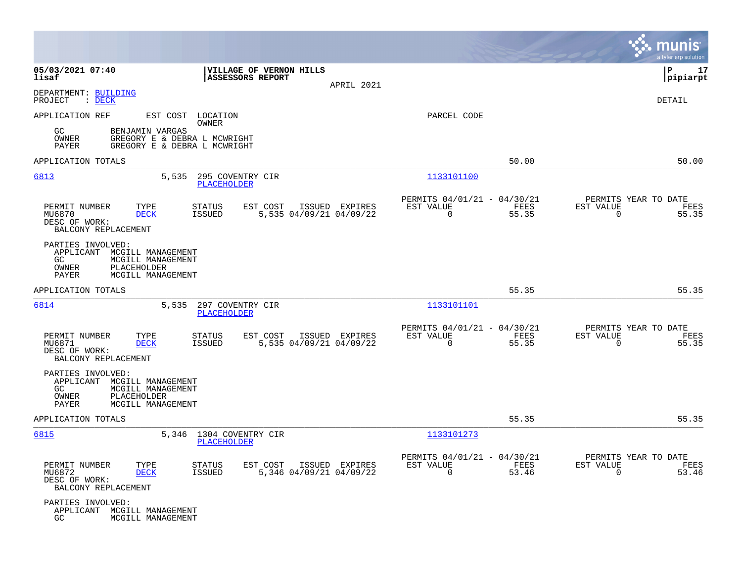|                                                                                                                                      |                                                                                            |                                                                          | nis<br>a tyler erp solution                                       |
|--------------------------------------------------------------------------------------------------------------------------------------|--------------------------------------------------------------------------------------------|--------------------------------------------------------------------------|-------------------------------------------------------------------|
| 05/03/2021 07:40<br>lisaf                                                                                                            | VILLAGE OF VERNON HILLS<br><b>ASSESSORS REPORT</b><br>APRIL 2021                           |                                                                          | l P<br>17<br> pipiarpt                                            |
| DEPARTMENT: BUILDING<br>PROJECT<br>$\therefore$ DECK                                                                                 |                                                                                            |                                                                          | DETAIL                                                            |
| APPLICATION REF<br>BENJAMIN VARGAS<br>GC.<br>OWNER<br>PAYER                                                                          | EST COST LOCATION<br>OWNER<br>GREGORY E & DEBRA L MCWRIGHT<br>GREGORY E & DEBRA L MCWRIGHT | PARCEL CODE                                                              |                                                                   |
| APPLICATION TOTALS                                                                                                                   |                                                                                            | 50.00                                                                    | 50.00                                                             |
| 6813<br>5,535                                                                                                                        | 295 COVENTRY CIR<br><b>PLACEHOLDER</b>                                                     | 1133101100                                                               |                                                                   |
| PERMIT NUMBER<br>TYPE<br>MU6870<br><b>DECK</b><br>DESC OF WORK:<br>BALCONY REPLACEMENT                                               | ISSUED EXPIRES<br><b>STATUS</b><br>EST COST<br>5,535 04/09/21 04/09/22<br><b>ISSUED</b>    | PERMITS 04/01/21 - 04/30/21<br>EST VALUE<br>FEES<br>$\Omega$<br>55.35    | PERMITS YEAR TO DATE<br>EST VALUE<br>FEES<br>$\Omega$<br>55.35    |
| PARTIES INVOLVED:<br>APPLICANT<br>MCGILL MANAGEMENT<br>GC<br>MCGILL MANAGEMENT<br>OWNER<br>PLACEHOLDER<br>PAYER<br>MCGILL MANAGEMENT |                                                                                            |                                                                          |                                                                   |
| APPLICATION TOTALS                                                                                                                   |                                                                                            | 55.35                                                                    | 55.35                                                             |
| 6814<br>5,535                                                                                                                        | 297 COVENTRY CIR<br>PLACEHOLDER                                                            | 1133101101                                                               |                                                                   |
| PERMIT NUMBER<br>TYPE<br>MU6871<br><b>DECK</b><br>DESC OF WORK:<br>BALCONY REPLACEMENT                                               | <b>STATUS</b><br>EST COST<br>ISSUED EXPIRES<br>5,535 04/09/21 04/09/22<br><b>ISSUED</b>    | PERMITS 04/01/21 - 04/30/21<br>EST VALUE<br>FEES<br>$\mathbf 0$<br>55.35 | PERMITS YEAR TO DATE<br>EST VALUE<br>FEES<br>$\mathbf 0$<br>55.35 |
| PARTIES INVOLVED:<br>APPLICANT MCGILL MANAGEMENT<br>GC<br>MCGILL MANAGEMENT<br>OWNER<br>PLACEHOLDER<br>PAYER<br>MCGILL MANAGEMENT    |                                                                                            |                                                                          |                                                                   |
| APPLICATION TOTALS                                                                                                                   |                                                                                            | 55.35                                                                    | 55.35                                                             |
| 6815                                                                                                                                 | 5,346 1304 COVENTRY CIR<br>PLACEHOLDER                                                     | 1133101273                                                               |                                                                   |
| PERMIT NUMBER<br>TYPE<br>MU6872<br><b>DECK</b><br>DESC OF WORK:<br>BALCONY REPLACEMENT                                               | EST COST<br>ISSUED EXPIRES<br><b>STATUS</b><br>5,346 04/09/21 04/09/22<br>ISSUED           | PERMITS 04/01/21 - 04/30/21<br>EST VALUE<br>FEES<br>53.46<br>0           | PERMITS YEAR TO DATE<br>EST VALUE<br>FEES<br>53.46<br>0           |
| PARTIES INVOLVED:<br>APPLICANT MCGILL MANAGEMENT<br>GC<br>MCGILL MANAGEMENT                                                          |                                                                                            |                                                                          |                                                                   |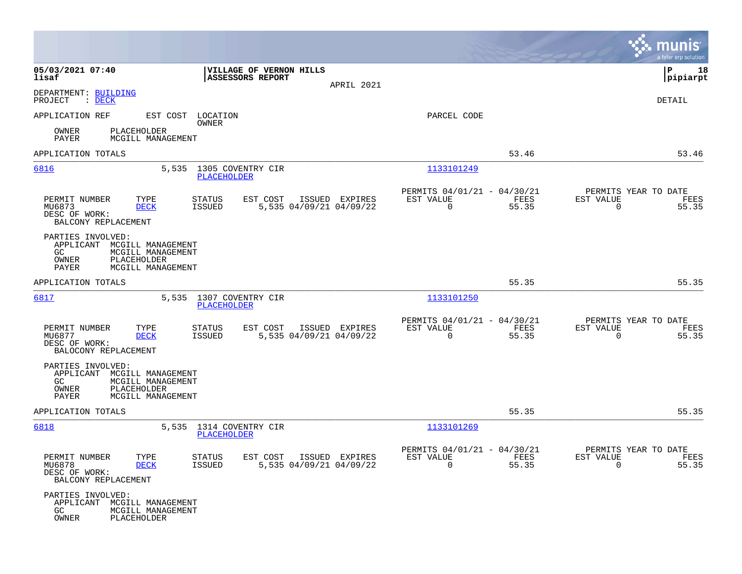|                                                                                                                                   |                                                                                  |                                                                          | munis<br>a tyler erp solution                                     |
|-----------------------------------------------------------------------------------------------------------------------------------|----------------------------------------------------------------------------------|--------------------------------------------------------------------------|-------------------------------------------------------------------|
| 05/03/2021 07:40<br>lisaf                                                                                                         | <b> VILLAGE OF VERNON HILLS</b><br><b>ASSESSORS REPORT</b><br>APRIL 2021         |                                                                          | P<br>18<br> pipiarpt                                              |
| DEPARTMENT: BUILDING<br>PROJECT<br>$\mathcal{L}$ DECK                                                                             |                                                                                  |                                                                          | DETAIL                                                            |
| APPLICATION REF                                                                                                                   | EST COST LOCATION<br>OWNER                                                       | PARCEL CODE                                                              |                                                                   |
| OWNER<br>PLACEHOLDER<br>PAYER<br>MCGILL MANAGEMENT                                                                                |                                                                                  |                                                                          |                                                                   |
| APPLICATION TOTALS                                                                                                                |                                                                                  | 53.46                                                                    | 53.46                                                             |
| 6816<br>5,535                                                                                                                     | 1305 COVENTRY CIR<br>PLACEHOLDER                                                 | 1133101249                                                               |                                                                   |
| PERMIT NUMBER<br>TYPE<br>MU6873<br><b>DECK</b><br>DESC OF WORK:<br>BALCONY REPLACEMENT                                            | EST COST<br>ISSUED EXPIRES<br>STATUS<br>5,535 04/09/21 04/09/22<br><b>ISSUED</b> | PERMITS 04/01/21 - 04/30/21<br>EST VALUE<br>FEES<br>$\mathbf 0$<br>55.35 | PERMITS YEAR TO DATE<br>EST VALUE<br>FEES<br>$\mathbf 0$<br>55.35 |
| PARTIES INVOLVED:<br>APPLICANT MCGILL MANAGEMENT<br>GC<br>MCGILL MANAGEMENT<br>OWNER<br>PLACEHOLDER<br>MCGILL MANAGEMENT<br>PAYER |                                                                                  |                                                                          |                                                                   |
| APPLICATION TOTALS                                                                                                                |                                                                                  | 55.35                                                                    | 55.35                                                             |
| 6817                                                                                                                              | 5,535 1307 COVENTRY CIR<br><b>PLACEHOLDER</b>                                    | 1133101250                                                               |                                                                   |
| PERMIT NUMBER<br>TYPE<br>MU6877<br><b>DECK</b><br>DESC OF WORK:<br>BALOCONY REPLACEMENT                                           | EST COST<br>ISSUED EXPIRES<br>STATUS<br><b>ISSUED</b><br>5,535 04/09/21 04/09/22 | PERMITS 04/01/21 - 04/30/21<br>EST VALUE<br>FEES<br>$\mathbf 0$<br>55.35 | PERMITS YEAR TO DATE<br>EST VALUE<br>FEES<br>0<br>55.35           |
| PARTIES INVOLVED:<br>APPLICANT MCGILL MANAGEMENT<br>GC<br>MCGILL MANAGEMENT<br>OWNER<br>PLACEHOLDER<br>PAYER<br>MCGILL MANAGEMENT |                                                                                  |                                                                          |                                                                   |
| APPLICATION TOTALS                                                                                                                |                                                                                  | 55.35                                                                    | 55.35                                                             |
| 6818                                                                                                                              | 5,535 1314 COVENTRY CIR<br>PLACEHOLDER                                           | 1133101269                                                               |                                                                   |
| PERMIT NUMBER<br>TYPE<br>MU6878<br><b>DECK</b><br>DESC OF WORK:<br>BALCONY REPLACEMENT                                            | STATUS<br>EST COST ISSUED EXPIRES<br>5,535 04/09/21 04/09/22<br>ISSUED           | PERMITS 04/01/21 - 04/30/21<br>EST VALUE<br>FEES<br>$\Omega$<br>55.35    | PERMITS YEAR TO DATE<br>EST VALUE<br>FEES<br>55.35<br>$\Omega$    |
| PARTIES INVOLVED:<br>APPLICANT MCGILL MANAGEMENT<br>GC<br>MCGILL MANAGEMENT<br>OWNER<br>PLACEHOLDER                               |                                                                                  |                                                                          |                                                                   |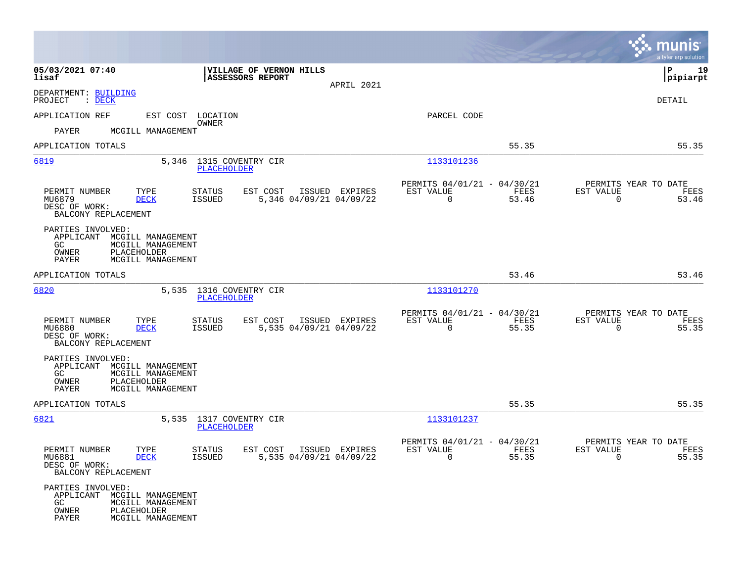|                                                                                                                                    |                                                                |                |                                                                      |               | munis<br>a tyler erp solution                                        |
|------------------------------------------------------------------------------------------------------------------------------------|----------------------------------------------------------------|----------------|----------------------------------------------------------------------|---------------|----------------------------------------------------------------------|
| 05/03/2021 07:40<br>lisaf                                                                                                          | VILLAGE OF VERNON HILLS<br><b>ASSESSORS REPORT</b>             | APRIL 2021     |                                                                      |               | 19<br>IΡ<br> pipiarpt                                                |
| DEPARTMENT: BUILDING<br>PROJECT<br>$\therefore$ DECK                                                                               |                                                                |                |                                                                      |               | DETAIL                                                               |
| APPLICATION REF                                                                                                                    | EST COST LOCATION                                              |                | PARCEL CODE                                                          |               |                                                                      |
| PAYER<br>MCGILL MANAGEMENT                                                                                                         | OWNER                                                          |                |                                                                      |               |                                                                      |
| APPLICATION TOTALS                                                                                                                 |                                                                |                |                                                                      | 55.35         | 55.35                                                                |
| 6819                                                                                                                               | 5,346 1315 COVENTRY CIR<br><b>PLACEHOLDER</b>                  |                | 1133101236                                                           |               |                                                                      |
| PERMIT NUMBER<br>TYPE<br>MU6879<br><b>DECK</b><br>DESC OF WORK:<br>BALCONY REPLACEMENT                                             | STATUS<br>EST COST<br>5,346 04/09/21 04/09/22<br>ISSUED        | ISSUED EXPIRES | PERMITS 04/01/21 - 04/30/21<br>EST VALUE<br>$\mathbf 0$              | FEES<br>53.46 | PERMITS YEAR TO DATE<br>EST VALUE<br>FEES<br>$\Omega$<br>53.46       |
| PARTIES INVOLVED:<br>APPLICANT MCGILL MANAGEMENT<br>MCGILL MANAGEMENT<br>GC.<br>PLACEHOLDER<br>OWNER<br>PAYER<br>MCGILL MANAGEMENT |                                                                |                |                                                                      |               |                                                                      |
| APPLICATION TOTALS                                                                                                                 |                                                                |                |                                                                      | 53.46         | 53.46                                                                |
| 6820<br>5,535                                                                                                                      | 1316 COVENTRY CIR<br><b>PLACEHOLDER</b>                        |                | 1133101270                                                           |               |                                                                      |
| PERMIT NUMBER<br>TYPE<br>MU6880<br><b>DECK</b><br>DESC OF WORK:<br>BALCONY REPLACEMENT                                             | EST COST<br>STATUS<br>5,535 04/09/21 04/09/22<br>ISSUED        | ISSUED EXPIRES | PERMITS 04/01/21 - 04/30/21<br>EST VALUE<br>0                        | FEES<br>55.35 | PERMITS YEAR TO DATE<br>EST VALUE<br>FEES<br>$\mathbf 0$<br>55.35    |
| PARTIES INVOLVED:<br>APPLICANT MCGILL MANAGEMENT<br>GC<br>MCGILL MANAGEMENT<br>OWNER<br>PLACEHOLDER<br>PAYER<br>MCGILL MANAGEMENT  |                                                                |                |                                                                      |               |                                                                      |
| APPLICATION TOTALS                                                                                                                 |                                                                |                |                                                                      | 55.35         | 55.35                                                                |
| 6821                                                                                                                               | 5,535 1317 COVENTRY CIR<br>PLACEHOLDER                         |                | 1133101237                                                           |               |                                                                      |
| PERMIT NUMBER<br>TYPE<br>MU6881<br><b>DECK</b><br>DESC OF WORK:<br>BALCONY REPLACEMENT                                             | <b>STATUS</b><br>EST COST<br>5,535 04/09/21 04/09/22<br>ISSUED | ISSUED EXPIRES | PERMITS 04/01/21 - 04/30/21<br>EST VALUE<br>$\overline{\phantom{0}}$ | FEES<br>55.35 | PERMITS YEAR TO DATE<br>EST VALUE<br>FEES<br>55.35<br>$\overline{0}$ |
| PARTIES INVOLVED:<br>APPLICANT MCGILL MANAGEMENT<br>GC<br>MCGILL MANAGEMENT<br>OWNER<br>PLACEHOLDER<br>PAYER<br>MCGILL MANAGEMENT  |                                                                |                |                                                                      |               |                                                                      |

**Contract**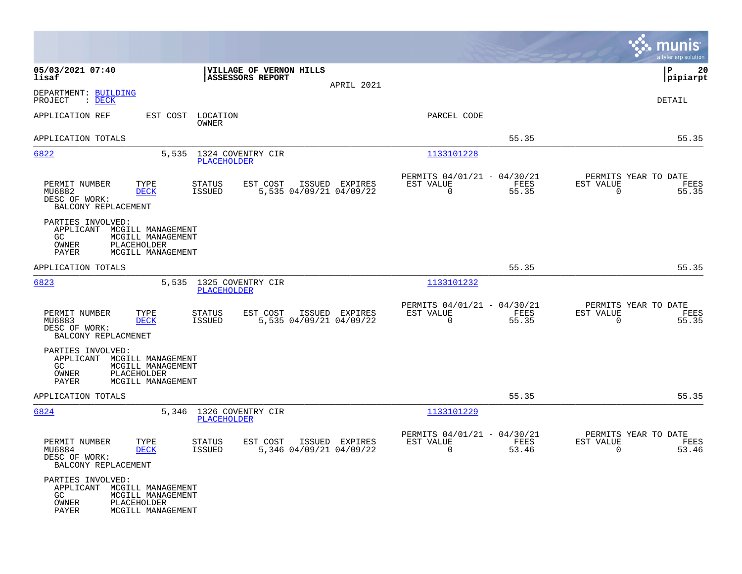|                                                                                                                                                          |                                                                                                                                                | munis<br>a tyler erp solution |
|----------------------------------------------------------------------------------------------------------------------------------------------------------|------------------------------------------------------------------------------------------------------------------------------------------------|-------------------------------|
| 05/03/2021 07:40<br>VILLAGE OF VERNON HILLS<br>ASSESSORS REPORT<br>lisaf                                                                                 | lР<br>APRIL 2021                                                                                                                               | 20<br> pipiarpt               |
| DEPARTMENT: BUILDING<br>PROJECT<br>$\therefore$ DECK                                                                                                     | DETAIL                                                                                                                                         |                               |
| APPLICATION REF<br>EST COST LOCATION<br>OWNER                                                                                                            | PARCEL CODE                                                                                                                                    |                               |
| APPLICATION TOTALS                                                                                                                                       | 55.35                                                                                                                                          | 55.35                         |
| 6822<br>5,535<br>1324 COVENTRY CIR<br>PLACEHOLDER                                                                                                        | 1133101228                                                                                                                                     |                               |
| PERMIT NUMBER<br>TYPE<br><b>STATUS</b><br>EST COST<br>5,535 04/09/21 04/09/22<br>MU6882<br><b>DECK</b><br>ISSUED<br>DESC OF WORK:<br>BALCONY REPLACEMENT | PERMITS 04/01/21 - 04/30/21<br>PERMITS YEAR TO DATE<br>ISSUED EXPIRES<br>EST VALUE<br>FEES<br>EST VALUE<br>$\mathbf 0$<br>55.35<br>$\mathbf 0$ | FEES<br>55.35                 |
| PARTIES INVOLVED:<br>APPLICANT MCGILL MANAGEMENT<br>GC<br>MCGILL MANAGEMENT<br>OWNER<br>PLACEHOLDER<br>PAYER<br>MCGILL MANAGEMENT                        |                                                                                                                                                |                               |
| APPLICATION TOTALS                                                                                                                                       | 55.35                                                                                                                                          | 55.35                         |
| 6823<br>5,535 1325 COVENTRY CIR<br>PLACEHOLDER                                                                                                           | 1133101232                                                                                                                                     |                               |
| PERMIT NUMBER<br>TYPE<br><b>STATUS</b><br>EST COST<br>5,535 04/09/21 04/09/22<br>MU6883<br>DECK<br>ISSUED<br>DESC OF WORK:<br>BALCONY REPLACMENET        | PERMITS 04/01/21 - 04/30/21<br>PERMITS YEAR TO DATE<br>EST VALUE<br>ISSUED EXPIRES<br>EST VALUE<br>FEES<br>$\mathbf 0$<br>55.35<br>$\mathbf 0$ | FEES<br>55.35                 |
| PARTIES INVOLVED:<br>APPLICANT MCGILL MANAGEMENT<br>GC.<br>MCGILL MANAGEMENT<br>OWNER<br>PLACEHOLDER<br>PAYER<br>MCGILL MANAGEMENT                       |                                                                                                                                                |                               |
| APPLICATION TOTALS                                                                                                                                       | 55.35                                                                                                                                          | 55.35                         |
| 6824<br>5,346 1326 COVENTRY CIR<br>PLACEHOLDER                                                                                                           | 1133101229                                                                                                                                     |                               |
| PERMIT NUMBER<br>TYPE<br><b>STATUS</b><br>EST COST<br>5,346 04/09/21 04/09/22<br>MU6884<br>DECK<br>ISSUED<br>DESC OF WORK:<br>BALCONY REPLACEMENT        | PERMITS 04/01/21 - 04/30/21<br>PERMITS YEAR TO DATE<br>EST VALUE<br>ISSUED EXPIRES<br>FEES<br>EST VALUE<br>$\mathbf 0$<br>53.46<br>$\mathbf 0$ | FEES<br>53.46                 |
| PARTIES INVOLVED:<br>APPLICANT MCGILL MANAGEMENT<br>GC<br>MCGILL MANAGEMENT<br>PLACEHOLDER<br>OWNER<br>PAYER<br>MCGILL MANAGEMENT                        |                                                                                                                                                |                               |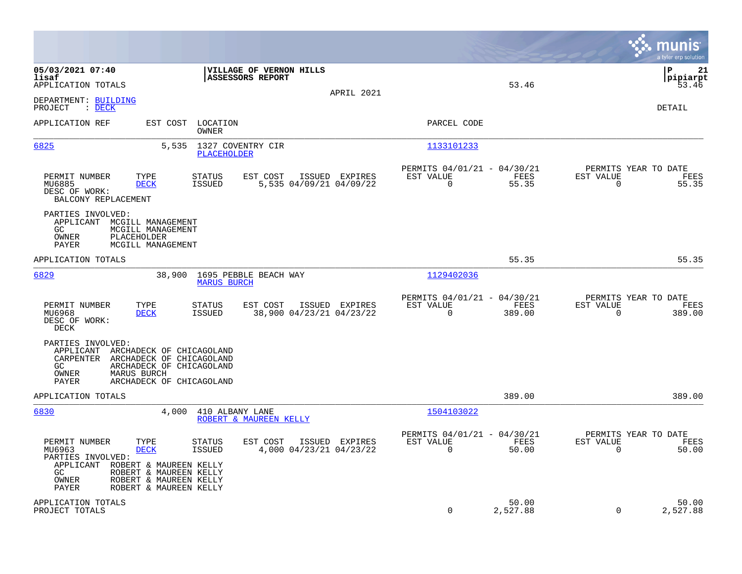|                                                                                                                                                                                                                                                                                                    |                                                                        | munis<br>a tyler erp solution                                        |
|----------------------------------------------------------------------------------------------------------------------------------------------------------------------------------------------------------------------------------------------------------------------------------------------------|------------------------------------------------------------------------|----------------------------------------------------------------------|
| 05/03/2021 07:40<br>VILLAGE OF VERNON HILLS<br>lisaf<br><b>ASSESSORS REPORT</b><br>APPLICATION TOTALS<br>APRIL 2021                                                                                                                                                                                | 53.46                                                                  | l P<br>21<br> pipiarpt<br>53.46                                      |
| DEPARTMENT: BUILDING<br>PROJECT<br>$\therefore$ DECK                                                                                                                                                                                                                                               |                                                                        | DETAIL                                                               |
| APPLICATION REF<br>EST COST LOCATION<br>OWNER                                                                                                                                                                                                                                                      | PARCEL CODE                                                            |                                                                      |
| 6825<br>5,535<br>1327 COVENTRY CIR<br><b>PLACEHOLDER</b>                                                                                                                                                                                                                                           | 1133101233                                                             |                                                                      |
| PERMIT NUMBER<br>TYPE<br>EST COST<br><b>STATUS</b><br>ISSUED EXPIRES<br>MU6885<br><b>DECK</b><br><b>ISSUED</b><br>5,535 04/09/21 04/09/22<br>DESC OF WORK:<br>BALCONY REPLACEMENT                                                                                                                  | PERMITS 04/01/21 - 04/30/21<br>EST VALUE<br>FEES<br>$\Omega$<br>55.35  | PERMITS YEAR TO DATE<br>EST VALUE<br>FEES<br>$\overline{0}$<br>55.35 |
| PARTIES INVOLVED:<br>APPLICANT MCGILL MANAGEMENT<br>MCGILL MANAGEMENT<br>GC.<br>PLACEHOLDER<br>OWNER<br>MCGILL MANAGEMENT<br>PAYER                                                                                                                                                                 |                                                                        |                                                                      |
| APPLICATION TOTALS                                                                                                                                                                                                                                                                                 | 55.35                                                                  | 55.35                                                                |
| 6829<br>38,900<br>1695 PEBBLE BEACH WAY<br><b>MARUS BURCH</b>                                                                                                                                                                                                                                      | 1129402036                                                             |                                                                      |
| PERMIT NUMBER<br>TYPE<br><b>STATUS</b><br>EST COST<br>ISSUED EXPIRES<br><b>DECK</b><br><b>ISSUED</b><br>38,900 04/23/21 04/23/22<br>MU6968<br>DESC OF WORK:<br>DECK                                                                                                                                | PERMITS 04/01/21 - 04/30/21<br>EST VALUE<br>FEES<br>$\Omega$<br>389.00 | PERMITS YEAR TO DATE<br>EST VALUE<br>FEES<br>$\Omega$<br>389.00      |
| PARTIES INVOLVED:<br>APPLICANT ARCHADECK OF CHICAGOLAND<br>CARPENTER<br>ARCHADECK OF CHICAGOLAND<br>ARCHADECK OF CHICAGOLAND<br>GC.<br>MARUS BURCH<br>OWNER<br>PAYER<br>ARCHADECK OF CHICAGOLAND                                                                                                   |                                                                        |                                                                      |
| APPLICATION TOTALS                                                                                                                                                                                                                                                                                 | 389.00                                                                 | 389.00                                                               |
| 6830<br>4,000<br>410 ALBANY LANE<br>ROBERT & MAUREEN KELLY                                                                                                                                                                                                                                         | 1504103022                                                             |                                                                      |
| PERMIT NUMBER<br>TYPE<br>EST COST<br>ISSUED EXPIRES<br>STATUS<br>MU6963<br><b>DECK</b><br><b>ISSUED</b><br>4,000 04/23/21 04/23/22<br>PARTIES INVOLVED:<br>APPLICANT ROBERT & MAUREEN KELLY<br>ROBERT & MAUREEN KELLY<br>GC.<br>OWNER<br>ROBERT & MAUREEN KELLY<br>ROBERT & MAUREEN KELLY<br>PAYER | PERMITS 04/01/21 - 04/30/21<br>EST VALUE<br>FEES<br>$\Omega$<br>50.00  | PERMITS YEAR TO DATE<br>EST VALUE<br>FEES<br>0<br>50.00              |
| APPLICATION TOTALS<br>PROJECT TOTALS                                                                                                                                                                                                                                                               | 50.00<br>$\mathbf 0$<br>2,527.88                                       | 50.00<br>$\Omega$<br>2,527.88                                        |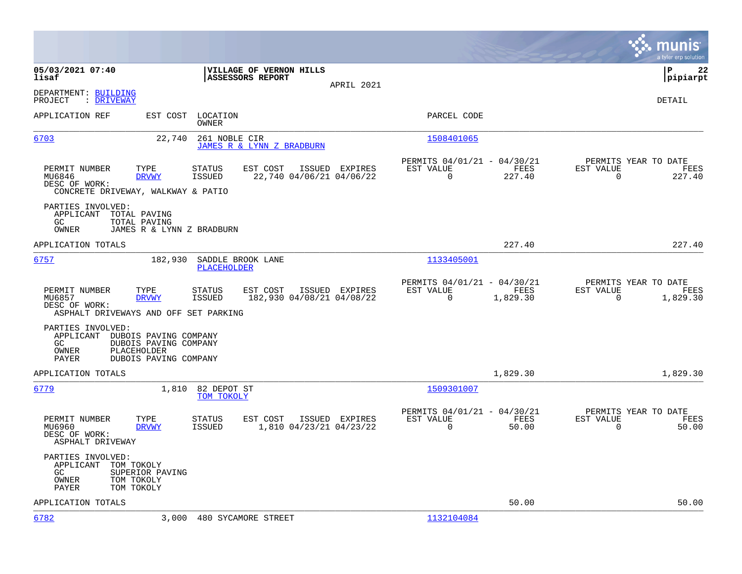|                                                                                                                                                  |                                                                                         |                                                                          | munis<br>a tyler erp solution                                        |
|--------------------------------------------------------------------------------------------------------------------------------------------------|-----------------------------------------------------------------------------------------|--------------------------------------------------------------------------|----------------------------------------------------------------------|
| 05/03/2021 07:40<br>lisaf                                                                                                                        | VILLAGE OF VERNON HILLS<br>ASSESSORS REPORT<br>APRIL 2021                               |                                                                          | ΙP<br>22<br> pipiarpt                                                |
| DEPARTMENT: BUILDING<br>: DRIVEWAY<br>PROJECT                                                                                                    |                                                                                         |                                                                          | DETAIL                                                               |
| APPLICATION REF<br>EST COST                                                                                                                      | LOCATION<br>OWNER                                                                       | PARCEL CODE                                                              |                                                                      |
| 6703<br>22,740                                                                                                                                   | 261 NOBLE CIR<br>JAMES R & LYNN Z BRADBURN                                              | 1508401065                                                               |                                                                      |
| PERMIT NUMBER<br>TYPE<br>MU6846<br><b>DRVWY</b><br>DESC OF WORK:<br>CONCRETE DRIVEWAY, WALKWAY & PATIO                                           | EST COST<br>ISSUED EXPIRES<br>STATUS<br>22,740 04/06/21 04/06/22<br>ISSUED              | PERMITS 04/01/21 - 04/30/21<br>EST VALUE<br>FEES<br>$\Omega$<br>227.40   | PERMITS YEAR TO DATE<br>EST VALUE<br>FEES<br>$\mathbf 0$<br>227.40   |
| PARTIES INVOLVED:<br>APPLICANT<br>TOTAL PAVING<br>GC.<br>TOTAL PAVING<br>OWNER<br>JAMES R & LYNN Z BRADBURN                                      |                                                                                         |                                                                          |                                                                      |
| APPLICATION TOTALS                                                                                                                               |                                                                                         | 227.40                                                                   | 227.40                                                               |
| 6757<br>182,930                                                                                                                                  | SADDLE BROOK LANE<br>PLACEHOLDER                                                        | 1133405001                                                               |                                                                      |
| PERMIT NUMBER<br>TYPE<br>MU6857<br><b>DRVWY</b><br>DESC OF WORK:<br>ASPHALT DRIVEWAYS AND OFF SET PARKING                                        | STATUS<br>EST COST<br>ISSUED EXPIRES<br><b>ISSUED</b><br>182,930 04/08/21 04/08/22      | PERMITS 04/01/21 - 04/30/21<br>EST VALUE<br>FEES<br>0<br>1,829.30        | PERMITS YEAR TO DATE<br>EST VALUE<br>FEES<br>$\mathbf 0$<br>1,829.30 |
| PARTIES INVOLVED:<br>APPLICANT<br>DUBOIS PAVING COMPANY<br>GC<br>DUBOIS PAVING COMPANY<br>PLACEHOLDER<br>OWNER<br>PAYER<br>DUBOIS PAVING COMPANY |                                                                                         |                                                                          |                                                                      |
| APPLICATION TOTALS                                                                                                                               |                                                                                         | 1,829.30                                                                 | 1,829.30                                                             |
| 6779<br>1,810                                                                                                                                    | 82 DEPOT ST<br>TOM TOKOLY                                                               | 1509301007                                                               |                                                                      |
| PERMIT NUMBER<br>TYPE<br>MU6960<br><b>DRVWY</b><br>DESC OF WORK:<br>ASPHALT DRIVEWAY                                                             | <b>STATUS</b><br>EST COST<br>ISSUED EXPIRES<br><b>ISSUED</b><br>1,810 04/23/21 04/23/22 | PERMITS 04/01/21 - 04/30/21<br>EST VALUE<br>FEES<br>$\mathbf 0$<br>50.00 | PERMITS YEAR TO DATE<br>EST VALUE<br>FEES<br>$\mathbf 0$<br>50.00    |
| PARTIES INVOLVED:<br>APPLICANT<br>TOM TOKOLY<br>GC.<br>SUPERIOR PAVING<br>OWNER<br>TOM TOKOLY<br><b>PAYER</b><br>TOM TOKOLY                      |                                                                                         |                                                                          |                                                                      |
| APPLICATION TOTALS                                                                                                                               |                                                                                         | 50.00                                                                    | 50.00                                                                |
| 6782<br>3,000                                                                                                                                    | 480 SYCAMORE STREET                                                                     | 1132104084                                                               |                                                                      |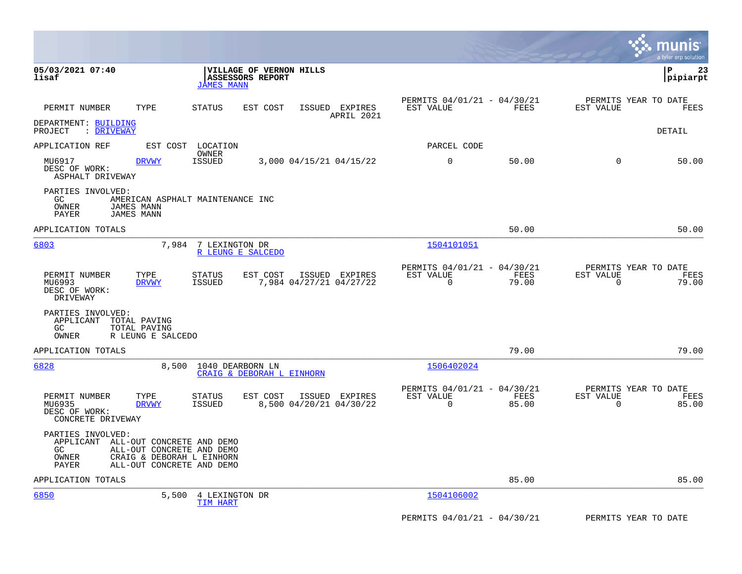|                                                                                                                                                                         |                                                                                  |                                                         |                            | munis<br>a tyler erp solution                           |
|-------------------------------------------------------------------------------------------------------------------------------------------------------------------------|----------------------------------------------------------------------------------|---------------------------------------------------------|----------------------------|---------------------------------------------------------|
| 05/03/2021 07:40<br>lisaf                                                                                                                                               | VILLAGE OF VERNON HILLS<br>ASSESSORS REPORT<br><b>JAMES MANN</b>                 |                                                         |                            | ΙP<br>23<br> pipiarpt                                   |
| TYPE<br>PERMIT NUMBER                                                                                                                                                   | <b>STATUS</b><br>EST COST<br>ISSUED EXPIRES<br>APRIL 2021                        | PERMITS 04/01/21 - 04/30/21<br>EST VALUE                | FEES<br>EST VALUE          | PERMITS YEAR TO DATE<br>FEES                            |
| DEPARTMENT: BUILDING<br>PROJECT : DRIVEWAY                                                                                                                              |                                                                                  |                                                         |                            | DETAIL                                                  |
| APPLICATION REF                                                                                                                                                         | EST COST LOCATION                                                                | PARCEL CODE                                             |                            |                                                         |
| MU6917<br><b>DRVWY</b><br>DESC OF WORK:<br>ASPHALT DRIVEWAY                                                                                                             | OWNER<br><b>ISSUED</b><br>3,000 04/15/21 04/15/22                                | 0                                                       | 50.00                      | $\Omega$<br>50.00                                       |
| PARTIES INVOLVED:<br>GC<br>OWNER<br><b>JAMES MANN</b><br><b>JAMES MANN</b><br><b>PAYER</b>                                                                              | AMERICAN ASPHALT MAINTENANCE INC                                                 |                                                         |                            |                                                         |
| APPLICATION TOTALS                                                                                                                                                      |                                                                                  |                                                         | 50.00                      | 50.00                                                   |
| 6803                                                                                                                                                                    | 7,984 7 LEXINGTON DR<br>R LEUNG E SALCEDO                                        | 1504101051                                              |                            |                                                         |
| PERMIT NUMBER<br>TYPE<br>MU6993<br><b>DRVWY</b><br>DESC OF WORK:<br>DRIVEWAY                                                                                            | <b>STATUS</b><br>EST COST<br>ISSUED EXPIRES<br>7,984 04/27/21 04/27/22<br>ISSUED | PERMITS 04/01/21 - 04/30/21<br>EST VALUE<br>$\mathbf 0$ | EST VALUE<br>FEES<br>79.00 | PERMITS YEAR TO DATE<br>FEES<br>$\overline{0}$<br>79.00 |
| PARTIES INVOLVED:<br>APPLICANT<br>TOTAL PAVING<br>GC<br>TOTAL PAVING<br>OWNER<br>R LEUNG E SALCEDO                                                                      |                                                                                  |                                                         |                            |                                                         |
| APPLICATION TOTALS                                                                                                                                                      |                                                                                  |                                                         | 79.00                      | 79.00                                                   |
| 6828<br>8,500                                                                                                                                                           | 1040 DEARBORN LN<br>CRAIG & DEBORAH L EINHORN                                    | 1506402024                                              |                            |                                                         |
| PERMIT NUMBER<br>TYPE<br>MU6935<br><b>DRVWY</b><br>DESC OF WORK:<br>CONCRETE DRIVEWAY                                                                                   | <b>STATUS</b><br>EST COST<br>ISSUED EXPIRES<br>8,500 04/20/21 04/30/22<br>ISSUED | PERMITS 04/01/21 - 04/30/21<br>EST VALUE<br>$\mathbf 0$ | FEES<br>EST VALUE<br>85.00 | PERMITS YEAR TO DATE<br>FEES<br>$\mathbf 0$<br>85.00    |
| PARTIES INVOLVED:<br>APPLICANT ALL-OUT CONCRETE AND DEMO<br>GC<br>ALL-OUT CONCRETE AND DEMO<br>OWNER<br>CRAIG & DEBORAH L EINHORN<br>ALL-OUT CONCRETE AND DEMO<br>PAYER |                                                                                  |                                                         |                            |                                                         |
| APPLICATION TOTALS                                                                                                                                                      |                                                                                  |                                                         | 85.00                      | 85.00                                                   |
| 6850<br>5,500                                                                                                                                                           | 4 LEXINGTON DR<br>TIM HART                                                       | 1504106002                                              |                            |                                                         |
|                                                                                                                                                                         |                                                                                  | PERMITS 04/01/21 - 04/30/21                             |                            | PERMITS YEAR TO DATE                                    |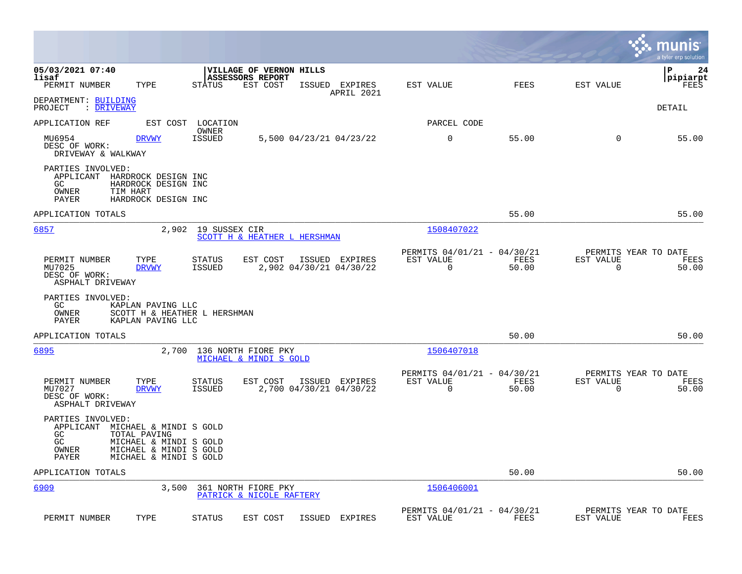|                                                                                                                                         |                                                                          |                                           |            |                                               |               |                                        | munis<br>a tyler erp solution  |
|-----------------------------------------------------------------------------------------------------------------------------------------|--------------------------------------------------------------------------|-------------------------------------------|------------|-----------------------------------------------|---------------|----------------------------------------|--------------------------------|
| 05/03/2021 07:40<br>lisaf<br>PERMIT NUMBER<br>TYPE                                                                                      | VILLAGE OF VERNON HILLS<br>ASSESSORS REPORT<br><b>STATUS</b><br>EST COST | ISSUED                                    | EXPIRES    | EST VALUE                                     | FEES          | EST VALUE                              | l P<br>24<br> pipiarpt<br>FEES |
| DEPARTMENT: BUILDING<br>PROJECT<br>: DRIVEWAY                                                                                           |                                                                          |                                           | APRIL 2021 |                                               |               |                                        | DETAIL                         |
| APPLICATION REF<br>EST COST                                                                                                             | LOCATION                                                                 |                                           |            | PARCEL CODE                                   |               |                                        |                                |
| MU6954<br><b>DRVWY</b><br>DESC OF WORK:<br>DRIVEWAY & WALKWAY                                                                           | OWNER<br><b>ISSUED</b>                                                   | 5,500 04/23/21 04/23/22                   |            | 0                                             | 55.00         | 0                                      | 55.00                          |
| PARTIES INVOLVED:<br>APPLICANT<br>HARDROCK DESIGN INC<br>GC<br>HARDROCK DESIGN INC<br>OWNER<br>TIM HART<br>PAYER<br>HARDROCK DESIGN INC |                                                                          |                                           |            |                                               |               |                                        |                                |
| APPLICATION TOTALS                                                                                                                      |                                                                          |                                           |            |                                               | 55.00         |                                        | 55.00                          |
| 6857                                                                                                                                    | 2,902 19 SUSSEX CIR                                                      | SCOTT H & HEATHER L HERSHMAN              |            | 1508407022                                    |               |                                        |                                |
| PERMIT NUMBER<br>TYPE<br>MU7025<br><b>DRVWY</b><br>DESC OF WORK:<br>ASPHALT DRIVEWAY                                                    | EST COST<br><b>STATUS</b><br>ISSUED                                      | ISSUED EXPIRES<br>2,902 04/30/21 04/30/22 |            | PERMITS 04/01/21 - 04/30/21<br>EST VALUE<br>0 | FEES<br>50.00 | PERMITS YEAR TO DATE<br>EST VALUE<br>0 | FEES<br>50.00                  |
| PARTIES INVOLVED:<br>GC<br>KAPLAN PAVING LLC<br>OWNER<br>PAYER<br>KAPLAN PAVING LLC                                                     | SCOTT H & HEATHER L HERSHMAN                                             |                                           |            |                                               |               |                                        |                                |
| APPLICATION TOTALS                                                                                                                      |                                                                          |                                           |            |                                               | 50.00         |                                        | 50.00                          |
| 6895<br>2,700                                                                                                                           | 136 NORTH FIORE PKY<br>MICHAEL & MINDI S GOLD                            |                                           |            | 1506407018                                    |               |                                        |                                |
| PERMIT NUMBER<br>TYPE<br>MU7027<br><b>DRVWY</b><br>DESC OF WORK:<br>ASPHALT DRIVEWAY                                                    | EST COST<br>STATUS<br>ISSUED                                             | ISSUED EXPIRES<br>2,700 04/30/21 04/30/22 |            | PERMITS 04/01/21 - 04/30/21<br>EST VALUE<br>0 | FEES<br>50.00 | PERMITS YEAR TO DATE<br>EST VALUE<br>0 | FEES<br>50.00                  |
| PARTIES INVOLVED:<br>APPLICANT<br>MICHAEL & MINDI S GOLD<br>GC<br>TOTAL PAVING                                                          |                                                                          |                                           |            |                                               |               |                                        |                                |
| GC<br>MICHAEL & MINDI S GOLD<br>OWNER<br>MICHAEL & MINDI S GOLD<br>MICHAEL & MINDI S GOLD<br>PAYER                                      |                                                                          |                                           |            |                                               |               |                                        |                                |
| APPLICATION TOTALS                                                                                                                      |                                                                          |                                           |            |                                               | 50.00         |                                        | 50.00                          |
| 6909<br>3,500                                                                                                                           | 361 NORTH FIORE PKY<br>PATRICK & NICOLE RAFTERY                          |                                           |            | 1506406001                                    |               |                                        |                                |
| PERMIT NUMBER<br>TYPE                                                                                                                   | STATUS<br>EST COST                                                       | ISSUED EXPIRES                            |            | PERMITS 04/01/21 - 04/30/21<br>EST VALUE      | FEES          | PERMITS YEAR TO DATE<br>EST VALUE      | FEES                           |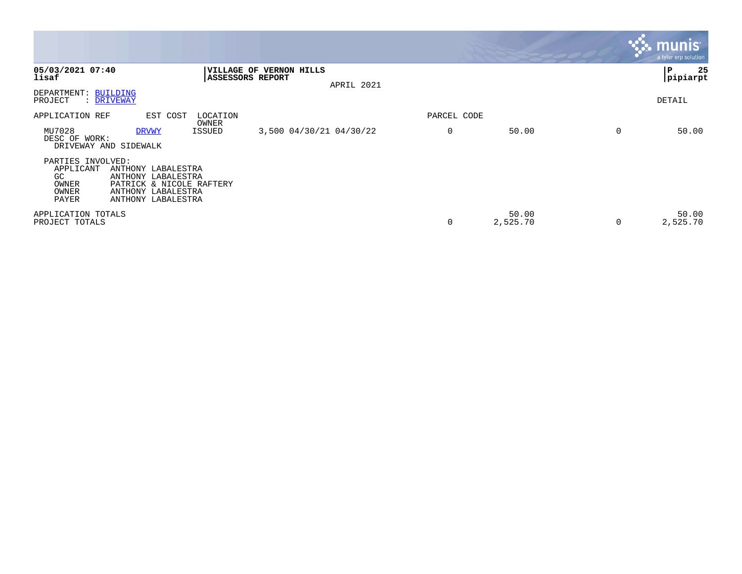|                                                                 |                                                                                                                  |                                              |                         |            |             |                   |   | munis <sup>®</sup><br>a tyler erp solution |
|-----------------------------------------------------------------|------------------------------------------------------------------------------------------------------------------|----------------------------------------------|-------------------------|------------|-------------|-------------------|---|--------------------------------------------|
| 05/03/2021 07:40<br>lisaf                                       |                                                                                                                  | <b>VILLAGE OF</b><br><b>ASSESSORS REPORT</b> | <b>VERNON HILLS</b>     | APRIL 2021 |             |                   |   | 25<br>∣P<br> pipiarpt                      |
| DEPARTMENT: BUILDING<br>PROJECT                                 | : DRIVEWAY                                                                                                       |                                              |                         |            |             |                   |   | DETAIL                                     |
| APPLICATION REF                                                 | EST COST                                                                                                         | LOCATION<br>OWNER                            |                         |            | PARCEL CODE |                   |   |                                            |
| MU7028<br>DESC OF WORK:                                         | <b>DRVWY</b><br>DRIVEWAY AND SIDEWALK                                                                            | ISSUED                                       | 3,500 04/30/21 04/30/22 |            | 0           | 50.00             | 0 | 50.00                                      |
| PARTIES INVOLVED:<br>APPLICANT<br>GC<br>OWNER<br>OWNER<br>PAYER | ANTHONY LABALESTRA<br>ANTHONY LABALESTRA<br>PATRICK & NICOLE RAFTERY<br>ANTHONY LABALESTRA<br>ANTHONY LABALESTRA |                                              |                         |            |             |                   |   |                                            |
| APPLICATION TOTALS<br>PROJECT TOTALS                            |                                                                                                                  |                                              |                         |            | $\mathbf 0$ | 50.00<br>2,525.70 | 0 | 50.00<br>2,525.70                          |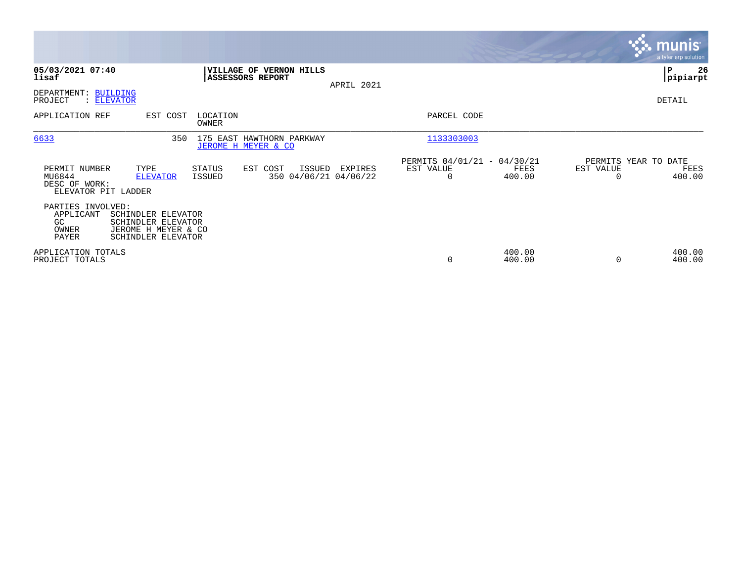|                                                                 |                                                                                       |                   |                                                  |            |                                                      |                  |           | <b>munis</b><br>a tyler erp solution   |
|-----------------------------------------------------------------|---------------------------------------------------------------------------------------|-------------------|--------------------------------------------------|------------|------------------------------------------------------|------------------|-----------|----------------------------------------|
| 05/03/2021 07:40<br>lisaf                                       |                                                                                       |                   | VILLAGE OF VERNON HILLS<br>ASSESSORS REPORT      | APRIL 2021 |                                                      |                  |           | ∣P<br>26<br> pipiarpt                  |
| DEPARTMENT:<br>PROJECT                                          | BUILDING<br>: ELEVATOR                                                                |                   |                                                  |            |                                                      |                  |           | DETAIL                                 |
| APPLICATION REF                                                 | EST COST                                                                              | LOCATION<br>OWNER |                                                  |            | PARCEL CODE                                          |                  |           |                                        |
| 6633                                                            | 350                                                                                   |                   | 175 EAST HAWTHORN PARKWAY<br>JEROME H MEYER & CO |            | 1133303003                                           |                  |           |                                        |
| PERMIT NUMBER<br>MU6844<br>DESC OF WORK:<br>ELEVATOR PIT LADDER | TYPE<br><b>ELEVATOR</b>                                                               | STATUS<br>ISSUED  | EST COST<br>ISSUED<br>350 04/06/21 04/06/22      | EXPIRES    | PERMITS 04/01/21 - 04/30/21<br>EST VALUE<br>$\Omega$ | FEES<br>400.00   | EST VALUE | PERMITS YEAR TO DATE<br>FEES<br>400.00 |
| PARTIES INVOLVED:<br>APPLICANT<br>GC<br>OWNER<br>PAYER          | SCHINDLER ELEVATOR<br>SCHINDLER ELEVATOR<br>JEROME H MEYER & CO<br>SCHINDLER ELEVATOR |                   |                                                  |            |                                                      |                  |           |                                        |
| APPLICATION TOTALS<br>PROJECT TOTALS                            |                                                                                       |                   |                                                  |            | 0                                                    | 400.00<br>400.00 | $\Omega$  | 400.00<br>400.00                       |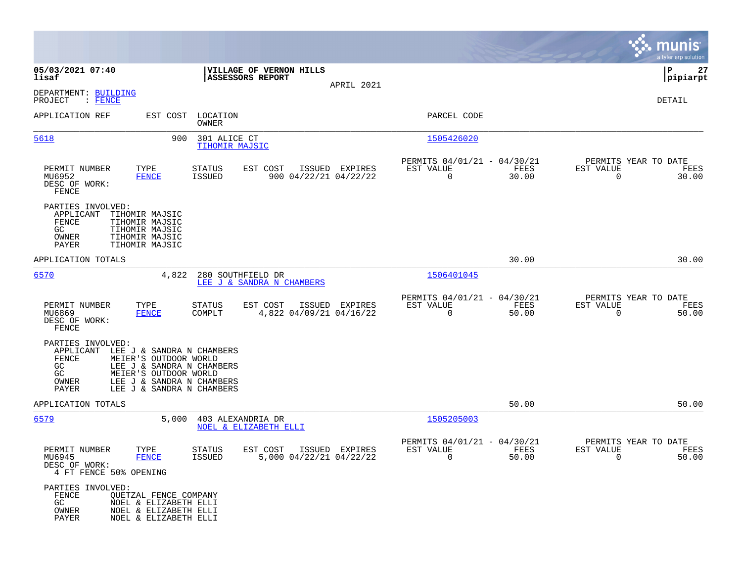|                                                                                                                                                                                                                                          |                                                                |                |                                                         |               |                                               | munis<br>a tyler erp solution |
|------------------------------------------------------------------------------------------------------------------------------------------------------------------------------------------------------------------------------------------|----------------------------------------------------------------|----------------|---------------------------------------------------------|---------------|-----------------------------------------------|-------------------------------|
| 05/03/2021 07:40<br>lisaf                                                                                                                                                                                                                | VILLAGE OF VERNON HILLS<br>ASSESSORS REPORT                    |                |                                                         |               |                                               | ΙP<br>27<br> pipiarpt         |
| DEPARTMENT: BUILDING<br>$:$ FENCE<br>PROJECT                                                                                                                                                                                             |                                                                | APRIL 2021     |                                                         |               |                                               | DETAIL                        |
| APPLICATION REF                                                                                                                                                                                                                          | EST COST LOCATION<br>OWNER                                     |                | PARCEL CODE                                             |               |                                               |                               |
| 5618<br>900                                                                                                                                                                                                                              | 301 ALICE CT<br>TIHOMIR MAJSIC                                 |                | 1505426020                                              |               |                                               |                               |
| PERMIT NUMBER<br>TYPE<br>MU6952<br><b>FENCE</b><br>DESC OF WORK:<br>FENCE                                                                                                                                                                | EST COST<br>STATUS<br><b>ISSUED</b><br>900 04/22/21 04/22/22   | ISSUED EXPIRES | PERMITS 04/01/21 - 04/30/21<br>EST VALUE<br>$\Omega$    | FEES<br>30.00 | PERMITS YEAR TO DATE<br>EST VALUE<br>$\Omega$ | FEES<br>30.00                 |
| PARTIES INVOLVED:<br>APPLICANT<br>TIHOMIR MAJSIC<br>FENCE<br>TIHOMIR MAJSIC<br>GC<br>TIHOMIR MAJSIC<br>OWNER<br>TIHOMIR MAJSIC<br>TIHOMIR MAJSIC<br>PAYER                                                                                |                                                                |                |                                                         |               |                                               |                               |
| APPLICATION TOTALS                                                                                                                                                                                                                       |                                                                |                |                                                         | 30.00         |                                               | 30.00                         |
| 6570<br>4,822                                                                                                                                                                                                                            | 280 SOUTHFIELD DR<br>LEE J & SANDRA N CHAMBERS                 |                | 1506401045                                              |               |                                               |                               |
| PERMIT NUMBER<br>TYPE<br>MU6869<br>FENCE<br>DESC OF WORK:<br>FENCE                                                                                                                                                                       | EST COST<br><b>STATUS</b><br>COMPLT<br>4,822 04/09/21 04/16/22 | ISSUED EXPIRES | PERMITS 04/01/21 - 04/30/21<br>EST VALUE<br>$\mathbf 0$ | FEES<br>50.00 | PERMITS YEAR TO DATE<br>EST VALUE<br>0        | FEES<br>50.00                 |
| PARTIES INVOLVED:<br>APPLICANT LEE J & SANDRA N CHAMBERS<br>FENCE<br>MEIER'S OUTDOOR WORLD<br>GC<br>LEE J & SANDRA N CHAMBERS<br>GC<br>MEIER'S OUTDOOR WORLD<br>LEE J & SANDRA N CHAMBERS<br>OWNER<br>PAYER<br>LEE J & SANDRA N CHAMBERS |                                                                |                |                                                         |               |                                               |                               |
| APPLICATION TOTALS                                                                                                                                                                                                                       |                                                                |                |                                                         | 50.00         |                                               | 50.00                         |
| 6579<br>5,000                                                                                                                                                                                                                            | 403 ALEXANDRIA DR<br>NOEL & ELIZABETH ELLI                     |                | 1505205003                                              |               |                                               |                               |
| PERMIT NUMBER<br>TYPE<br>MU6945<br><b>FENCE</b><br>DESC OF WORK:<br>4 FT FENCE 50% OPENING                                                                                                                                               | EST COST<br><b>STATUS</b><br>5,000 04/22/21 04/22/22<br>ISSUED | ISSUED EXPIRES | PERMITS 04/01/21 - 04/30/21<br>EST VALUE<br>0           | FEES<br>50.00 | PERMITS YEAR TO DATE<br>EST VALUE<br>0        | FEES<br>50.00                 |
| PARTIES INVOLVED:<br>FENCE<br><b>QUETZAL FENCE COMPANY</b><br>GC.<br>NOEL & ELIZABETH ELLI<br>NOEL & ELIZABETH ELLI<br>OWNER<br>PAYER<br>NOEL & ELIZABETH ELLI                                                                           |                                                                |                |                                                         |               |                                               |                               |

**Contract**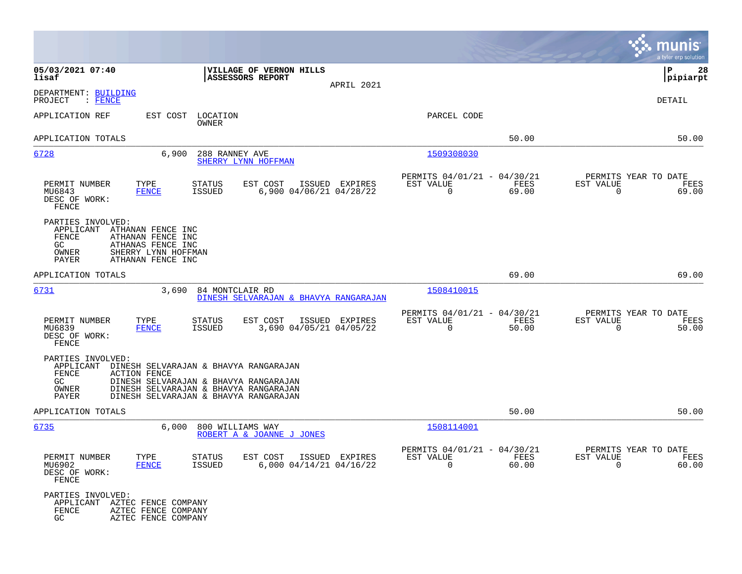|                                                                                                                                                                                                                                                            |                                                                       | munis<br>a tyler erp solution                                     |
|------------------------------------------------------------------------------------------------------------------------------------------------------------------------------------------------------------------------------------------------------------|-----------------------------------------------------------------------|-------------------------------------------------------------------|
| 05/03/2021 07:40<br>VILLAGE OF VERNON HILLS<br>ASSESSORS REPORT<br>lisaf<br>APRIL 2021                                                                                                                                                                     |                                                                       | P<br>28<br> pipiarpt                                              |
| DEPARTMENT: BUILDING<br>$:$ FENCE<br>PROJECT                                                                                                                                                                                                               |                                                                       | DETAIL                                                            |
| APPLICATION REF<br>EST COST<br>LOCATION<br>OWNER                                                                                                                                                                                                           | PARCEL CODE                                                           |                                                                   |
| APPLICATION TOTALS                                                                                                                                                                                                                                         | 50.00                                                                 | 50.00                                                             |
| 6,900<br>6728<br>288 RANNEY AVE<br>SHERRY LYNN HOFFMAN                                                                                                                                                                                                     | 1509308030                                                            |                                                                   |
| TYPE<br>EST COST<br>PERMIT NUMBER<br><b>STATUS</b><br>ISSUED EXPIRES<br>6,900 04/06/21 04/28/22<br>MU6843<br><b>FENCE</b><br><b>ISSUED</b><br>DESC OF WORK:<br>FENCE                                                                                       | PERMITS 04/01/21 - 04/30/21<br>FEES<br>EST VALUE<br>$\Omega$<br>69.00 | PERMITS YEAR TO DATE<br>EST VALUE<br>FEES<br>$\mathbf 0$<br>69.00 |
| PARTIES INVOLVED:<br>APPLICANT<br>ATHANAN FENCE INC<br>FENCE<br>ATHANAN FENCE INC<br>GC<br>ATHANAS FENCE INC<br>SHERRY LYNN HOFFMAN<br>OWNER<br>ATHANAN FENCE INC<br>PAYER                                                                                 |                                                                       |                                                                   |
| APPLICATION TOTALS                                                                                                                                                                                                                                         | 69.00                                                                 | 69.00                                                             |
| 6731<br>3,690<br>84 MONTCLAIR RD<br>DINESH SELVARAJAN & BHAVYA RANGARAJAN                                                                                                                                                                                  | 1508410015                                                            |                                                                   |
| TYPE<br>PERMIT NUMBER<br><b>STATUS</b><br>EST COST<br>ISSUED EXPIRES<br>ISSUED<br>3,690 04/05/21 04/05/22<br>MU6839<br><b>FENCE</b><br>DESC OF WORK:<br>FENCE                                                                                              | PERMITS 04/01/21 - 04/30/21<br>EST VALUE<br>FEES<br>$\Omega$<br>50.00 | PERMITS YEAR TO DATE<br>EST VALUE<br>FEES<br>50.00<br>$\Omega$    |
| PARTIES INVOLVED:<br>APPLICANT<br>DINESH SELVARAJAN & BHAVYA RANGARAJAN<br>FENCE<br><b>ACTION FENCE</b><br>GC<br>DINESH SELVARAJAN & BHAVYA RANGARAJAN<br>OWNER<br>DINESH SELVARAJAN & BHAVYA RANGARAJAN<br>DINESH SELVARAJAN & BHAVYA RANGARAJAN<br>PAYER |                                                                       |                                                                   |
| APPLICATION TOTALS                                                                                                                                                                                                                                         | 50.00                                                                 | 50.00                                                             |
| 6735<br>6,000<br>800 WILLIAMS WAY<br>ROBERT A & JOANNE J JONES                                                                                                                                                                                             | 1508114001                                                            |                                                                   |
| PERMIT NUMBER<br>TYPE<br>EST COST<br><b>STATUS</b><br>ISSUED EXPIRES<br><b>FENCE</b><br>$6,000$ $04/14/21$ $04/16/22$<br>MU6902<br><b>ISSUED</b><br>DESC OF WORK:<br>FENCE                                                                                 | PERMITS 04/01/21 - 04/30/21<br>EST VALUE<br>FEES<br>0<br>60.00        | PERMITS YEAR TO DATE<br>EST VALUE<br>FEES<br>0<br>60.00           |
| PARTIES INVOLVED:<br>APPLICANT<br>AZTEC FENCE COMPANY<br>FENCE<br>AZTEC FENCE COMPANY<br>GC.<br>AZTEC FENCE COMPANY                                                                                                                                        |                                                                       |                                                                   |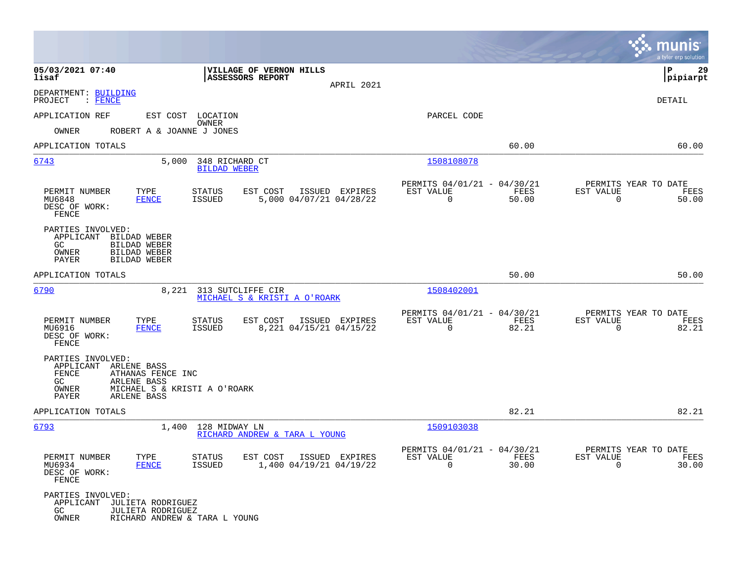|                                                                                                                                                                 |                                                                                  |                                                                             | munis<br>a tyler erp solution                                     |
|-----------------------------------------------------------------------------------------------------------------------------------------------------------------|----------------------------------------------------------------------------------|-----------------------------------------------------------------------------|-------------------------------------------------------------------|
| 05/03/2021 07:40<br>lisaf                                                                                                                                       | VILLAGE OF VERNON HILLS<br>ASSESSORS REPORT<br>APRIL 2021                        |                                                                             | 29<br>P<br> pipiarpt                                              |
| DEPARTMENT: BUILDING<br>PROJECT<br>$\colon$ FENCE                                                                                                               |                                                                                  |                                                                             | DETAIL                                                            |
| APPLICATION REF                                                                                                                                                 | EST COST LOCATION                                                                | PARCEL CODE                                                                 |                                                                   |
| OWNER<br>ROBERT A & JOANNE J JONES                                                                                                                              | OWNER                                                                            |                                                                             |                                                                   |
| APPLICATION TOTALS                                                                                                                                              |                                                                                  | 60.00                                                                       | 60.00                                                             |
| 6743<br>5,000                                                                                                                                                   | 348 RICHARD CT<br><b>BILDAD WEBER</b>                                            | 1508108078                                                                  |                                                                   |
| PERMIT NUMBER<br>TYPE<br>MU6848<br><b>FENCE</b><br>DESC OF WORK:<br>FENCE                                                                                       | EST COST<br>ISSUED EXPIRES<br>STATUS<br>ISSUED<br>5,000 04/07/21 04/28/22        | PERMITS 04/01/21 - 04/30/21<br>FEES<br>EST VALUE<br>$\overline{0}$<br>50.00 | PERMITS YEAR TO DATE<br>EST VALUE<br>FEES<br>$\mathbf 0$<br>50.00 |
| PARTIES INVOLVED:<br>APPLICANT<br>BILDAD WEBER<br><b>BILDAD WEBER</b><br>GC.<br>OWNER<br>BILDAD WEBER<br>PAYER<br><b>BILDAD WEBER</b>                           |                                                                                  |                                                                             |                                                                   |
| APPLICATION TOTALS                                                                                                                                              |                                                                                  | 50.00                                                                       | 50.00                                                             |
| <u>6790</u><br>8,221                                                                                                                                            | 313 SUTCLIFFE CIR<br>MICHAEL S & KRISTI A O'ROARK                                | <u>1508402001</u>                                                           |                                                                   |
| PERMIT NUMBER<br>TYPE<br>MU6916<br><b>FENCE</b><br>DESC OF WORK:<br>FENCE                                                                                       | <b>STATUS</b><br>EST COST<br>ISSUED EXPIRES<br>ISSUED<br>8,221 04/15/21 04/15/22 | PERMITS 04/01/21 - 04/30/21<br>FEES<br>EST VALUE<br>0<br>82.21              | PERMITS YEAR TO DATE<br>EST VALUE<br>FEES<br>0<br>82.21           |
| PARTIES INVOLVED:<br>APPLICANT ARLENE BASS<br>FENCE<br>ATHANAS FENCE INC<br>GC.<br>ARLENE BASS<br>OWNER<br>MICHAEL S & KRISTI A O'ROARK<br>PAYER<br>ARLENE BASS |                                                                                  |                                                                             |                                                                   |
| APPLICATION TOTALS                                                                                                                                              |                                                                                  | 82.21                                                                       | 82.21                                                             |
| 6793<br>1,400                                                                                                                                                   | 128 MIDWAY LN<br>RICHARD ANDREW & TARA L YOUNG                                   | 1509103038                                                                  |                                                                   |
| PERMIT NUMBER<br>TYPE<br>MU6934<br><b>FENCE</b><br>DESC OF WORK:<br>FENCE                                                                                       | <b>STATUS</b><br>EST COST ISSUED EXPIRES<br>1,400 04/19/21 04/19/22<br>ISSUED    | PERMITS 04/01/21 - 04/30/21<br>EST VALUE<br>FEES<br>$\Omega$<br>30.00       | PERMITS YEAR TO DATE<br>EST VALUE<br>FEES<br>30.00<br>$\Omega$    |
| PARTIES INVOLVED:<br>APPLICANT JULIETA RODRIGUEZ<br>GC<br><b>JULIETA RODRIGUEZ</b><br>OWNER<br>RICHARD ANDREW & TARA L YOUNG                                    |                                                                                  |                                                                             |                                                                   |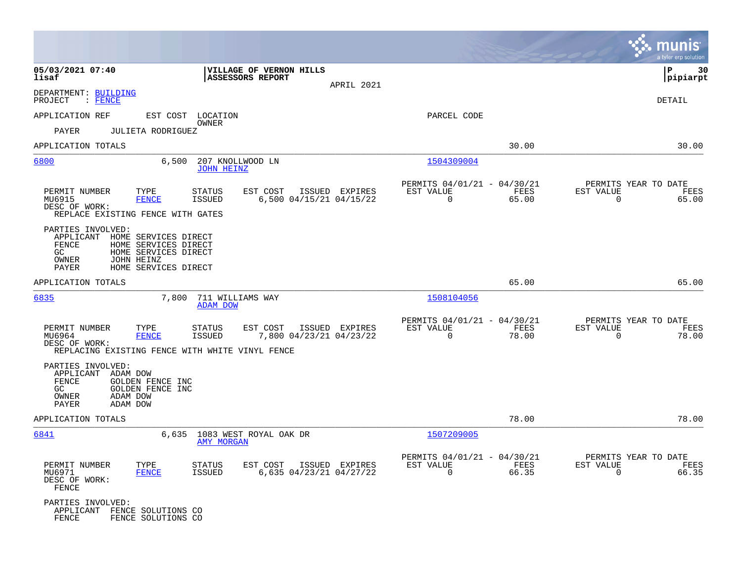|                                                                                                                                                                                                    |                                                                                         |                                                                          | a tyler erp solution                                                 |
|----------------------------------------------------------------------------------------------------------------------------------------------------------------------------------------------------|-----------------------------------------------------------------------------------------|--------------------------------------------------------------------------|----------------------------------------------------------------------|
| 05/03/2021 07:40<br>lisaf                                                                                                                                                                          | VILLAGE OF VERNON HILLS<br><b>ASSESSORS REPORT</b><br>APRIL 2021                        |                                                                          | l P<br>30<br> pipiarpt                                               |
| DEPARTMENT: BUILDING<br>PROJECT<br>$:$ FENCE                                                                                                                                                       |                                                                                         |                                                                          | <b>DETAIL</b>                                                        |
| APPLICATION REF                                                                                                                                                                                    | EST COST LOCATION                                                                       | PARCEL CODE                                                              |                                                                      |
| PAYER<br><b>JULIETA RODRIGUEZ</b>                                                                                                                                                                  | OWNER                                                                                   |                                                                          |                                                                      |
| APPLICATION TOTALS                                                                                                                                                                                 |                                                                                         | 30.00                                                                    | 30.00                                                                |
| 6800<br>6,500                                                                                                                                                                                      | 207 KNOLLWOOD LN<br><b>JOHN HEINZ</b>                                                   | 1504309004                                                               |                                                                      |
| PERMIT NUMBER<br>TYPE<br>MU6915<br><b>FENCE</b><br>DESC OF WORK:<br>REPLACE EXISTING FENCE WITH GATES                                                                                              | EST COST<br>ISSUED EXPIRES<br>STATUS<br>6,500 04/15/21 04/15/22<br><b>ISSUED</b>        | PERMITS 04/01/21 - 04/30/21<br>EST VALUE<br>FEES<br>$\mathbf 0$<br>65.00 | PERMITS YEAR TO DATE<br>EST VALUE<br>FEES<br>$\overline{0}$<br>65.00 |
| PARTIES INVOLVED:<br>APPLICANT HOME SERVICES DIRECT<br>FENCE<br>HOME SERVICES DIRECT<br>GC<br>HOME SERVICES DIRECT<br>OWNER<br>JOHN HEINZ<br>PAYER<br>HOME SERVICES DIRECT                         |                                                                                         |                                                                          |                                                                      |
| APPLICATION TOTALS                                                                                                                                                                                 |                                                                                         | 65.00                                                                    | 65.00                                                                |
| 6835                                                                                                                                                                                               | 7,800 711 WILLIAMS WAY<br><b>ADAM DOW</b>                                               | 1508104056                                                               |                                                                      |
| PERMIT NUMBER<br>TYPE<br>MU6964<br><b>FENCE</b><br>DESC OF WORK:                                                                                                                                   | <b>STATUS</b><br>EST COST<br>ISSUED EXPIRES<br>7,800 04/23/21 04/23/22<br><b>ISSUED</b> | PERMITS 04/01/21 - 04/30/21<br>EST VALUE<br>FEES<br>$\Omega$<br>78.00    | PERMITS YEAR TO DATE<br>EST VALUE<br>FEES<br>$\Omega$<br>78.00       |
| REPLACING EXISTING FENCE WITH WHITE VINYL FENCE<br>PARTIES INVOLVED:<br>APPLICANT ADAM DOW<br>FENCE<br>GOLDEN FENCE INC<br>GC<br><b>GOLDEN FENCE INC</b><br>OWNER<br>ADAM DOW<br>PAYER<br>ADAM DOW |                                                                                         |                                                                          |                                                                      |
| APPLICATION TOTALS                                                                                                                                                                                 |                                                                                         | 78.00                                                                    | 78.00                                                                |
| 6841                                                                                                                                                                                               | 6,635 1083 WEST ROYAL OAK DR<br><b>AMY MORGAN</b>                                       | 1507209005                                                               |                                                                      |
| PERMIT NUMBER<br>TYPE<br>MU6971<br><b>FENCE</b><br>DESC OF WORK:<br>FENCE                                                                                                                          | <b>STATUS</b><br>EST COST<br>ISSUED EXPIRES<br><b>ISSUED</b><br>6,635 04/23/21 04/27/22 | PERMITS 04/01/21 - 04/30/21<br>EST VALUE<br>FEES<br>$\mathbf 0$<br>66.35 | PERMITS YEAR TO DATE<br>EST VALUE<br>FEES<br>$\mathbf 0$<br>66.35    |
| PARTIES INVOLVED:<br>APPLICANT FENCE SOLUTIONS CO<br>FENCE<br>FENCE SOLUTIONS CO                                                                                                                   |                                                                                         |                                                                          |                                                                      |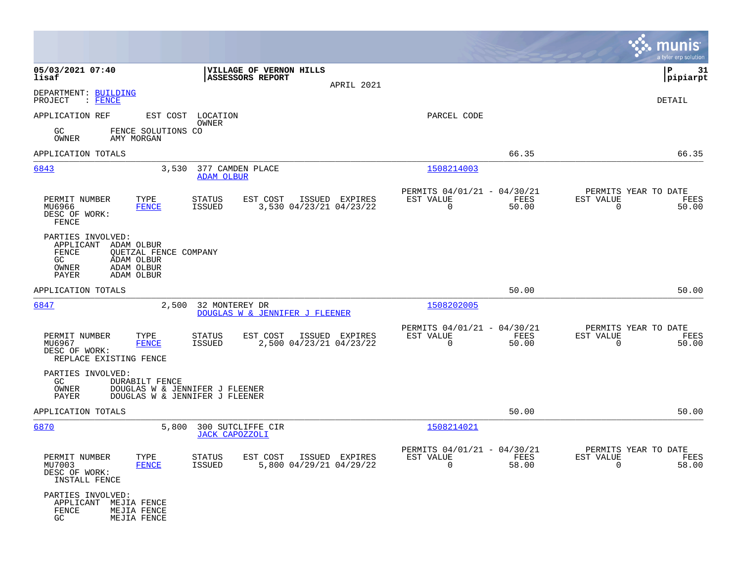|                                                                                                                                               |                                                                                  |                                                                          | munis<br>a tyler erp solution                                     |
|-----------------------------------------------------------------------------------------------------------------------------------------------|----------------------------------------------------------------------------------|--------------------------------------------------------------------------|-------------------------------------------------------------------|
| 05/03/2021 07:40<br>lisaf                                                                                                                     | <b> VILLAGE OF VERNON HILLS</b><br><b>ASSESSORS REPORT</b><br>APRIL 2021         |                                                                          | P<br>31<br> pipiarpt                                              |
| DEPARTMENT: BUILDING<br>PROJECT<br>: FENCE                                                                                                    |                                                                                  |                                                                          | DETAIL                                                            |
| APPLICATION REF                                                                                                                               | EST COST LOCATION<br>OWNER                                                       | PARCEL CODE                                                              |                                                                   |
| GC.<br>FENCE SOLUTIONS CO<br>OWNER<br>AMY MORGAN                                                                                              |                                                                                  |                                                                          |                                                                   |
| APPLICATION TOTALS                                                                                                                            |                                                                                  | 66.35                                                                    | 66.35                                                             |
| 6843<br>3,530                                                                                                                                 | 377 CAMDEN PLACE<br><b>ADAM OLBUR</b>                                            | 1508214003                                                               |                                                                   |
| PERMIT NUMBER<br>TYPE<br>MU6966<br><b>FENCE</b><br>DESC OF WORK:<br>FENCE                                                                     | EST COST<br>ISSUED EXPIRES<br>STATUS<br>3,530 04/23/21 04/23/22<br><b>ISSUED</b> | PERMITS 04/01/21 - 04/30/21<br>EST VALUE<br>FEES<br>$\mathbf 0$<br>50.00 | PERMITS YEAR TO DATE<br>EST VALUE<br>FEES<br>$\mathbf 0$<br>50.00 |
| PARTIES INVOLVED:<br>APPLICANT ADAM OLBUR<br>FENCE<br>QUETZAL FENCE COMPANY<br>GC<br>ADAM OLBUR<br>OWNER<br>ADAM OLBUR<br>PAYER<br>ADAM OLBUR |                                                                                  |                                                                          |                                                                   |
| APPLICATION TOTALS                                                                                                                            |                                                                                  | 50.00                                                                    | 50.00                                                             |
| 6847<br>2,500                                                                                                                                 | 32 MONTEREY DR<br>DOUGLAS W & JENNIFER J FLEENER                                 | 1508202005                                                               |                                                                   |
| TYPE<br>PERMIT NUMBER<br>MU6967<br><b>FENCE</b><br>DESC OF WORK:<br>REPLACE EXISTING FENCE                                                    | EST COST<br>ISSUED EXPIRES<br>STATUS<br>2,500 04/23/21 04/23/22<br>ISSUED        | PERMITS 04/01/21 - 04/30/21<br>EST VALUE<br>FEES<br>$\mathbf 0$<br>50.00 | PERMITS YEAR TO DATE<br>EST VALUE<br>FEES<br>$\Omega$<br>50.00    |
| PARTIES INVOLVED:<br>GC<br>DURABILT FENCE<br>OWNER<br>DOUGLAS W & JENNIFER J FLEENER<br>DOUGLAS W & JENNIFER J FLEENER<br>PAYER               |                                                                                  |                                                                          |                                                                   |
| APPLICATION TOTALS                                                                                                                            |                                                                                  | 50.00                                                                    | 50.00                                                             |
| 6870<br>5,800                                                                                                                                 | 300 SUTCLIFFE CIR<br><b>JACK CAPOZZOLI</b>                                       | 1508214021                                                               |                                                                   |
| PERMIT NUMBER<br>TYPE<br>MU7003<br><b>FENCE</b><br>DESC OF WORK:<br>INSTALL FENCE                                                             | STATUS<br>EST COST ISSUED EXPIRES<br>5,800 04/29/21 04/29/22<br>ISSUED           | PERMITS 04/01/21 - 04/30/21<br>EST VALUE<br>FEES<br>0<br>58.00           | PERMITS YEAR TO DATE<br>EST VALUE<br>FEES<br>$\Omega$<br>58.00    |
| PARTIES INVOLVED:<br>APPLICANT<br>MEJIA FENCE<br>FENCE<br>MEJIA FENCE<br>GC<br>MEJIA FENCE                                                    |                                                                                  |                                                                          |                                                                   |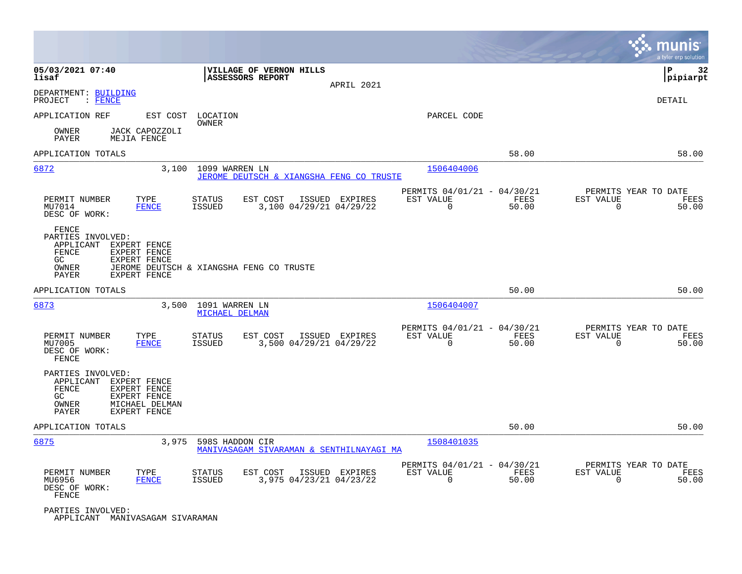|                                                                          |                                                                                |                                          |                                          |                |                                                         |               |                                                  | munis<br>a tyler erp solution |
|--------------------------------------------------------------------------|--------------------------------------------------------------------------------|------------------------------------------|------------------------------------------|----------------|---------------------------------------------------------|---------------|--------------------------------------------------|-------------------------------|
| 05/03/2021 07:40<br>lisaf                                                |                                                                                | ASSESSORS REPORT                         | VILLAGE OF VERNON HILLS                  | APRIL 2021     |                                                         |               |                                                  | ΙP<br>32<br> pipiarpt         |
| DEPARTMENT: BUILDING<br>PROJECT<br>$:$ FENCE                             |                                                                                |                                          |                                          |                |                                                         |               |                                                  | DETAIL                        |
| APPLICATION REF                                                          | EST COST                                                                       | LOCATION<br>OWNER                        |                                          |                | PARCEL CODE                                             |               |                                                  |                               |
| OWNER<br>PAYER                                                           | JACK CAPOZZOLI<br>MEJIA FENCE                                                  |                                          |                                          |                |                                                         |               |                                                  |                               |
| APPLICATION TOTALS                                                       |                                                                                |                                          |                                          |                |                                                         | 58.00         |                                                  | 58.00                         |
| 6872                                                                     | 3,100                                                                          | 1099 WARREN LN                           | JEROME DEUTSCH & XIANGSHA FENG CO TRUSTE |                | 1506404006                                              |               |                                                  |                               |
| PERMIT NUMBER<br>MU7014<br>DESC OF WORK:                                 | TYPE<br><b>FENCE</b>                                                           | <b>STATUS</b><br><b>ISSUED</b>           | EST COST<br>3,100 04/29/21 04/29/22      | ISSUED EXPIRES | PERMITS 04/01/21 - 04/30/21<br>EST VALUE<br>$\Omega$    | FEES<br>50.00 | PERMITS YEAR TO DATE<br>EST VALUE<br>$\Omega$    | FEES<br>50.00                 |
| FENCE<br>PARTIES INVOLVED:<br>APPLICANT<br>FENCE<br>GC<br>OWNER<br>PAYER | EXPERT FENCE<br>EXPERT FENCE<br>EXPERT FENCE<br>EXPERT FENCE                   | JEROME DEUTSCH & XIANGSHA FENG CO TRUSTE |                                          |                |                                                         |               |                                                  |                               |
| APPLICATION TOTALS                                                       |                                                                                |                                          |                                          |                |                                                         | 50.00         |                                                  | 50.00                         |
| 6873                                                                     | 3,500                                                                          | 1091 WARREN LN<br><b>MICHAEL DELMAN</b>  |                                          |                | 1506404007                                              |               |                                                  |                               |
| PERMIT NUMBER<br>MU7005<br>DESC OF WORK:<br>FENCE                        | TYPE<br><b>FENCE</b>                                                           | <b>STATUS</b><br><b>ISSUED</b>           | EST COST<br>3,500 04/29/21 04/29/22      | ISSUED EXPIRES | PERMITS 04/01/21 - 04/30/21<br>EST VALUE<br>$\Omega$    | FEES<br>50.00 | PERMITS YEAR TO DATE<br>EST VALUE<br>$\Omega$    | FEES<br>50.00                 |
| PARTIES INVOLVED:<br>APPLICANT<br>FENCE<br>GC<br>OWNER<br>PAYER          | EXPERT FENCE<br>EXPERT FENCE<br>EXPERT FENCE<br>MICHAEL DELMAN<br>EXPERT FENCE |                                          |                                          |                |                                                         |               |                                                  |                               |
| APPLICATION TOTALS                                                       |                                                                                |                                          |                                          |                |                                                         | 50.00         |                                                  | 50.00                         |
| 6875                                                                     | 3,975                                                                          | 598S HADDON CIR                          | MANIVASAGAM SIVARAMAN & SENTHILNAYAGI MA |                | 1508401035                                              |               |                                                  |                               |
| PERMIT NUMBER<br>MU6956<br>DESC OF WORK:<br>FENCE                        | TYPE<br><b>FENCE</b>                                                           | STATUS<br><b>ISSUED</b>                  | EST COST<br>3,975 04/23/21 04/23/22      | ISSUED EXPIRES | PERMITS 04/01/21 - 04/30/21<br>EST VALUE<br>$\mathbf 0$ | FEES<br>50.00 | PERMITS YEAR TO DATE<br>EST VALUE<br>$\mathbf 0$ | FEES<br>50.00                 |
| PARTIES INVOLVED:<br>APPLICANT MANIVASAGAM SIVARAMAN                     |                                                                                |                                          |                                          |                |                                                         |               |                                                  |                               |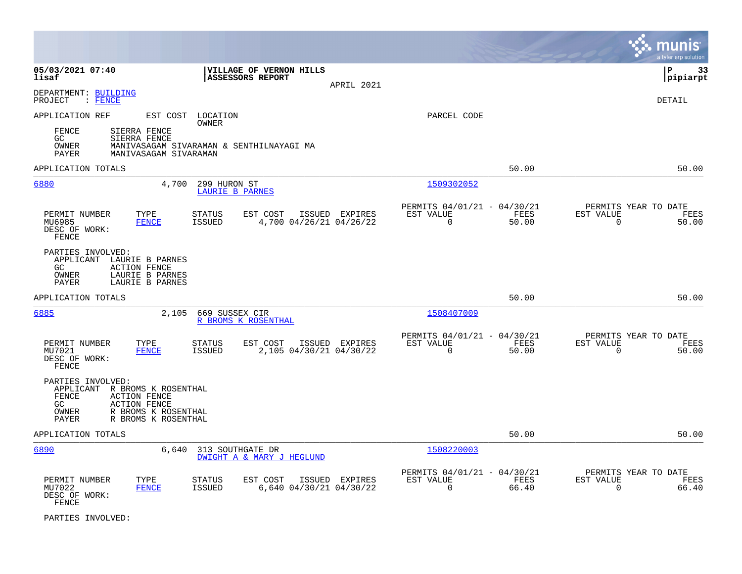|                                                                                                                                                                                    |                                                                                         |                                                                       | munis<br>a tyler erp solution                                     |
|------------------------------------------------------------------------------------------------------------------------------------------------------------------------------------|-----------------------------------------------------------------------------------------|-----------------------------------------------------------------------|-------------------------------------------------------------------|
| 05/03/2021 07:40<br>lisaf                                                                                                                                                          | VILLAGE OF VERNON HILLS<br>ASSESSORS REPORT<br>APRIL 2021                               |                                                                       | lР<br>-33<br> pipiarpt                                            |
| DEPARTMENT: BUILDING<br>PROJECT<br>$:$ FENCE                                                                                                                                       |                                                                                         |                                                                       | <b>DETAIL</b>                                                     |
| APPLICATION REF<br>FENCE<br>SIERRA FENCE<br>GC<br>SIERRA FENCE                                                                                                                     | EST COST LOCATION<br>OWNER                                                              | PARCEL CODE                                                           |                                                                   |
| OWNER<br>PAYER<br>MANIVASAGAM SIVARAMAN                                                                                                                                            | MANIVASAGAM SIVARAMAN & SENTHILNAYAGI MA                                                |                                                                       |                                                                   |
| APPLICATION TOTALS                                                                                                                                                                 |                                                                                         | 50.00                                                                 | 50.00                                                             |
| 6880<br>4,700                                                                                                                                                                      | 299 HURON ST<br>LAURIE B PARNES                                                         | 1509302052                                                            |                                                                   |
| PERMIT NUMBER<br>TYPE<br>MU6985<br><b>FENCE</b><br>DESC OF WORK:<br>FENCE                                                                                                          | <b>STATUS</b><br>EST COST<br>ISSUED EXPIRES<br><b>ISSUED</b><br>4,700 04/26/21 04/26/22 | PERMITS 04/01/21 - 04/30/21<br>EST VALUE<br>FEES<br>$\Omega$<br>50.00 | PERMITS YEAR TO DATE<br>EST VALUE<br>FEES<br>$\Omega$<br>50.00    |
| PARTIES INVOLVED:<br>APPLICANT LAURIE B PARNES<br>GC.<br><b>ACTION FENCE</b><br>OWNER<br>LAURIE B PARNES<br><b>PAYER</b><br>LAURIE B PARNES                                        |                                                                                         |                                                                       |                                                                   |
| APPLICATION TOTALS                                                                                                                                                                 |                                                                                         | 50.00                                                                 | 50.00                                                             |
| 6885<br>2,105                                                                                                                                                                      | 669 SUSSEX CIR<br>R BROMS K ROSENTHAL                                                   | 1508407009                                                            |                                                                   |
| PERMIT NUMBER<br>TYPE<br>MU7021<br><b>FENCE</b><br>DESC OF WORK:<br>FENCE                                                                                                          | <b>STATUS</b><br>EST COST<br>ISSUED EXPIRES<br><b>ISSUED</b><br>2,105 04/30/21 04/30/22 | PERMITS 04/01/21 - 04/30/21<br>EST VALUE<br>FEES<br>$\Omega$<br>50.00 | PERMITS YEAR TO DATE<br>EST VALUE<br>FEES<br>50.00<br>$\mathbf 0$ |
| PARTIES INVOLVED:<br>R BROMS K ROSENTHAL<br>APPLICANT<br>FENCE<br><b>ACTION FENCE</b><br>GC<br><b>ACTION FENCE</b><br>R BROMS K ROSENTHAL<br>OWNER<br>R BROMS K ROSENTHAL<br>PAYER |                                                                                         |                                                                       |                                                                   |
| APPLICATION TOTALS                                                                                                                                                                 |                                                                                         | 50.00                                                                 | 50.00                                                             |
| 6890<br>6,640                                                                                                                                                                      | 313 SOUTHGATE DR<br><b>DWIGHT A &amp; MARY J HEGLUND</b>                                | 1508220003                                                            |                                                                   |
| PERMIT NUMBER<br>TYPE<br>MU7022<br><b>FENCE</b><br>DESC OF WORK:<br>FENCE                                                                                                          | <b>STATUS</b><br>EST COST<br>ISSUED EXPIRES<br><b>ISSUED</b><br>6,640 04/30/21 04/30/22 | PERMITS 04/01/21 - 04/30/21<br>EST VALUE<br>FEES<br>$\Omega$<br>66.40 | PERMITS YEAR TO DATE<br>EST VALUE<br>FEES<br>$\Omega$<br>66.40    |

PARTIES INVOLVED: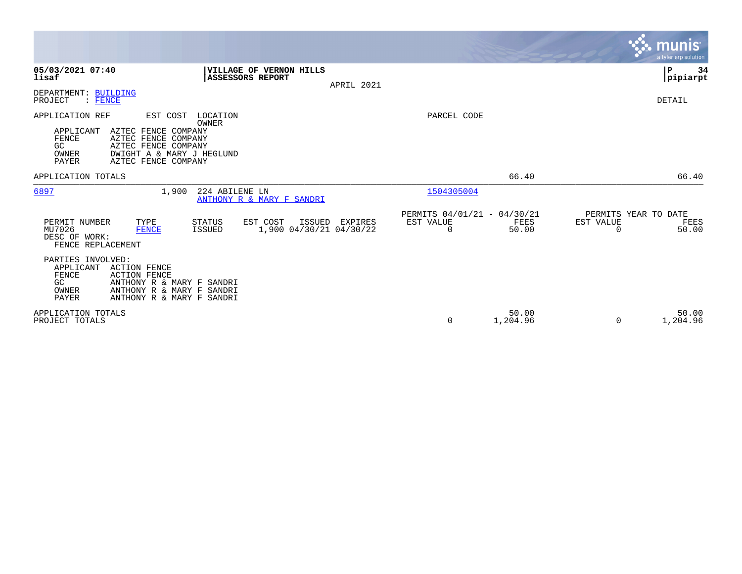|                                                                                                                                                                                                                  |                                                                   |            |                                                      |                   |                       | <b>munis</b><br>a tyler erp solution  |
|------------------------------------------------------------------------------------------------------------------------------------------------------------------------------------------------------------------|-------------------------------------------------------------------|------------|------------------------------------------------------|-------------------|-----------------------|---------------------------------------|
| 05/03/2021 07:40<br>lisaf                                                                                                                                                                                        | <b>VILLAGE OF VERNON HILLS</b><br><b>ASSESSORS REPORT</b>         | APRIL 2021 |                                                      |                   |                       | P<br>34<br> pipiarpt                  |
| DEPARTMENT: BUILDING<br>: FENCE<br>PROJECT                                                                                                                                                                       |                                                                   |            |                                                      |                   |                       | DETAIL                                |
| APPLICATION REF<br>EST COST<br>AZTEC FENCE COMPANY<br>APPLICANT<br>AZTEC FENCE COMPANY<br><b>FENCE</b><br>AZTEC FENCE COMPANY<br>GC<br>DWIGHT A & MARY J HEGLUND<br>OWNER<br>AZTEC FENCE COMPANY<br><b>PAYER</b> | LOCATION<br><b>OWNER</b>                                          |            | PARCEL CODE                                          |                   |                       |                                       |
| APPLICATION TOTALS                                                                                                                                                                                               |                                                                   |            |                                                      | 66.40             |                       | 66.40                                 |
| 6897<br>1,900                                                                                                                                                                                                    | 224 ABILENE LN<br>ANTHONY R & MARY F SANDRI                       |            | 1504305004                                           |                   |                       |                                       |
| PERMIT NUMBER<br>TYPE<br>MU7026<br><b>FENCE</b><br>DESC OF WORK:<br>FENCE REPLACEMENT                                                                                                                            | EST COST<br>STATUS<br>ISSUED<br>1,900 04/30/21 04/30/22<br>ISSUED | EXPIRES    | PERMITS 04/01/21 - 04/30/21<br>EST VALUE<br>$\Omega$ | FEES<br>50.00     | EST VALUE<br>$\Omega$ | PERMITS YEAR TO DATE<br>FEES<br>50.00 |
| PARTIES INVOLVED:<br>APPLICANT<br><b>ACTION FENCE</b><br>FENCE<br><b>ACTION FENCE</b><br>GC.<br>ANTHONY R & MARY F SANDRI<br>ANTHONY R & MARY F SANDRI<br>OWNER<br><b>PAYER</b><br>ANTHONY R & MARY F SANDRI     |                                                                   |            |                                                      |                   |                       |                                       |
| APPLICATION TOTALS<br>PROJECT TOTALS                                                                                                                                                                             |                                                                   |            | $\Omega$                                             | 50.00<br>1,204.96 | $\Omega$              | 50.00<br>1,204.96                     |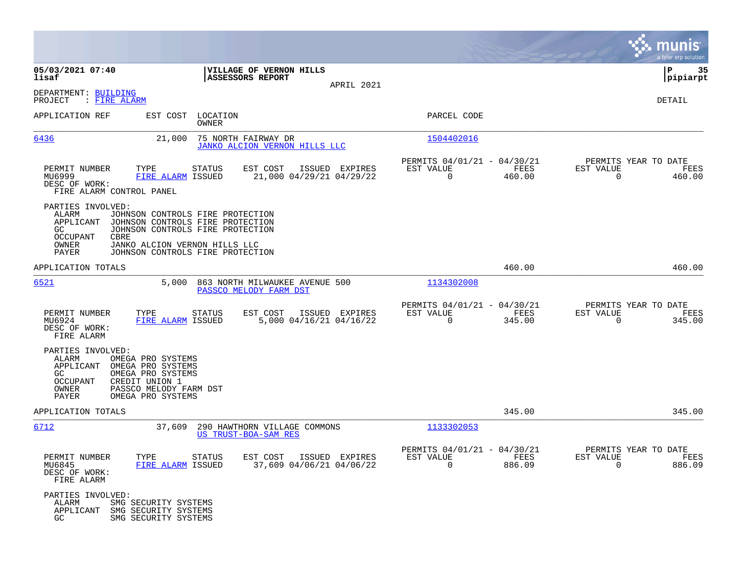|                                                                                                                                                                                                             |                                                                                                                                                                               |                                                                           | munis<br>a tyler erp solution                                      |
|-------------------------------------------------------------------------------------------------------------------------------------------------------------------------------------------------------------|-------------------------------------------------------------------------------------------------------------------------------------------------------------------------------|---------------------------------------------------------------------------|--------------------------------------------------------------------|
| 05/03/2021 07:40<br>lisaf                                                                                                                                                                                   | VILLAGE OF VERNON HILLS<br>ASSESSORS REPORT                                                                                                                                   |                                                                           | ΙP<br>35<br> pipiarpt                                              |
| DEPARTMENT: BUILDING<br>: <u>FIRE ALARM</u><br>PROJECT                                                                                                                                                      | APRIL 2021                                                                                                                                                                    |                                                                           | DETAIL                                                             |
| EST COST<br>APPLICATION REF                                                                                                                                                                                 | LOCATION<br>OWNER                                                                                                                                                             | PARCEL CODE                                                               |                                                                    |
| 6436<br>21,000                                                                                                                                                                                              | 75 NORTH FAIRWAY DR<br>JANKO ALCION VERNON HILLS LLC                                                                                                                          | 1504402016                                                                |                                                                    |
| PERMIT NUMBER<br>TYPE<br>MU6999<br>FIRE ALARM ISSUED<br>DESC OF WORK:<br>FIRE ALARM CONTROL PANEL                                                                                                           | EST COST<br><b>STATUS</b><br>ISSUED EXPIRES<br>21,000 04/29/21 04/29/22                                                                                                       | PERMITS 04/01/21 - 04/30/21<br>EST VALUE<br>FEES<br>$\mathbf 0$<br>460.00 | PERMITS YEAR TO DATE<br>EST VALUE<br>FEES<br>$\mathbf 0$<br>460.00 |
| PARTIES INVOLVED:<br>ALARM<br>APPLICANT<br>GC.<br>OCCUPANT<br>CBRE<br>OWNER<br>PAYER                                                                                                                        | JOHNSON CONTROLS FIRE PROTECTION<br>JOHNSON CONTROLS FIRE PROTECTION<br>JOHNSON CONTROLS FIRE PROTECTION<br>JANKO ALCION VERNON HILLS LLC<br>JOHNSON CONTROLS FIRE PROTECTION |                                                                           |                                                                    |
| APPLICATION TOTALS                                                                                                                                                                                          |                                                                                                                                                                               | 460.00                                                                    | 460.00                                                             |
| 6521<br>5,000                                                                                                                                                                                               | 863 NORTH MILWAUKEE AVENUE 500<br>PASSCO MELODY FARM DST                                                                                                                      | 1134302008                                                                |                                                                    |
| PERMIT NUMBER<br>TYPE<br>MU6924<br>FIRE ALARM ISSUED<br>DESC OF WORK:<br>FIRE ALARM                                                                                                                         | <b>STATUS</b><br>EST COST<br>ISSUED EXPIRES<br>5,000 04/16/21 04/16/22                                                                                                        | PERMITS 04/01/21 - 04/30/21<br>EST VALUE<br>FEES<br>$\Omega$<br>345.00    | PERMITS YEAR TO DATE<br>EST VALUE<br>FEES<br>$\Omega$<br>345.00    |
| PARTIES INVOLVED:<br>ALARM<br>OMEGA PRO SYSTEMS<br>APPLICANT<br>OMEGA PRO SYSTEMS<br>OMEGA PRO SYSTEMS<br>GC<br>OCCUPANT<br>CREDIT UNION 1<br>OWNER<br>PASSCO MELODY FARM DST<br>PAYER<br>OMEGA PRO SYSTEMS |                                                                                                                                                                               |                                                                           |                                                                    |
| APPLICATION TOTALS                                                                                                                                                                                          |                                                                                                                                                                               | 345.00                                                                    | 345.00                                                             |
| 6712<br>37,609                                                                                                                                                                                              | 290 HAWTHORN VILLAGE COMMONS<br>US TRUST-BOA-SAM RES                                                                                                                          | 1133302053                                                                |                                                                    |
| TYPE<br>PERMIT NUMBER<br>MU6845<br>FIRE ALARM ISSUED<br>DESC OF WORK:<br>FIRE ALARM                                                                                                                         | EST COST<br>ISSUED EXPIRES<br>STATUS<br>37,609 04/06/21 04/06/22                                                                                                              | PERMITS 04/01/21 - 04/30/21<br>EST VALUE<br>FEES<br>$\mathbf 0$<br>886.09 | PERMITS YEAR TO DATE<br>EST VALUE<br>FEES<br>$\mathbf 0$<br>886.09 |
| PARTIES INVOLVED:<br>ALARM<br>SMG SECURITY SYSTEMS<br>APPLICANT<br>SMG SECURITY SYSTEMS<br>SMG SECURITY SYSTEMS<br>GC.                                                                                      |                                                                                                                                                                               |                                                                           |                                                                    |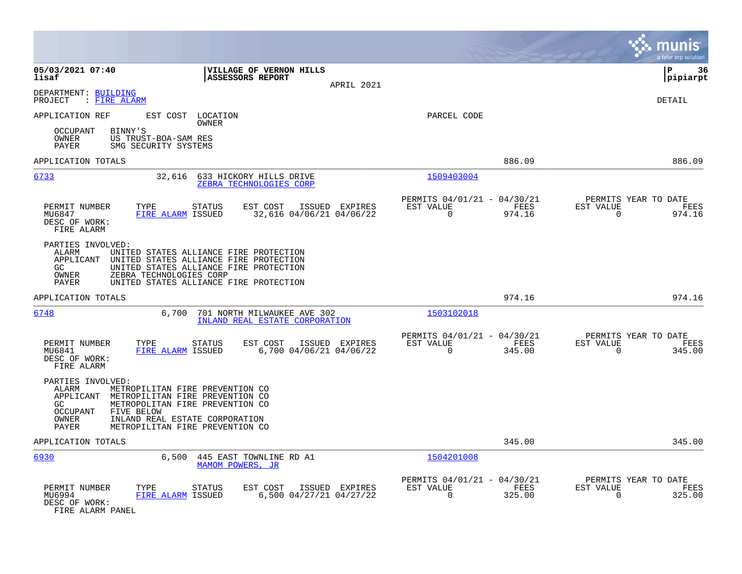|                                                                                                                                                                                                                                                                                               |                                                                           | munis<br>a tyler erp solution                                      |
|-----------------------------------------------------------------------------------------------------------------------------------------------------------------------------------------------------------------------------------------------------------------------------------------------|---------------------------------------------------------------------------|--------------------------------------------------------------------|
| 05/03/2021 07:40<br>VILLAGE OF VERNON HILLS<br>lisaf<br><b>ASSESSORS REPORT</b><br>APRIL 2021                                                                                                                                                                                                 |                                                                           | l P<br>36<br> pipiarpt                                             |
| DEPARTMENT: BUILDING<br>: FIRE ALARM<br>PROJECT                                                                                                                                                                                                                                               |                                                                           | <b>DETAIL</b>                                                      |
| EST COST LOCATION<br>APPLICATION REF<br>OWNER                                                                                                                                                                                                                                                 | PARCEL CODE                                                               |                                                                    |
| BINNY'S<br><b>OCCUPANT</b><br>OWNER<br>US TRUST-BOA-SAM RES<br>PAYER<br>SMG SECURITY SYSTEMS                                                                                                                                                                                                  |                                                                           |                                                                    |
| APPLICATION TOTALS                                                                                                                                                                                                                                                                            | 886.09                                                                    | 886.09                                                             |
| 6733<br>32,616<br>633 HICKORY HILLS DRIVE<br>ZEBRA TECHNOLOGIES CORP                                                                                                                                                                                                                          | 1509403004                                                                |                                                                    |
| PERMIT NUMBER<br>TYPE<br><b>STATUS</b><br>EST COST<br>ISSUED EXPIRES<br>MU6847<br>FIRE ALARM ISSUED<br>32,616 04/06/21 04/06/22<br>DESC OF WORK:<br>FIRE ALARM                                                                                                                                | PERMITS 04/01/21 - 04/30/21<br>EST VALUE<br>FEES<br>$\mathbf 0$<br>974.16 | PERMITS YEAR TO DATE<br>EST VALUE<br>FEES<br>$\mathbf 0$<br>974.16 |
| PARTIES INVOLVED:<br>ALARM<br>UNITED STATES ALLIANCE FIRE PROTECTION<br>APPLICANT<br>UNITED STATES ALLIANCE FIRE PROTECTION<br>GC<br>UNITED STATES ALLIANCE FIRE PROTECTION<br>ZEBRA TECHNOLOGIES CORP<br>OWNER<br>UNITED STATES ALLIANCE FIRE PROTECTION<br>PAYER                            |                                                                           |                                                                    |
| APPLICATION TOTALS                                                                                                                                                                                                                                                                            | 974.16                                                                    | 974.16                                                             |
| 6748<br>6,700<br>701 NORTH MILWAUKEE AVE 302<br>INLAND REAL ESTATE CORPORATION                                                                                                                                                                                                                | 1503102018                                                                |                                                                    |
| PERMIT NUMBER<br>TYPE<br><b>STATUS</b><br>EST COST<br>ISSUED EXPIRES<br>MU6841<br>FIRE ALARM ISSUED<br>6,700 04/06/21 04/06/22<br>DESC OF WORK:<br>FIRE ALARM                                                                                                                                 | PERMITS 04/01/21 - 04/30/21<br>EST VALUE<br>FEES<br>$\Omega$<br>345.00    | PERMITS YEAR TO DATE<br>EST VALUE<br>FEES<br>$\Omega$<br>345.00    |
| PARTIES INVOLVED:<br>ALARM<br>METROPILITAN FIRE PREVENTION CO<br>APPLICANT<br>METROPILITAN FIRE PREVENTION CO<br>METROPOLITAN FIRE PREVENTION CO<br>GC.<br><b>OCCUPANT</b><br>FIVE BELOW<br><b>OWNER</b><br>INLAND REAL ESTATE CORPORATION<br><b>PAYER</b><br>METROPILITAN FIRE PREVENTION CO |                                                                           |                                                                    |
| APPLICATION TOTALS                                                                                                                                                                                                                                                                            | 345.00                                                                    | 345.00                                                             |
| 6930<br>6,500 445 EAST TOWNLINE RD A1<br>MAMOM POWERS, JR                                                                                                                                                                                                                                     | 1504201008                                                                |                                                                    |
| PERMIT NUMBER<br>EST COST<br>TYPE<br><b>STATUS</b><br>ISSUED EXPIRES<br>6,500 04/27/21 04/27/22<br>MU6994<br>FIRE ALARM ISSUED<br>DESC OF WORK:<br>FIRE ALARM PANEL                                                                                                                           | PERMITS 04/01/21 - 04/30/21<br>EST VALUE<br>FEES<br>$\Omega$<br>325.00    | PERMITS YEAR TO DATE<br>EST VALUE<br>FEES<br>$\Omega$<br>325.00    |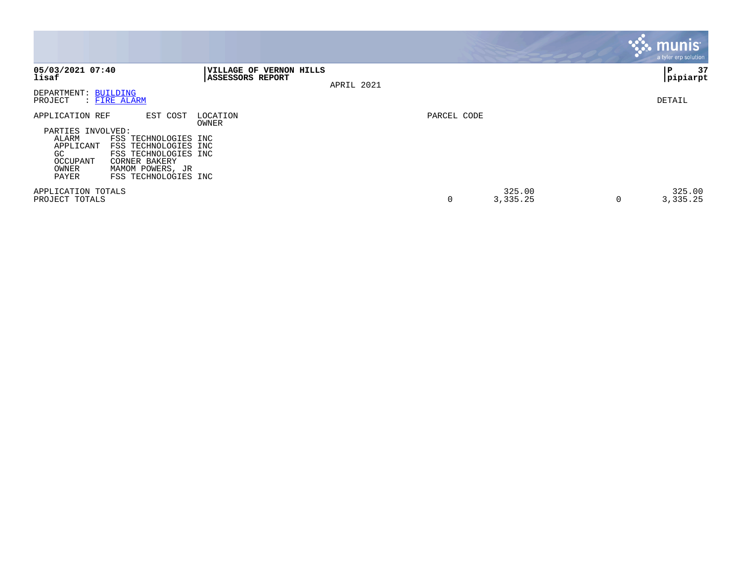|                                                                                                 |                                                                                                                                               |                                                    |            |             |                    |   | <b>munis</b><br>a tyler erp solution |
|-------------------------------------------------------------------------------------------------|-----------------------------------------------------------------------------------------------------------------------------------------------|----------------------------------------------------|------------|-------------|--------------------|---|--------------------------------------|
| 05/03/2021 07:40<br>lisaf                                                                       |                                                                                                                                               | VILLAGE OF VERNON HILLS<br><b>ASSESSORS REPORT</b> | APRIL 2021 |             |                    |   | 37<br>ΙP<br> pipiarpt                |
| DEPARTMENT: BUILDING<br>PROJECT                                                                 | : FIRE ALARM                                                                                                                                  |                                                    |            |             |                    |   | DETAIL                               |
| APPLICATION REF<br>PARTIES INVOLVED:<br>ALARM<br>APPLICANT<br>GC.<br>OCCUPANT<br>OWNER<br>PAYER | EST COST<br>FSS TECHNOLOGIES INC<br>FSS TECHNOLOGIES INC<br>FSS TECHNOLOGIES INC<br>CORNER BAKERY<br>MAMOM POWERS, JR<br>FSS TECHNOLOGIES INC | LOCATION<br>OWNER                                  |            | PARCEL CODE |                    |   |                                      |
| APPLICATION TOTALS<br>PROJECT TOTALS                                                            |                                                                                                                                               |                                                    |            | 0           | 325.00<br>3,335.25 | 0 | 325.00<br>3,335.25                   |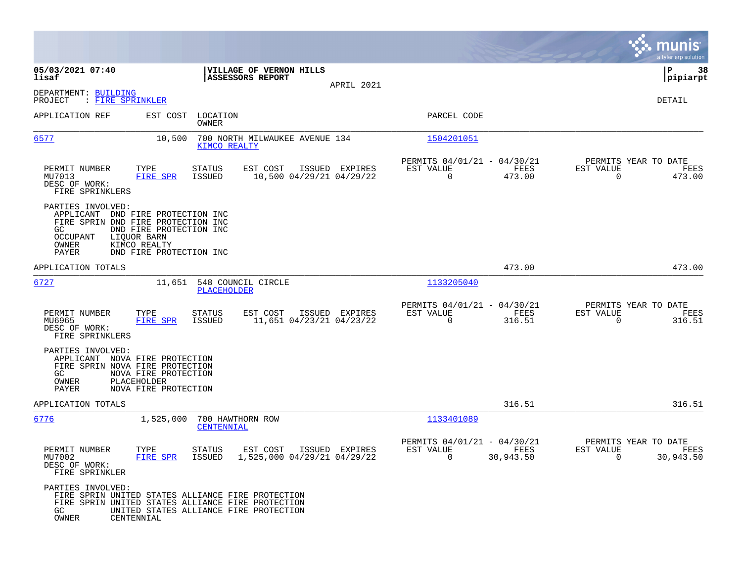|                                                                                                                                             |                                                                                   |                                |                                                           |                |                                                         |                   |                                                  | munis<br>a tyler erp solution |
|---------------------------------------------------------------------------------------------------------------------------------------------|-----------------------------------------------------------------------------------|--------------------------------|-----------------------------------------------------------|----------------|---------------------------------------------------------|-------------------|--------------------------------------------------|-------------------------------|
| 05/03/2021 07:40<br>lisaf                                                                                                                   |                                                                                   |                                | <b>VILLAGE OF VERNON HILLS</b><br><b>ASSESSORS REPORT</b> |                |                                                         |                   |                                                  | l P<br>38<br> pipiarpt        |
| DEPARTMENT: BUILDING<br>: FIRE SPRINKLER<br>PROJECT                                                                                         |                                                                                   |                                |                                                           | APRIL 2021     |                                                         |                   |                                                  | DETAIL                        |
| APPLICATION REF                                                                                                                             | EST COST                                                                          | LOCATION<br>OWNER              |                                                           |                | PARCEL CODE                                             |                   |                                                  |                               |
| 6577                                                                                                                                        | 10,500                                                                            | KIMCO REALTY                   | 700 NORTH MILWAUKEE AVENUE 134                            |                | 1504201051                                              |                   |                                                  |                               |
| PERMIT NUMBER<br>MU7013<br>DESC OF WORK:<br>FIRE SPRINKLERS                                                                                 | TYPE<br>FIRE SPR                                                                  | <b>STATUS</b><br><b>ISSUED</b> | EST COST<br>10,500 04/29/21 04/29/22                      | ISSUED EXPIRES | PERMITS 04/01/21 - 04/30/21<br>EST VALUE<br>$\mathbf 0$ | FEES<br>473.00    | PERMITS YEAR TO DATE<br>EST VALUE<br>0           | FEES<br>473.00                |
| PARTIES INVOLVED:<br>APPLICANT DND FIRE PROTECTION INC<br>FIRE SPRIN DND FIRE PROTECTION INC<br>GC<br><b>OCCUPANT</b><br>OWNER<br>PAYER     | DND FIRE PROTECTION INC<br>LIOUOR BARN<br>KIMCO REALTY<br>DND FIRE PROTECTION INC |                                |                                                           |                |                                                         |                   |                                                  |                               |
| APPLICATION TOTALS                                                                                                                          |                                                                                   |                                |                                                           |                |                                                         | 473.00            |                                                  | 473.00                        |
| 6727                                                                                                                                        | 11,651                                                                            | PLACEHOLDER                    | 548 COUNCIL CIRCLE                                        |                | 1133205040                                              |                   |                                                  |                               |
| PERMIT NUMBER<br>MU6965<br>DESC OF WORK:<br>FIRE SPRINKLERS                                                                                 | TYPE<br>FIRE SPR                                                                  | STATUS<br>ISSUED               | EST COST<br>11,651 04/23/21 04/23/22                      | ISSUED EXPIRES | PERMITS 04/01/21 - 04/30/21<br>EST VALUE<br>$\Omega$    | FEES<br>316.51    | PERMITS YEAR TO DATE<br>EST VALUE<br>$\Omega$    | FEES<br>316.51                |
| PARTIES INVOLVED:<br>APPLICANT NOVA FIRE PROTECTION<br>FIRE SPRIN NOVA FIRE PROTECTION<br>GC<br>OWNER<br><b>PAYER</b>                       | NOVA FIRE PROTECTION<br>PLACEHOLDER<br>NOVA FIRE PROTECTION                       |                                |                                                           |                |                                                         |                   |                                                  |                               |
| APPLICATION TOTALS                                                                                                                          |                                                                                   |                                |                                                           |                |                                                         | 316.51            |                                                  | 316.51                        |
| 6776                                                                                                                                        | 1,525,000                                                                         | 700 HAWTHORN ROW<br>CENTENNIAL |                                                           |                | 1133401089                                              |                   |                                                  |                               |
| PERMIT NUMBER<br>MU7002<br>DESC OF WORK:<br>FIRE SPRINKLER                                                                                  | TYPE<br><b>FIRE SPR</b>                                                           | <b>STATUS</b><br><b>ISSUED</b> | EST COST<br>1,525,000 04/29/21 04/29/22                   | ISSUED EXPIRES | PERMITS 04/01/21 - 04/30/21<br>EST VALUE<br>$\mathbf 0$ | FEES<br>30,943.50 | PERMITS YEAR TO DATE<br>EST VALUE<br>$\mathbf 0$ | FEES<br>30,943.50             |
| PARTIES INVOLVED:<br>FIRE SPRIN UNITED STATES ALLIANCE FIRE PROTECTION<br>FIRE SPRIN UNITED STATES ALLIANCE FIRE PROTECTION<br>GC.<br>OWNER | CENTENNIAL                                                                        |                                | UNITED STATES ALLIANCE FIRE PROTECTION                    |                |                                                         |                   |                                                  |                               |

 $\mathcal{L}^{\text{max}}$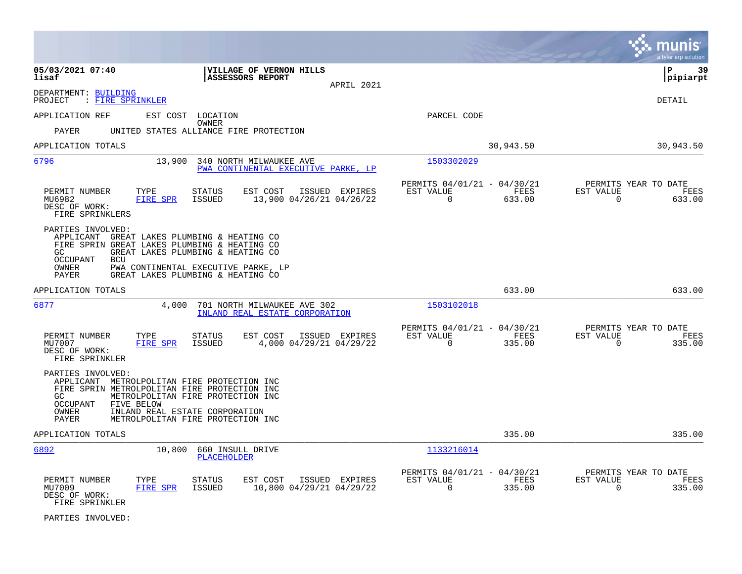|                                                                                                                                                                                                                                                                                             |                                                                           | munis<br>a tyler erp solution                                      |
|---------------------------------------------------------------------------------------------------------------------------------------------------------------------------------------------------------------------------------------------------------------------------------------------|---------------------------------------------------------------------------|--------------------------------------------------------------------|
| 05/03/2021 07:40<br>VILLAGE OF VERNON HILLS<br>lisaf<br>ASSESSORS REPORT<br>APRIL 2021                                                                                                                                                                                                      |                                                                           | lР<br>39<br> pipiarpt                                              |
| DEPARTMENT: BUILDING<br>: FIRE SPRINKLER<br>PROJECT                                                                                                                                                                                                                                         |                                                                           | DETAIL                                                             |
| EST COST LOCATION<br>APPLICATION REF<br><b>OWNER</b><br>PAYER<br>UNITED STATES ALLIANCE FIRE PROTECTION                                                                                                                                                                                     | PARCEL CODE                                                               |                                                                    |
| APPLICATION TOTALS                                                                                                                                                                                                                                                                          | 30,943.50                                                                 | 30,943.50                                                          |
| 6796<br>13,900<br>340 NORTH MILWAUKEE AVE<br>PWA CONTINENTAL EXECUTIVE PARKE, LP                                                                                                                                                                                                            | 1503302029                                                                |                                                                    |
| PERMIT NUMBER<br>TYPE<br>EST COST<br>ISSUED EXPIRES<br><b>STATUS</b><br><b>FIRE SPR</b><br>13,900 04/26/21 04/26/22<br>MU6982<br><b>ISSUED</b><br>DESC OF WORK:<br>FIRE SPRINKLERS                                                                                                          | PERMITS 04/01/21 - 04/30/21<br>EST VALUE<br>FEES<br>$\mathbf 0$<br>633.00 | PERMITS YEAR TO DATE<br>EST VALUE<br>FEES<br>$\mathbf 0$<br>633.00 |
| PARTIES INVOLVED:<br>APPLICANT GREAT LAKES PLUMBING & HEATING CO<br>FIRE SPRIN GREAT LAKES PLUMBING & HEATING CO<br>GC.<br>GREAT LAKES PLUMBING & HEATING CO<br><b>OCCUPANT</b><br><b>BCU</b><br>OWNER<br>PWA CONTINENTAL EXECUTIVE PARKE, LP<br>PAYER<br>GREAT LAKES PLUMBING & HEATING CO |                                                                           |                                                                    |
| APPLICATION TOTALS                                                                                                                                                                                                                                                                          | 633.00                                                                    | 633.00                                                             |
| 6877<br>4,000<br>701 NORTH MILWAUKEE AVE 302<br>INLAND REAL ESTATE CORPORATION                                                                                                                                                                                                              | 1503102018                                                                |                                                                    |
| PERMIT NUMBER<br>TYPE<br>EST COST<br><b>STATUS</b><br>ISSUED EXPIRES<br>4,000 04/29/21 04/29/22<br>MU7007<br><b>FIRE SPR</b><br><b>ISSUED</b><br>DESC OF WORK:<br>FIRE SPRINKLER                                                                                                            | PERMITS 04/01/21 - 04/30/21<br>EST VALUE<br>FEES<br>$\Omega$<br>335.00    | PERMITS YEAR TO DATE<br>EST VALUE<br>FEES<br>$\Omega$<br>335.00    |
| PARTIES INVOLVED:<br>APPLICANT METROLPOLITAN FIRE PROTECTION INC<br>FIRE SPRIN METROLPOLITAN FIRE PROTECTION INC<br>METROLPOLITAN FIRE PROTECTION INC<br>GC.<br>OCCUPANT<br>FIVE BELOW<br>OWNER<br>INLAND REAL ESTATE CORPORATION<br>METROLPOLITAN FIRE PROTECTION INC<br>PAYER             |                                                                           |                                                                    |
| APPLICATION TOTALS                                                                                                                                                                                                                                                                          | 335.00                                                                    | 335.00                                                             |
| 6892<br>10,800<br>660 INSULL DRIVE<br>PLACEHOLDER                                                                                                                                                                                                                                           | 1133216014                                                                |                                                                    |
| PERMIT NUMBER<br>TYPE<br>EST COST<br>ISSUED EXPIRES<br><b>STATUS</b><br><b>FIRE SPR</b><br>10,800 04/29/21 04/29/22<br>MU7009<br><b>ISSUED</b><br>DESC OF WORK:<br>FIRE SPRINKLER                                                                                                           | PERMITS 04/01/21 - 04/30/21<br>EST VALUE<br>FEES<br>$\mathbf 0$<br>335.00 | PERMITS YEAR TO DATE<br>EST VALUE<br>FEES<br>0<br>335.00           |

PARTIES INVOLVED: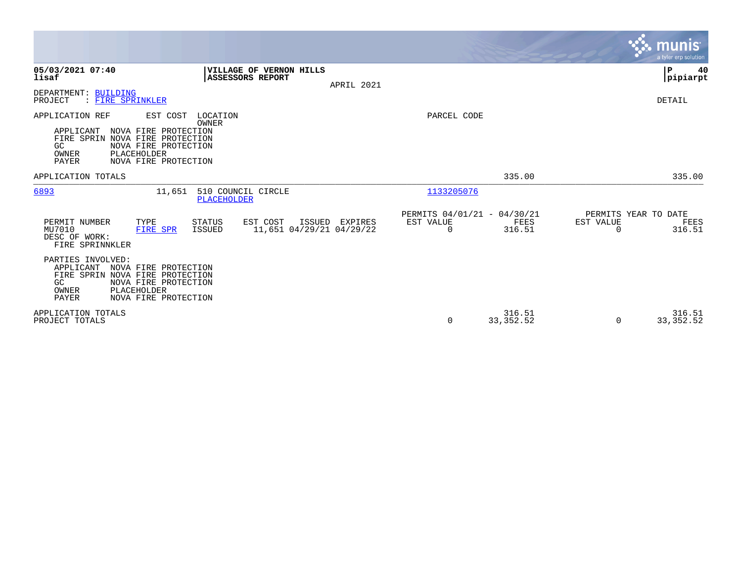|                                                                                                                                                                                               |                                                          |                |                                               |                      |                       | <b>munis</b><br>a tyler erp solution.  |
|-----------------------------------------------------------------------------------------------------------------------------------------------------------------------------------------------|----------------------------------------------------------|----------------|-----------------------------------------------|----------------------|-----------------------|----------------------------------------|
| 05/03/2021 07:40<br>lisaf                                                                                                                                                                     | VILLAGE OF VERNON HILLS<br>ASSESSORS REPORT              | APRIL 2021     |                                               |                      |                       | P<br>40<br> pipiarpt                   |
| DEPARTMENT: BUILDING<br>: FIRE SPRINKLER<br>PROJECT                                                                                                                                           |                                                          |                |                                               |                      |                       | DETAIL                                 |
| APPLICATION REF<br>EST COST<br>NOVA FIRE PROTECTION<br>APPLICANT<br>FIRE SPRIN<br>NOVA FIRE PROTECTION<br>GC<br>NOVA FIRE PROTECTION<br>OWNER<br>PLACEHOLDER<br>PAYER<br>NOVA FIRE PROTECTION | LOCATION<br>OWNER                                        |                | PARCEL CODE                                   |                      |                       |                                        |
| APPLICATION TOTALS                                                                                                                                                                            |                                                          |                |                                               | 335.00               |                       | 335.00                                 |
| 6893<br>11,651                                                                                                                                                                                | 510 COUNCIL CIRCLE<br><b>PLACEHOLDER</b>                 |                | 1133205076                                    |                      |                       |                                        |
| PERMIT NUMBER<br>TYPE<br>MU7010<br><b>FIRE SPR</b><br>DESC OF WORK:<br>FIRE SPRINNKLER                                                                                                        | EST COST<br>STATUS<br>11,651 04/29/21 04/29/22<br>ISSUED | ISSUED EXPIRES | PERMITS 04/01/21 - 04/30/21<br>EST VALUE<br>0 | FEES<br>316.51       | EST VALUE<br>$\Omega$ | PERMITS YEAR TO DATE<br>FEES<br>316.51 |
| PARTIES INVOLVED:<br>APPLICANT<br>NOVA FIRE PROTECTION<br>NOVA FIRE PROTECTION<br>FIRE SPRIN<br>NOVA FIRE PROTECTION<br>GC<br>OWNER<br>PLACEHOLDER<br>PAYER<br>NOVA FIRE PROTECTION           |                                                          |                |                                               |                      |                       |                                        |
| APPLICATION TOTALS<br>PROJECT TOTALS                                                                                                                                                          |                                                          |                | 0                                             | 316.51<br>33, 352.52 | $\Omega$              | 316.51<br>33, 352.52                   |

**Contract**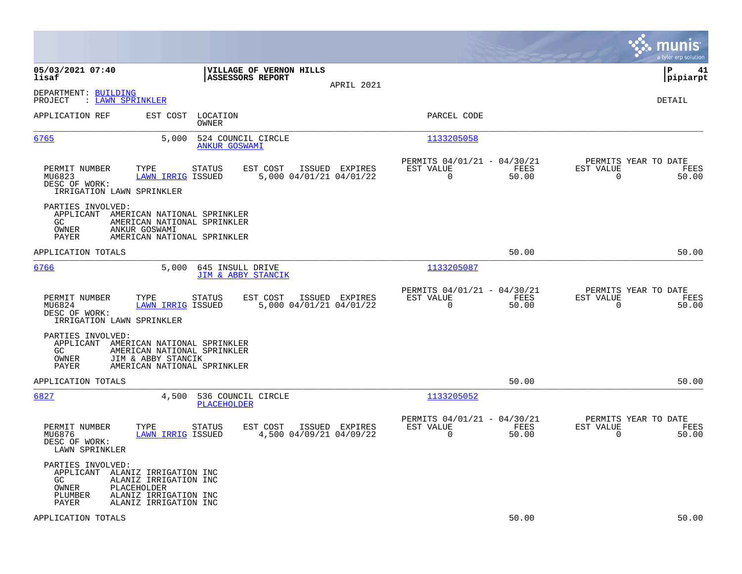|                                                                                                             |                                                                                                    |                                                                          | munis<br>a tyler erp solution                                     |
|-------------------------------------------------------------------------------------------------------------|----------------------------------------------------------------------------------------------------|--------------------------------------------------------------------------|-------------------------------------------------------------------|
| 05/03/2021 07:40<br>lisaf                                                                                   | VILLAGE OF VERNON HILLS<br><b>ASSESSORS REPORT</b><br>APRIL 2021                                   |                                                                          | $\mathbf{P}$<br>41<br> pipiarpt                                   |
| DEPARTMENT: BUILDING<br>: LAWN SPRINKLER<br>PROJECT                                                         |                                                                                                    |                                                                          | <b>DETAIL</b>                                                     |
| APPLICATION REF                                                                                             | EST COST<br>LOCATION<br>OWNER                                                                      | PARCEL CODE                                                              |                                                                   |
| 6765                                                                                                        | 5,000<br>524 COUNCIL CIRCLE<br><b>ANKUR GOSWAMI</b>                                                | 1133205058                                                               |                                                                   |
| PERMIT NUMBER<br>TYPE<br>MU6823<br>DESC OF WORK:<br>IRRIGATION LAWN SPRINKLER                               | EST COST<br>ISSUED EXPIRES<br>STATUS<br>5,000 04/01/21 04/01/22<br><b>LAWN IRRIG ISSUED</b>        | PERMITS 04/01/21 - 04/30/21<br>EST VALUE<br>FEES<br>$\Omega$<br>50.00    | PERMITS YEAR TO DATE<br>EST VALUE<br>FEES<br>$\Omega$<br>50.00    |
| PARTIES INVOLVED:<br>APPLICANT AMERICAN NATIONAL SPRINKLER<br>GC.<br>OWNER<br>ANKUR GOSWAMI<br><b>PAYER</b> | AMERICAN NATIONAL SPRINKLER<br>AMERICAN NATIONAL SPRINKLER                                         |                                                                          |                                                                   |
| APPLICATION TOTALS                                                                                          |                                                                                                    | 50.00                                                                    | 50.00                                                             |
| 6766                                                                                                        | 5,000<br>645 INSULL DRIVE<br>JIM & ABBY STANCIK                                                    | 1133205087                                                               |                                                                   |
| PERMIT NUMBER<br>TYPE<br>MU6824<br>DESC OF WORK:<br>IRRIGATION LAWN SPRINKLER                               | EST COST<br>ISSUED EXPIRES<br><b>STATUS</b><br><b>LAWN IRRIG ISSUED</b><br>5,000 04/01/21 04/01/22 | PERMITS 04/01/21 - 04/30/21<br>EST VALUE<br>FEES<br>$\mathbf 0$<br>50.00 | PERMITS YEAR TO DATE<br>EST VALUE<br>FEES<br>$\mathbf 0$<br>50.00 |
| PARTIES INVOLVED:<br>APPLICANT<br>GC.<br>OWNER<br>JIM & ABBY STANCIK<br>PAYER                               | AMERICAN NATIONAL SPRINKLER<br>AMERICAN NATIONAL SPRINKLER<br>AMERICAN NATIONAL SPRINKLER          |                                                                          |                                                                   |
| APPLICATION TOTALS                                                                                          |                                                                                                    | 50.00                                                                    | 50.00                                                             |
| 6827                                                                                                        | 4,500<br>536 COUNCIL CIRCLE<br>PLACEHOLDER                                                         | 1133205052                                                               |                                                                   |
| PERMIT NUMBER<br>TYPE<br>MU6876<br>DESC OF WORK:<br>LAWN SPRINKLER                                          | EST COST<br>ISSUED EXPIRES<br><b>STATUS</b><br>4,500 04/09/21 04/09/22<br><b>LAWN IRRIG ISSUED</b> | PERMITS 04/01/21 - 04/30/21<br>EST VALUE<br>FEES<br>$\Omega$<br>50.00    | PERMITS YEAR TO DATE<br>EST VALUE<br>FEES<br>0<br>50.00           |
| PARTIES INVOLVED:<br>APPLICANT<br>GC.<br>PLACEHOLDER<br>OWNER<br>PLUMBER<br>PAYER                           | ALANIZ IRRIGATION INC<br>ALANIZ IRRIGATION INC<br>ALANIZ IRRIGATION INC<br>ALANIZ IRRIGATION INC   |                                                                          |                                                                   |
| APPLICATION TOTALS                                                                                          |                                                                                                    | 50.00                                                                    | 50.00                                                             |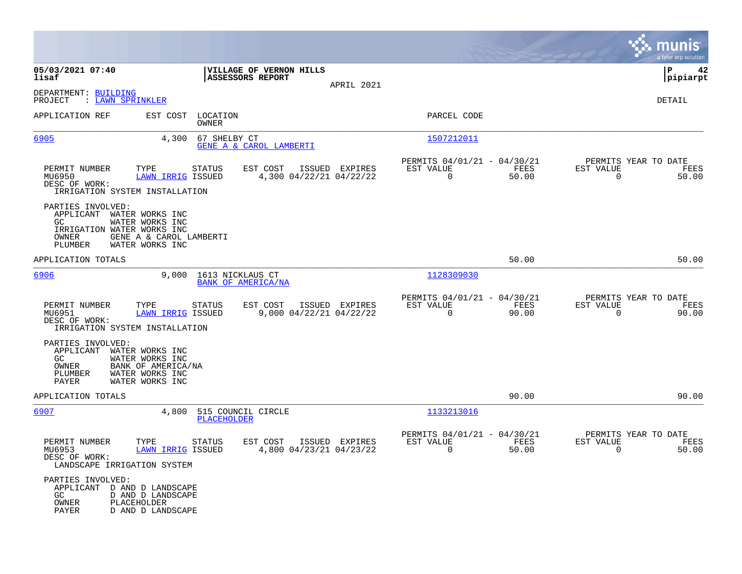|                                                                                                                                                                         |                                                      |                |                                                         |               |                                                  | munis<br>a tyler erp solution |
|-------------------------------------------------------------------------------------------------------------------------------------------------------------------------|------------------------------------------------------|----------------|---------------------------------------------------------|---------------|--------------------------------------------------|-------------------------------|
| 05/03/2021 07:40<br>lisaf                                                                                                                                               | VILLAGE OF VERNON HILLS<br><b>ASSESSORS REPORT</b>   |                |                                                         |               |                                                  | ΙP<br>42<br> pipiarpt         |
| DEPARTMENT: BUILDING<br>PROJECT<br>: <u>LAWN SPRINKLER</u>                                                                                                              |                                                      | APRIL 2021     |                                                         |               |                                                  | <b>DETAIL</b>                 |
| APPLICATION REF<br>EST COST                                                                                                                                             | LOCATION<br>OWNER                                    |                | PARCEL CODE                                             |               |                                                  |                               |
| 6905<br>4,300                                                                                                                                                           | 67 SHELBY CT<br>GENE A & CAROL LAMBERTI              |                | 1507212011                                              |               |                                                  |                               |
| PERMIT NUMBER<br>TYPE<br>MU6950<br>LAWN IRRIG ISSUED<br>DESC OF WORK:<br>IRRIGATION SYSTEM INSTALLATION                                                                 | <b>STATUS</b><br>EST COST<br>4,300 04/22/21 04/22/22 | ISSUED EXPIRES | PERMITS 04/01/21 - 04/30/21<br>EST VALUE<br>$\mathbf 0$ | FEES<br>50.00 | PERMITS YEAR TO DATE<br>EST VALUE<br>$\mathbf 0$ | FEES<br>50.00                 |
| PARTIES INVOLVED:<br>APPLICANT WATER WORKS INC<br>GC<br>WATER WORKS INC<br>IRRIGATION WATER WORKS INC<br>GENE A & CAROL LAMBERTI<br>OWNER<br>PLUMBER<br>WATER WORKS INC |                                                      |                |                                                         |               |                                                  |                               |
| APPLICATION TOTALS                                                                                                                                                      |                                                      |                |                                                         | 50.00         |                                                  | 50.00                         |
| 6906<br>9,000                                                                                                                                                           | 1613 NICKLAUS CT<br><b>BANK OF AMERICA/NA</b>        |                | 1128309030                                              |               |                                                  |                               |
| PERMIT NUMBER<br>TYPE<br><b>LAWN IRRIG ISSUED</b><br>MU6951<br>DESC OF WORK:<br>IRRIGATION SYSTEM INSTALLATION                                                          | EST COST<br><b>STATUS</b><br>9,000 04/22/21 04/22/22 | ISSUED EXPIRES | PERMITS 04/01/21 - 04/30/21<br>EST VALUE<br>0           | FEES<br>90.00 | PERMITS YEAR TO DATE<br>EST VALUE<br>$\mathbf 0$ | FEES<br>90.00                 |
| PARTIES INVOLVED:<br>APPLICANT<br>WATER WORKS INC<br>GC.<br>WATER WORKS INC<br>OWNER<br>BANK OF AMERICA/NA<br>WATER WORKS INC<br>PLUMBER<br>WATER WORKS INC<br>PAYER    |                                                      |                |                                                         |               |                                                  |                               |
| APPLICATION TOTALS                                                                                                                                                      |                                                      |                |                                                         | 90.00         |                                                  | 90.00                         |
| 6907<br>4,800                                                                                                                                                           | 515 COUNCIL CIRCLE<br><b>PLACEHOLDER</b>             |                | 1133213016                                              |               |                                                  |                               |
| PERMIT NUMBER<br>TYPE<br>MU6953<br>LAWN IRRIG ISSUED<br>DESC OF WORK:<br>LANDSCAPE IRRIGATION SYSTEM                                                                    | <b>STATUS</b><br>EST COST<br>4,800 04/23/21 04/23/22 | ISSUED EXPIRES | PERMITS 04/01/21 - 04/30/21<br>EST VALUE<br>$\Omega$    | FEES<br>50.00 | PERMITS YEAR TO DATE<br>EST VALUE<br>$\Omega$    | FEES<br>50.00                 |
| PARTIES INVOLVED:<br>APPLICANT D AND D LANDSCAPE<br>GC<br>D AND D LANDSCAPE<br>OWNER<br>PLACEHOLDER<br>D AND D LANDSCAPE<br>PAYER                                       |                                                      |                |                                                         |               |                                                  |                               |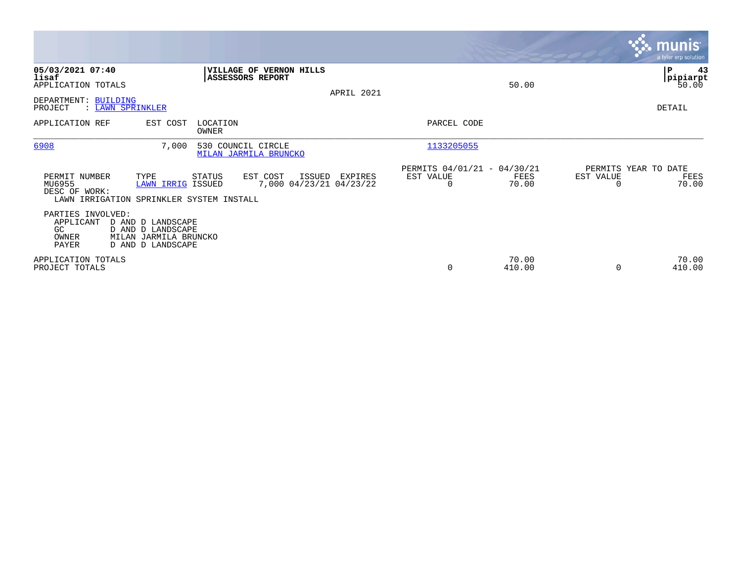|                                                               |                                                                                      |                                             |                                               |            |                                                      |                 |           | <b>munis</b><br>a tyler erp solution  |
|---------------------------------------------------------------|--------------------------------------------------------------------------------------|---------------------------------------------|-----------------------------------------------|------------|------------------------------------------------------|-----------------|-----------|---------------------------------------|
| 05/03/2021 07:40<br>lisaf<br>APPLICATION TOTALS               |                                                                                      | <b>ASSESSORS REPORT</b>                     | <b>VILLAGE OF VERNON HILLS</b>                | APRIL 2021 |                                                      | 50.00           |           | P.<br>43<br><b>pipiarpt</b><br>50.00  |
| DEPARTMENT: BUILDING<br>PROJECT                               | : LAWN SPRINKLER                                                                     |                                             |                                               |            |                                                      |                 |           | DETAIL                                |
| APPLICATION REF                                               | EST COST                                                                             | LOCATION<br>OWNER                           |                                               |            | PARCEL CODE                                          |                 |           |                                       |
| 6908                                                          | 7,000                                                                                | 530 COUNCIL CIRCLE<br>MILAN JARMILA BRUNCKO |                                               |            | 1133205055                                           |                 |           |                                       |
| PERMIT NUMBER<br>MU6955<br>DESC OF WORK:                      | TYPE<br>LAWN IRRIG ISSUED<br>LAWN IRRIGATION SPRINKLER SYSTEM INSTALL                | STATUS                                      | EST COST<br>ISSUED<br>7,000 04/23/21 04/23/22 | EXPIRES    | PERMITS 04/01/21 - 04/30/21<br>EST VALUE<br>$\Omega$ | FEES<br>70.00   | EST VALUE | PERMITS YEAR TO DATE<br>FEES<br>70.00 |
| PARTIES INVOLVED:<br>APPLICANT<br>GC<br>OWNER<br><b>PAYER</b> | D AND D LANDSCAPE<br>D AND D LANDSCAPE<br>MILAN JARMILA BRUNCKO<br>D AND D LANDSCAPE |                                             |                                               |            |                                                      |                 |           |                                       |
| APPLICATION TOTALS<br>PROJECT TOTALS                          |                                                                                      |                                             |                                               |            | 0                                                    | 70.00<br>410.00 | $\Omega$  | 70.00<br>410.00                       |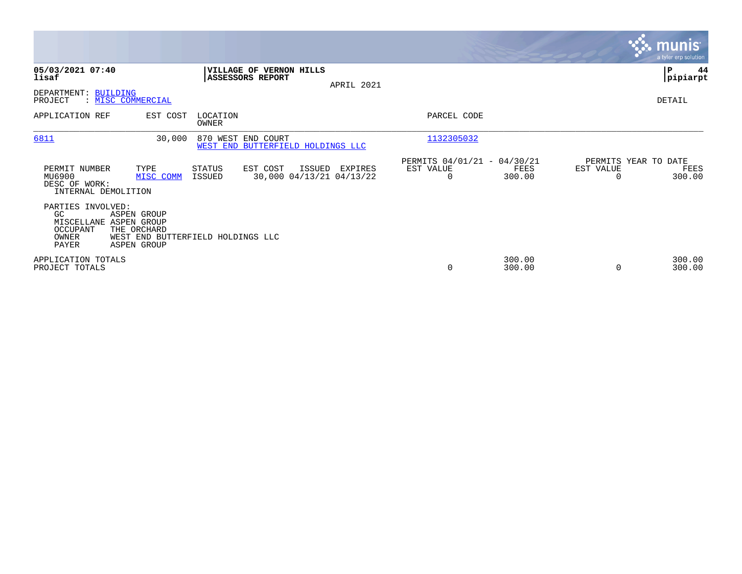|                                                                                 |                                                                                       |                   |                                                         |            |                                                      |                  |                                   | <b>munis</b><br>a tyler erp solution |
|---------------------------------------------------------------------------------|---------------------------------------------------------------------------------------|-------------------|---------------------------------------------------------|------------|------------------------------------------------------|------------------|-----------------------------------|--------------------------------------|
| 05/03/2021 07:40<br>lisaf                                                       |                                                                                       |                   | VILLAGE OF VERNON HILLS<br>ASSESSORS REPORT             | APRIL 2021 |                                                      |                  |                                   | ∣P<br>44<br> pipiarpt                |
| DEPARTMENT: BUILDING<br>PROJECT                                                 | : MISC COMMERCIAL                                                                     |                   |                                                         |            |                                                      |                  |                                   | DETAIL                               |
| APPLICATION REF                                                                 | EST COST                                                                              | LOCATION<br>OWNER |                                                         |            | PARCEL CODE                                          |                  |                                   |                                      |
| 6811                                                                            | 30,000                                                                                |                   | 870 WEST END COURT<br>WEST END BUTTERFIELD HOLDINGS LLC |            | 1132305032                                           |                  |                                   |                                      |
| PERMIT NUMBER<br>MU6900<br>DESC OF WORK:<br>INTERNAL DEMOLITION                 | TYPE<br>MISC COMM                                                                     | STATUS<br>ISSUED  | EST COST<br>ISSUED<br>30,000 04/13/21 04/13/22          | EXPIRES    | PERMITS 04/01/21 - 04/30/21<br>EST VALUE<br>$\Omega$ | FEES<br>300.00   | PERMITS YEAR TO DATE<br>EST VALUE | FEES<br>300.00                       |
| PARTIES INVOLVED:<br>GC<br>MISCELLANE ASPEN GROUP<br>OCCUPANT<br>OWNER<br>PAYER | ASPEN GROUP<br>THE ORCHARD<br>WEST END BUTTERFIELD HOLDINGS LLC<br><b>ASPEN GROUP</b> |                   |                                                         |            |                                                      |                  |                                   |                                      |
| APPLICATION TOTALS<br>PROJECT TOTALS                                            |                                                                                       |                   |                                                         |            | $\Omega$                                             | 300.00<br>300.00 |                                   | 300.00<br>300.00                     |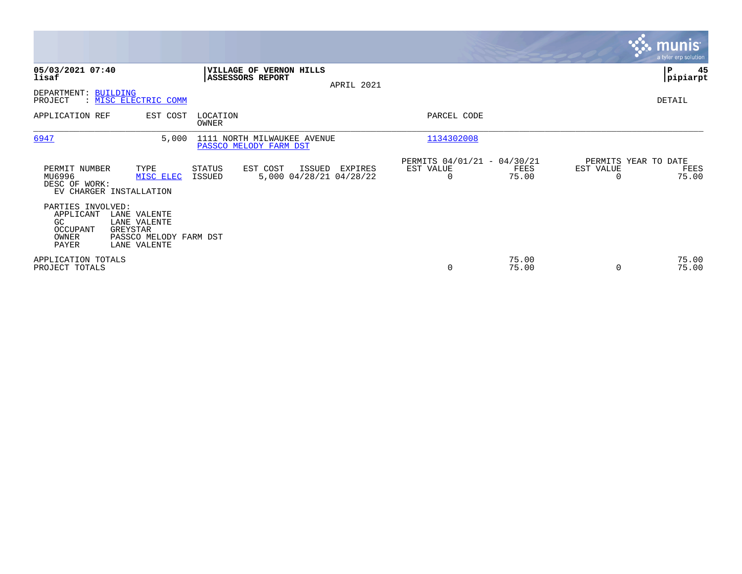|                                                                    |                                                                                    |                         |                                                       |            |                                               |                |                                               | munist<br>a tyler erp solution. |
|--------------------------------------------------------------------|------------------------------------------------------------------------------------|-------------------------|-------------------------------------------------------|------------|-----------------------------------------------|----------------|-----------------------------------------------|---------------------------------|
| 05/03/2021 07:40<br>lisaf                                          |                                                                                    | <b>ASSESSORS REPORT</b> | <b>VILLAGE OF VERNON HILLS</b>                        | APRIL 2021 |                                               |                |                                               | 45<br>P<br> pipiarpt            |
| DEPARTMENT: BUILDING<br>PROJECT                                    | : MISC ELECTRIC COMM                                                               |                         |                                                       |            |                                               |                |                                               | DETAIL                          |
| APPLICATION REF                                                    | EST COST                                                                           | LOCATION<br>OWNER       |                                                       |            | PARCEL CODE                                   |                |                                               |                                 |
| 6947                                                               | 5,000                                                                              |                         | 1111 NORTH MILWAUKEE AVENUE<br>PASSCO MELODY FARM DST |            | 1134302008                                    |                |                                               |                                 |
| PERMIT NUMBER<br>MU6996<br>DESC OF WORK:                           | TYPE<br>MISC ELEC<br>EV CHARGER INSTALLATION                                       | STATUS<br>ISSUED        | EST COST<br>ISSUED<br>5,000 04/28/21 04/28/22         | EXPIRES    | PERMITS 04/01/21 - 04/30/21<br>EST VALUE<br>0 | FEES<br>75.00  | PERMITS YEAR TO DATE<br>EST VALUE<br>$\Omega$ | FEES<br>75.00                   |
| PARTIES INVOLVED:<br>APPLICANT<br>GC<br>OCCUPANT<br>OWNER<br>PAYER | LANE VALENTE<br>LANE VALENTE<br>GREYSTAR<br>PASSCO MELODY FARM DST<br>LANE VALENTE |                         |                                                       |            |                                               |                |                                               |                                 |
| APPLICATION TOTALS<br>PROJECT TOTALS                               |                                                                                    |                         |                                                       |            | 0                                             | 75.00<br>75.00 | $\Omega$                                      | 75.00<br>75.00                  |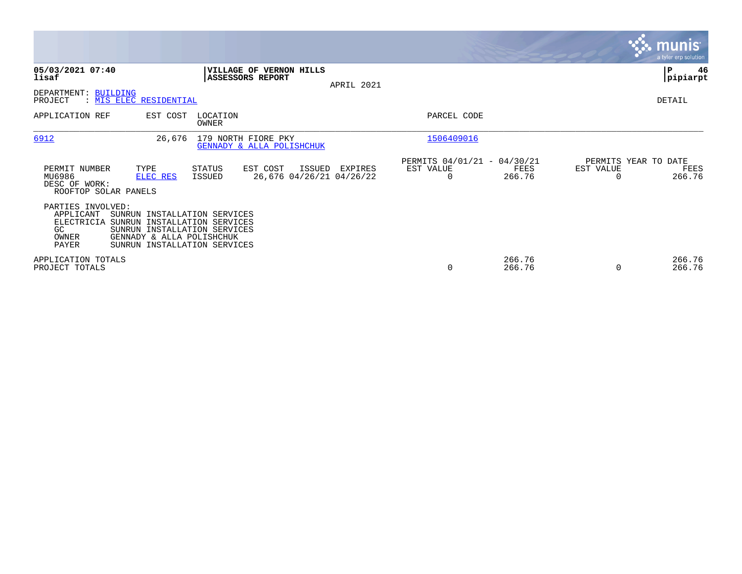|                                                                      |                                                                                                               |                                                |                                                |            |                                               |                  |                                   | <b>munis</b><br>a tyler erp solution |
|----------------------------------------------------------------------|---------------------------------------------------------------------------------------------------------------|------------------------------------------------|------------------------------------------------|------------|-----------------------------------------------|------------------|-----------------------------------|--------------------------------------|
| 05/03/2021 07:40<br>lisaf                                            |                                                                                                               | ASSESSORS REPORT                               | VILLAGE OF VERNON HILLS                        | APRIL 2021 |                                               |                  |                                   | IΡ<br>46<br> pipiarpt                |
| DEPARTMENT:<br><b>BUILDING</b><br>PROJECT                            | : MIS ELEC RESIDENTIAL                                                                                        |                                                |                                                |            |                                               |                  |                                   | DETAIL                               |
| APPLICATION REF                                                      | EST COST                                                                                                      | LOCATION<br><b>OWNER</b>                       |                                                |            | PARCEL CODE                                   |                  |                                   |                                      |
| 6912                                                                 | 26,676                                                                                                        | 179 NORTH FIORE PKY                            | GENNADY & ALLA POLISHCHUK                      |            | 1506409016                                    |                  |                                   |                                      |
| PERMIT NUMBER<br>MU6986<br>DESC OF WORK:<br>ROOFTOP SOLAR PANELS     | TYPE<br>ELEC RES                                                                                              | STATUS<br>ISSUED                               | EST COST<br>ISSUED<br>26,676 04/26/21 04/26/22 | EXPIRES    | PERMITS 04/01/21 - 04/30/21<br>EST VALUE<br>0 | FEES<br>266.76   | PERMITS YEAR TO DATE<br>EST VALUE | FEES<br>266.76                       |
| PARTIES INVOLVED:<br>APPLICANT<br>ELECTRICIA<br>GC<br>OWNER<br>PAYER | SUNRUN<br>SUNRUN<br>SUNRUN INSTALLATION SERVICES<br>GENNADY & ALLA POLISHCHUK<br>SUNRUN INSTALLATION SERVICES | INSTALLATION SERVICES<br>INSTALLATION SERVICES |                                                |            |                                               |                  |                                   |                                      |
| APPLICATION TOTALS<br>PROJECT TOTALS                                 |                                                                                                               |                                                |                                                |            | 0                                             | 266.76<br>266.76 |                                   | 266.76<br>266.76                     |

**Contract**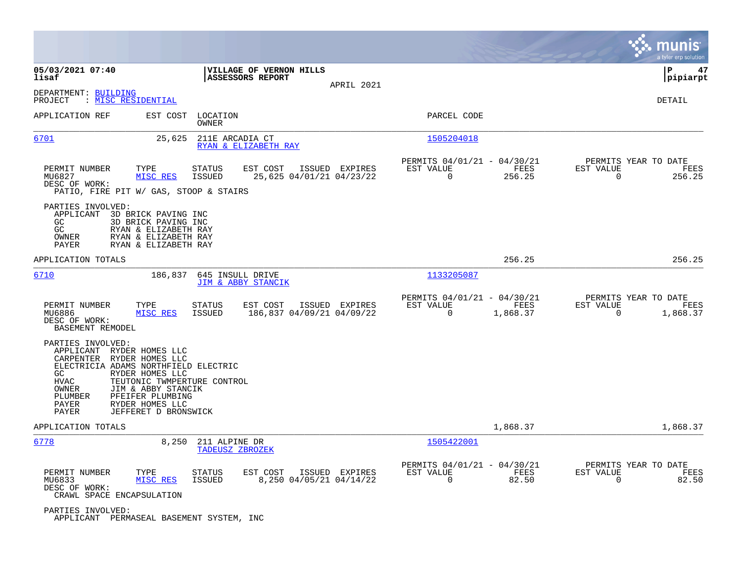|                                                                                                                                                                                                                                                                                                                          |                                                                                           |                                                                          | munis<br>a tyler erp solution                                      |
|--------------------------------------------------------------------------------------------------------------------------------------------------------------------------------------------------------------------------------------------------------------------------------------------------------------------------|-------------------------------------------------------------------------------------------|--------------------------------------------------------------------------|--------------------------------------------------------------------|
| 05/03/2021 07:40<br>lisaf                                                                                                                                                                                                                                                                                                | VILLAGE OF VERNON HILLS<br>ASSESSORS REPORT                                               |                                                                          | ΙP<br>47<br> pipiarpt                                              |
| DEPARTMENT: BUILDING<br>: <u>MISC RESIDENTIAL</u><br>PROJECT                                                                                                                                                                                                                                                             | APRIL 2021                                                                                |                                                                          | DETAIL                                                             |
| EST COST<br>APPLICATION REF                                                                                                                                                                                                                                                                                              | LOCATION<br>OWNER                                                                         | PARCEL CODE                                                              |                                                                    |
| 6701<br>25,625                                                                                                                                                                                                                                                                                                           | 211E ARCADIA CT<br>RYAN & ELIZABETH RAY                                                   | 1505204018                                                               |                                                                    |
| PERMIT NUMBER<br>TYPE<br>MISC RES<br>MU6827<br>DESC OF WORK:<br>PATIO, FIRE PIT W/ GAS, STOOP & STAIRS                                                                                                                                                                                                                   | <b>STATUS</b><br>EST COST<br>ISSUED EXPIRES<br>ISSUED<br>25,625 04/01/21 04/23/22         | PERMITS 04/01/21 - 04/30/21<br>EST VALUE<br>FEES<br>0<br>256.25          | PERMITS YEAR TO DATE<br>EST VALUE<br>FEES<br>$\mathbf 0$<br>256.25 |
| PARTIES INVOLVED:<br>APPLICANT<br>3D BRICK PAVING INC<br>GC.<br>3D BRICK PAVING INC<br>GC<br>RYAN & ELIZABETH RAY<br>OWNER<br>RYAN & ELIZABETH RAY<br>PAYER<br>RYAN & ELIZABETH RAY                                                                                                                                      |                                                                                           |                                                                          |                                                                    |
| APPLICATION TOTALS                                                                                                                                                                                                                                                                                                       |                                                                                           | 256.25                                                                   | 256.25                                                             |
| 6710<br>186,837                                                                                                                                                                                                                                                                                                          | 645 INSULL DRIVE<br>JIM & ABBY STANCIK                                                    | 1133205087                                                               |                                                                    |
| PERMIT NUMBER<br>TYPE<br>MISC RES<br>MU6886<br>DESC OF WORK:<br>BASEMENT REMODEL                                                                                                                                                                                                                                         | <b>STATUS</b><br>EST COST<br>ISSUED EXPIRES<br><b>ISSUED</b><br>186,837 04/09/21 04/09/22 | PERMITS 04/01/21 - 04/30/21<br>EST VALUE<br>FEES<br>$\Omega$<br>1,868.37 | PERMITS YEAR TO DATE<br>EST VALUE<br>FEES<br>$\Omega$<br>1,868.37  |
| PARTIES INVOLVED:<br>APPLICANT RYDER HOMES LLC<br>CARPENTER<br>RYDER HOMES LLC<br>ELECTRICIA ADAMS NORTHFIELD ELECTRIC<br>GC<br>RYDER HOMES LLC<br><b>HVAC</b><br>TEUTONIC TWMPERTURE CONTROL<br>OWNER<br>JIM & ABBY STANCIK<br>PFEIFER PLUMBING<br>PLUMBER<br>RYDER HOMES LLC<br>PAYER<br>PAYER<br>JEFFERET D BRONSWICK |                                                                                           |                                                                          |                                                                    |
| APPLICATION TOTALS                                                                                                                                                                                                                                                                                                       |                                                                                           | 1,868.37                                                                 | 1,868.37                                                           |
| 6778<br>8,250                                                                                                                                                                                                                                                                                                            | 211 ALPINE DR<br>TADEUSZ ZBROZEK                                                          | 1505422001                                                               |                                                                    |
| PERMIT NUMBER<br>TYPE<br>MU6833<br>MISC RES<br>DESC OF WORK:<br>CRAWL SPACE ENCAPSULATION                                                                                                                                                                                                                                | <b>STATUS</b><br>EST COST<br>ISSUED EXPIRES<br>8,250 04/05/21 04/14/22<br><b>ISSUED</b>   | PERMITS 04/01/21 - 04/30/21<br>EST VALUE<br>FEES<br>$\mathbf 0$<br>82.50 | PERMITS YEAR TO DATE<br>EST VALUE<br>FEES<br>$\mathbf 0$<br>82.50  |
| PARTIES INVOLVED:<br>APPLICANT PERMASEAL BASEMENT SYSTEM, INC                                                                                                                                                                                                                                                            |                                                                                           |                                                                          |                                                                    |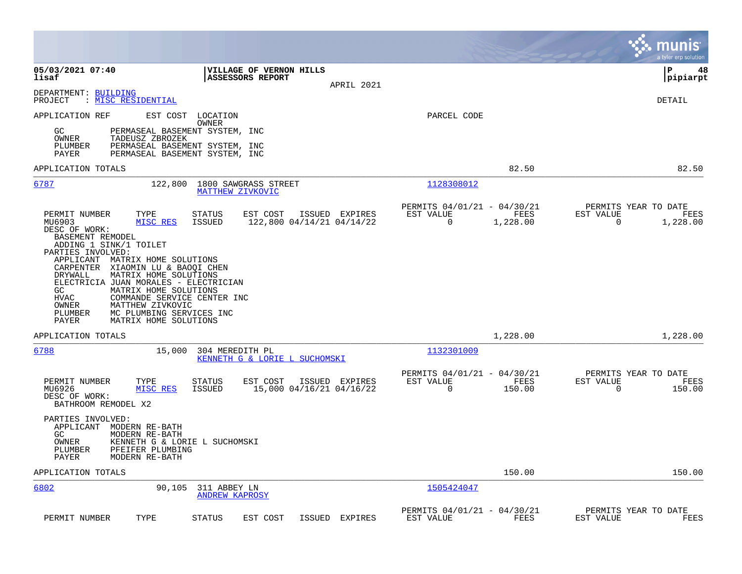|                                                                                                                                                                                                                                                                                                                                                                                                                                                                                                                                                        |                                                                             | munis<br>a tyler erp solution                                        |
|--------------------------------------------------------------------------------------------------------------------------------------------------------------------------------------------------------------------------------------------------------------------------------------------------------------------------------------------------------------------------------------------------------------------------------------------------------------------------------------------------------------------------------------------------------|-----------------------------------------------------------------------------|----------------------------------------------------------------------|
| 05/03/2021 07:40<br>VILLAGE OF VERNON HILLS<br>lisaf<br><b>ASSESSORS REPORT</b><br>APRIL 2021                                                                                                                                                                                                                                                                                                                                                                                                                                                          |                                                                             | l P<br>48<br> pipiarpt                                               |
| DEPARTMENT: BUILDING<br>PROJECT<br>: MISC RESIDENTIAL                                                                                                                                                                                                                                                                                                                                                                                                                                                                                                  |                                                                             | <b>DETAIL</b>                                                        |
| EST COST LOCATION<br>APPLICATION REF<br>OWNER<br>GC<br>PERMASEAL BASEMENT SYSTEM, INC<br>OWNER<br>TADEUSZ ZBROZEK<br>PERMASEAL BASEMENT SYSTEM, INC<br>PLUMBER<br>PERMASEAL BASEMENT SYSTEM, INC<br>PAYER                                                                                                                                                                                                                                                                                                                                              | PARCEL CODE                                                                 |                                                                      |
| APPLICATION TOTALS                                                                                                                                                                                                                                                                                                                                                                                                                                                                                                                                     | 82.50                                                                       | 82.50                                                                |
| 6787<br>122,800<br>1800 SAWGRASS STREET<br>MATTHEW ZIVKOVIC                                                                                                                                                                                                                                                                                                                                                                                                                                                                                            | 1128308012                                                                  |                                                                      |
| EST COST<br>PERMIT NUMBER<br>TYPE<br>STATUS<br>ISSUED EXPIRES<br>MISC RES<br>ISSUED<br>122,800 04/14/21 04/14/22<br>MU6903<br>DESC OF WORK:<br>BASEMENT REMODEL<br>ADDING 1 SINK/1 TOILET<br>PARTIES INVOLVED:<br>APPLICANT MATRIX HOME SOLUTIONS<br>CARPENTER XIAOMIN LU & BAOQI CHEN<br>DRYWALL<br>MATRIX HOME SOLUTIONS<br>ELECTRICIA JUAN MORALES - ELECTRICIAN<br>MATRIX HOME SOLUTIONS<br>GC<br><b>HVAC</b><br>COMMANDE SERVICE CENTER INC<br>OWNER<br>MATTHEW ZIVKOVIC<br>PLUMBER<br>MC PLUMBING SERVICES INC<br>MATRIX HOME SOLUTIONS<br>PAYER | PERMITS 04/01/21 - 04/30/21<br>EST VALUE<br>FEES<br>$\mathbf 0$<br>1,228.00 | PERMITS YEAR TO DATE<br>EST VALUE<br>FEES<br>$\mathbf 0$<br>1,228.00 |
| APPLICATION TOTALS                                                                                                                                                                                                                                                                                                                                                                                                                                                                                                                                     | 1,228.00                                                                    | 1,228.00                                                             |
| 6788<br>15,000<br>304 MEREDITH PL<br>KENNETH G & LORIE L SUCHOMSKI<br>PERMIT NUMBER<br>EST COST<br>ISSUED EXPIRES<br>TYPE<br>STATUS                                                                                                                                                                                                                                                                                                                                                                                                                    | 1132301009<br>PERMITS 04/01/21 - 04/30/21<br>EST VALUE<br>FEES              | PERMITS YEAR TO DATE<br>EST VALUE<br>FEES                            |
| MU6926<br>MISC RES<br>ISSUED<br>15,000 04/16/21 04/16/22<br>DESC OF WORK:<br>BATHROOM REMODEL X2<br>PARTIES INVOLVED:<br>APPLICANT MODERN RE-BATH<br>GC<br>MODERN RE-BATH<br>OWNER<br>KENNETH G & LORIE L SUCHOMSKI<br>PFEIFER PLUMBING<br>PLUMBER<br>PAYER<br>MODERN RE-BATH                                                                                                                                                                                                                                                                          | $\mathbf 0$<br>150.00                                                       | $\Omega$<br>150.00                                                   |
| APPLICATION TOTALS                                                                                                                                                                                                                                                                                                                                                                                                                                                                                                                                     | 150.00                                                                      | 150.00                                                               |
| 6802<br>90,105<br>311 ABBEY LN<br><b>ANDREW KAPROSY</b>                                                                                                                                                                                                                                                                                                                                                                                                                                                                                                | 1505424047                                                                  |                                                                      |
| PERMIT NUMBER<br>TYPE<br><b>STATUS</b><br>EST COST<br>ISSUED EXPIRES                                                                                                                                                                                                                                                                                                                                                                                                                                                                                   | PERMITS 04/01/21 - 04/30/21<br>EST VALUE<br>FEES                            | PERMITS YEAR TO DATE<br>EST VALUE<br>FEES                            |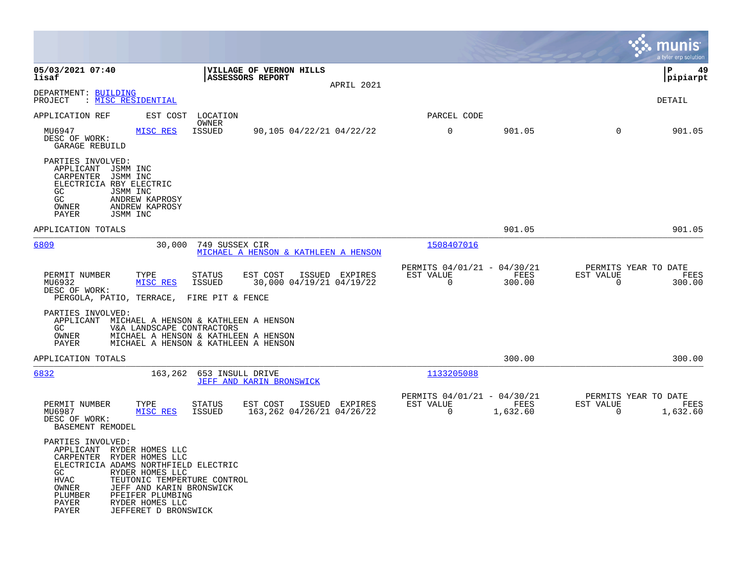|                                                                                                                                                                                                                                                                                                                       |                                                           |                                                      |                  |                                                  | munis<br>a tyler erp solution |
|-----------------------------------------------------------------------------------------------------------------------------------------------------------------------------------------------------------------------------------------------------------------------------------------------------------------------|-----------------------------------------------------------|------------------------------------------------------|------------------|--------------------------------------------------|-------------------------------|
| 05/03/2021 07:40<br>lisaf                                                                                                                                                                                                                                                                                             | VILLAGE OF VERNON HILLS<br>ASSESSORS REPORT<br>APRIL 2021 |                                                      |                  |                                                  | l P<br>49<br> pipiarpt        |
| DEPARTMENT: BUILDING<br>: MISC RESIDENTIAL<br>PROJECT                                                                                                                                                                                                                                                                 |                                                           |                                                      |                  |                                                  | <b>DETAIL</b>                 |
| APPLICATION REF<br>EST COST<br>LOCATION<br>OWNER                                                                                                                                                                                                                                                                      |                                                           | PARCEL CODE                                          |                  |                                                  |                               |
| MU6947<br>MISC RES<br><b>ISSUED</b><br>DESC OF WORK:<br>GARAGE REBUILD                                                                                                                                                                                                                                                | 90,105 04/22/21 04/22/22                                  | $\mathbf 0$                                          | 901.05           | $\Omega$                                         | 901.05                        |
| PARTIES INVOLVED:<br>APPLICANT<br>JSMM INC<br>CARPENTER<br>JSMM INC<br>ELECTRICIA RBY ELECTRIC<br>GC.<br>JSMM INC<br>GC<br>ANDREW KAPROSY<br>OWNER<br>ANDREW KAPROSY<br>PAYER<br>JSMM INC                                                                                                                             |                                                           |                                                      |                  |                                                  |                               |
| APPLICATION TOTALS                                                                                                                                                                                                                                                                                                    |                                                           |                                                      | 901.05           |                                                  | 901.05                        |
| 6809<br>30,000                                                                                                                                                                                                                                                                                                        | 749 SUSSEX CIR<br>MICHAEL A HENSON & KATHLEEN A HENSON    | 1508407016                                           |                  |                                                  |                               |
| PERMIT NUMBER<br>TYPE<br><b>STATUS</b><br>MISC RES<br>MU6932<br><b>ISSUED</b><br>DESC OF WORK:<br>PERGOLA, PATIO, TERRACE,<br>FIRE PIT & FENCE                                                                                                                                                                        | EST COST<br>ISSUED EXPIRES<br>30,000 04/19/21 04/19/22    | PERMITS 04/01/21 - 04/30/21<br>EST VALUE<br>$\Omega$ | FEES<br>300.00   | PERMITS YEAR TO DATE<br>EST VALUE<br>$\Omega$    | FEES<br>300.00                |
| PARTIES INVOLVED:<br>APPLICANT MICHAEL A HENSON & KATHLEEN A HENSON<br>V&A LANDSCAPE CONTRACTORS<br>GC.<br>OWNER<br>MICHAEL A HENSON & KATHLEEN A HENSON<br>PAYER<br>MICHAEL A HENSON & KATHLEEN A HENSON                                                                                                             |                                                           |                                                      |                  |                                                  |                               |
| APPLICATION TOTALS                                                                                                                                                                                                                                                                                                    |                                                           |                                                      | 300.00           |                                                  | 300.00                        |
| 6832<br>163,262                                                                                                                                                                                                                                                                                                       | 653 INSULL DRIVE<br>JEFF AND KARIN BRONSWICK              | 1133205088                                           |                  |                                                  |                               |
| PERMIT NUMBER<br>TYPE<br><b>STATUS</b><br>MU6987<br>MISC RES<br>ISSUED<br>DESC OF WORK:<br>BASEMENT REMODEL                                                                                                                                                                                                           | EST COST<br>ISSUED EXPIRES<br>163,262 04/26/21 04/26/22   | PERMITS 04/01/21 - 04/30/21<br>EST VALUE<br>0        | FEES<br>1,632.60 | PERMITS YEAR TO DATE<br>EST VALUE<br>$\mathbf 0$ | FEES<br>1,632.60              |
| PARTIES INVOLVED:<br>APPLICANT RYDER HOMES LLC<br>CARPENTER RYDER HOMES LLC<br>ELECTRICIA ADAMS NORTHFIELD ELECTRIC<br>GC.<br>RYDER HOMES LLC<br>HVAC<br>TEUTONIC TEMPERTURE CONTROL<br>JEFF AND KARIN BRONSWICK<br>OWNER<br>PFEIFER PLUMBING<br>PLUMBER<br>PAYER<br>RYDER HOMES LLC<br>PAYER<br>JEFFERET D BRONSWICK |                                                           |                                                      |                  |                                                  |                               |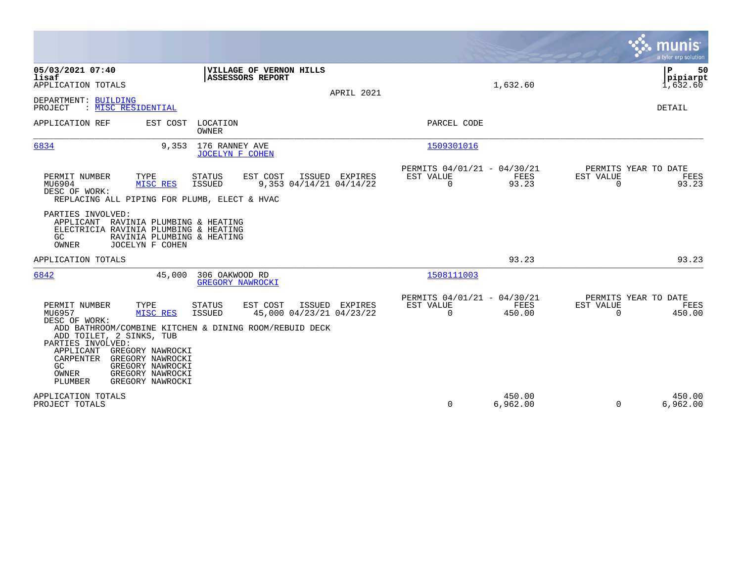|                                                                                                                                                                                                                                                                                                                                                                                                            |                |                                                                          | munis<br>a tyler erp solution                                   |
|------------------------------------------------------------------------------------------------------------------------------------------------------------------------------------------------------------------------------------------------------------------------------------------------------------------------------------------------------------------------------------------------------------|----------------|--------------------------------------------------------------------------|-----------------------------------------------------------------|
| 05/03/2021 07:40<br>VILLAGE OF VERNON HILLS<br><b>ASSESSORS REPORT</b><br>lisaf<br>APPLICATION TOTALS                                                                                                                                                                                                                                                                                                      | APRIL 2021     | 1,632.60                                                                 | ΙP<br>50<br> pipiarpt<br>1,632.60                               |
| DEPARTMENT: BUILDING<br>: MISC RESIDENTIAL<br>PROJECT                                                                                                                                                                                                                                                                                                                                                      |                |                                                                          | DETAIL                                                          |
| APPLICATION REF<br>EST COST<br>LOCATION<br><b>OWNER</b>                                                                                                                                                                                                                                                                                                                                                    |                | PARCEL CODE                                                              |                                                                 |
| 6834<br>9,353 176 RANNEY AVE<br><b>JOCELYN F COHEN</b>                                                                                                                                                                                                                                                                                                                                                     |                | 1509301016                                                               |                                                                 |
| PERMIT NUMBER<br>TYPE<br><b>STATUS</b><br>EST COST<br>MU6904<br>MISC RES<br>$9,353$ $04/14/21$ $04/14/22$<br>ISSUED<br>DESC OF WORK:<br>REPLACING ALL PIPING FOR PLUMB, ELECT & HVAC                                                                                                                                                                                                                       | ISSUED EXPIRES | PERMITS 04/01/21 - 04/30/21<br>EST VALUE<br>FEES<br>93.23<br>$\mathbf 0$ | PERMITS YEAR TO DATE<br>EST VALUE<br>FEES<br>$\Omega$<br>93.23  |
| PARTIES INVOLVED:<br>APPLICANT RAVINIA PLUMBING & HEATING<br>ELECTRICIA RAVINIA PLUMBING & HEATING<br>GC<br>RAVINIA PLUMBING & HEATING<br>OWNER<br>JOCELYN F COHEN                                                                                                                                                                                                                                         |                |                                                                          |                                                                 |
| APPLICATION TOTALS                                                                                                                                                                                                                                                                                                                                                                                         |                | 93.23                                                                    | 93.23                                                           |
| 6842<br>306 OAKWOOD RD<br>45,000<br><b>GREGORY NAWROCKI</b>                                                                                                                                                                                                                                                                                                                                                |                | 1508111003                                                               |                                                                 |
| PERMIT NUMBER<br>TYPE<br>EST COST<br><b>STATUS</b><br>MU6957<br>45,000 04/23/21 04/23/22<br>MISC RES<br><b>ISSUED</b><br>DESC OF WORK:<br>ADD BATHROOM/COMBINE KITCHEN & DINING ROOM/REBUID DECK<br>ADD TOILET, 2 SINKS, TUB<br>PARTIES INVOLVED:<br>APPLICANT<br>GREGORY NAWROCKI<br>CARPENTER<br>GREGORY NAWROCKI<br>GREGORY NAWROCKI<br>GC.<br>GREGORY NAWROCKI<br>OWNER<br>GREGORY NAWROCKI<br>PLUMBER | ISSUED EXPIRES | PERMITS 04/01/21 - 04/30/21<br>EST VALUE<br>FEES<br>$\Omega$<br>450.00   | PERMITS YEAR TO DATE<br>EST VALUE<br>FEES<br>$\Omega$<br>450.00 |
| APPLICATION TOTALS<br>PROJECT TOTALS                                                                                                                                                                                                                                                                                                                                                                       |                | 450.00<br>0<br>6,962.00                                                  | 450.00<br>6,962.00<br>$\Omega$                                  |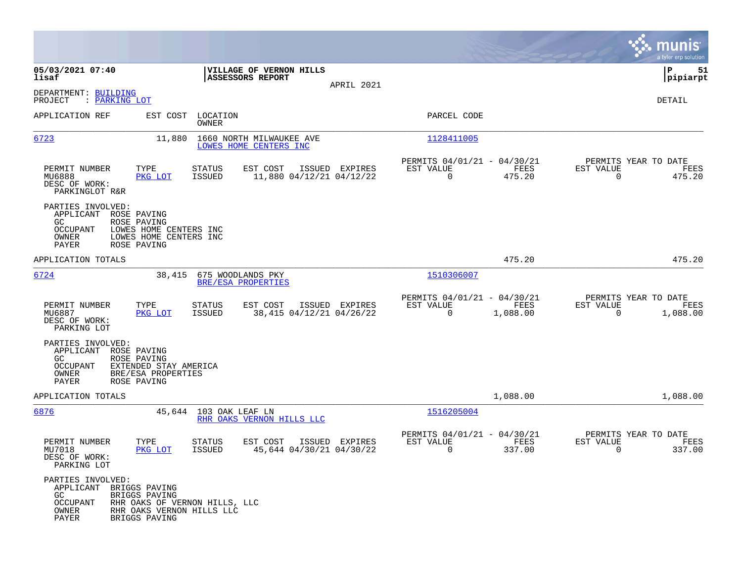|                                                                                  |                                                                                               |                         |                                                    |                |                                                         |                  |                                                  | munis<br>a tyler erp solution |
|----------------------------------------------------------------------------------|-----------------------------------------------------------------------------------------------|-------------------------|----------------------------------------------------|----------------|---------------------------------------------------------|------------------|--------------------------------------------------|-------------------------------|
| 05/03/2021 07:40<br>lisaf                                                        |                                                                                               |                         | VILLAGE OF VERNON HILLS<br>ASSESSORS REPORT        |                |                                                         |                  |                                                  | ΙP<br>51<br> pipiarpt         |
| DEPARTMENT: BUILDING<br>PROJECT<br>: <u>PARKING LOT</u>                          |                                                                                               |                         |                                                    | APRIL 2021     |                                                         |                  |                                                  | DETAIL                        |
| APPLICATION REF                                                                  | EST COST                                                                                      | LOCATION<br>OWNER       |                                                    |                | PARCEL CODE                                             |                  |                                                  |                               |
| 6723                                                                             | 11,880                                                                                        |                         | 1660 NORTH MILWAUKEE AVE<br>LOWES HOME CENTERS INC |                | 1128411005                                              |                  |                                                  |                               |
| PERMIT NUMBER<br>MU6888<br>DESC OF WORK:<br>PARKINGLOT R&R                       | TYPE<br>PKG LOT                                                                               | STATUS<br>ISSUED        | EST COST<br>11,880 04/12/21 04/12/22               | ISSUED EXPIRES | PERMITS 04/01/21 - 04/30/21<br>EST VALUE<br>$\mathbf 0$ | FEES<br>475.20   | PERMITS YEAR TO DATE<br>EST VALUE<br>$\Omega$    | FEES<br>475.20                |
| PARTIES INVOLVED:<br>APPLICANT<br>GC.<br>OCCUPANT<br>OWNER<br>PAYER              | ROSE PAVING<br>ROSE PAVING<br>LOWES HOME CENTERS INC<br>LOWES HOME CENTERS INC<br>ROSE PAVING |                         |                                                    |                |                                                         |                  |                                                  |                               |
| APPLICATION TOTALS                                                               |                                                                                               |                         |                                                    |                |                                                         | 475.20           |                                                  | 475.20                        |
| 6724                                                                             | 38,415                                                                                        |                         | 675 WOODLANDS PKY<br>BRE/ESA PROPERTIES            |                | 1510306007                                              |                  |                                                  |                               |
| PERMIT NUMBER<br>MU6887<br>DESC OF WORK:<br>PARKING LOT                          | TYPE<br>PKG LOT                                                                               | STATUS<br>ISSUED        | EST COST<br>38,415 04/12/21 04/26/22               | ISSUED EXPIRES | PERMITS 04/01/21 - 04/30/21<br>EST VALUE<br>$\mathbf 0$ | FEES<br>1,088.00 | PERMITS YEAR TO DATE<br>EST VALUE<br>$\mathbf 0$ | FEES<br>1,088.00              |
| PARTIES INVOLVED:<br>APPLICANT ROSE PAVING<br>GC.<br>OCCUPANT<br>OWNER<br>PAYER  | ROSE PAVING<br>EXTENDED STAY AMERICA<br>BRE/ESA PROPERTIES<br>ROSE PAVING                     |                         |                                                    |                |                                                         |                  |                                                  |                               |
| APPLICATION TOTALS                                                               |                                                                                               |                         |                                                    |                |                                                         | 1,088.00         |                                                  | 1,088.00                      |
| 6876                                                                             |                                                                                               | 45,644 103 OAK LEAF LN  | RHR OAKS VERNON HILLS LLC                          |                | 1516205004                                              |                  |                                                  |                               |
| PERMIT NUMBER<br>MU7018<br>DESC OF WORK:<br>PARKING LOT                          | TYPE<br>PKG LOT                                                                               | STATUS<br><b>ISSUED</b> | EST COST<br>45,644 04/30/21 04/30/22               | ISSUED EXPIRES | PERMITS 04/01/21 - 04/30/21<br>EST VALUE<br>0           | FEES<br>337.00   | PERMITS YEAR TO DATE<br>EST VALUE<br>0           | FEES<br>337.00                |
| PARTIES INVOLVED:<br>APPLICANT BRIGGS PAVING<br>GC<br>OCCUPANT<br>OWNER<br>PAYER | BRIGGS PAVING<br>RHR OAKS OF VERNON HILLS, LLC<br>RHR OAKS VERNON HILLS LLC<br>BRIGGS PAVING  |                         |                                                    |                |                                                         |                  |                                                  |                               |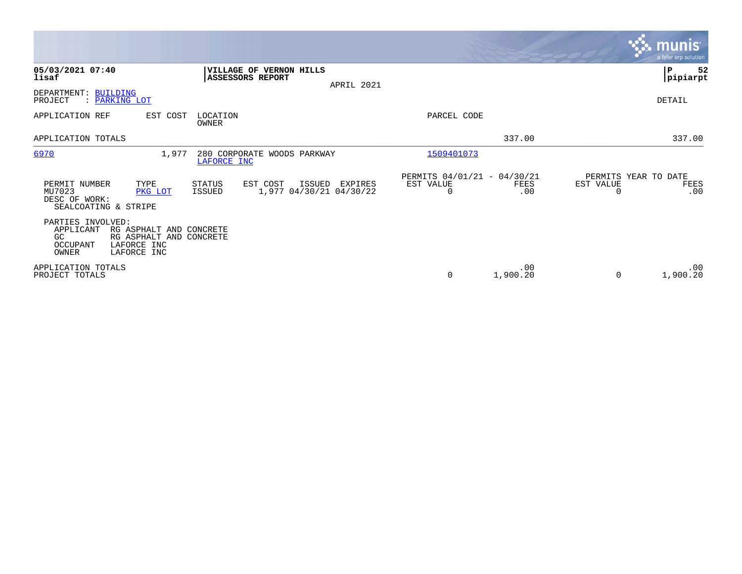|                                                                                                                                               |                                                                              |                                                              | <b>munis</b><br>a tyler erp solution             |
|-----------------------------------------------------------------------------------------------------------------------------------------------|------------------------------------------------------------------------------|--------------------------------------------------------------|--------------------------------------------------|
| 05/03/2021 07:40<br>lisaf                                                                                                                     | VILLAGE OF VERNON HILLS<br><b>ASSESSORS REPORT</b><br>APRIL 2021             |                                                              | 52<br>∣P<br> pipiarpt                            |
| DEPARTMENT: BUILDING<br>PROJECT<br>: PARKING LOT                                                                                              |                                                                              |                                                              | DETAIL                                           |
| EST COST<br>APPLICATION REF                                                                                                                   | LOCATION<br>OWNER                                                            | PARCEL CODE                                                  |                                                  |
| APPLICATION TOTALS                                                                                                                            |                                                                              | 337.00                                                       | 337.00                                           |
| 6970                                                                                                                                          | 1,977<br>280 CORPORATE WOODS PARKWAY<br>LAFORCE INC                          | 1509401073                                                   |                                                  |
| TYPE<br>PERMIT NUMBER<br>MU7023<br>PKG LOT<br>DESC OF WORK:<br>SEALCOATING & STRIPE                                                           | STATUS<br>EST COST<br>ISSUED<br>EXPIRES<br>1,977 04/30/21 04/30/22<br>ISSUED | PERMITS 04/01/21 - 04/30/21<br>EST VALUE<br>FEES<br>.00<br>0 | PERMITS YEAR TO DATE<br>EST VALUE<br>FEES<br>.00 |
| PARTIES INVOLVED:<br>APPLICANT<br>RG ASPHALT AND CONCRETE<br>RG ASPHALT AND CONCRETE<br>GC<br>OCCUPANT<br>LAFORCE INC<br>OWNER<br>LAFORCE INC |                                                                              |                                                              |                                                  |
| APPLICATION TOTALS<br>PROJECT TOTALS                                                                                                          |                                                                              | .00<br>1,900.20<br>0                                         | .00<br>1,900.20                                  |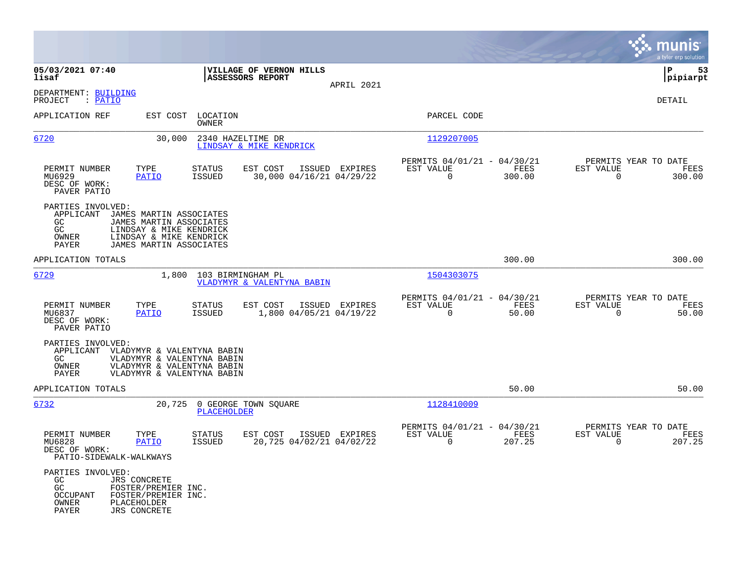|                                                                     |                                                                                                                                     |                                |                                                 |                |                                                         |                |                                                  | munis<br>a tyler erp solution |
|---------------------------------------------------------------------|-------------------------------------------------------------------------------------------------------------------------------------|--------------------------------|-------------------------------------------------|----------------|---------------------------------------------------------|----------------|--------------------------------------------------|-------------------------------|
| 05/03/2021 07:40<br>lisaf                                           |                                                                                                                                     |                                | VILLAGE OF VERNON HILLS<br>ASSESSORS REPORT     | APRIL 2021     |                                                         |                |                                                  | P<br>53<br> pipiarpt          |
| DEPARTMENT: BUILDING<br>: PATIO<br>PROJECT                          |                                                                                                                                     |                                |                                                 |                |                                                         |                |                                                  | DETAIL                        |
| APPLICATION REF                                                     | EST COST                                                                                                                            | LOCATION<br>OWNER              |                                                 |                | PARCEL CODE                                             |                |                                                  |                               |
| 6720                                                                | 30,000                                                                                                                              |                                | 2340 HAZELTIME DR<br>LINDSAY & MIKE KENDRICK    |                | 1129207005                                              |                |                                                  |                               |
| PERMIT NUMBER<br>MU6929<br>DESC OF WORK:<br>PAVER PATIO             | TYPE<br><b>PATIO</b>                                                                                                                | <b>STATUS</b><br>ISSUED        | EST COST<br>30,000 04/16/21 04/29/22            | ISSUED EXPIRES | PERMITS 04/01/21 - 04/30/21<br>EST VALUE<br>$\mathbf 0$ | FEES<br>300.00 | PERMITS YEAR TO DATE<br>EST VALUE<br>0           | FEES<br>300.00                |
| PARTIES INVOLVED:<br>APPLICANT<br>GC<br>GC<br>OWNER<br>PAYER        | JAMES MARTIN ASSOCIATES<br>JAMES MARTIN ASSOCIATES<br>LINDSAY & MIKE KENDRICK<br>LINDSAY & MIKE KENDRICK<br>JAMES MARTIN ASSOCIATES |                                |                                                 |                |                                                         |                |                                                  |                               |
| APPLICATION TOTALS                                                  |                                                                                                                                     |                                |                                                 |                |                                                         | 300.00         |                                                  | 300.00                        |
| 6729                                                                | 1,800                                                                                                                               |                                | 103 BIRMINGHAM PL<br>VLADYMYR & VALENTYNA BABIN |                | 1504303075                                              |                |                                                  |                               |
| PERMIT NUMBER<br>MU6837<br>DESC OF WORK:<br>PAVER PATIO             | TYPE<br>PATIO                                                                                                                       | <b>STATUS</b><br><b>ISSUED</b> | EST COST<br>1,800 04/05/21 04/19/22             | ISSUED EXPIRES | PERMITS 04/01/21 - 04/30/21<br>EST VALUE<br>$\mathbf 0$ | FEES<br>50.00  | PERMITS YEAR TO DATE<br>EST VALUE<br>0           | FEES<br>50.00                 |
| PARTIES INVOLVED:<br>APPLICANT<br>GC<br>OWNER<br>PAYER              | VLADYMYR & VALENTYNA BABIN<br>VLADYMYR & VALENTYNA BABIN<br>VLADYMYR & VALENTYNA BABIN<br>VLADYMYR & VALENTYNA BABIN                |                                |                                                 |                |                                                         |                |                                                  |                               |
| APPLICATION TOTALS                                                  |                                                                                                                                     |                                |                                                 |                |                                                         | 50.00          |                                                  | 50.00                         |
| 6732                                                                | 20,725                                                                                                                              | PLACEHOLDER                    | 0 GEORGE TOWN SQUARE                            |                | 1128410009                                              |                |                                                  |                               |
| PERMIT NUMBER<br>MU6828<br>DESC OF WORK:<br>PATIO-SIDEWALK-WALKWAYS | TYPE<br><b>PATIO</b>                                                                                                                | <b>STATUS</b><br><b>ISSUED</b> | EST COST<br>20,725 04/02/21 04/02/22            | ISSUED EXPIRES | PERMITS 04/01/21 - 04/30/21<br>EST VALUE<br>$\mathbf 0$ | FEES<br>207.25 | PERMITS YEAR TO DATE<br>EST VALUE<br>$\mathbf 0$ | FEES<br>207.25                |
| PARTIES INVOLVED:<br>GC<br>GC<br>OCCUPANT<br>OWNER<br>PAYER         | <b>JRS CONCRETE</b><br>FOSTER/PREMIER INC.<br>FOSTER/PREMIER INC.<br>PLACEHOLDER<br><b>JRS CONCRETE</b>                             |                                |                                                 |                |                                                         |                |                                                  |                               |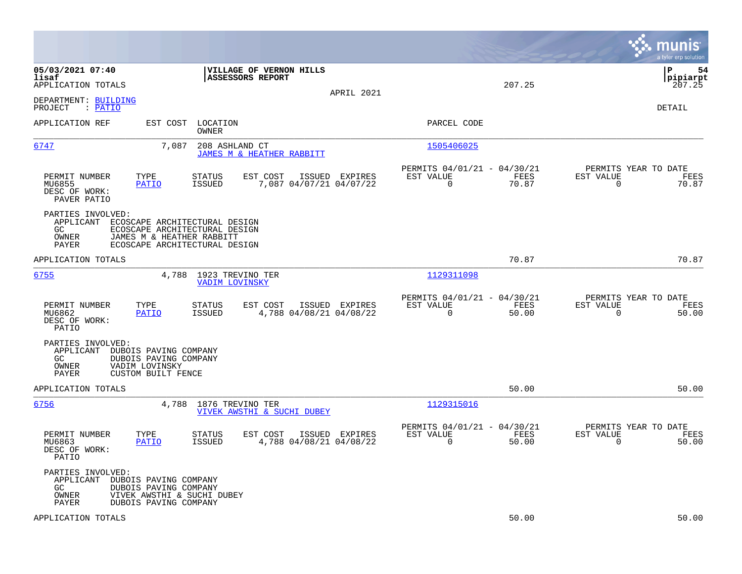|                                                                                                                                                                                        |                                                                          | munis<br>a tyler erp solution                                     |
|----------------------------------------------------------------------------------------------------------------------------------------------------------------------------------------|--------------------------------------------------------------------------|-------------------------------------------------------------------|
| 05/03/2021 07:40<br>VILLAGE OF VERNON HILLS<br>lisaf<br>ASSESSORS REPORT<br>APPLICATION TOTALS<br>APRIL 2021                                                                           | 207.25                                                                   | lР<br>54<br> pipiarpt<br>207.25                                   |
| DEPARTMENT: BUILDING<br>: PATIO<br>PROJECT                                                                                                                                             |                                                                          | DETAIL                                                            |
| EST COST<br>LOCATION<br>APPLICATION REF<br>OWNER                                                                                                                                       | PARCEL CODE                                                              |                                                                   |
| 6747<br>7,087<br>208 ASHLAND CT<br>JAMES M & HEATHER RABBITT                                                                                                                           | 1505406025                                                               |                                                                   |
| PERMIT NUMBER<br>TYPE<br>EST COST<br>ISSUED EXPIRES<br>STATUS<br><b>ISSUED</b><br>7,087 04/07/21 04/07/22<br>MU6855<br>PATIO<br>DESC OF WORK:<br>PAVER PATIO                           | PERMITS 04/01/21 - 04/30/21<br>EST VALUE<br>FEES<br>$\Omega$<br>70.87    | PERMITS YEAR TO DATE<br>EST VALUE<br>FEES<br>$\Omega$<br>70.87    |
| PARTIES INVOLVED:<br>APPLICANT<br>ECOSCAPE ARCHITECTURAL DESIGN<br>GC<br>ECOSCAPE ARCHITECTURAL DESIGN<br>OWNER<br>JAMES M & HEATHER RABBITT<br>PAYER<br>ECOSCAPE ARCHITECTURAL DESIGN |                                                                          |                                                                   |
| APPLICATION TOTALS                                                                                                                                                                     | 70.87                                                                    | 70.87                                                             |
| 6755<br>4,788<br>1923 TREVINO TER<br><b>VADIM LOVINSKY</b>                                                                                                                             | 1129311098                                                               |                                                                   |
| PERMIT NUMBER<br>TYPE<br><b>STATUS</b><br>EST COST<br>ISSUED EXPIRES<br>PATIO<br><b>ISSUED</b><br>4,788 04/08/21 04/08/22<br>MU6862<br>DESC OF WORK:<br>PATIO                          | PERMITS 04/01/21 - 04/30/21<br>EST VALUE<br>FEES<br>0<br>50.00           | PERMITS YEAR TO DATE<br>EST VALUE<br>FEES<br>50.00<br>$\mathbf 0$ |
| PARTIES INVOLVED:<br>APPLICANT<br>DUBOIS PAVING COMPANY<br>GC<br>DUBOIS PAVING COMPANY<br>OWNER<br>VADIM LOVINSKY<br>PAYER<br>CUSTOM BUILT FENCE                                       |                                                                          |                                                                   |
| APPLICATION TOTALS                                                                                                                                                                     | 50.00                                                                    | 50.00                                                             |
| 6756<br>4,788<br>1876 TREVINO TER<br>VIVEK AWSTHI & SUCHI DUBEY                                                                                                                        | 1129315016                                                               |                                                                   |
| PERMIT NUMBER<br>TYPE<br><b>STATUS</b><br>EST COST<br>ISSUED EXPIRES<br><b>ISSUED</b><br>4,788 04/08/21 04/08/22<br>MU6863<br><b>PATIO</b><br>DESC OF WORK:<br>PATIO                   | PERMITS 04/01/21 - 04/30/21<br>EST VALUE<br>FEES<br>$\mathbf 0$<br>50.00 | PERMITS YEAR TO DATE<br>EST VALUE<br>FEES<br>$\mathbf 0$<br>50.00 |
| PARTIES INVOLVED:<br>APPLICANT<br>DUBOIS PAVING COMPANY<br>GC.<br>DUBOIS PAVING COMPANY<br>OWNER<br>VIVEK AWSTHI & SUCHI DUBEY<br>DUBOIS PAVING COMPANY<br>PAYER                       |                                                                          |                                                                   |
| APPLICATION TOTALS                                                                                                                                                                     | 50.00                                                                    | 50.00                                                             |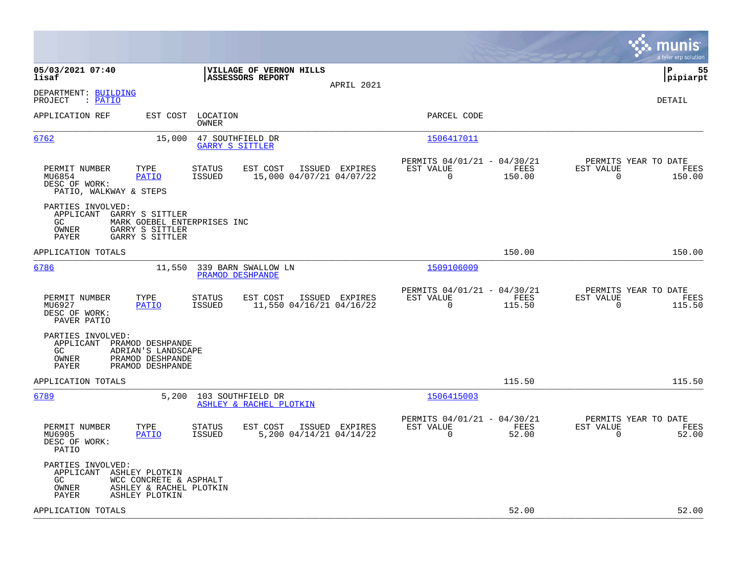|                                                                                                                                                                                 | munis<br>a tyler erp solution                                                                                                                   |
|---------------------------------------------------------------------------------------------------------------------------------------------------------------------------------|-------------------------------------------------------------------------------------------------------------------------------------------------|
| 05/03/2021 07:40<br>VILLAGE OF VERNON HILLS<br><b>ASSESSORS REPORT</b><br>lisaf<br>APRIL 2021                                                                                   | lР<br>55<br> pipiarpt                                                                                                                           |
| DEPARTMENT: BUILDING<br>: PATIO<br>PROJECT                                                                                                                                      | DETAIL                                                                                                                                          |
| APPLICATION REF<br>EST COST LOCATION<br>OWNER                                                                                                                                   | PARCEL CODE                                                                                                                                     |
| 6762<br>15,000<br>47 SOUTHFIELD DR<br>GARRY S SITTLER                                                                                                                           | 1506417011                                                                                                                                      |
| PERMIT NUMBER<br>TYPE<br><b>STATUS</b><br>EST COST<br>ISSUED EXPIRES<br><b>PATIO</b><br>ISSUED<br>15,000 04/07/21 04/07/22<br>MU6854<br>DESC OF WORK:<br>PATIO, WALKWAY & STEPS | PERMITS 04/01/21 - 04/30/21<br>PERMITS YEAR TO DATE<br>EST VALUE<br>EST VALUE<br>FEES<br>FEES<br>$\mathbf 0$<br>150.00<br>$\mathbf 0$<br>150.00 |
| PARTIES INVOLVED:<br>APPLICANT<br>GARRY S SITTLER<br>GC<br>MARK GOEBEL ENTERPRISES INC<br>OWNER<br>GARRY S SITTLER<br>PAYER<br>GARRY S SITTLER                                  |                                                                                                                                                 |
| APPLICATION TOTALS                                                                                                                                                              | 150.00<br>150.00                                                                                                                                |
| 6786<br>11,550<br>339 BARN SWALLOW LN<br>PRAMOD DESHPANDE                                                                                                                       | 1509106009                                                                                                                                      |
| PERMIT NUMBER<br>TYPE<br><b>STATUS</b><br>EST COST<br>ISSUED EXPIRES<br>MU6927<br>PATIO<br>ISSUED<br>11,550 04/16/21 04/16/22<br>DESC OF WORK:<br>PAVER PATIO                   | PERMITS 04/01/21 - 04/30/21<br>PERMITS YEAR TO DATE<br>EST VALUE<br>FEES<br>EST VALUE<br>FEES<br>$\mathbf 0$<br>115.50<br>115.50<br>0           |
| PARTIES INVOLVED:<br>APPLICANT PRAMOD DESHPANDE<br>GC<br>ADRIAN'S LANDSCAPE<br>OWNER<br>PRAMOD DESHPANDE<br><b>PAYER</b><br>PRAMOD DESHPANDE                                    |                                                                                                                                                 |
| APPLICATION TOTALS                                                                                                                                                              | 115.50<br>115.50                                                                                                                                |
| 6789<br>5,200<br>103 SOUTHFIELD DR<br>ASHLEY & RACHEL PLOTKIN                                                                                                                   | 1506415003                                                                                                                                      |
| PERMIT NUMBER<br>TYPE<br>EST COST<br>ISSUED EXPIRES<br>STATUS<br>5,200 04/14/21 04/14/22<br>MU6905<br><b>PATIO</b><br><b>ISSUED</b><br>DESC OF WORK:<br>PATIO                   | PERMITS 04/01/21 - 04/30/21<br>PERMITS YEAR TO DATE<br>EST VALUE<br>FEES<br>EST VALUE<br>FEES<br>$\Omega$<br>52.00<br>$\mathbf 0$<br>52.00      |
| PARTIES INVOLVED:<br>APPLICANT ASHLEY PLOTKIN<br>GC.<br>WCC CONCRETE & ASPHALT<br>OWNER<br>ASHLEY & RACHEL PLOTKIN<br>ASHLEY PLOTKIN<br>PAYER                                   |                                                                                                                                                 |
| APPLICATION TOTALS                                                                                                                                                              | 52.00<br>52.00                                                                                                                                  |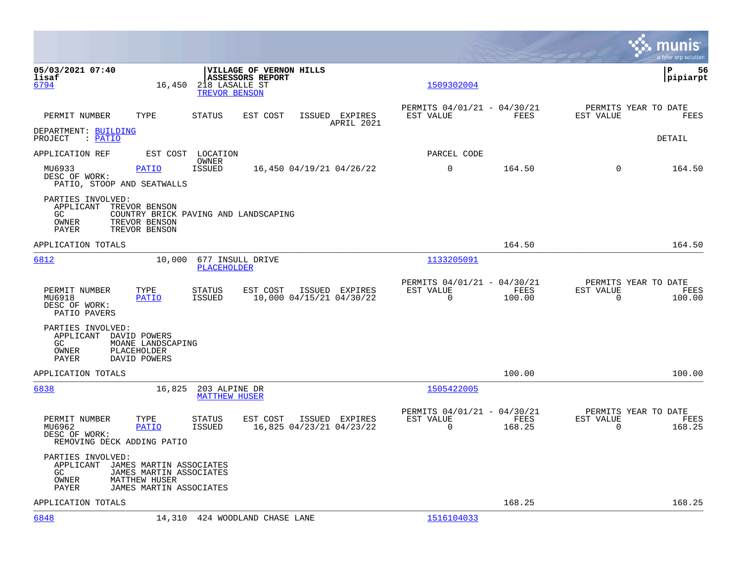|                                                                                 |                                                                            |                                       |                                                    |                                            |                                                            |                |                                               | nis<br>mu<br>a tyler erp solution |
|---------------------------------------------------------------------------------|----------------------------------------------------------------------------|---------------------------------------|----------------------------------------------------|--------------------------------------------|------------------------------------------------------------|----------------|-----------------------------------------------|-----------------------------------|
| 05/03/2021 07:40<br>lisaf<br>6794                                               | 16,450                                                                     | 218 LASALLE ST<br>TREVOR BENSON       | VILLAGE OF VERNON HILLS<br><b>ASSESSORS REPORT</b> |                                            | 1509302004                                                 |                |                                               | l P<br>56<br> pipiarpt            |
| PERMIT NUMBER                                                                   | TYPE                                                                       | STATUS                                | EST COST                                           | ISSUED EXPIRES<br>APRIL 2021               | PERMITS 04/01/21 - 04/30/21<br>EST VALUE                   | FEES           | PERMITS YEAR TO DATE<br>EST VALUE             | FEES                              |
| DEPARTMENT: BUILDING<br>PROJECT : PATIO                                         |                                                                            |                                       |                                                    |                                            |                                                            |                |                                               | DETAIL                            |
| APPLICATION REF                                                                 |                                                                            | EST COST LOCATION<br>OWNER            |                                                    |                                            | PARCEL CODE                                                |                |                                               |                                   |
| MU6933<br>DESC OF WORK:<br>PATIO, STOOP AND SEATWALLS                           | <b>PATIO</b>                                                               | ISSUED                                |                                                    | 16,450 04/19/21 04/26/22                   | 0                                                          | 164.50         | $\Omega$                                      | 164.50                            |
| PARTIES INVOLVED:<br>APPLICANT TREVOR BENSON<br>GC.<br>OWNER<br>PAYER           | COUNTRY BRICK PAVING AND LANDSCAPING<br>TREVOR BENSON<br>TREVOR BENSON     |                                       |                                                    |                                            |                                                            |                |                                               |                                   |
| APPLICATION TOTALS                                                              |                                                                            |                                       |                                                    |                                            |                                                            | 164.50         |                                               | 164.50                            |
| 6812                                                                            | 10,000                                                                     | 677 INSULL DRIVE<br>PLACEHOLDER       |                                                    |                                            | 1133205091                                                 |                |                                               |                                   |
| PERMIT NUMBER<br>MU6918<br>DESC OF WORK:<br>PATIO PAVERS                        | TYPE<br><b>PATIO</b>                                                       | STATUS<br>ISSUED                      | EST COST                                           | ISSUED EXPIRES<br>10,000 04/15/21 04/30/22 | PERMITS 04/01/21 - 04/30/21<br>EST VALUE<br>$\overline{0}$ | FEES<br>100.00 | PERMITS YEAR TO DATE<br>EST VALUE<br>0        | FEES<br>100.00                    |
| PARTIES INVOLVED:<br>APPLICANT DAVID POWERS<br>GC.<br>OWNER<br>PAYER            | MOANE LANDSCAPING<br>PLACEHOLDER<br>DAVID POWERS                           |                                       |                                                    |                                            |                                                            |                |                                               |                                   |
| APPLICATION TOTALS                                                              |                                                                            |                                       |                                                    |                                            |                                                            | 100.00         |                                               | 100.00                            |
| 6838                                                                            | 16,825                                                                     | 203 ALPINE DR<br><b>MATTHEW HUSER</b> |                                                    |                                            | 1505422005                                                 |                |                                               |                                   |
| PERMIT NUMBER<br>MU6962<br>DESC OF WORK:<br>REMOVING DECK ADDING PATIO          | TYPE<br><b>PATIO</b>                                                       | STATUS<br><b>ISSUED</b>               | EST COST                                           | ISSUED EXPIRES<br>16,825 04/23/21 04/23/22 | PERMITS 04/01/21 - 04/30/21<br>EST VALUE<br>$\Omega$       | FEES<br>168.25 | PERMITS YEAR TO DATE<br>EST VALUE<br>$\Omega$ | FEES<br>168.25                    |
| PARTIES INVOLVED:<br>APPLICANT JAMES MARTIN ASSOCIATES<br>GC.<br>OWNER<br>PAYER | JAMES MARTIN ASSOCIATES<br><b>MATTHEW HUSER</b><br>JAMES MARTIN ASSOCIATES |                                       |                                                    |                                            |                                                            |                |                                               |                                   |
| APPLICATION TOTALS                                                              |                                                                            |                                       |                                                    |                                            |                                                            | 168.25         |                                               | 168.25                            |
| 6848                                                                            |                                                                            | 14,310 424 WOODLAND CHASE LANE        |                                                    |                                            | 1516104033                                                 |                |                                               |                                   |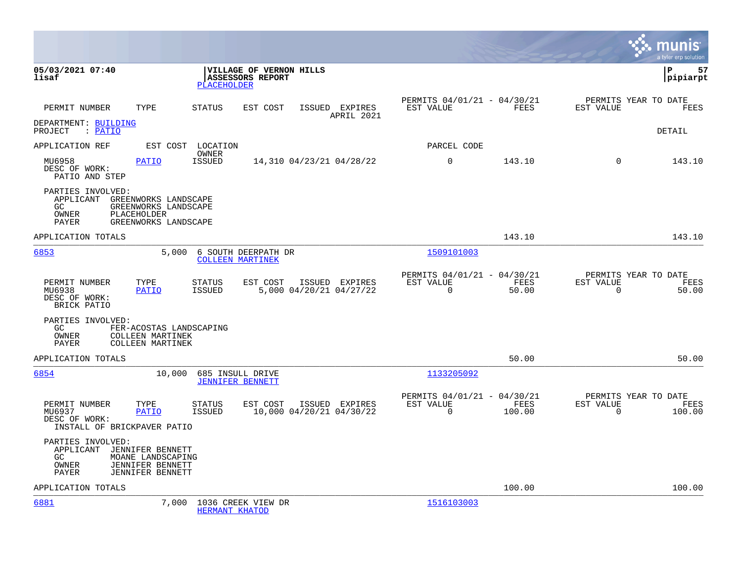|                                                                                                                                                    |                                                                          |                                            |                                               | munis<br>a tyler erp solution                                            |
|----------------------------------------------------------------------------------------------------------------------------------------------------|--------------------------------------------------------------------------|--------------------------------------------|-----------------------------------------------|--------------------------------------------------------------------------|
| 05/03/2021 07:40<br>lisaf                                                                                                                          | VILLAGE OF VERNON HILLS<br><b>ASSESSORS REPORT</b><br><b>PLACEHOLDER</b> |                                            |                                               | lР<br>57<br> pipiarpt                                                    |
| PERMIT NUMBER<br>TYPE                                                                                                                              | <b>STATUS</b><br>EST COST                                                | ISSUED EXPIRES<br>EST VALUE<br>APRIL 2021  | PERMITS 04/01/21 - 04/30/21<br>FEES           | PERMITS YEAR TO DATE<br><b>EST VALUE</b><br>FEES                         |
| DEPARTMENT: BUILDING<br>PROJECT : PATIO                                                                                                            |                                                                          |                                            |                                               | DETAIL                                                                   |
| APPLICATION REF                                                                                                                                    | EST COST LOCATION<br>OWNER                                               | PARCEL CODE                                |                                               |                                                                          |
| MU6958<br><b>PATIO</b><br>DESC OF WORK:<br>PATIO AND STEP                                                                                          | ISSUED<br>14,310 04/23/21 04/28/22                                       | $\mathbf 0$                                | 143.10                                        | $\Omega$<br>143.10                                                       |
| PARTIES INVOLVED:<br>APPLICANT GREENWORKS LANDSCAPE<br>GC.<br>GREENWORKS LANDSCAPE<br>OWNER<br>PLACEHOLDER<br><b>PAYER</b><br>GREENWORKS LANDSCAPE |                                                                          |                                            |                                               |                                                                          |
| APPLICATION TOTALS                                                                                                                                 |                                                                          |                                            | 143.10                                        | 143.10                                                                   |
| 6853                                                                                                                                               | 5,000<br>6 SOUTH DEERPATH DR<br><b>COLLEEN MARTINEK</b>                  | 1509101003                                 |                                               |                                                                          |
| PERMIT NUMBER<br>TYPE<br>MU6938<br><b>PATIO</b><br>DESC OF WORK:<br>BRICK PATIO                                                                    | <b>STATUS</b><br>EST COST<br>5,000 04/20/21 04/27/22<br>ISSUED           | EST VALUE<br>ISSUED EXPIRES<br>$\mathbf 0$ | PERMITS 04/01/21 - 04/30/21<br>FEES<br>50.00  | PERMITS YEAR TO DATE<br><b>EST VALUE</b><br>FEES<br>$\mathbf 0$<br>50.00 |
| PARTIES INVOLVED:<br>GC.<br>FER-ACOSTAS LANDSCAPING<br>OWNER<br><b>COLLEEN MARTINEK</b><br>PAYER<br><b>COLLEEN MARTINEK</b>                        |                                                                          |                                            |                                               |                                                                          |
| APPLICATION TOTALS                                                                                                                                 |                                                                          |                                            | 50.00                                         | 50.00                                                                    |
| 6854<br>10,000                                                                                                                                     | 685 INSULL DRIVE<br><b>JENNIFER BENNETT</b>                              | 1133205092                                 |                                               |                                                                          |
| PERMIT NUMBER<br>TYPE<br>MU6937<br>PATIO<br>DESC OF WORK:<br>INSTALL OF BRICKPAVER PATIO                                                           | <b>STATUS</b><br>EST COST<br>ISSUED<br>10,000 04/20/21 04/30/22          | EST VALUE<br>ISSUED EXPIRES<br>$\Omega$    | PERMITS 04/01/21 - 04/30/21<br>FEES<br>100.00 | PERMITS YEAR TO DATE<br>EST VALUE<br>FEES<br>$\Omega$<br>100.00          |
| PARTIES INVOLVED:<br>APPLICANT<br>JENNIFER BENNETT<br>GC<br>MOANE LANDSCAPING<br>OWNER<br>JENNIFER BENNETT<br>PAYER<br>JENNIFER BENNETT            |                                                                          |                                            |                                               |                                                                          |
| APPLICATION TOTALS                                                                                                                                 |                                                                          |                                            | 100.00                                        | 100.00                                                                   |
| 6881                                                                                                                                               | 7,000<br>1036 CREEK VIEW DR<br>HERMANT KHATOD                            | 1516103003                                 |                                               |                                                                          |

**College**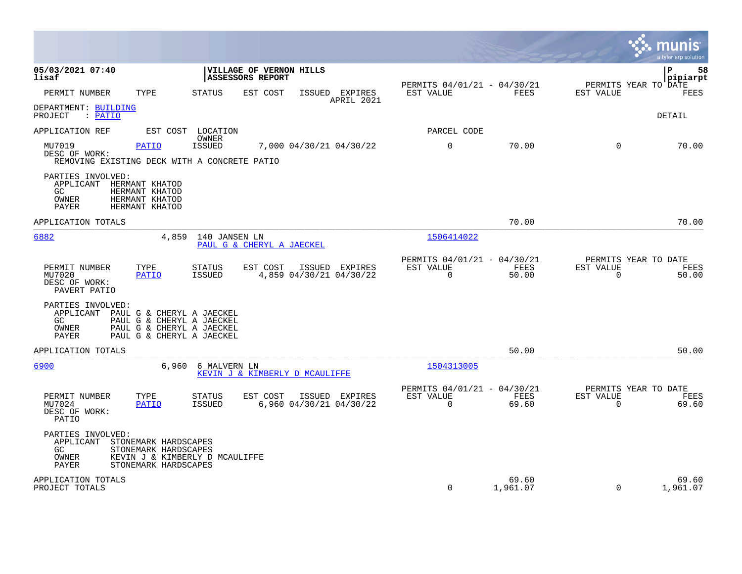|                                                                                   |                                                                                                        |                                |                                             |        |                                           |                                                      |                   |                          | munis<br>a tyler erp solution                |
|-----------------------------------------------------------------------------------|--------------------------------------------------------------------------------------------------------|--------------------------------|---------------------------------------------|--------|-------------------------------------------|------------------------------------------------------|-------------------|--------------------------|----------------------------------------------|
| 05/03/2021 07:40<br>lisaf                                                         |                                                                                                        |                                | VILLAGE OF VERNON HILLS<br>ASSESSORS REPORT |        |                                           | PERMITS 04/01/21 - 04/30/21                          |                   |                          | ΙP<br>58<br>pipiarpt<br>PERMITS YEAR TO DATE |
| PERMIT NUMBER                                                                     | TYPE                                                                                                   | <b>STATUS</b>                  | EST COST                                    |        | ISSUED EXPIRES<br>APRIL 2021              | EST VALUE                                            | FEES              | EST VALUE                | FEES                                         |
| DEPARTMENT: BUILDING<br>: PATIO<br>PROJECT                                        |                                                                                                        |                                |                                             |        |                                           |                                                      |                   |                          | <b>DETAIL</b>                                |
| APPLICATION REF                                                                   |                                                                                                        | EST COST LOCATION<br>OWNER     |                                             |        |                                           | PARCEL CODE                                          |                   |                          |                                              |
| MU7019<br>DESC OF WORK:<br>REMOVING EXISTING DECK WITH A CONCRETE PATIO           | <b>PATIO</b>                                                                                           | <b>ISSUED</b>                  |                                             |        | 7,000 04/30/21 04/30/22                   | $\mathbf 0$                                          | 70.00             | $\mathbf 0$              | 70.00                                        |
| PARTIES INVOLVED:<br>APPLICANT HERMANT KHATOD<br>GC<br>OWNER<br>PAYER             | HERMANT KHATOD<br>HERMANT KHATOD<br>HERMANT KHATOD                                                     |                                |                                             |        |                                           |                                                      |                   |                          |                                              |
| APPLICATION TOTALS                                                                |                                                                                                        |                                |                                             |        |                                           |                                                      | 70.00             |                          | 70.00                                        |
| 6882                                                                              | 4,859                                                                                                  | 140 JANSEN LN                  | PAUL G & CHERYL A JAECKEL                   |        |                                           | 1506414022                                           |                   |                          |                                              |
| PERMIT NUMBER<br>MU7020<br>DESC OF WORK:<br>PAVERT PATIO                          | TYPE<br>PATIO                                                                                          | <b>STATUS</b><br>ISSUED        | EST COST                                    | ISSUED | EXPIRES<br>4,859 04/30/21 04/30/22        | PERMITS 04/01/21 - 04/30/21<br>EST VALUE<br>0        | FEES<br>50.00     | EST VALUE<br>$\mathbf 0$ | PERMITS YEAR TO DATE<br>FEES<br>50.00        |
| PARTIES INVOLVED:<br>APPLICANT PAUL G & CHERYL A JAECKEL<br>GC.<br>OWNER<br>PAYER | PAUL G & CHERYL A JAECKEL<br>PAUL G & CHERYL A JAECKEL<br>PAUL G & CHERYL A JAECKEL                    |                                |                                             |        |                                           |                                                      |                   |                          |                                              |
| APPLICATION TOTALS                                                                |                                                                                                        |                                |                                             |        |                                           |                                                      | 50.00             |                          | 50.00                                        |
| 6900                                                                              | 6,960                                                                                                  | 6 MALVERN LN                   | KEVIN J & KIMBERLY D MCAULIFFE              |        |                                           | 1504313005                                           |                   |                          |                                              |
| PERMIT NUMBER<br>MU7024<br>DESC OF WORK:<br>PATIO                                 | TYPE<br>PATIO                                                                                          | <b>STATUS</b><br><b>ISSUED</b> | EST COST                                    |        | ISSUED EXPIRES<br>6,960 04/30/21 04/30/22 | PERMITS 04/01/21 - 04/30/21<br>EST VALUE<br>$\Omega$ | FEES<br>69.60     | EST VALUE<br>$\Omega$    | PERMITS YEAR TO DATE<br>FEES<br>69.60        |
| PARTIES INVOLVED:<br>APPLICANT<br>GC.<br>OWNER<br>PAYER                           | STONEMARK HARDSCAPES<br>STONEMARK HARDSCAPES<br>KEVIN J & KIMBERLY D MCAULIFFE<br>STONEMARK HARDSCAPES |                                |                                             |        |                                           |                                                      |                   |                          |                                              |
| APPLICATION TOTALS<br>PROJECT TOTALS                                              |                                                                                                        |                                |                                             |        |                                           | $\mathbf 0$                                          | 69.60<br>1,961.07 | $\mathbf 0$              | 69.60<br>1,961.07                            |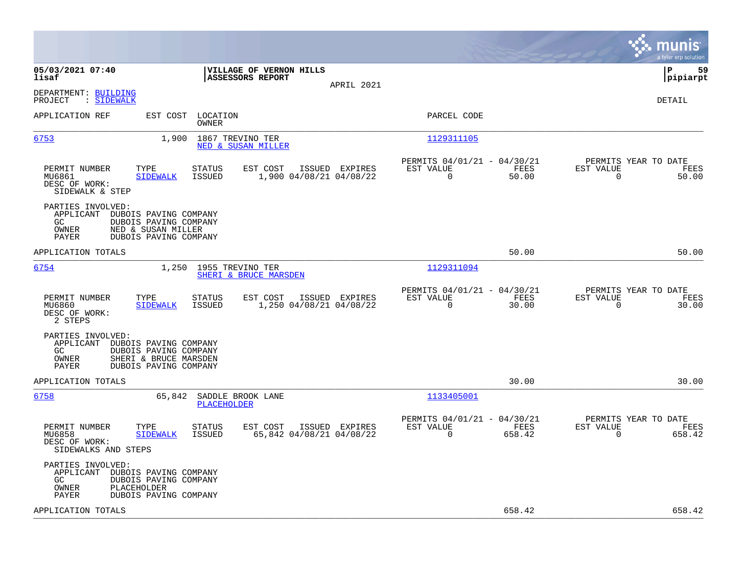|                                                                 |                                                                                                  |                                             |                                            |                                                         |                |                                                  | munis<br>a tyler erp solution |
|-----------------------------------------------------------------|--------------------------------------------------------------------------------------------------|---------------------------------------------|--------------------------------------------|---------------------------------------------------------|----------------|--------------------------------------------------|-------------------------------|
| 05/03/2021 07:40<br>lisaf                                       |                                                                                                  | VILLAGE OF VERNON HILLS<br>ASSESSORS REPORT | APRIL 2021                                 |                                                         |                |                                                  | l P<br>59<br> pipiarpt        |
| DEPARTMENT: BUILDING<br>: SIDEWALK<br>PROJECT                   |                                                                                                  |                                             |                                            |                                                         |                |                                                  | DETAIL                        |
| APPLICATION REF                                                 | EST COST<br>OWNER                                                                                | LOCATION                                    |                                            | PARCEL CODE                                             |                |                                                  |                               |
| 6753                                                            | 1,900                                                                                            | 1867 TREVINO TER<br>NED & SUSAN MILLER      |                                            | 1129311105                                              |                |                                                  |                               |
| PERMIT NUMBER<br>MU6861<br>DESC OF WORK:<br>SIDEWALK & STEP     | TYPE<br><b>STATUS</b><br><b>ISSUED</b><br><b>SIDEWALK</b>                                        | EST COST                                    | ISSUED EXPIRES<br>1,900 04/08/21 04/08/22  | PERMITS 04/01/21 - 04/30/21<br>EST VALUE<br>$\Omega$    | FEES<br>50.00  | PERMITS YEAR TO DATE<br>EST VALUE<br>$\Omega$    | FEES<br>50.00                 |
| PARTIES INVOLVED:<br>APPLICANT<br>GC.<br>OWNER<br><b>PAYER</b>  | DUBOIS PAVING COMPANY<br>DUBOIS PAVING COMPANY<br>NED & SUSAN MILLER<br>DUBOIS PAVING COMPANY    |                                             |                                            |                                                         |                |                                                  |                               |
| APPLICATION TOTALS                                              |                                                                                                  |                                             |                                            |                                                         | 50.00          |                                                  | 50.00                         |
| 6754                                                            | 1,250                                                                                            | 1955 TREVINO TER<br>SHERI & BRUCE MARSDEN   |                                            | 1129311094                                              |                |                                                  |                               |
| PERMIT NUMBER<br>MU6860<br>DESC OF WORK:<br>2 STEPS             | TYPE<br><b>STATUS</b><br><b>SIDEWALK</b><br><b>ISSUED</b>                                        | EST COST                                    | ISSUED EXPIRES<br>1,250 04/08/21 04/08/22  | PERMITS 04/01/21 - 04/30/21<br>EST VALUE<br>$\mathbf 0$ | FEES<br>30.00  | PERMITS YEAR TO DATE<br>EST VALUE<br>$\mathbf 0$ | FEES<br>30.00                 |
| PARTIES INVOLVED:<br>APPLICANT<br>GC.<br>OWNER<br>PAYER         | DUBOIS PAVING COMPANY<br>DUBOIS PAVING COMPANY<br>SHERI & BRUCE MARSDEN<br>DUBOIS PAVING COMPANY |                                             |                                            |                                                         |                |                                                  |                               |
| APPLICATION TOTALS                                              |                                                                                                  |                                             |                                            |                                                         | 30.00          |                                                  | 30.00                         |
| 6758                                                            |                                                                                                  | 65,842 SADDLE BROOK LANE<br>PLACEHOLDER     |                                            | 1133405001                                              |                |                                                  |                               |
| PERMIT NUMBER<br>MU6858<br>DESC OF WORK:<br>SIDEWALKS AND STEPS | TYPE<br>STATUS<br><b>SIDEWALK</b><br>ISSUED                                                      | EST COST                                    | ISSUED EXPIRES<br>65,842 04/08/21 04/08/22 | PERMITS 04/01/21 - 04/30/21<br>EST VALUE<br>0           | FEES<br>658.42 | PERMITS YEAR TO DATE<br>EST VALUE<br>0           | FEES<br>658.42                |
| PARTIES INVOLVED:<br>APPLICANT<br>GC.<br>OWNER<br>PAYER         | DUBOIS PAVING COMPANY<br>DUBOIS PAVING COMPANY<br>PLACEHOLDER<br>DUBOIS PAVING COMPANY           |                                             |                                            |                                                         |                |                                                  |                               |
| APPLICATION TOTALS                                              |                                                                                                  |                                             |                                            |                                                         | 658.42         |                                                  | 658.42                        |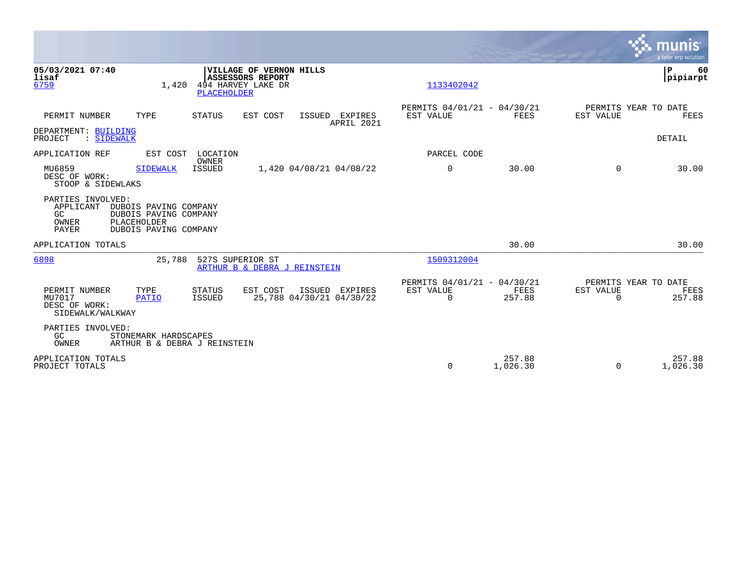|                                                                                                                                                                              |                                                                        | munis<br>a tyler erp solution                                   |
|------------------------------------------------------------------------------------------------------------------------------------------------------------------------------|------------------------------------------------------------------------|-----------------------------------------------------------------|
| 05/03/2021 07:40<br>VILLAGE OF VERNON HILLS<br>lisaf<br><b>ASSESSORS REPORT</b><br>494 HARVEY LAKE DR<br>6759<br>1,420<br><b>PLACEHOLDER</b>                                 | 1133402042                                                             | P<br>60<br> pipiarpt                                            |
| PERMIT NUMBER<br>TYPE<br>STATUS<br>EST COST<br>ISSUED EXPIRES<br>APRIL 2021<br>DEPARTMENT: BUILDING                                                                          | PERMITS 04/01/21 - 04/30/21<br>EST VALUE<br>FEES                       | PERMITS YEAR TO DATE<br>EST VALUE<br>FEES                       |
| : SIDEWALK<br>PROJECT<br>APPLICATION REF<br>EST COST<br>LOCATION                                                                                                             | PARCEL CODE                                                            | DETAIL                                                          |
| OWNER<br>ISSUED<br>MU6859<br>1,420 04/08/21 04/08/22<br><b>SIDEWALK</b><br>DESC OF WORK:<br>STOOP & SIDEWLAKS                                                                | 0<br>30.00                                                             | 30.00<br>$\Omega$                                               |
| PARTIES INVOLVED:<br>APPLICANT<br>DUBOIS PAVING COMPANY<br>GC<br>DUBOIS PAVING COMPANY<br>PLACEHOLDER<br>OWNER<br><b>PAYER</b><br>DUBOIS PAVING COMPANY                      |                                                                        |                                                                 |
| APPLICATION TOTALS                                                                                                                                                           | 30.00                                                                  | 30.00                                                           |
| 6898<br>25,788<br>527S SUPERIOR ST<br>ARTHUR B & DEBRA J REINSTEIN                                                                                                           | 1509312004                                                             |                                                                 |
| PERMIT NUMBER<br>TYPE<br><b>STATUS</b><br>EST COST<br>ISSUED<br>EXPIRES<br>25,788 04/30/21 04/30/22<br>MU7017<br>ISSUED<br><b>PATIO</b><br>DESC OF WORK:<br>SIDEWALK/WALKWAY | PERMITS 04/01/21 - 04/30/21<br>EST VALUE<br>FEES<br>$\Omega$<br>257.88 | PERMITS YEAR TO DATE<br>EST VALUE<br>FEES<br>257.88<br>$\Omega$ |
| PARTIES INVOLVED:<br>GC<br>STONEMARK HARDSCAPES<br>OWNER<br>ARTHUR B & DEBRA J REINSTEIN                                                                                     |                                                                        |                                                                 |
| APPLICATION TOTALS<br>PROJECT TOTALS                                                                                                                                         | 257.88<br>0<br>1,026.30                                                | 257.88<br>1,026.30<br>$\Omega$                                  |

 $\mathcal{L}^{\text{max}}$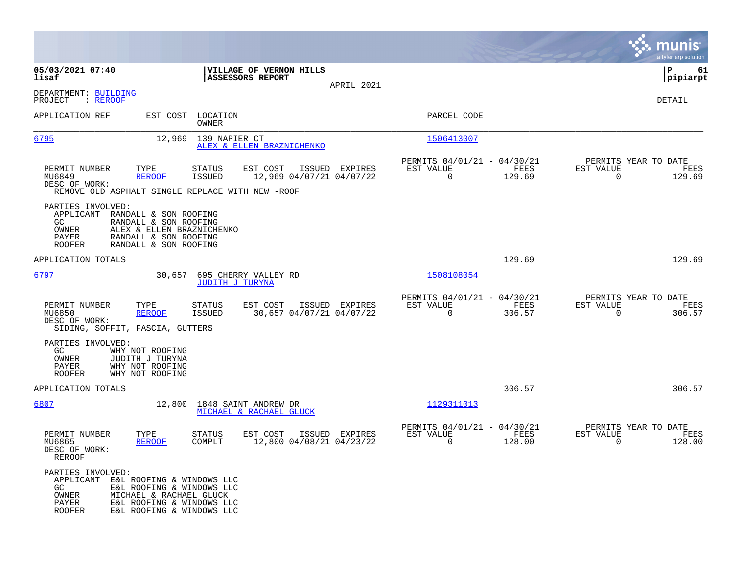|                                                                                                                                         |                                                                                                                               |                                      |                |                                                         |                |                                                  | munis<br>a tyler erp solution |
|-----------------------------------------------------------------------------------------------------------------------------------------|-------------------------------------------------------------------------------------------------------------------------------|--------------------------------------|----------------|---------------------------------------------------------|----------------|--------------------------------------------------|-------------------------------|
| 05/03/2021 07:40<br>lisaf                                                                                                               | <b>ASSESSORS REPORT</b>                                                                                                       | VILLAGE OF VERNON HILLS              | APRIL 2021     |                                                         |                |                                                  | 61<br>l P<br> pipiarpt        |
| DEPARTMENT: BUILDING<br>: REROOF<br>PROJECT                                                                                             |                                                                                                                               |                                      |                |                                                         |                |                                                  | DETAIL                        |
| APPLICATION REF                                                                                                                         | EST COST LOCATION<br>OWNER                                                                                                    |                                      |                | PARCEL CODE                                             |                |                                                  |                               |
| 6795                                                                                                                                    | 12,969<br>139 NAPIER CT                                                                                                       | ALEX & ELLEN BRAZNICHENKO            |                | 1506413007                                              |                |                                                  |                               |
| TYPE<br>PERMIT NUMBER<br>MU6849<br><b>REROOF</b><br>DESC OF WORK:                                                                       | <b>STATUS</b><br><b>ISSUED</b><br>REMOVE OLD ASPHALT SINGLE REPLACE WITH NEW -ROOF                                            | EST COST<br>12,969 04/07/21 04/07/22 | ISSUED EXPIRES | PERMITS 04/01/21 - 04/30/21<br>EST VALUE<br>0           | FEES<br>129.69 | PERMITS YEAR TO DATE<br>EST VALUE<br>$\mathbf 0$ | FEES<br>129.69                |
| PARTIES INVOLVED:<br>APPLICANT<br>GC.<br>OWNER<br>PAYER<br><b>ROOFER</b>                                                                | RANDALL & SON ROOFING<br>RANDALL & SON ROOFING<br>ALEX & ELLEN BRAZNICHENKO<br>RANDALL & SON ROOFING<br>RANDALL & SON ROOFING |                                      |                |                                                         |                |                                                  |                               |
| APPLICATION TOTALS                                                                                                                      |                                                                                                                               |                                      |                |                                                         | 129.69         |                                                  | 129.69                        |
| <u>6797</u>                                                                                                                             | 695 CHERRY VALLEY RD<br>30,657<br><b>JUDITH J TURYNA</b>                                                                      |                                      |                | 1508108054                                              |                |                                                  |                               |
| PERMIT NUMBER<br>TYPE<br>MU6850<br>DESC OF WORK:<br>SIDING, SOFFIT, FASCIA, GUTTERS                                                     | <b>STATUS</b><br><b>REROOF</b><br>ISSUED                                                                                      | EST COST<br>30,657 04/07/21 04/07/22 | ISSUED EXPIRES | PERMITS 04/01/21 - 04/30/21<br>EST VALUE<br>$\mathbf 0$ | FEES<br>306.57 | PERMITS YEAR TO DATE<br>EST VALUE<br>$\mathbf 0$ | FEES<br>306.57                |
| PARTIES INVOLVED:<br>GC.<br>WHY NOT ROOFING<br>OWNER<br>JUDITH J TURYNA<br>PAYER<br>WHY NOT ROOFING<br>WHY NOT ROOFING<br><b>ROOFER</b> |                                                                                                                               |                                      |                |                                                         |                |                                                  |                               |
| APPLICATION TOTALS                                                                                                                      |                                                                                                                               |                                      |                |                                                         | 306.57         |                                                  | 306.57                        |
| 6807                                                                                                                                    | 12,800<br>1848 SAINT ANDREW DR<br>MICHAEL & RACHAEL GLUCK                                                                     |                                      |                | 1129311013                                              |                |                                                  |                               |
| PERMIT NUMBER<br>TYPE<br>MU6865<br>DESC OF WORK:<br>REROOF                                                                              | <b>STATUS</b><br><b>REROOF</b><br>COMPLT                                                                                      | EST COST<br>12,800 04/08/21 04/23/22 | ISSUED EXPIRES | PERMITS 04/01/21 - 04/30/21<br>EST VALUE<br>$\mathbf 0$ | FEES<br>128.00 | PERMITS YEAR TO DATE<br>EST VALUE<br>$\mathbf 0$ | FEES<br>128.00                |
| PARTIES INVOLVED:<br>APPLICANT E&L ROOFING & WINDOWS LLC<br>GC<br>OWNER<br>PAYER<br>ROOFER                                              | E&L ROOFING & WINDOWS LLC<br>MICHAEL & RACHAEL GLUCK<br>E&L ROOFING & WINDOWS LLC<br>E&L ROOFING & WINDOWS LLC                |                                      |                |                                                         |                |                                                  |                               |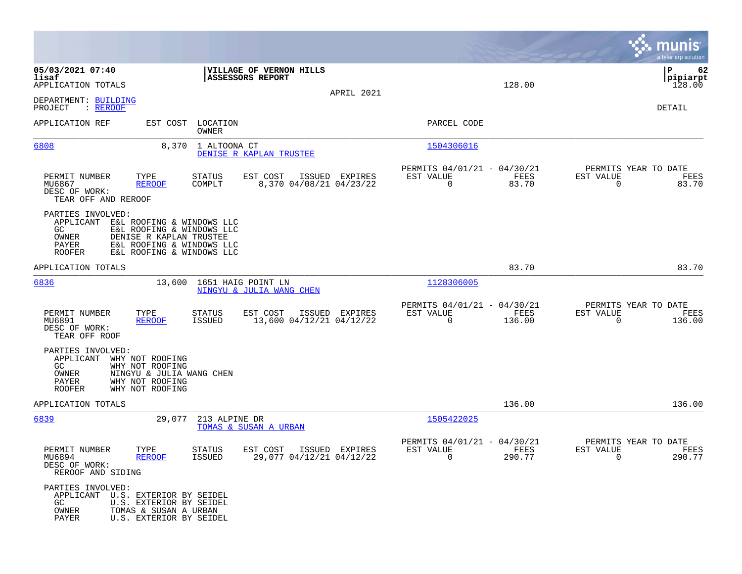|                                                                                                    |                                                                                                                |                            |                                                       |                |                                                            |                |                                                     | munis<br>a tyler erp solution  |
|----------------------------------------------------------------------------------------------------|----------------------------------------------------------------------------------------------------------------|----------------------------|-------------------------------------------------------|----------------|------------------------------------------------------------|----------------|-----------------------------------------------------|--------------------------------|
| 05/03/2021 07:40<br>lisaf<br>APPLICATION TOTALS                                                    |                                                                                                                |                            | VILLAGE OF VERNON HILLS<br>ASSESSORS REPORT           | APRIL 2021     |                                                            | 128.00         |                                                     | ΙP<br>62<br>pipiarpt<br>128.00 |
| DEPARTMENT: BUILDING<br>PROJECT<br>: REROOF                                                        |                                                                                                                |                            |                                                       |                |                                                            |                |                                                     | DETAIL                         |
| APPLICATION REF                                                                                    |                                                                                                                | EST COST LOCATION<br>OWNER |                                                       |                | PARCEL CODE                                                |                |                                                     |                                |
| 6808                                                                                               | 8,370                                                                                                          | 1 ALTOONA CT               | DENISE R KAPLAN TRUSTEE                               |                | 1504306016                                                 |                |                                                     |                                |
| PERMIT NUMBER<br>MU6867<br>DESC OF WORK:<br>TEAR OFF AND REROOF                                    | TYPE<br><b>REROOF</b>                                                                                          | STATUS<br>COMPLT           | EST COST<br>8,370 04/08/21 04/23/22                   | ISSUED EXPIRES | PERMITS 04/01/21 - 04/30/21<br>EST VALUE<br>$\mathbf 0$    | FEES<br>83.70  | PERMITS YEAR TO DATE<br>EST VALUE<br>$\mathbf 0$    | FEES<br>83.70                  |
| PARTIES INVOLVED:<br>APPLICANT E&L ROOFING & WINDOWS LLC<br>GC.<br>OWNER<br>PAYER<br><b>ROOFER</b> | E&L ROOFING & WINDOWS LLC<br>DENISE R KAPLAN TRUSTEE<br>E&L ROOFING & WINDOWS LLC<br>E&L ROOFING & WINDOWS LLC |                            |                                                       |                |                                                            |                |                                                     |                                |
| APPLICATION TOTALS                                                                                 |                                                                                                                |                            |                                                       |                |                                                            | 83.70          |                                                     | 83.70                          |
| 6836                                                                                               |                                                                                                                |                            | 13,600 1651 HAIG POINT LN<br>NINGYU & JULIA WANG CHEN |                | 1128306005                                                 |                |                                                     |                                |
| PERMIT NUMBER<br>MU6891<br>DESC OF WORK:<br>TEAR OFF ROOF                                          | TYPE<br><b>REROOF</b>                                                                                          | STATUS<br>ISSUED           | EST COST<br>13,600 04/12/21 04/12/22                  | ISSUED EXPIRES | PERMITS 04/01/21 - 04/30/21<br>EST VALUE<br>$\Omega$       | FEES<br>136.00 | PERMITS YEAR TO DATE<br>EST VALUE<br>$\Omega$       | FEES<br>136.00                 |
| PARTIES INVOLVED:<br>APPLICANT<br>GC<br>OWNER<br>PAYER<br><b>ROOFER</b>                            | WHY NOT ROOFING<br>WHY NOT ROOFING<br>NINGYU & JULIA WANG CHEN<br>WHY NOT ROOFING<br>WHY NOT ROOFING           |                            |                                                       |                |                                                            |                |                                                     |                                |
| APPLICATION TOTALS                                                                                 |                                                                                                                |                            |                                                       |                |                                                            | 136.00         |                                                     | 136.00                         |
| 6839                                                                                               | 29,077                                                                                                         | 213 ALPINE DR              | TOMAS & SUSAN A URBAN                                 |                | 1505422025                                                 |                |                                                     |                                |
| PERMIT NUMBER<br>MU6894<br>DESC OF WORK:<br>REROOF AND SIDING                                      | TYPE<br><b>REROOF</b>                                                                                          | <b>STATUS</b><br>ISSUED    | EST COST<br>29,077 04/12/21 04/12/22                  | ISSUED EXPIRES | PERMITS 04/01/21 - 04/30/21<br>EST VALUE<br>$\overline{0}$ | FEES<br>290.77 | PERMITS YEAR TO DATE<br>EST VALUE<br>$\overline{0}$ | FEES<br>290.77                 |
| PARTIES INVOLVED:<br>APPLICANT U.S. EXTERIOR BY SEIDEL<br>GC<br>OWNER<br>PAYER                     | U.S. EXTERIOR BY SEIDEL<br>TOMAS & SUSAN A URBAN<br>U.S. EXTERIOR BY SEIDEL                                    |                            |                                                       |                |                                                            |                |                                                     |                                |

**Contract**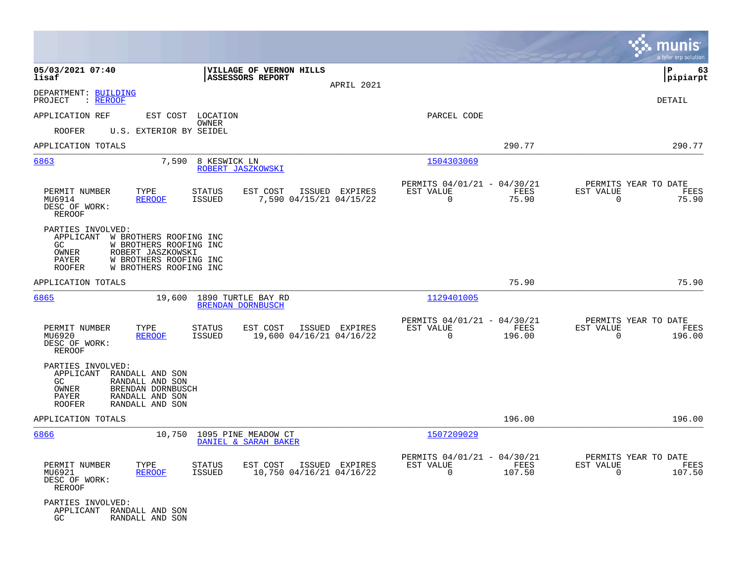|                                                                                                                                                                                                   |                                                                                          |                                                                           | munis<br>a tyler erp solution                                      |
|---------------------------------------------------------------------------------------------------------------------------------------------------------------------------------------------------|------------------------------------------------------------------------------------------|---------------------------------------------------------------------------|--------------------------------------------------------------------|
| 05/03/2021 07:40<br>lisaf                                                                                                                                                                         | VILLAGE OF VERNON HILLS<br>ASSESSORS REPORT<br>APRIL 2021                                |                                                                           | P<br>63<br> pipiarpt                                               |
| DEPARTMENT: BUILDING<br>PROJECT<br>: <u>REROOF</u>                                                                                                                                                |                                                                                          |                                                                           | DETAIL                                                             |
| APPLICATION REF                                                                                                                                                                                   | EST COST LOCATION                                                                        | PARCEL CODE                                                               |                                                                    |
| <b>ROOFER</b><br>U.S. EXTERIOR BY SEIDEL                                                                                                                                                          | OWNER                                                                                    |                                                                           |                                                                    |
| APPLICATION TOTALS                                                                                                                                                                                |                                                                                          | 290.77                                                                    | 290.77                                                             |
| 6863<br>7,590                                                                                                                                                                                     | 8 KESWICK LN<br>ROBERT JASZKOWSKI                                                        | 1504303069                                                                |                                                                    |
| PERMIT NUMBER<br>TYPE<br><b>REROOF</b><br>MU6914<br>DESC OF WORK:<br><b>REROOF</b>                                                                                                                | <b>STATUS</b><br>EST COST<br>ISSUED EXPIRES<br><b>ISSUED</b><br>7,590 04/15/21 04/15/22  | PERMITS 04/01/21 - 04/30/21<br>FEES<br>EST VALUE<br>$\mathbf 0$<br>75.90  | PERMITS YEAR TO DATE<br>EST VALUE<br>FEES<br>$\mathbf 0$<br>75.90  |
| PARTIES INVOLVED:<br>APPLICANT W BROTHERS ROOFING INC<br>GC<br>W BROTHERS ROOFING INC<br>OWNER<br>ROBERT JASZKOWSKI<br>W BROTHERS ROOFING INC<br>PAYER<br><b>ROOFER</b><br>W BROTHERS ROOFING INC |                                                                                          |                                                                           |                                                                    |
| APPLICATION TOTALS                                                                                                                                                                                |                                                                                          | 75.90                                                                     | 75.90                                                              |
| 6865<br>19,600                                                                                                                                                                                    | 1890 TURTLE BAY RD<br><b>BRENDAN DORNBUSCH</b>                                           | 1129401005                                                                |                                                                    |
| PERMIT NUMBER<br>TYPE<br>MU6920<br><b>REROOF</b><br>DESC OF WORK:<br><b>REROOF</b>                                                                                                                | EST COST<br>ISSUED EXPIRES<br><b>STATUS</b><br>19,600 04/16/21 04/16/22<br><b>ISSUED</b> | PERMITS 04/01/21 - 04/30/21<br>FEES<br>EST VALUE<br>$\mathbf 0$<br>196.00 | PERMITS YEAR TO DATE<br>EST VALUE<br>FEES<br>$\mathbf 0$<br>196.00 |
| PARTIES INVOLVED:<br>APPLICANT<br>RANDALL AND SON<br>RANDALL AND SON<br>GC.<br>BRENDAN DORNBUSCH<br>OWNER<br>PAYER<br>RANDALL AND SON<br><b>ROOFER</b><br>RANDALL AND SON                         |                                                                                          |                                                                           |                                                                    |
| APPLICATION TOTALS                                                                                                                                                                                |                                                                                          | 196.00                                                                    | 196.00                                                             |
| 10,750<br>6866                                                                                                                                                                                    | 1095 PINE MEADOW CT<br>DANIEL & SARAH BAKER                                              | 1507209029                                                                |                                                                    |
| PERMIT NUMBER<br>TYPE<br>MU6921<br><b>REROOF</b><br>DESC OF WORK:<br>REROOF                                                                                                                       | <b>STATUS</b><br>EST COST<br>ISSUED EXPIRES<br><b>ISSUED</b><br>10,750 04/16/21 04/16/22 | PERMITS 04/01/21 - 04/30/21<br>EST VALUE<br>FEES<br>$\mathbf 0$<br>107.50 | PERMITS YEAR TO DATE<br>EST VALUE<br>FEES<br>$\Omega$<br>107.50    |
| PARTIES INVOLVED:<br>APPLICANT RANDALL AND SON<br>RANDALL AND SON<br>GC.                                                                                                                          |                                                                                          |                                                                           |                                                                    |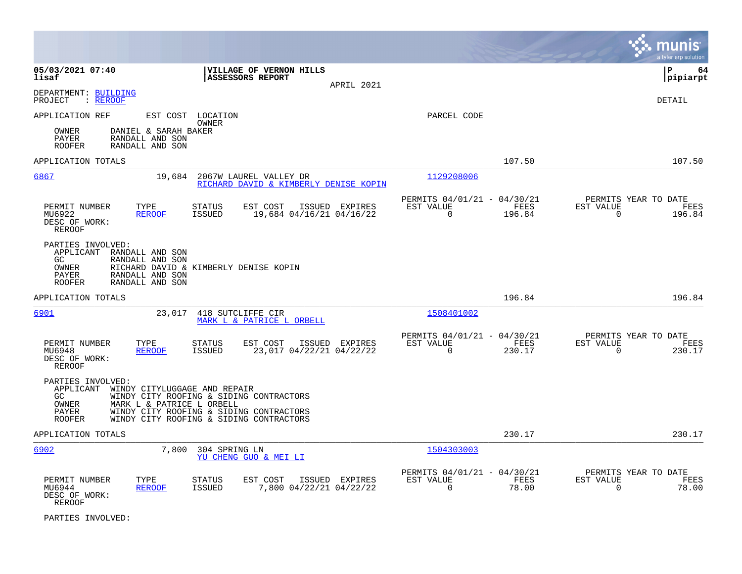|                                                                                                                                                      |                                                                                                                               |                                                                           | munis<br>a tyler erp solution                                      |
|------------------------------------------------------------------------------------------------------------------------------------------------------|-------------------------------------------------------------------------------------------------------------------------------|---------------------------------------------------------------------------|--------------------------------------------------------------------|
| 05/03/2021 07:40<br>lisaf                                                                                                                            | VILLAGE OF VERNON HILLS<br>ASSESSORS REPORT<br>APRIL 2021                                                                     |                                                                           | lР<br>64<br> pipiarpt                                              |
| DEPARTMENT: BUILDING<br>: REROOF<br>PROJECT                                                                                                          |                                                                                                                               |                                                                           | <b>DETAIL</b>                                                      |
| APPLICATION REF<br>EST COST LOCATION<br>OWNER<br>DANIEL & SARAH BAKER<br>PAYER<br>RANDALL AND SON<br><b>ROOFER</b><br>RANDALL AND SON                | OWNER                                                                                                                         | PARCEL CODE                                                               |                                                                    |
| APPLICATION TOTALS                                                                                                                                   |                                                                                                                               | 107.50                                                                    | 107.50                                                             |
| 6867<br>19,684                                                                                                                                       | 2067W LAUREL VALLEY DR<br>RICHARD DAVID & KIMBERLY DENISE KOPIN                                                               | 1129208006                                                                |                                                                    |
| PERMIT NUMBER<br>TYPE<br>MU6922<br><b>REROOF</b><br>DESC OF WORK:<br><b>REROOF</b>                                                                   | EST COST<br>ISSUED EXPIRES<br>STATUS<br><b>ISSUED</b><br>19,684 04/16/21 04/16/22                                             | PERMITS 04/01/21 - 04/30/21<br>FEES<br>EST VALUE<br>$\mathbf 0$<br>196.84 | PERMITS YEAR TO DATE<br>EST VALUE<br>FEES<br>$\mathbf 0$<br>196.84 |
| PARTIES INVOLVED:<br>APPLICANT<br>RANDALL AND SON<br>GC.<br>RANDALL AND SON<br>OWNER<br>RANDALL AND SON<br>PAYER<br>RANDALL AND SON<br><b>ROOFER</b> | RICHARD DAVID & KIMBERLY DENISE KOPIN                                                                                         |                                                                           |                                                                    |
| APPLICATION TOTALS                                                                                                                                   |                                                                                                                               | 196.84                                                                    | 196.84                                                             |
| 6901<br>23,017                                                                                                                                       | 418 SUTCLIFFE CIR<br>MARK L & PATRICE L ORBELL                                                                                | 1508401002                                                                |                                                                    |
| PERMIT NUMBER<br>TYPE<br>MU6948<br><b>REROOF</b><br>DESC OF WORK:<br><b>REROOF</b>                                                                   | <b>STATUS</b><br>EST COST<br>ISSUED EXPIRES<br><b>ISSUED</b><br>23,017 04/22/21 04/22/22                                      | PERMITS 04/01/21 - 04/30/21<br>EST VALUE<br>FEES<br>$\Omega$<br>230.17    | PERMITS YEAR TO DATE<br>EST VALUE<br>FEES<br>$\Omega$<br>230.17    |
| PARTIES INVOLVED:<br>APPLICANT<br>WINDY CITYLUGGAGE AND REPAIR<br>GC.<br>MARK L & PATRICE L ORBELL<br>OWNER<br>PAYER<br>ROOFER                       | WINDY CITY ROOFING & SIDING CONTRACTORS<br>WINDY CITY ROOFING & SIDING CONTRACTORS<br>WINDY CITY ROOFING & SIDING CONTRACTORS |                                                                           |                                                                    |
| APPLICATION TOTALS                                                                                                                                   |                                                                                                                               | 230.17                                                                    | 230.17                                                             |
| 6902<br>7,800                                                                                                                                        | 304 SPRING LN<br>YU CHENG GUO & MEI LI                                                                                        | 1504303003                                                                |                                                                    |
| PERMIT NUMBER<br>TYPE<br>MU6944<br><b>REROOF</b><br>DESC OF WORK:<br><b>REROOF</b>                                                                   | <b>STATUS</b><br>EST COST<br>ISSUED EXPIRES<br>7,800 04/22/21 04/22/22<br><b>ISSUED</b>                                       | PERMITS 04/01/21 - 04/30/21<br>EST VALUE<br>FEES<br>$\Omega$<br>78.00     | PERMITS YEAR TO DATE<br>EST VALUE<br>FEES<br>$\Omega$<br>78.00     |

PARTIES INVOLVED: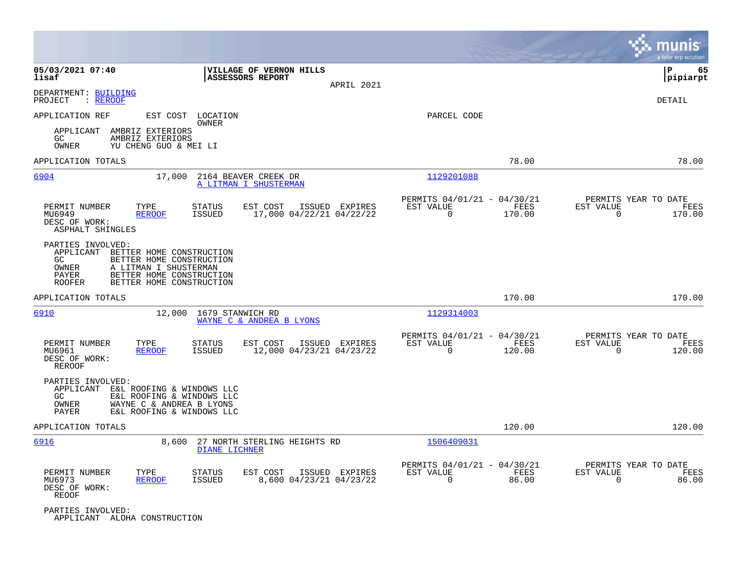|                                                                                                                                                                                                                  |                                                                  |                                                                             | munis<br>a tyler erp solution                                      |
|------------------------------------------------------------------------------------------------------------------------------------------------------------------------------------------------------------------|------------------------------------------------------------------|-----------------------------------------------------------------------------|--------------------------------------------------------------------|
| 05/03/2021 07:40<br>lisaf                                                                                                                                                                                        | VILLAGE OF VERNON HILLS<br><b>ASSESSORS REPORT</b><br>APRIL 2021 |                                                                             | lР<br>65<br> pipiarpt                                              |
| DEPARTMENT: BUILDING<br>PROJECT<br>: REROOF                                                                                                                                                                      |                                                                  |                                                                             | <b>DETAIL</b>                                                      |
| APPLICATION REF<br>EST COST<br>LOCATION<br>OWNER                                                                                                                                                                 |                                                                  | PARCEL CODE                                                                 |                                                                    |
| AMBRIZ EXTERIORS<br>APPLICANT<br>AMBRIZ EXTERIORS<br>GC<br><b>OWNER</b><br>YU CHENG GUO & MEI LI                                                                                                                 |                                                                  |                                                                             |                                                                    |
| APPLICATION TOTALS                                                                                                                                                                                               |                                                                  | 78.00                                                                       | 78.00                                                              |
| 6904<br>17,000                                                                                                                                                                                                   | 2164 BEAVER CREEK DR<br>A LITMAN I SHUSTERMAN                    | 1129201088                                                                  |                                                                    |
| PERMIT NUMBER<br>TYPE<br>STATUS<br>MU6949<br><b>REROOF</b><br>ISSUED<br>DESC OF WORK:<br>ASPHALT SHINGLES                                                                                                        | EST COST<br>ISSUED EXPIRES<br>17,000 04/22/21 04/22/22           | PERMITS 04/01/21 - 04/30/21<br>EST VALUE<br>FEES<br>$\mathbf 0$<br>170.00   | PERMITS YEAR TO DATE<br>EST VALUE<br>FEES<br>$\mathbf 0$<br>170.00 |
| PARTIES INVOLVED:<br>APPLICANT<br>BETTER HOME CONSTRUCTION<br>GC<br>BETTER HOME CONSTRUCTION<br>OWNER<br>A LITMAN I SHUSTERMAN<br>BETTER HOME CONSTRUCTION<br>PAYER<br>BETTER HOME CONSTRUCTION<br><b>ROOFER</b> |                                                                  |                                                                             |                                                                    |
| APPLICATION TOTALS                                                                                                                                                                                               |                                                                  | 170.00                                                                      | 170.00                                                             |
| 6910<br>12,000                                                                                                                                                                                                   | 1679 STANWICH RD<br>WAYNE C & ANDREA B LYONS                     | 1129314003                                                                  |                                                                    |
| PERMIT NUMBER<br>TYPE<br>STATUS<br>ISSUED<br>MU6961<br><b>REROOF</b><br>DESC OF WORK:<br>REROOF                                                                                                                  | EST COST<br>ISSUED EXPIRES<br>12,000 04/23/21 04/23/22           | PERMITS 04/01/21 - 04/30/21<br>EST VALUE<br>FEES<br>$\mathbf 0$<br>120.00   | PERMITS YEAR TO DATE<br>EST VALUE<br>FEES<br>$\mathbf 0$<br>120.00 |
| PARTIES INVOLVED:<br>APPLICANT<br>E&L ROOFING & WINDOWS LLC<br>GC<br>E&L ROOFING & WINDOWS LLC<br>OWNER<br>WAYNE C & ANDREA B LYONS<br>E&L ROOFING & WINDOWS LLC<br>PAYER                                        |                                                                  |                                                                             |                                                                    |
| APPLICATION TOTALS                                                                                                                                                                                               |                                                                  | 120.00                                                                      | 120.00                                                             |
| 6916<br>8,600                                                                                                                                                                                                    | 27 NORTH STERLING HEIGHTS RD<br>DIANE LICHNER                    | 1506409031                                                                  |                                                                    |
| PERMIT NUMBER<br>STATUS<br>TYPE<br>MU6973<br>ISSUED<br><b>REROOF</b><br>DESC OF WORK:<br><b>REOOF</b>                                                                                                            | EST COST<br>ISSUED EXPIRES<br>8,600 04/23/21 04/23/22            | PERMITS 04/01/21 - 04/30/21<br>EST VALUE<br>FEES<br>$\overline{0}$<br>86.00 | PERMITS YEAR TO DATE<br>EST VALUE<br>FEES<br>$\mathbf 0$<br>86.00  |
| PARTIES INVOLVED:<br>APPLICANT ALOHA CONSTRUCTION                                                                                                                                                                |                                                                  |                                                                             |                                                                    |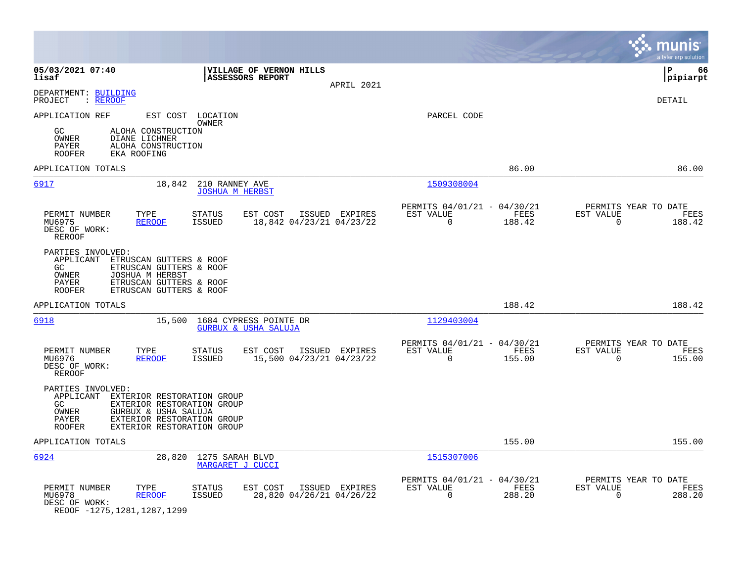|                                                                                                                                                                                                                      |                                                                           | munis<br>a tyler erp solution                                      |
|----------------------------------------------------------------------------------------------------------------------------------------------------------------------------------------------------------------------|---------------------------------------------------------------------------|--------------------------------------------------------------------|
| 05/03/2021 07:40<br>VILLAGE OF VERNON HILLS<br>lisaf<br><b>ASSESSORS REPORT</b><br>APRIL 2021                                                                                                                        |                                                                           | ΙP<br>66<br> pipiarpt                                              |
| DEPARTMENT: BUILDING<br>PROJECT<br>: REROOF                                                                                                                                                                          |                                                                           | DETAIL                                                             |
| APPLICATION REF<br>EST COST LOCATION<br><b>OWNER</b><br>ALOHA CONSTRUCTION<br>GC<br>OWNER<br>DIANE LICHNER<br>PAYER<br>ALOHA CONSTRUCTION<br>EKA ROOFING<br><b>ROOFER</b>                                            | PARCEL CODE                                                               |                                                                    |
| APPLICATION TOTALS                                                                                                                                                                                                   | 86.00                                                                     | 86.00                                                              |
| 6917<br>18,842<br>210 RANNEY AVE<br><b>JOSHUA M HERBST</b>                                                                                                                                                           | 1509308004                                                                |                                                                    |
| PERMIT NUMBER<br>TYPE<br>EST COST<br>ISSUED EXPIRES<br><b>STATUS</b><br><b>ISSUED</b><br>18,842 04/23/21 04/23/22<br>MU6975<br><b>REROOF</b><br>DESC OF WORK:<br><b>REROOF</b>                                       | PERMITS 04/01/21 - 04/30/21<br>EST VALUE<br>FEES<br>$\Omega$<br>188.42    | PERMITS YEAR TO DATE<br>EST VALUE<br>FEES<br>$\Omega$<br>188.42    |
| PARTIES INVOLVED:<br>APPLICANT ETRUSCAN GUTTERS & ROOF<br>ETRUSCAN GUTTERS & ROOF<br>GC<br>OWNER<br>JOSHUA M HERBST<br>PAYER<br>ETRUSCAN GUTTERS & ROOF<br>ETRUSCAN GUTTERS & ROOF<br><b>ROOFER</b>                  |                                                                           |                                                                    |
| APPLICATION TOTALS                                                                                                                                                                                                   | 188.42                                                                    | 188.42                                                             |
| 15,500<br>6918<br>1684 CYPRESS POINTE DR<br><b>GURBUX &amp; USHA SALUJA</b>                                                                                                                                          | 1129403004                                                                |                                                                    |
| PERMIT NUMBER<br>TYPE<br><b>STATUS</b><br>EST COST<br>ISSUED EXPIRES<br>15,500 04/23/21 04/23/22<br>MU6976<br><b>REROOF</b><br>ISSUED<br>DESC OF WORK:<br><b>REROOF</b>                                              | PERMITS 04/01/21 - 04/30/21<br>EST VALUE<br>FEES<br>$\Omega$<br>155.00    | PERMITS YEAR TO DATE<br>EST VALUE<br>FEES<br>$\Omega$<br>155.00    |
| PARTIES INVOLVED:<br>APPLICANT EXTERIOR RESTORATION GROUP<br>EXTERIOR RESTORATION GROUP<br>GC<br>OWNER<br>GURBUX & USHA SALUJA<br>PAYER<br>EXTERIOR RESTORATION GROUP<br>EXTERIOR RESTORATION GROUP<br><b>ROOFER</b> |                                                                           |                                                                    |
| APPLICATION TOTALS                                                                                                                                                                                                   | 155.00                                                                    | 155.00                                                             |
| 6924<br>28,820<br>1275 SARAH BLVD<br>MARGARET J CUCCI                                                                                                                                                                | 1515307006                                                                |                                                                    |
| PERMIT NUMBER<br>TYPE<br>EST COST<br>ISSUED EXPIRES<br>STATUS<br>28,820 04/26/21 04/26/22<br>MU6978<br><b>REROOF</b><br>ISSUED<br>DESC OF WORK:<br>0.01.3007.300                                                     | PERMITS 04/01/21 - 04/30/21<br>EST VALUE<br>FEES<br>$\mathbf 0$<br>288.20 | PERMITS YEAR TO DATE<br>EST VALUE<br>FEES<br>$\mathbf 0$<br>288.20 |

REOOF -1275,1281,1287,1299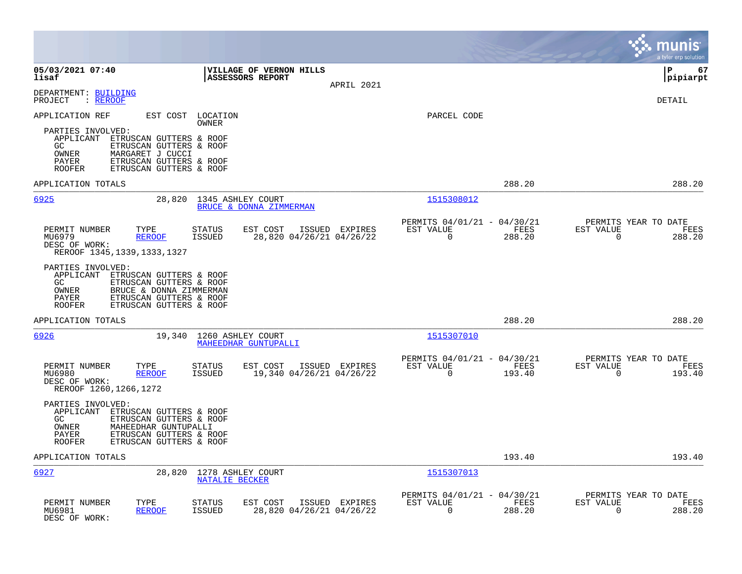|                                                                                                                                                                                                                |                                                                        |                |                                                         |                | munis<br>a tyler erp solution                                      |
|----------------------------------------------------------------------------------------------------------------------------------------------------------------------------------------------------------------|------------------------------------------------------------------------|----------------|---------------------------------------------------------|----------------|--------------------------------------------------------------------|
| 05/03/2021 07:40<br>lisaf                                                                                                                                                                                      | <b>VILLAGE OF VERNON HILLS</b><br><b>ASSESSORS REPORT</b>              | APRIL 2021     |                                                         |                | l P<br>67<br> pipiarpt                                             |
| DEPARTMENT: BUILDING<br>PROJECT<br>$:$ REROOF                                                                                                                                                                  |                                                                        |                |                                                         |                | DETAIL                                                             |
| APPLICATION REF                                                                                                                                                                                                | EST COST LOCATION<br>OWNER                                             |                | PARCEL CODE                                             |                |                                                                    |
| PARTIES INVOLVED:<br>APPLICANT ETRUSCAN GUTTERS & ROOF<br>GC.<br>ETRUSCAN GUTTERS & ROOF<br>OWNER<br>MARGARET J CUCCI<br><b>PAYER</b><br>ETRUSCAN GUTTERS & ROOF<br><b>ROOFER</b><br>ETRUSCAN GUTTERS & ROOF   |                                                                        |                |                                                         |                |                                                                    |
| APPLICATION TOTALS                                                                                                                                                                                             |                                                                        |                |                                                         | 288.20         | 288.20                                                             |
| 6925<br>28,820                                                                                                                                                                                                 | 1345 ASHLEY COURT<br>BRUCE & DONNA ZIMMERMAN                           |                | 1515308012                                              |                |                                                                    |
| PERMIT NUMBER<br>TYPE<br>MU6979<br><b>REROOF</b><br>DESC OF WORK:<br>REROOF 1345, 1339, 1333, 1327                                                                                                             | <b>STATUS</b><br>EST COST<br><b>ISSUED</b><br>28,820 04/26/21 04/26/22 | ISSUED EXPIRES | PERMITS 04/01/21 - 04/30/21<br>EST VALUE<br>$\mathbf 0$ | FEES<br>288.20 | PERMITS YEAR TO DATE<br>EST VALUE<br>FEES<br>$\Omega$<br>288.20    |
| PARTIES INVOLVED:<br>APPLICANT<br>ETRUSCAN GUTTERS & ROOF<br>ETRUSCAN GUTTERS & ROOF<br>GC<br>OWNER<br>BRUCE & DONNA ZIMMERMAN<br>ETRUSCAN GUTTERS & ROOF<br>PAYER<br><b>ROOFER</b><br>ETRUSCAN GUTTERS & ROOF |                                                                        |                |                                                         |                |                                                                    |
| APPLICATION TOTALS                                                                                                                                                                                             |                                                                        |                |                                                         | 288.20         | 288.20                                                             |
| 6926                                                                                                                                                                                                           | 19,340 1260 ASHLEY COURT<br>MAHEEDHAR GUNTUPALLI                       |                | 1515307010                                              |                |                                                                    |
| PERMIT NUMBER<br>TYPE<br>MU6980<br><b>REROOF</b><br>DESC OF WORK:<br>REROOF 1260, 1266, 1272                                                                                                                   | <b>STATUS</b><br>EST COST<br>ISSUED<br>19,340 04/26/21 04/26/22        | ISSUED EXPIRES | PERMITS 04/01/21 - 04/30/21<br>EST VALUE<br>$\Omega$    | FEES<br>193.40 | PERMITS YEAR TO DATE<br>EST VALUE<br>FEES<br>$\Omega$<br>193.40    |
| PARTIES INVOLVED:<br>APPLICANT ETRUSCAN GUTTERS & ROOF<br>GC.<br>ETRUSCAN GUTTERS & ROOF<br>OWNER<br>MAHEEDHAR GUNTUPALLI<br>ETRUSCAN GUTTERS & ROOF<br>PAYER<br><b>ROOFER</b><br>ETRUSCAN GUTTERS & ROOF      |                                                                        |                |                                                         |                |                                                                    |
| APPLICATION TOTALS                                                                                                                                                                                             |                                                                        |                |                                                         | 193.40         | 193.40                                                             |
| 6927<br>28,820                                                                                                                                                                                                 | 1278 ASHLEY COURT<br>NATALIE BECKER                                    |                | 1515307013                                              |                |                                                                    |
| PERMIT NUMBER<br>TYPE<br><b>REROOF</b><br>MU6981<br>DESC OF WORK:                                                                                                                                              | <b>STATUS</b><br>EST COST<br><b>ISSUED</b><br>28,820 04/26/21 04/26/22 | ISSUED EXPIRES | PERMITS 04/01/21 - 04/30/21<br>EST VALUE<br>0           | FEES<br>288.20 | PERMITS YEAR TO DATE<br>EST VALUE<br>FEES<br>$\mathbf 0$<br>288.20 |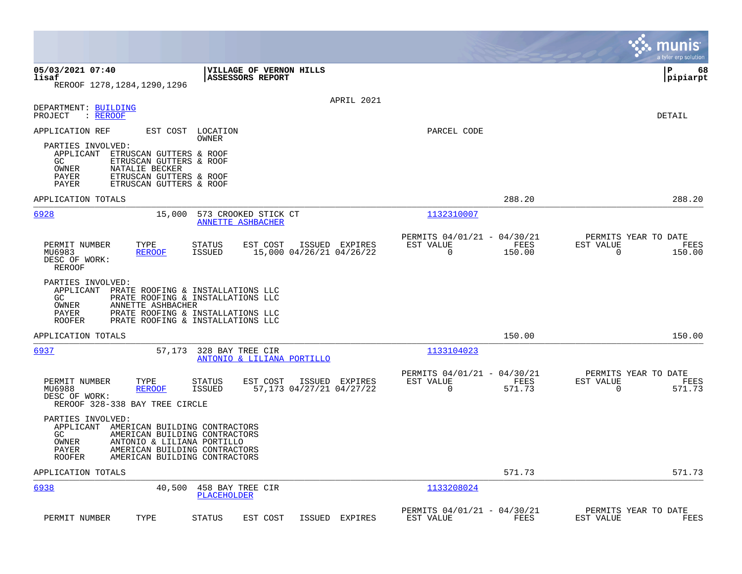|                                                                                                                                                                                                                                                       |                                                                           | munis<br>a tyler erp solution                                   |
|-------------------------------------------------------------------------------------------------------------------------------------------------------------------------------------------------------------------------------------------------------|---------------------------------------------------------------------------|-----------------------------------------------------------------|
| 05/03/2021 07:40<br>VILLAGE OF VERNON HILLS<br>ASSESSORS REPORT<br>lisaf<br>REROOF 1278, 1284, 1290, 1296                                                                                                                                             |                                                                           | l P<br>68<br> pipiarpt                                          |
| APRIL 2021<br>DEPARTMENT: BUILDING<br>PROJECT<br>: REROOF                                                                                                                                                                                             |                                                                           | DETAIL                                                          |
| APPLICATION REF<br>EST COST LOCATION<br>OWNER<br>PARTIES INVOLVED:<br>APPLICANT ETRUSCAN GUTTERS & ROOF<br>GC<br>ETRUSCAN GUTTERS & ROOF<br>OWNER<br>NATALIE BECKER<br>PAYER<br>ETRUSCAN GUTTERS & ROOF<br>PAYER<br>ETRUSCAN GUTTERS & ROOF           | PARCEL CODE                                                               |                                                                 |
| APPLICATION TOTALS                                                                                                                                                                                                                                    | 288.20                                                                    | 288.20                                                          |
| 6928<br>15,000<br>573 CROOKED STICK CT<br><b>ANNETTE ASHBACHER</b>                                                                                                                                                                                    | 1132310007                                                                |                                                                 |
| PERMIT NUMBER<br>TYPE<br><b>STATUS</b><br>EST COST<br>ISSUED EXPIRES<br>MU6983<br><b>REROOF</b><br><b>ISSUED</b><br>15,000 04/26/21 04/26/22<br>DESC OF WORK:<br><b>REROOF</b>                                                                        | PERMITS 04/01/21 - 04/30/21<br>EST VALUE<br>FEES<br>$\mathbf 0$<br>150.00 | PERMITS YEAR TO DATE<br>EST VALUE<br>FEES<br>0<br>150.00        |
| PARTIES INVOLVED:<br>APPLICANT PRATE ROOFING & INSTALLATIONS LLC<br>PRATE ROOFING & INSTALLATIONS LLC<br>GC.<br>OWNER<br>ANNETTE ASHBACHER<br><b>PAYER</b><br>PRATE ROOFING & INSTALLATIONS LLC<br>PRATE ROOFING & INSTALLATIONS LLC<br><b>ROOFER</b> |                                                                           |                                                                 |
| APPLICATION TOTALS                                                                                                                                                                                                                                    | 150.00                                                                    | 150.00                                                          |
| 6937<br>57,173<br>328 BAY TREE CIR<br>ANTONIO & LILIANA PORTILLO                                                                                                                                                                                      | 1133104023                                                                |                                                                 |
| PERMIT NUMBER<br>EST COST<br>ISSUED EXPIRES<br>TYPE<br>STATUS<br>MU6988<br>57,173 04/27/21 04/27/22<br><b>REROOF</b><br><b>ISSUED</b><br>DESC OF WORK:<br>REROOF 328-338 BAY TREE CIRCLE                                                              | PERMITS 04/01/21 - 04/30/21<br>EST VALUE<br>FEES<br>$\Omega$<br>571.73    | PERMITS YEAR TO DATE<br>EST VALUE<br>FEES<br>$\Omega$<br>571.73 |
| PARTIES INVOLVED:<br>APPLICANT AMERICAN BUILDING CONTRACTORS<br>GC.<br>AMERICAN BUILDING CONTRACTORS<br>OWNER<br>ANTONIO & LILIANA PORTILLO<br>AMERICAN BUILDING CONTRACTORS<br>PAYER<br>AMERICAN BUILDING CONTRACTORS<br>ROOFER                      |                                                                           |                                                                 |
| APPLICATION TOTALS                                                                                                                                                                                                                                    | 571.73                                                                    | 571.73                                                          |
| 6938<br>40,500<br>458 BAY TREE CIR<br><b>PLACEHOLDER</b>                                                                                                                                                                                              | 1133208024                                                                |                                                                 |
| PERMIT NUMBER<br>TYPE<br><b>STATUS</b><br>EST COST<br>ISSUED<br>EXPIRES                                                                                                                                                                               | PERMITS 04/01/21 - 04/30/21<br>EST VALUE<br>FEES                          | PERMITS YEAR TO DATE<br>EST VALUE<br>FEES                       |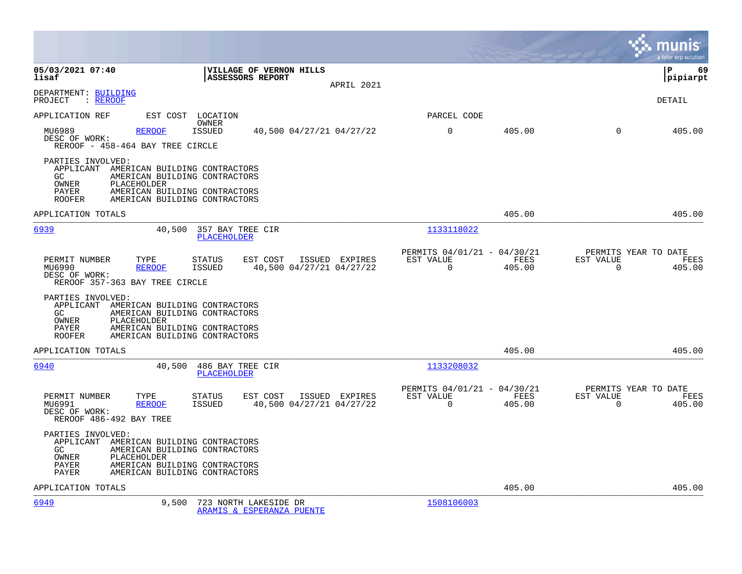|                                                                                                                                                                                                                            |                                                                        | munis<br>a tyler erp solution                                   |
|----------------------------------------------------------------------------------------------------------------------------------------------------------------------------------------------------------------------------|------------------------------------------------------------------------|-----------------------------------------------------------------|
| 05/03/2021 07:40<br>VILLAGE OF VERNON HILLS<br><b>ASSESSORS REPORT</b><br>lisaf<br>APRIL 2021                                                                                                                              |                                                                        | lР<br>69<br> pipiarpt                                           |
| DEPARTMENT: BUILDING<br>: REROOF<br>PROJECT                                                                                                                                                                                |                                                                        | DETAIL                                                          |
| APPLICATION REF<br>EST COST LOCATION                                                                                                                                                                                       | PARCEL CODE                                                            |                                                                 |
| OWNER<br>MU6989<br><b>REROOF</b><br><b>ISSUED</b><br>40,500 04/27/21 04/27/22<br>DESC OF WORK:<br>REROOF - 458-464 BAY TREE CIRCLE                                                                                         | $\mathbf 0$<br>405.00                                                  | $\Omega$<br>405.00                                              |
| PARTIES INVOLVED:<br>APPLICANT<br>AMERICAN BUILDING CONTRACTORS<br>GC<br>AMERICAN BUILDING CONTRACTORS<br>OWNER<br>PLACEHOLDER<br>PAYER<br>AMERICAN BUILDING CONTRACTORS<br>AMERICAN BUILDING CONTRACTORS<br><b>ROOFER</b> |                                                                        |                                                                 |
| APPLICATION TOTALS                                                                                                                                                                                                         | 405.00                                                                 | 405.00                                                          |
| 6939<br>40,500<br>357 BAY TREE CIR<br><b>PLACEHOLDER</b>                                                                                                                                                                   | 1133118022                                                             |                                                                 |
| EST COST<br>PERMIT NUMBER<br>TYPE<br><b>STATUS</b><br>ISSUED EXPIRES<br>MU6990<br><b>REROOF</b><br><b>ISSUED</b><br>40,500 04/27/21 04/27/22<br>DESC OF WORK:<br>REROOF 357-363 BAY TREE CIRCLE                            | PERMITS 04/01/21 - 04/30/21<br>EST VALUE<br>FEES<br>$\Omega$<br>405.00 | PERMITS YEAR TO DATE<br>EST VALUE<br>FEES<br>$\Omega$<br>405.00 |
| PARTIES INVOLVED:<br>APPLICANT AMERICAN BUILDING CONTRACTORS<br>GC.<br>AMERICAN BUILDING CONTRACTORS<br>OWNER<br>PLACEHOLDER<br>AMERICAN BUILDING CONTRACTORS<br>PAYER<br><b>ROOFER</b><br>AMERICAN BUILDING CONTRACTORS   |                                                                        |                                                                 |
| APPLICATION TOTALS                                                                                                                                                                                                         | 405.00                                                                 | 405.00                                                          |
| 6940<br>40,500<br>486 BAY TREE CIR<br>PLACEHOLDER                                                                                                                                                                          | 1133208032                                                             |                                                                 |
| EST COST<br>PERMIT NUMBER<br>TYPE<br><b>STATUS</b><br>ISSUED EXPIRES<br>MU6991<br><b>REROOF</b><br><b>ISSUED</b><br>40,500 04/27/21 04/27/22<br>DESC OF WORK:<br>REROOF 486-492 BAY TREE                                   | PERMITS 04/01/21 - 04/30/21<br>EST VALUE<br>FEES<br>405.00<br>0        | PERMITS YEAR TO DATE<br>EST VALUE<br>FEES<br>0<br>405.00        |
| PARTIES INVOLVED:<br>APPLICANT AMERICAN BUILDING CONTRACTORS<br>AMERICAN BUILDING CONTRACTORS<br>GC.<br>OWNER<br>PLACEHOLDER<br><b>PAYER</b><br>AMERICAN BUILDING CONTRACTORS<br>PAYER<br>AMERICAN BUILDING CONTRACTORS    |                                                                        |                                                                 |
| APPLICATION TOTALS                                                                                                                                                                                                         | 405.00                                                                 | 405.00                                                          |
| 6949<br>9,500<br>723 NORTH LAKESIDE DR<br>ARAMIS & ESPERANZA PUENTE                                                                                                                                                        | 1508106003                                                             |                                                                 |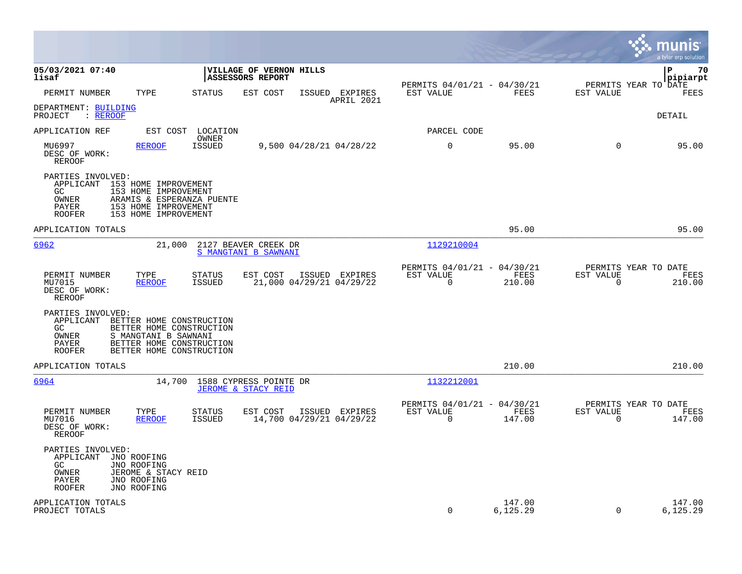|                                                                                                                                                                                                                     |                                                                            |                                                                        | munis<br>a tyler erp solution                                      |
|---------------------------------------------------------------------------------------------------------------------------------------------------------------------------------------------------------------------|----------------------------------------------------------------------------|------------------------------------------------------------------------|--------------------------------------------------------------------|
| 05/03/2021 07:40<br>lisaf                                                                                                                                                                                           | VILLAGE OF VERNON HILLS<br><b>ASSESSORS REPORT</b>                         | PERMITS 04/01/21 - 04/30/21                                            | l P<br>70<br>pipiarpt<br>PERMITS YEAR TO DATE                      |
| PERMIT NUMBER<br>TYPE                                                                                                                                                                                               | <b>STATUS</b><br>EST COST<br>ISSUED EXPIRES<br>APRIL 2021                  | EST VALUE<br>FEES                                                      | EST VALUE<br>FEES                                                  |
| DEPARTMENT: BUILDING<br>PROJECT<br>: REROOF                                                                                                                                                                         |                                                                            |                                                                        | DETAIL                                                             |
| APPLICATION REF                                                                                                                                                                                                     | EST COST LOCATION<br>OWNER                                                 | PARCEL CODE                                                            |                                                                    |
| MU6997<br><b>REROOF</b><br>DESC OF WORK:<br>REROOF                                                                                                                                                                  | <b>ISSUED</b><br>9,500 04/28/21 04/28/22                                   | $\mathbf 0$<br>95.00                                                   | $\mathbf 0$<br>95.00                                               |
| PARTIES INVOLVED:<br>APPLICANT 153 HOME IMPROVEMENT<br>GC.<br>153 HOME IMPROVEMENT<br>OWNER<br>ARAMIS & ESPERANZA PUENTE<br>153 HOME IMPROVEMENT<br>PAYER<br>ROOFER<br>153 HOME IMPROVEMENT                         |                                                                            |                                                                        |                                                                    |
| APPLICATION TOTALS                                                                                                                                                                                                  |                                                                            | 95.00                                                                  | 95.00                                                              |
| 6962<br>21,000                                                                                                                                                                                                      | 2127 BEAVER CREEK DR<br>S MANGTANI B SAWNANI                               | 1129210004                                                             |                                                                    |
| PERMIT NUMBER<br>TYPE<br>MU7015<br><b>REROOF</b><br>DESC OF WORK:<br>REROOF                                                                                                                                         | STATUS<br>EST COST<br>ISSUED EXPIRES<br>21,000 04/29/21 04/29/22<br>ISSUED | PERMITS 04/01/21 - 04/30/21<br>EST VALUE<br>FEES<br>$\Omega$<br>210.00 | PERMITS YEAR TO DATE<br>EST VALUE<br>FEES<br>$\mathbf 0$<br>210.00 |
| PARTIES INVOLVED:<br>APPLICANT BETTER HOME CONSTRUCTION<br>GC<br>BETTER HOME CONSTRUCTION<br><b>OWNER</b><br>S MANGTANI B SAWNANI<br>BETTER HOME CONSTRUCTION<br>PAYER<br>BETTER HOME CONSTRUCTION<br><b>ROOFER</b> |                                                                            |                                                                        |                                                                    |
| APPLICATION TOTALS                                                                                                                                                                                                  |                                                                            | 210.00                                                                 | 210.00                                                             |
| 6964                                                                                                                                                                                                                | 14,700 1588 CYPRESS POINTE DR<br><b>JEROME &amp; STACY REID</b>            | 1132212001                                                             |                                                                    |
| PERMIT NUMBER<br>TYPE<br>MU7016<br><b>REROOF</b><br>DESC OF WORK:<br>REROOF                                                                                                                                         | STATUS<br>EST COST<br>ISSUED EXPIRES<br>14,700 04/29/21 04/29/22<br>ISSUED | PERMITS 04/01/21 - 04/30/21<br>EST VALUE<br>FEES<br>$\Omega$<br>147.00 | PERMITS YEAR TO DATE<br>EST VALUE<br>FEES<br>$\Omega$<br>147.00    |
| PARTIES INVOLVED:<br>APPLICANT<br>JNO ROOFING<br>GC.<br>JNO ROOFING<br>OWNER<br>JEROME & STACY REID<br>PAYER<br>JNO ROOFING<br><b>ROOFER</b><br>JNO ROOFING                                                         |                                                                            |                                                                        |                                                                    |
| APPLICATION TOTALS<br>PROJECT TOTALS                                                                                                                                                                                |                                                                            | 147.00<br>$\Omega$<br>6,125.29                                         | 147.00<br>$\Omega$<br>6,125.29                                     |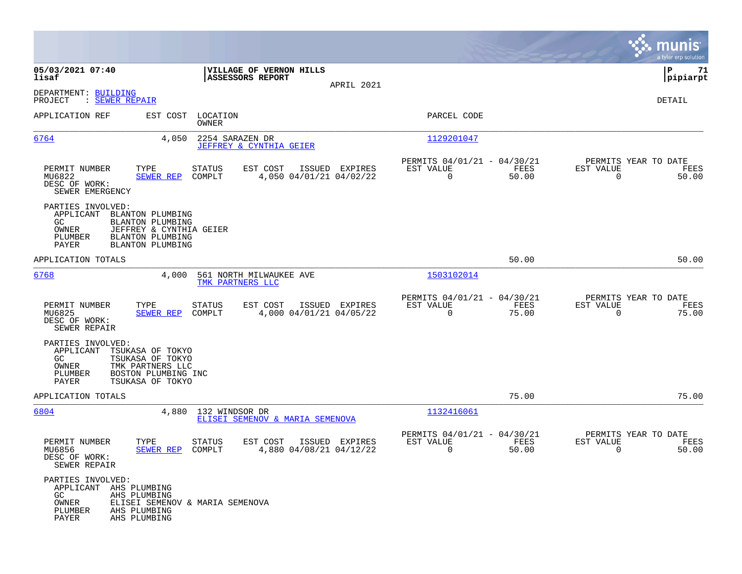|                                                                                                                                                                           |                                                      |                                     |                |                                                            |               |                                                  | munis<br>a tyler erp solution |
|---------------------------------------------------------------------------------------------------------------------------------------------------------------------------|------------------------------------------------------|-------------------------------------|----------------|------------------------------------------------------------|---------------|--------------------------------------------------|-------------------------------|
| 05/03/2021 07:40<br>lisaf                                                                                                                                                 | ASSESSORS REPORT                                     | VILLAGE OF VERNON HILLS             |                |                                                            |               |                                                  | ΙP<br>71<br> pipiarpt         |
| DEPARTMENT: BUILDING<br>: SEWER REPAIR<br>PROJECT                                                                                                                         |                                                      |                                     | APRIL 2021     |                                                            |               |                                                  | DETAIL                        |
| APPLICATION REF                                                                                                                                                           | EST COST LOCATION<br>OWNER                           |                                     |                | PARCEL CODE                                                |               |                                                  |                               |
| 6764                                                                                                                                                                      | 4,050<br>2254 SARAZEN DR<br>JEFFREY & CYNTHIA GEIER  |                                     |                | 1129201047                                                 |               |                                                  |                               |
| PERMIT NUMBER<br>TYPE<br>MU6822<br><b>SEWER REP</b><br>DESC OF WORK:<br>SEWER EMERGENCY                                                                                   | <b>STATUS</b><br>COMPLT                              | EST COST<br>4,050 04/01/21 04/02/22 | ISSUED EXPIRES | PERMITS 04/01/21 - 04/30/21<br>EST VALUE<br>$\overline{0}$ | FEES<br>50.00 | PERMITS YEAR TO DATE<br>EST VALUE<br>$\Omega$    | FEES<br>50.00                 |
| PARTIES INVOLVED:<br>APPLICANT<br>BLANTON PLUMBING<br>GC.<br>BLANTON PLUMBING<br>OWNER<br>PLUMBER<br>BLANTON PLUMBING<br>PAYER<br><b>BLANTON PLUMBING</b>                 | JEFFREY & CYNTHIA GEIER                              |                                     |                |                                                            |               |                                                  |                               |
| APPLICATION TOTALS                                                                                                                                                        |                                                      |                                     |                |                                                            | 50.00         |                                                  | 50.00                         |
| 6768                                                                                                                                                                      | 4,000<br>561 NORTH MILWAUKEE AVE<br>TMK PARTNERS LLC |                                     |                | 1503102014                                                 |               |                                                  |                               |
| PERMIT NUMBER<br>TYPE<br>MU6825<br><b>SEWER REP</b><br>DESC OF WORK:<br>SEWER REPAIR                                                                                      | <b>STATUS</b><br>COMPLT                              | EST COST<br>4,000 04/01/21 04/05/22 | ISSUED EXPIRES | PERMITS 04/01/21 - 04/30/21<br>EST VALUE<br>$\mathbf 0$    | FEES<br>75.00 | PERMITS YEAR TO DATE<br>EST VALUE<br>$\mathbf 0$ | FEES<br>75.00                 |
| PARTIES INVOLVED:<br>APPLICANT<br>TSUKASA OF TOKYO<br>TSUKASA OF TOKYO<br>GC.<br>OWNER<br>TMK PARTNERS LLC<br>PLUMBER<br>BOSTON PLUMBING INC<br>PAYER<br>TSUKASA OF TOKYO |                                                      |                                     |                |                                                            |               |                                                  |                               |
| APPLICATION TOTALS                                                                                                                                                        |                                                      |                                     |                |                                                            | 75.00         |                                                  | 75.00                         |
| 6804                                                                                                                                                                      | 4,880<br>132 WINDSOR DR                              | ELISEI SEMENOV & MARIA SEMENOVA     |                | 1132416061                                                 |               |                                                  |                               |
| PERMIT NUMBER<br>TYPE<br>MU6856<br>SEWER REP<br>DESC OF WORK:<br>SEWER REPAIR                                                                                             | STATUS<br>COMPLT                                     | EST COST<br>4,880 04/08/21 04/12/22 | ISSUED EXPIRES | PERMITS 04/01/21 - 04/30/21<br>EST VALUE<br>0              | FEES<br>50.00 | PERMITS YEAR TO DATE<br>EST VALUE<br>0           | FEES<br>50.00                 |
| PARTIES INVOLVED:<br>APPLICANT AHS PLUMBING<br>GC<br>AHS PLUMBING<br>OWNER<br>PLUMBER<br>AHS PLUMBING<br>PAYER<br>AHS PLUMBING                                            | ELISEI SEMENOV & MARIA SEMENOVA                      |                                     |                |                                                            |               |                                                  |                               |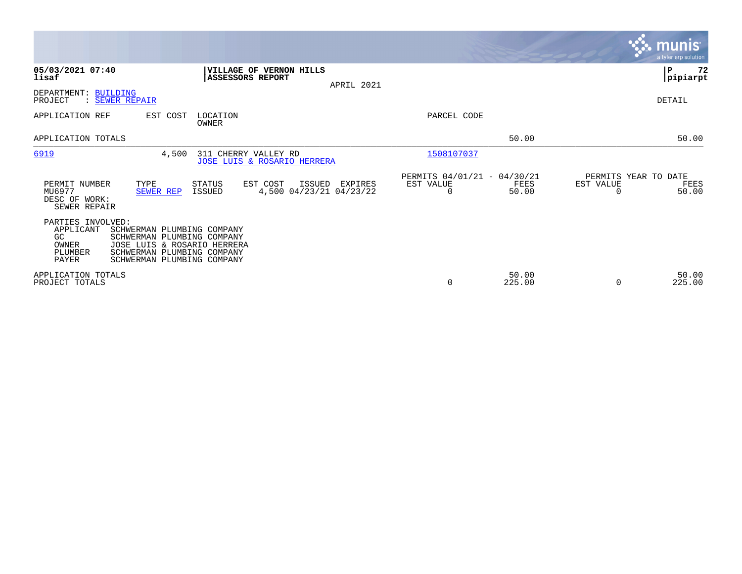|                                                                                                                                                                                                                                 |                                                                          | <b>munis</b><br>a tyler erp solution               |
|---------------------------------------------------------------------------------------------------------------------------------------------------------------------------------------------------------------------------------|--------------------------------------------------------------------------|----------------------------------------------------|
| 05/03/2021 07:40<br>VILLAGE OF VERNON HILLS<br>lisaf<br><b>ASSESSORS REPORT</b><br>APRIL 2021                                                                                                                                   |                                                                          | ∣P<br>72<br> pipiarpt                              |
| DEPARTMENT: BUILDING<br>PROJECT<br>: SEWER REPAIR                                                                                                                                                                               |                                                                          | DETAIL                                             |
| EST COST<br>LOCATION<br>APPLICATION REF<br>OWNER                                                                                                                                                                                | PARCEL CODE                                                              |                                                    |
| APPLICATION TOTALS                                                                                                                                                                                                              | 50.00                                                                    | 50.00                                              |
| 6919<br>4,500<br>311 CHERRY VALLEY RD<br>JOSE LUIS & ROSARIO HERRERA                                                                                                                                                            | 1508107037                                                               |                                                    |
| PERMIT NUMBER<br>TYPE<br>STATUS<br>EST COST<br>ISSUED<br>EXPIRES<br>4,500 04/23/21 04/23/22<br>MU6977<br>ISSUED<br>SEWER REP<br>DESC OF WORK:<br>SEWER REPAIR                                                                   | PERMITS 04/01/21 - 04/30/21<br>EST VALUE<br>FEES<br>$\mathbf 0$<br>50.00 | PERMITS YEAR TO DATE<br>EST VALUE<br>FEES<br>50.00 |
| PARTIES INVOLVED:<br>APPLICANT<br>SCHWERMAN PLUMBING COMPANY<br>GC<br>SCHWERMAN PLUMBING COMPANY<br>OWNER<br>JOSE LUIS & ROSARIO HERRERA<br>PLUMBER<br>SCHWERMAN PLUMBING COMPANY<br><b>PAYER</b><br>SCHWERMAN PLUMBING COMPANY |                                                                          |                                                    |
| APPLICATION TOTALS<br>PROJECT TOTALS                                                                                                                                                                                            | 50.00<br>$\mathbf 0$<br>225.00                                           | 50.00<br>225.00                                    |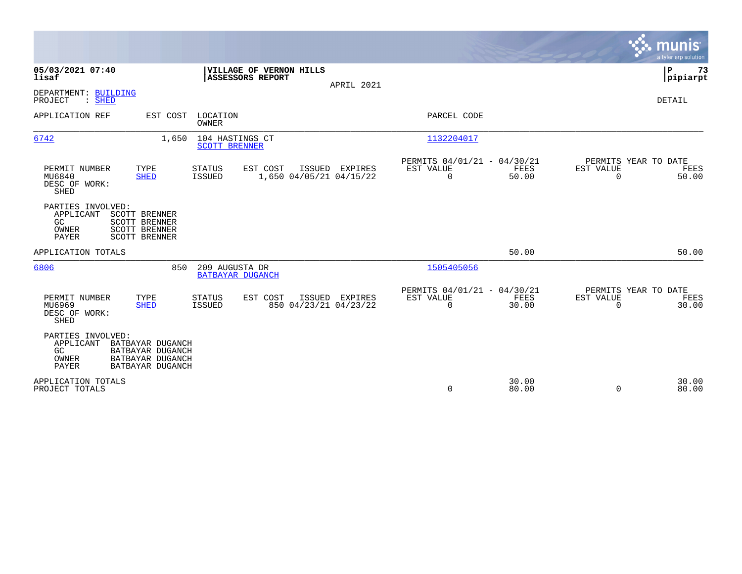|                                                                                                                                                        |                                                                              |                                         |                                             |                                           |                                                         |                |                          | munis<br>a tyler erp solution         |
|--------------------------------------------------------------------------------------------------------------------------------------------------------|------------------------------------------------------------------------------|-----------------------------------------|---------------------------------------------|-------------------------------------------|---------------------------------------------------------|----------------|--------------------------|---------------------------------------|
| 05/03/2021 07:40<br>lisaf                                                                                                                              |                                                                              |                                         | VILLAGE OF VERNON HILLS<br>ASSESSORS REPORT |                                           |                                                         |                |                          | P<br>73<br> pipiarpt                  |
| DEPARTMENT: BUILDING<br>PROJECT<br>$\mathcal{S}$ . SHED                                                                                                |                                                                              |                                         |                                             | APRIL 2021                                |                                                         |                |                          | DETAIL                                |
| APPLICATION REF                                                                                                                                        | EST COST LOCATION                                                            | <b>OWNER</b>                            |                                             |                                           | PARCEL CODE                                             |                |                          |                                       |
| 6742                                                                                                                                                   | 1,650                                                                        | 104 HASTINGS CT<br><b>SCOTT BRENNER</b> |                                             |                                           | 1132204017                                              |                |                          |                                       |
| PERMIT NUMBER<br>MU6840<br>DESC OF WORK:<br><b>SHED</b>                                                                                                | TYPE<br><b>SHED</b>                                                          | STATUS<br><b>ISSUED</b>                 | EST COST                                    | ISSUED EXPIRES<br>1,650 04/05/21 04/15/22 | PERMITS 04/01/21 - 04/30/21<br>EST VALUE<br>$\mathbf 0$ | FEES<br>50.00  | EST VALUE<br>$\mathbf 0$ | PERMITS YEAR TO DATE<br>FEES<br>50.00 |
| PARTIES INVOLVED:<br>APPLICANT<br><b>SCOTT BRENNER</b><br><b>SCOTT BRENNER</b><br>GC<br><b>SCOTT BRENNER</b><br>OWNER<br>PAYER<br><b>SCOTT BRENNER</b> |                                                                              |                                         |                                             |                                           |                                                         |                |                          |                                       |
| APPLICATION TOTALS                                                                                                                                     |                                                                              |                                         |                                             |                                           |                                                         | 50.00          |                          | 50.00                                 |
| 6806                                                                                                                                                   | 850                                                                          | 209 AUGUSTA DR                          | BATBAYAR DUGANCH                            |                                           | 1505405056                                              |                |                          |                                       |
| PERMIT NUMBER<br>TYPE<br>MU6969<br>DESC OF WORK:<br>SHED                                                                                               | <b>SHED</b>                                                                  | <b>STATUS</b><br><b>ISSUED</b>          | EST COST                                    | ISSUED EXPIRES<br>850 04/23/21 04/23/22   | PERMITS 04/01/21 - 04/30/21<br>EST VALUE<br>$\Omega$    | FEES<br>30.00  | EST VALUE<br>$\Omega$    | PERMITS YEAR TO DATE<br>FEES<br>30.00 |
| PARTIES INVOLVED:<br>APPLICANT<br>GC<br>OWNER<br>PAYER                                                                                                 | BATBAYAR DUGANCH<br>BATBAYAR DUGANCH<br>BATBAYAR DUGANCH<br>BATBAYAR DUGANCH |                                         |                                             |                                           |                                                         |                |                          |                                       |
| APPLICATION TOTALS<br>PROJECT TOTALS                                                                                                                   |                                                                              |                                         |                                             |                                           | 0                                                       | 30.00<br>80.00 | 0                        | 30.00<br>80.00                        |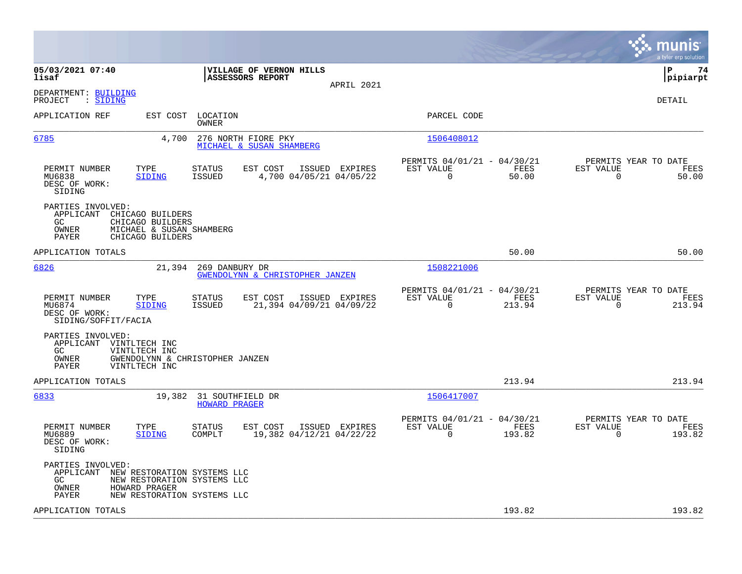|                                                                                                                                                                      |                                                                                          |                                                                           | munis<br>a tyler erp solution                                        |
|----------------------------------------------------------------------------------------------------------------------------------------------------------------------|------------------------------------------------------------------------------------------|---------------------------------------------------------------------------|----------------------------------------------------------------------|
| 05/03/2021 07:40<br>lisaf                                                                                                                                            | VILLAGE OF VERNON HILLS<br><b>ASSESSORS REPORT</b>                                       | APRIL 2021                                                                | l P<br>74<br> pipiarpt                                               |
| DEPARTMENT: BUILDING<br>PROJECT<br>: SIDING                                                                                                                          |                                                                                          |                                                                           | DETAIL                                                               |
| EST COST LOCATION<br>APPLICATION REF                                                                                                                                 | OWNER                                                                                    | PARCEL CODE                                                               |                                                                      |
| 6785<br>4,700                                                                                                                                                        | 276 NORTH FIORE PKY<br>MICHAEL & SUSAN SHAMBERG                                          | 1506408012                                                                |                                                                      |
| TYPE<br>PERMIT NUMBER<br>MU6838<br>SIDING<br>DESC OF WORK:<br>SIDING                                                                                                 | EST COST<br><b>STATUS</b><br>ISSUED EXPIRES<br>4,700 04/05/21 04/05/22<br>ISSUED         | PERMITS 04/01/21 - 04/30/21<br>FEES<br>EST VALUE<br>$\mathbf 0$<br>50.00  | PERMITS YEAR TO DATE<br>EST VALUE<br>FEES<br>$\overline{0}$<br>50.00 |
| PARTIES INVOLVED:<br>APPLICANT<br>CHICAGO BUILDERS<br>GC<br>CHICAGO BUILDERS<br>OWNER<br>MICHAEL & SUSAN SHAMBERG<br>PAYER<br>CHICAGO BUILDERS                       |                                                                                          |                                                                           |                                                                      |
| APPLICATION TOTALS                                                                                                                                                   |                                                                                          | 50.00                                                                     | 50.00                                                                |
| 6826                                                                                                                                                                 | 21,394 269 DANBURY DR<br>GWENDOLYNN & CHRISTOPHER JANZEN                                 | 1508221006                                                                |                                                                      |
| PERMIT NUMBER<br>TYPE<br>MU6874<br>SIDING<br>DESC OF WORK:<br>SIDING/SOFFIT/FACIA                                                                                    | <b>STATUS</b><br>EST COST<br>ISSUED EXPIRES<br><b>ISSUED</b><br>21,394 04/09/21 04/09/22 | PERMITS 04/01/21 - 04/30/21<br>EST VALUE<br>FEES<br>$\Omega$<br>213.94    | PERMITS YEAR TO DATE<br>EST VALUE<br>FEES<br>$\Omega$<br>213.94      |
| PARTIES INVOLVED:<br>APPLICANT VINTLTECH INC<br>GC<br>VINTLTECH INC<br>OWNER<br>GWENDOLYNN & CHRISTOPHER JANZEN<br>PAYER<br>VINTLTECH INC                            |                                                                                          |                                                                           |                                                                      |
| APPLICATION TOTALS                                                                                                                                                   |                                                                                          | 213.94                                                                    | 213.94                                                               |
| 6833                                                                                                                                                                 | 19,382 31 SOUTHFIELD DR<br><b>HOWARD PRAGER</b>                                          | 1506417007                                                                |                                                                      |
| PERMIT NUMBER<br>TYPE<br>MU6889<br>SIDING<br>DESC OF WORK:<br>SIDING                                                                                                 | EST COST<br>ISSUED EXPIRES<br>STATUS<br>COMPLT<br>19,382 04/12/21 04/22/22               | PERMITS 04/01/21 - 04/30/21<br>EST VALUE<br>FEES<br>$\mathbf 0$<br>193.82 | PERMITS YEAR TO DATE<br>EST VALUE<br>FEES<br>$\mathbf 0$<br>193.82   |
| PARTIES INVOLVED:<br>APPLICANT<br>NEW RESTORATION SYSTEMS LLC<br>GC<br>NEW RESTORATION SYSTEMS LLC<br>HOWARD PRAGER<br>OWNER<br>PAYER<br>NEW RESTORATION SYSTEMS LLC |                                                                                          |                                                                           |                                                                      |
| APPLICATION TOTALS                                                                                                                                                   |                                                                                          | 193.82                                                                    | 193.82                                                               |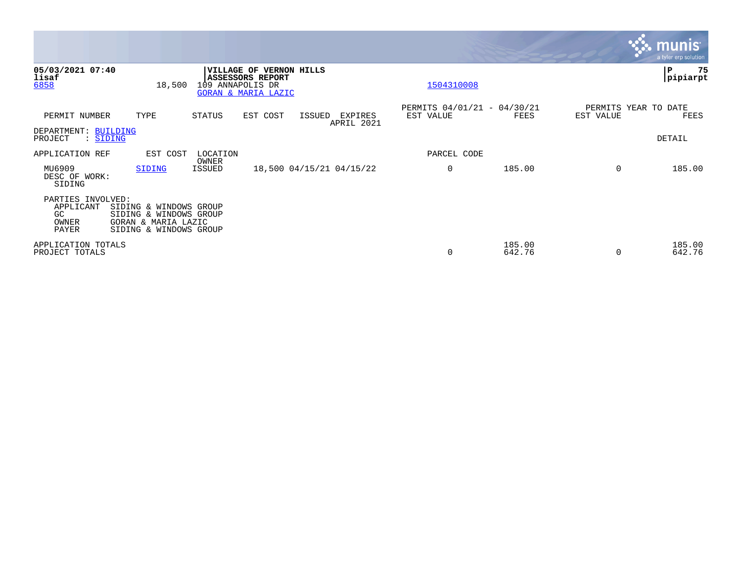|                                                         |                                                                                                   |                   |                                                                                             |        |                          |                                          |                  |           | <b>munis</b><br>a tyler erp solution |
|---------------------------------------------------------|---------------------------------------------------------------------------------------------------|-------------------|---------------------------------------------------------------------------------------------|--------|--------------------------|------------------------------------------|------------------|-----------|--------------------------------------|
| 05/03/2021 07:40<br>lisaf<br>6858                       | 18,500                                                                                            | 109 ANNAPOLIS DR  | <b>VILLAGE OF VERNON HILLS</b><br><b>ASSESSORS REPORT</b><br><b>GORAN &amp; MARIA LAZIC</b> |        |                          | 1504310008                               |                  |           | P<br>75<br> pipiarpt                 |
| PERMIT NUMBER                                           | TYPE                                                                                              | <b>STATUS</b>     | EST COST                                                                                    | ISSUED | EXPIRES<br>APRIL 2021    | PERMITS 04/01/21 - 04/30/21<br>EST VALUE | FEES             | EST VALUE | PERMITS YEAR TO DATE<br>FEES         |
| DEPARTMENT: BUILDING<br>PROJECT<br>: SIDING             |                                                                                                   |                   |                                                                                             |        |                          |                                          |                  |           | DETAIL                               |
| APPLICATION REF                                         | EST COST                                                                                          | LOCATION<br>OWNER |                                                                                             |        |                          | PARCEL CODE                              |                  |           |                                      |
| MU6909<br>DESC OF WORK:<br>SIDING                       | SIDING                                                                                            | ISSUED            |                                                                                             |        | 18,500 04/15/21 04/15/22 | 0                                        | 185.00           | $\Omega$  | 185.00                               |
| PARTIES INVOLVED:<br>APPLICANT<br>GC.<br>OWNER<br>PAYER | SIDING & WINDOWS GROUP<br>SIDING & WINDOWS GROUP<br>GORAN & MARIA LAZIC<br>SIDING & WINDOWS GROUP |                   |                                                                                             |        |                          |                                          |                  |           |                                      |
| APPLICATION TOTALS<br>PROJECT TOTALS                    |                                                                                                   |                   |                                                                                             |        |                          | 0                                        | 185.00<br>642.76 |           | 185.00<br>642.76                     |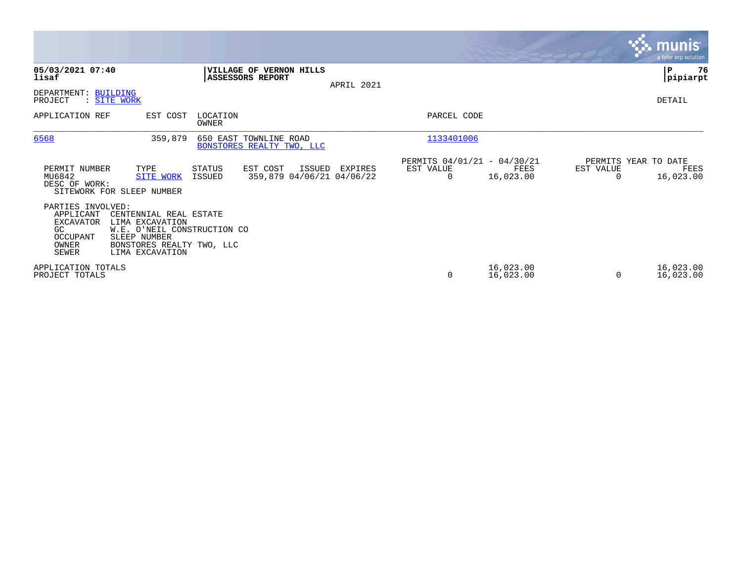|                                                                                                       |                                                                                                                                          |                   |                                                     |        |                                      |                                                      |                        |           | <b>munis</b><br>a tyler erp solution      |
|-------------------------------------------------------------------------------------------------------|------------------------------------------------------------------------------------------------------------------------------------------|-------------------|-----------------------------------------------------|--------|--------------------------------------|------------------------------------------------------|------------------------|-----------|-------------------------------------------|
| 05/03/2021 07:40<br>lisaf                                                                             |                                                                                                                                          |                   | VILLAGE OF VERNON HILLS<br>ASSESSORS REPORT         |        | APRIL 2021                           |                                                      |                        |           | 76<br>P<br> pipiarpt                      |
| DEPARTMENT: BUILDING<br>PROJECT                                                                       | : SITE WORK                                                                                                                              |                   |                                                     |        |                                      |                                                      |                        |           | DETAIL                                    |
| APPLICATION REF                                                                                       | EST COST                                                                                                                                 | LOCATION<br>OWNER |                                                     |        |                                      | PARCEL CODE                                          |                        |           |                                           |
| 6568                                                                                                  | 359,879                                                                                                                                  |                   | 650 EAST TOWNLINE ROAD<br>BONSTORES REALTY TWO, LLC |        |                                      | 1133401006                                           |                        |           |                                           |
| PERMIT NUMBER<br>MU6842<br>DESC OF WORK:                                                              | TYPE<br><b>SITE WORK</b><br>SITEWORK FOR SLEEP NUMBER                                                                                    | STATUS<br>ISSUED  | EST COST                                            | ISSUED | EXPIRES<br>359,879 04/06/21 04/06/22 | PERMITS 04/01/21 - 04/30/21<br>EST VALUE<br>$\Omega$ | FEES<br>16,023.00      | EST VALUE | PERMITS YEAR TO DATE<br>FEES<br>16,023.00 |
| PARTIES INVOLVED:<br>APPLICANT<br><b>EXCAVATOR</b><br>GC.<br><b>OCCUPANT</b><br>OWNER<br><b>SEWER</b> | CENTENNIAL REAL ESTATE<br>LIMA EXCAVATION<br>W.E. O'NEIL CONSTRUCTION CO<br>SLEEP NUMBER<br>BONSTORES REALTY TWO, LLC<br>LIMA EXCAVATION |                   |                                                     |        |                                      |                                                      |                        |           |                                           |
| APPLICATION TOTALS<br>PROJECT TOTALS                                                                  |                                                                                                                                          |                   |                                                     |        |                                      | 0                                                    | 16,023.00<br>16,023.00 | $\Omega$  | 16,023.00<br>16,023.00                    |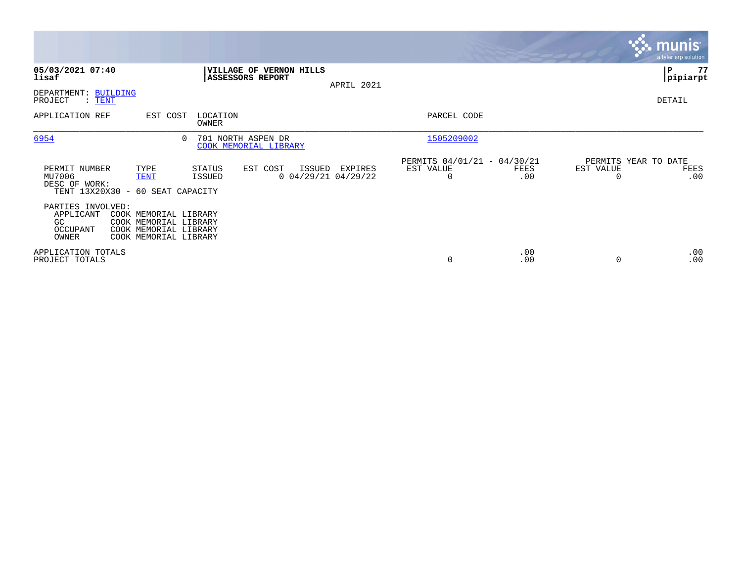|                                                           |                                                                                                  |                                             |                                             |            |                                               |             |                                   | $\overline{\mathsf{m} \mathsf{u}}$ nıs $\overline{\mathsf{m} \mathsf{u}}$<br>a tyler erp solution |
|-----------------------------------------------------------|--------------------------------------------------------------------------------------------------|---------------------------------------------|---------------------------------------------|------------|-----------------------------------------------|-------------|-----------------------------------|---------------------------------------------------------------------------------------------------|
| 05/03/2021 07:40<br>lisaf                                 |                                                                                                  | <b>ASSESSORS REPORT</b>                     | VILLAGE OF VERNON HILLS                     | APRIL 2021 |                                               |             |                                   | 77<br>IΡ<br> pipiarpt                                                                             |
| DEPARTMENT: BUILDING<br>PROJECT<br>$:$ TENT               |                                                                                                  |                                             |                                             |            |                                               |             |                                   | DETAIL                                                                                            |
| APPLICATION REF                                           | EST COST                                                                                         | LOCATION<br>OWNER                           |                                             |            | PARCEL CODE                                   |             |                                   |                                                                                                   |
| 6954                                                      | $\Omega$                                                                                         | 701 NORTH ASPEN DR<br>COOK MEMORIAL LIBRARY |                                             |            | 1505209002                                    |             |                                   |                                                                                                   |
| PERMIT NUMBER<br>MU7006<br>DESC OF WORK:                  | TYPE<br><b>TENT</b><br>TENT 13X20X30 - 60 SEAT CAPACITY                                          | STATUS<br>ISSUED                            | EST COST<br>ISSUED<br>$0$ 04/29/21 04/29/22 | EXPIRES    | PERMITS 04/01/21 - 04/30/21<br>EST VALUE<br>0 | FEES<br>.00 | PERMITS YEAR TO DATE<br>EST VALUE | FEES<br>.00                                                                                       |
| PARTIES INVOLVED:<br>APPLICANT<br>GC<br>OCCUPANT<br>OWNER | COOK MEMORIAL LIBRARY<br>COOK MEMORIAL LIBRARY<br>COOK MEMORIAL LIBRARY<br>COOK MEMORIAL LIBRARY |                                             |                                             |            |                                               |             |                                   |                                                                                                   |
| APPLICATION TOTALS<br>PROJECT TOTALS                      |                                                                                                  |                                             |                                             |            | 0                                             | .00<br>.00  |                                   | .00<br>.00                                                                                        |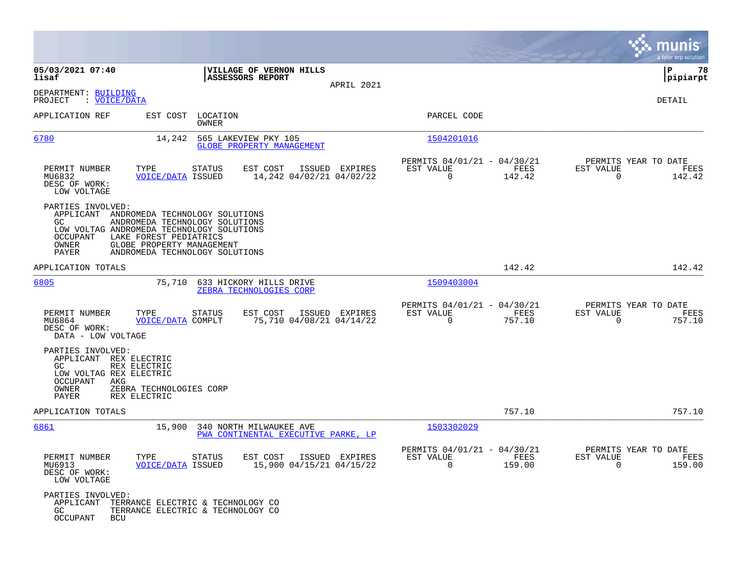|                                                                                                                                                                                                        |                                                                    |                |                                                                        | munis<br>a tyler erp solution                                   |
|--------------------------------------------------------------------------------------------------------------------------------------------------------------------------------------------------------|--------------------------------------------------------------------|----------------|------------------------------------------------------------------------|-----------------------------------------------------------------|
| 05/03/2021 07:40<br>lisaf                                                                                                                                                                              | <b> VILLAGE OF VERNON HILLS</b><br><b>ASSESSORS REPORT</b>         | APRIL 2021     |                                                                        | 78<br>ΙP<br> pipiarpt                                           |
| DEPARTMENT: BUILDING<br>PROJECT<br>: VOICE/DATA                                                                                                                                                        |                                                                    |                |                                                                        | DETAIL                                                          |
| APPLICATION REF                                                                                                                                                                                        | EST COST LOCATION<br>OWNER                                         |                | PARCEL CODE                                                            |                                                                 |
| 6780<br>14,242                                                                                                                                                                                         | 565 LAKEVIEW PKY 105<br>GLOBE PROPERTY MANAGEMENT                  |                | 1504201016                                                             |                                                                 |
| PERMIT NUMBER<br>TYPE<br>MU6832<br><b>VOICE/DATA ISSUED</b><br>DESC OF WORK:<br>LOW VOLTAGE                                                                                                            | <b>STATUS</b><br>EST COST<br>14,242 04/02/21 04/02/22              | ISSUED EXPIRES | PERMITS 04/01/21 - 04/30/21<br>EST VALUE<br>FEES<br>$\Omega$<br>142.42 | PERMITS YEAR TO DATE<br>EST VALUE<br>FEES<br>$\Omega$<br>142.42 |
| PARTIES INVOLVED:<br>APPLICANT ANDROMEDA TECHNOLOGY SOLUTIONS<br>GC.<br>LOW VOLTAG ANDROMEDA TECHNOLOGY SOLUTIONS<br>OCCUPANT<br>LAKE FOREST PEDIATRICS<br>OWNER<br>GLOBE PROPERTY MANAGEMENT<br>PAYER | ANDROMEDA TECHNOLOGY SOLUTIONS<br>ANDROMEDA TECHNOLOGY SOLUTIONS   |                |                                                                        |                                                                 |
| APPLICATION TOTALS                                                                                                                                                                                     |                                                                    |                | 142.42                                                                 | 142.42                                                          |
| 6805                                                                                                                                                                                                   | 75,710 633 HICKORY HILLS DRIVE<br>ZEBRA TECHNOLOGIES CORP          |                | 1509403004                                                             |                                                                 |
| PERMIT NUMBER<br>TYPE<br>MU6864<br>VOICE/DATA COMPLT<br>DESC OF WORK:<br>DATA - LOW VOLTAGE                                                                                                            | <b>STATUS</b><br>EST COST<br>75,710 04/08/21 04/14/22              | ISSUED EXPIRES | PERMITS 04/01/21 - 04/30/21<br>EST VALUE<br>FEES<br>$\Omega$<br>757.10 | PERMITS YEAR TO DATE<br>EST VALUE<br>FEES<br>757.10<br>$\Omega$ |
| PARTIES INVOLVED:<br>APPLICANT REX ELECTRIC<br>GC.<br>REX ELECTRIC<br>LOW VOLTAG REX ELECTRIC<br>OCCUPANT<br>AKG<br>OWNER<br>ZEBRA TECHNOLOGIES CORP<br>PAYER<br>REX ELECTRIC                          |                                                                    |                |                                                                        |                                                                 |
| APPLICATION TOTALS                                                                                                                                                                                     |                                                                    |                | 757.10                                                                 | 757.10                                                          |
| 6861<br>15,900                                                                                                                                                                                         | 340 NORTH MILWAUKEE AVE<br>PWA CONTINENTAL EXECUTIVE PARKE, LP     |                | 1503302029                                                             |                                                                 |
| PERMIT NUMBER<br>MU6913<br><b>VOICE/DATA ISSUED</b><br>DESC OF WORK:<br>LOW VOLTAGE                                                                                                                    | TYPE STATUS<br>EST COST ISSUED EXPIRES<br>15,900 04/15/21 04/15/22 |                | PERMITS 04/01/21 - 04/30/21<br>EST VALUE<br>FEES<br>$\Omega$<br>159.00 | PERMITS YEAR TO DATE<br>EST VALUE<br>FEES<br>$\Omega$<br>159.00 |
| PARTIES INVOLVED:<br>APPLICANT TERRANCE ELECTRIC & TECHNOLOGY CO<br>GC<br>OCCUPANT<br>BCU                                                                                                              | TERRANCE ELECTRIC & TECHNOLOGY CO                                  |                |                                                                        |                                                                 |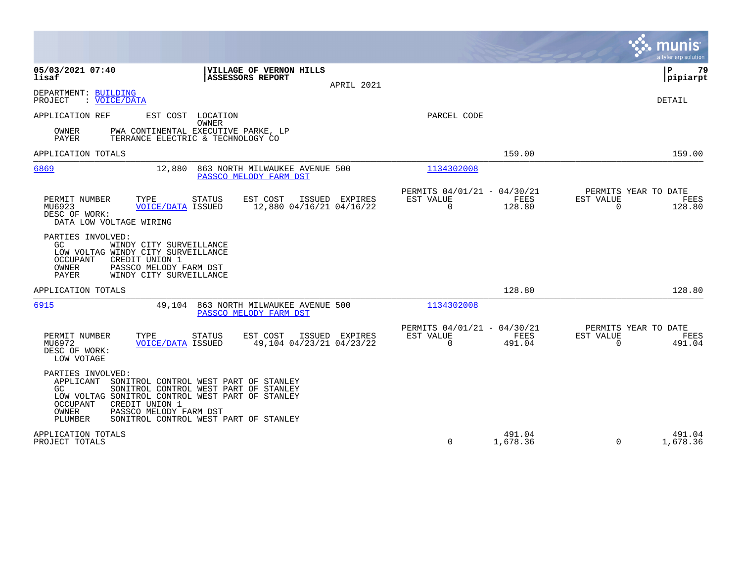|                                                                                                                                                                                                       |                                                                                                                         |                                            |                                                                |                       |                                               | munis<br>a tyler erp solution |
|-------------------------------------------------------------------------------------------------------------------------------------------------------------------------------------------------------|-------------------------------------------------------------------------------------------------------------------------|--------------------------------------------|----------------------------------------------------------------|-----------------------|-----------------------------------------------|-------------------------------|
| 05/03/2021 07:40<br>lisaf                                                                                                                                                                             | VILLAGE OF VERNON HILLS<br>ASSESSORS REPORT                                                                             | APRIL 2021                                 |                                                                |                       |                                               | 79<br>ΙP<br>pipiarpt          |
| DEPARTMENT: BUILDING<br>PROJECT<br>: VOICE/DATA                                                                                                                                                       |                                                                                                                         |                                            |                                                                |                       |                                               | DETAIL                        |
| APPLICATION REF<br>OWNER<br>PAYER                                                                                                                                                                     | EST COST LOCATION<br>OWNER<br>PWA CONTINENTAL EXECUTIVE PARKE, LP<br>TERRANCE ELECTRIC & TECHNOLOGY CO                  |                                            | PARCEL CODE                                                    |                       |                                               |                               |
| APPLICATION TOTALS                                                                                                                                                                                    |                                                                                                                         |                                            |                                                                | 159.00                |                                               | 159.00                        |
| 6869                                                                                                                                                                                                  | 863 NORTH MILWAUKEE AVENUE 500<br>12,880<br>PASSCO MELODY FARM DST                                                      |                                            | 1134302008                                                     |                       |                                               |                               |
| PERMIT NUMBER<br>TYPE<br>MU6923<br>DESC OF WORK:<br>DATA LOW VOLTAGE WIRING                                                                                                                           | <b>STATUS</b><br>EST COST<br><b>VOICE/DATA ISSUED</b>                                                                   | ISSUED EXPIRES<br>12,880 04/16/21 04/16/22 | PERMITS 04/01/21 - 04/30/21<br>EST VALUE<br>$\overline{0}$     | <b>FEES</b><br>128.80 | PERMITS YEAR TO DATE<br>EST VALUE<br>$\Omega$ | FEES<br>128.80                |
| PARTIES INVOLVED:<br>GC.<br>WINDY CITY SURVEILLANCE<br>LOW VOLTAG WINDY CITY SURVEILLANCE<br>OCCUPANT<br>CREDIT UNION 1<br>OWNER<br>PASSCO MELODY FARM DST<br><b>PAYER</b><br>WINDY CITY SURVEILLANCE |                                                                                                                         |                                            |                                                                |                       |                                               |                               |
| APPLICATION TOTALS                                                                                                                                                                                    |                                                                                                                         |                                            |                                                                | 128.80                |                                               | 128.80                        |
| 6915                                                                                                                                                                                                  | 863 NORTH MILWAUKEE AVENUE 500<br>49,104<br>PASSCO MELODY FARM DST                                                      |                                            | 1134302008                                                     |                       |                                               |                               |
| PERMIT NUMBER<br>TYPE<br>MU6972<br>DESC OF WORK:<br>LOW VOTAGE                                                                                                                                        | EST COST<br><b>STATUS</b><br><b>VOICE/DATA ISSUED</b>                                                                   | ISSUED EXPIRES<br>49,104 04/23/21 04/23/22 | PERMITS 04/01/21 - 04/30/21<br><b>EST VALUE</b><br>$\mathbf 0$ | FEES<br>491.04        | PERMITS YEAR TO DATE<br>EST VALUE<br>$\Omega$ | FEES<br>491.04                |
| PARTIES INVOLVED:<br>APPLICANT<br>GC.<br>LOW VOLTAG SONITROL CONTROL WEST PART OF STANLEY<br><b>OCCUPANT</b><br>CREDIT UNION 1<br>OWNER<br>PASSCO MELODY FARM DST<br>PLUMBER                          | SONITROL CONTROL WEST PART OF STANLEY<br>SONITROL CONTROL WEST PART OF STANLEY<br>SONITROL CONTROL WEST PART OF STANLEY |                                            |                                                                |                       |                                               |                               |
| APPLICATION TOTALS<br>PROJECT TOTALS                                                                                                                                                                  |                                                                                                                         |                                            | $\mathbf 0$                                                    | 491.04<br>1,678.36    | $\mathbf 0$                                   | 491.04<br>1,678.36            |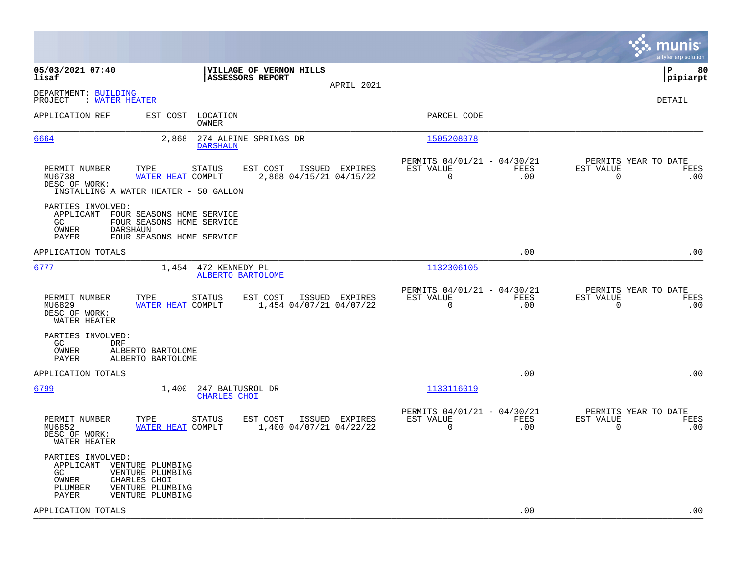|                                                                                                                                                                                   |                                                                        | munis<br>a tyler erp solution                                   |
|-----------------------------------------------------------------------------------------------------------------------------------------------------------------------------------|------------------------------------------------------------------------|-----------------------------------------------------------------|
| 05/03/2021 07:40<br>VILLAGE OF VERNON HILLS<br>lisaf<br><b>ASSESSORS REPORT</b><br>APRIL 2021                                                                                     |                                                                        | l P<br>80<br> pipiarpt                                          |
| DEPARTMENT: BUILDING<br><b>WATER HEATER</b><br>PROJECT                                                                                                                            |                                                                        | DETAIL                                                          |
| APPLICATION REF<br>EST COST<br>LOCATION<br>OWNER                                                                                                                                  | PARCEL CODE                                                            |                                                                 |
| 6664<br>2,868<br>274 ALPINE SPRINGS DR<br><b>DARSHAUN</b>                                                                                                                         | 1505208078                                                             |                                                                 |
| PERMIT NUMBER<br>TYPE<br>STATUS<br>EST COST<br>ISSUED EXPIRES<br>MU6738<br>WATER HEAT COMPLT<br>2,868 04/15/21 04/15/22<br>DESC OF WORK:<br>INSTALLING A WATER HEATER - 50 GALLON | PERMITS 04/01/21 - 04/30/21<br>EST VALUE<br>FEES<br>$\mathbf 0$<br>.00 | PERMITS YEAR TO DATE<br>EST VALUE<br>FEES<br>$\mathbf 0$<br>.00 |
| PARTIES INVOLVED:<br>APPLICANT FOUR SEASONS HOME SERVICE<br>GC<br>FOUR SEASONS HOME SERVICE<br>OWNER<br><b>DARSHAUN</b><br>PAYER<br>FOUR SEASONS HOME SERVICE                     |                                                                        |                                                                 |
| APPLICATION TOTALS                                                                                                                                                                | .00                                                                    | .00                                                             |
| 6777<br>1,454<br>472 KENNEDY PL<br>ALBERTO BARTOLOME                                                                                                                              | 1132306105                                                             |                                                                 |
| PERMIT NUMBER<br>TYPE<br>STATUS<br>EST COST<br>ISSUED EXPIRES<br>MU6829<br>WATER HEAT COMPLT<br>1,454 04/07/21 04/07/22<br>DESC OF WORK:<br>WATER HEATER                          | PERMITS 04/01/21 - 04/30/21<br>EST VALUE<br>FEES<br>$\mathbf 0$<br>.00 | PERMITS YEAR TO DATE<br>EST VALUE<br>FEES<br>$\mathbf 0$<br>.00 |
| PARTIES INVOLVED:<br>GC.<br><b>DRF</b><br>OWNER<br>ALBERTO BARTOLOME<br>PAYER<br>ALBERTO BARTOLOME                                                                                |                                                                        |                                                                 |
| APPLICATION TOTALS                                                                                                                                                                | .00                                                                    | .00                                                             |
| 6799<br>1,400<br>247 BALTUSROL DR<br><b>CHARLES CHOI</b>                                                                                                                          | 1133116019                                                             |                                                                 |
| PERMIT NUMBER<br>TYPE<br>STATUS<br>EST COST<br>ISSUED EXPIRES<br>1,400 04/07/21 04/22/22<br>MU6852<br>WATER HEAT COMPLT<br>DESC OF WORK:<br>WATER HEATER                          | PERMITS 04/01/21 - 04/30/21<br>FEES<br>EST VALUE<br>$\Omega$<br>.00    | PERMITS YEAR TO DATE<br>EST VALUE<br>FEES<br>$\mathbf 0$<br>.00 |
| PARTIES INVOLVED:<br>APPLICANT VENTURE PLUMBING<br>GC.<br>VENTURE PLUMBING<br>OWNER<br>CHARLES CHOI<br>VENTURE PLUMBING<br>PLUMBER<br>VENTURE PLUMBING<br>PAYER                   |                                                                        |                                                                 |
| APPLICATION TOTALS                                                                                                                                                                | .00                                                                    | .00                                                             |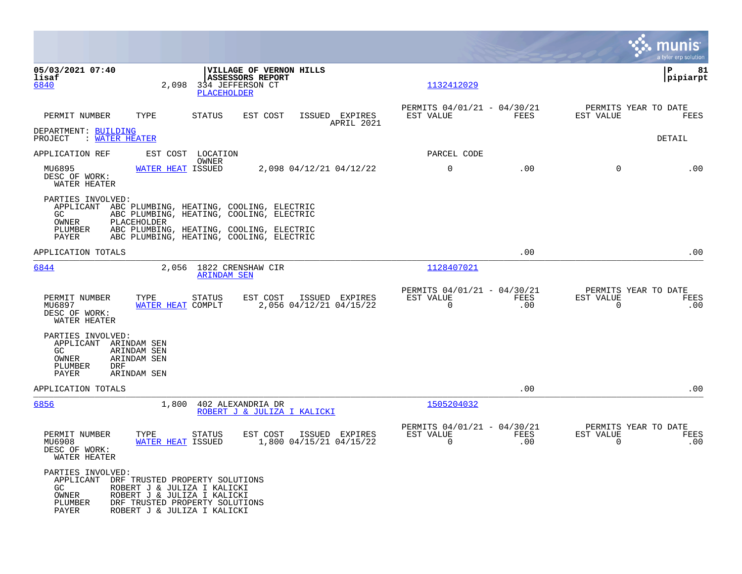|                                                                                      |                                                                                                                                                                                                       |                                                                        |            |                                                         |             |                                                  | munis<br>a tyler erp solution |
|--------------------------------------------------------------------------------------|-------------------------------------------------------------------------------------------------------------------------------------------------------------------------------------------------------|------------------------------------------------------------------------|------------|---------------------------------------------------------|-------------|--------------------------------------------------|-------------------------------|
| 05/03/2021 07:40<br>lisaf<br>6840                                                    | 2,098<br><b>PLACEHOLDER</b>                                                                                                                                                                           | VILLAGE OF VERNON HILLS<br><b>ASSESSORS REPORT</b><br>334 JEFFERSON CT |            | 1132412029                                              |             |                                                  | lР<br>81<br> pipiarpt         |
| PERMIT NUMBER                                                                        | TYPE<br><b>STATUS</b>                                                                                                                                                                                 | ISSUED EXPIRES<br>EST COST                                             | APRIL 2021 | PERMITS 04/01/21 - 04/30/21<br>EST VALUE                | FEES        | PERMITS YEAR TO DATE<br>EST VALUE                | FEES                          |
| DEPARTMENT: BUILDING<br>: WATER HEATER<br>PROJECT                                    |                                                                                                                                                                                                       |                                                                        |            |                                                         |             |                                                  | DETAIL                        |
| APPLICATION REF                                                                      | EST COST LOCATION                                                                                                                                                                                     |                                                                        |            | PARCEL CODE                                             |             |                                                  |                               |
| MU6895<br>DESC OF WORK:<br>WATER HEATER                                              | OWNER<br>WATER HEAT ISSUED                                                                                                                                                                            | 2,098 04/12/21 04/12/22                                                |            | 0                                                       | .00         | 0                                                | .00                           |
| PARTIES INVOLVED:<br>GC.<br>OWNER<br>PLUMBER<br>PAYER                                | APPLICANT ABC PLUMBING, HEATING, COOLING, ELECTRIC<br>ABC PLUMBING, HEATING, COOLING, ELECTRIC<br>PLACEHOLDER<br>ABC PLUMBING, HEATING, COOLING, ELECTRIC<br>ABC PLUMBING, HEATING, COOLING, ELECTRIC |                                                                        |            |                                                         |             |                                                  |                               |
| APPLICATION TOTALS                                                                   |                                                                                                                                                                                                       |                                                                        |            |                                                         | .00         |                                                  | .00                           |
| 6844                                                                                 | 2,056 1822 CRENSHAW CIR<br><b>ARINDAM SEN</b>                                                                                                                                                         |                                                                        |            | 1128407021                                              |             |                                                  |                               |
| PERMIT NUMBER<br>MU6897<br>DESC OF WORK:<br>WATER HEATER                             | <b>STATUS</b><br>TYPE<br>WATER HEAT COMPLT                                                                                                                                                            | EST COST<br>ISSUED EXPIRES<br>2,056 04/12/21 04/15/22                  |            | PERMITS 04/01/21 - 04/30/21<br>EST VALUE<br>$\mathbf 0$ | FEES<br>.00 | PERMITS YEAR TO DATE<br>EST VALUE<br>$\mathbf 0$ | FEES<br>.00                   |
| PARTIES INVOLVED:<br>APPLICANT ARINDAM SEN<br>GC<br>OWNER<br>PLUMBER<br>DRF<br>PAYER | ARINDAM SEN<br>ARINDAM SEN<br>ARINDAM SEN                                                                                                                                                             |                                                                        |            |                                                         |             |                                                  |                               |
| APPLICATION TOTALS                                                                   |                                                                                                                                                                                                       |                                                                        |            |                                                         | .00         |                                                  | .00                           |
| 6856                                                                                 | 1,800                                                                                                                                                                                                 | 402 ALEXANDRIA DR<br>ROBERT J & JULIZA I KALICKI                       |            | 1505204032                                              |             |                                                  |                               |
| PERMIT NUMBER<br>MU6908<br>DESC OF WORK:<br>WATER HEATER                             | TYPE<br>STATUS<br><b>WATER HEAT ISSUED</b>                                                                                                                                                            | EST COST<br>ISSUED EXPIRES<br>1,800 04/15/21 04/15/22                  |            | PERMITS 04/01/21 - 04/30/21<br>EST VALUE<br>$\mathbf 0$ | FEES<br>.00 | PERMITS YEAR TO DATE<br>EST VALUE<br>$\mathbf 0$ | FEES<br>.00                   |
| PARTIES INVOLVED:<br>APPLICANT<br>GC<br>OWNER<br>PLUMBER<br>PAYER                    | DRF TRUSTED PROPERTY SOLUTIONS<br>ROBERT J & JULIZA I KALICKI<br>ROBERT J & JULIZA I KALICKI<br>DRF TRUSTED PROPERTY SOLUTIONS<br>ROBERT J & JULIZA I KALICKI                                         |                                                                        |            |                                                         |             |                                                  |                               |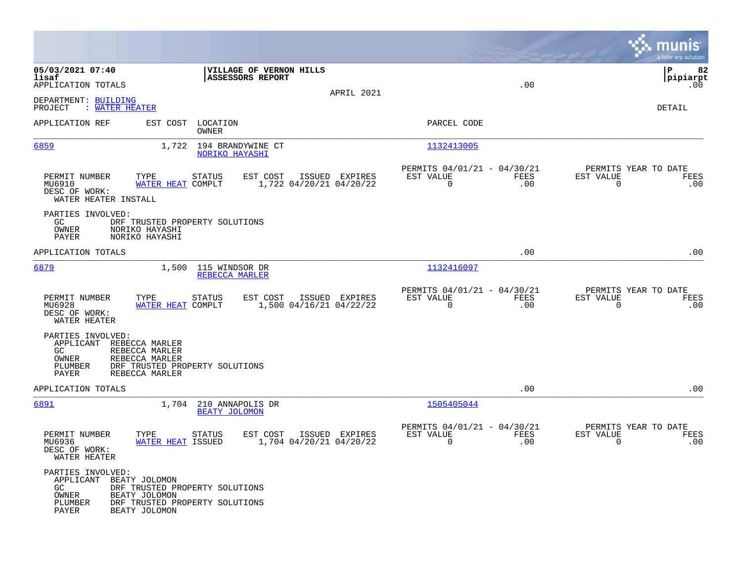|                                                                                  |                                                    |                                                                  |                                           |                                                         |             |                                                  | munis<br>a tyler erp solut <u>ion</u> |
|----------------------------------------------------------------------------------|----------------------------------------------------|------------------------------------------------------------------|-------------------------------------------|---------------------------------------------------------|-------------|--------------------------------------------------|---------------------------------------|
| 05/03/2021 07:40<br>lisaf<br>APPLICATION TOTALS                                  |                                                    | VILLAGE OF VERNON HILLS<br><b>ASSESSORS REPORT</b>               |                                           |                                                         | .00         |                                                  | 82<br>l P<br> pipiarpt<br>.00         |
| DEPARTMENT: BUILDING<br>PROJECT<br>: WATER HEATER                                |                                                    |                                                                  | APRIL 2021                                |                                                         |             |                                                  | DETAIL                                |
| APPLICATION REF                                                                  | EST COST LOCATION                                  | OWNER                                                            |                                           | PARCEL CODE                                             |             |                                                  |                                       |
| 6859                                                                             |                                                    | 1,722 194 BRANDYWINE CT<br>NORIKO HAYASHI                        |                                           | 1132413005                                              |             |                                                  |                                       |
| PERMIT NUMBER<br>MU6910<br>DESC OF WORK:<br>WATER HEATER INSTALL                 | TYPE<br>WATER HEAT COMPLT                          | <b>STATUS</b><br>EST COST                                        | ISSUED EXPIRES<br>1,722 04/20/21 04/20/22 | PERMITS 04/01/21 - 04/30/21<br>EST VALUE<br>$\Omega$    | FEES<br>.00 | PERMITS YEAR TO DATE<br>EST VALUE<br>$\Omega$    | FEES<br>.00                           |
| PARTIES INVOLVED:<br>GC<br>OWNER<br>PAYER                                        | NORIKO HAYASHI<br>NORIKO HAYASHI                   | DRF TRUSTED PROPERTY SOLUTIONS                                   |                                           |                                                         |             |                                                  |                                       |
| APPLICATION TOTALS                                                               |                                                    |                                                                  |                                           |                                                         | .00         |                                                  | .00                                   |
| 6879                                                                             |                                                    | 1,500 115 WINDSOR DR<br>REBECCA MARLER                           |                                           | 1132416097                                              |             |                                                  |                                       |
| PERMIT NUMBER<br>MU6928<br>DESC OF WORK:<br>WATER HEATER                         | TYPE<br>WATER HEAT COMPLT                          | STATUS<br>EST COST                                               | ISSUED EXPIRES<br>1,500 04/16/21 04/22/22 | PERMITS 04/01/21 - 04/30/21<br>EST VALUE<br>$\mathbf 0$ | FEES<br>.00 | PERMITS YEAR TO DATE<br>EST VALUE<br>$\mathbf 0$ | FEES<br>.00                           |
| PARTIES INVOLVED:<br>APPLICANT REBECCA MARLER<br>GC<br>OWNER<br>PLUMBER<br>PAYER | REBECCA MARLER<br>REBECCA MARLER<br>REBECCA MARLER | DRF TRUSTED PROPERTY SOLUTIONS                                   |                                           |                                                         |             |                                                  |                                       |
| APPLICATION TOTALS                                                               |                                                    |                                                                  |                                           |                                                         | .00         |                                                  | .00                                   |
| 6891                                                                             | 1,704                                              | 210 ANNAPOLIS DR<br><b>BEATY JOLOMON</b>                         |                                           | 1505405044                                              |             |                                                  |                                       |
| PERMIT NUMBER<br>MU6936<br>DESC OF WORK:<br>WATER HEATER                         | TYPE<br>WATER HEAT ISSUED                          | EST COST<br>STATUS                                               | ISSUED EXPIRES<br>1,704 04/20/21 04/20/22 | PERMITS 04/01/21 - 04/30/21<br>EST VALUE<br>$\Omega$    | FEES<br>.00 | PERMITS YEAR TO DATE<br>EST VALUE<br>$\Omega$    | FEES<br>.00                           |
| PARTIES INVOLVED:<br>APPLICANT BEATY JOLOMON<br>GC.<br>OWNER<br>PLUMBER<br>PAYER | BEATY JOLOMON<br>BEATY JOLOMON                     | DRF TRUSTED PROPERTY SOLUTIONS<br>DRF TRUSTED PROPERTY SOLUTIONS |                                           |                                                         |             |                                                  |                                       |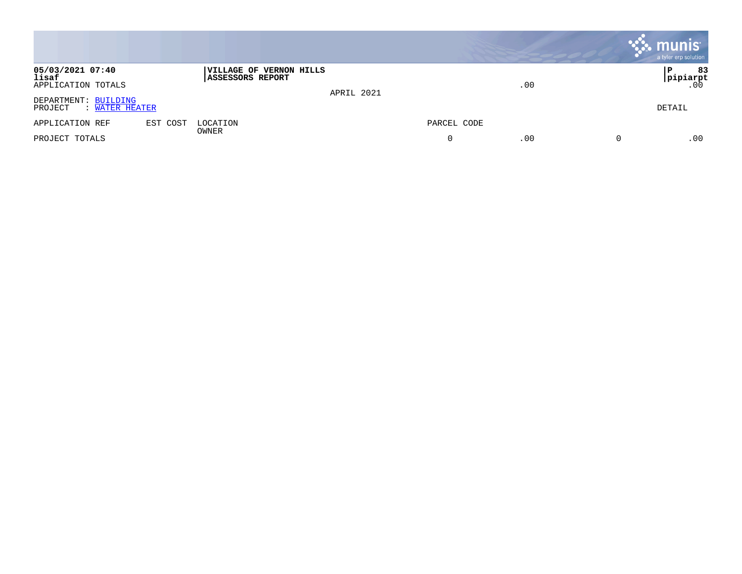|                                                   |                                                                  |             | $\mathbb{R}$ munis<br>a tyler erp solution |
|---------------------------------------------------|------------------------------------------------------------------|-------------|--------------------------------------------|
| 05/03/2021 07:40<br>lisaf<br>APPLICATION TOTALS   | VILLAGE OF VERNON HILLS<br><b>ASSESSORS REPORT</b><br>APRIL 2021 | .00         | 83<br>l P<br> pipiarpt<br>.00              |
| DEPARTMENT: BUILDING<br>PROJECT<br>: WATER HEATER |                                                                  |             | DETAIL                                     |
| APPLICATION REF<br>EST COST                       | LOCATION<br>OWNER                                                | PARCEL CODE |                                            |
| PROJECT TOTALS                                    |                                                                  | .00         | .00                                        |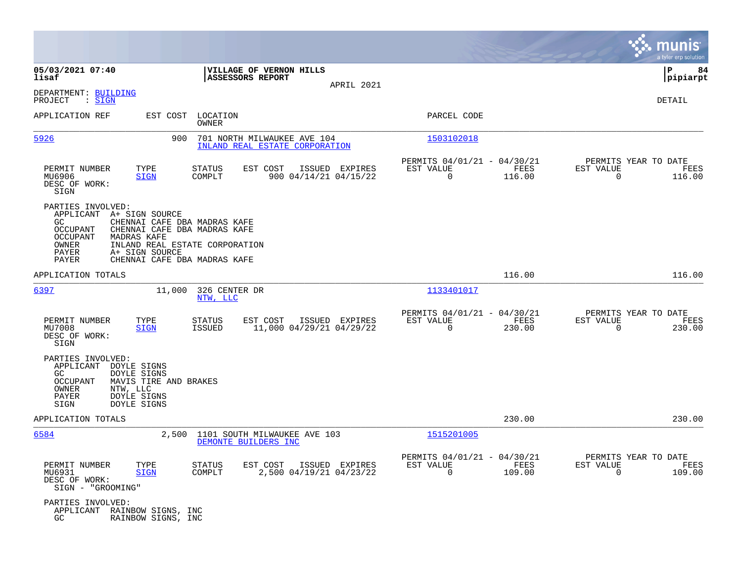|                                                                                                                                                                                            |                                                                                                                                |                                                                           | munis<br>a tyler erp solution                                      |
|--------------------------------------------------------------------------------------------------------------------------------------------------------------------------------------------|--------------------------------------------------------------------------------------------------------------------------------|---------------------------------------------------------------------------|--------------------------------------------------------------------|
| 05/03/2021 07:40<br>lisaf                                                                                                                                                                  | VILLAGE OF VERNON HILLS<br>ASSESSORS REPORT<br>APRIL 2021                                                                      |                                                                           | l P<br>84<br> pipiarpt                                             |
| DEPARTMENT: BUILDING<br>: SIGN<br>PROJECT                                                                                                                                                  |                                                                                                                                |                                                                           | DETAIL                                                             |
| APPLICATION REF<br>EST COST                                                                                                                                                                | LOCATION<br><b>OWNER</b>                                                                                                       | PARCEL CODE                                                               |                                                                    |
| 5926                                                                                                                                                                                       | 900<br>701 NORTH MILWAUKEE AVE 104<br>INLAND REAL ESTATE CORPORATION                                                           | 1503102018                                                                |                                                                    |
| TYPE<br>PERMIT NUMBER<br>MU6906<br><b>SIGN</b><br>DESC OF WORK:<br>SIGN                                                                                                                    | STATUS<br>EST COST<br>ISSUED EXPIRES<br>COMPLT<br>900 04/14/21 04/15/22                                                        | PERMITS 04/01/21 - 04/30/21<br>EST VALUE<br>FEES<br>$\mathbf 0$<br>116.00 | PERMITS YEAR TO DATE<br>EST VALUE<br>FEES<br>$\mathbf 0$<br>116.00 |
| PARTIES INVOLVED:<br>APPLICANT A+ SIGN SOURCE<br>GC<br><b>OCCUPANT</b><br>MADRAS KAFE<br><b>OCCUPANT</b><br>OWNER<br>PAYER<br>A+ SIGN SOURCE<br>PAYER                                      | CHENNAI CAFE DBA MADRAS KAFE<br>CHENNAI CAFE DBA MADRAS KAFE<br>INLAND REAL ESTATE CORPORATION<br>CHENNAI CAFE DBA MADRAS KAFE |                                                                           |                                                                    |
| APPLICATION TOTALS                                                                                                                                                                         |                                                                                                                                | 116.00                                                                    | 116.00                                                             |
| 6397<br>11,000                                                                                                                                                                             | 326 CENTER DR<br>NTW, LLC                                                                                                      | 1133401017                                                                |                                                                    |
| PERMIT NUMBER<br>TYPE<br>MU7008<br><b>SIGN</b><br>DESC OF WORK:<br>SIGN                                                                                                                    | STATUS<br>EST COST<br>ISSUED EXPIRES<br><b>ISSUED</b><br>11,000 04/29/21 04/29/22                                              | PERMITS 04/01/21 - 04/30/21<br>EST VALUE<br>FEES<br>$\mathbf 0$<br>230.00 | PERMITS YEAR TO DATE<br>EST VALUE<br>FEES<br>$\mathbf 0$<br>230.00 |
| PARTIES INVOLVED:<br>APPLICANT<br>DOYLE SIGNS<br>GC.<br>DOYLE SIGNS<br><b>OCCUPANT</b><br>MAVIS TIRE AND BRAKES<br>OWNER<br>NTW, LLC<br><b>DOYLE SIGNS</b><br>PAYER<br>SIGN<br>DOYLE SIGNS |                                                                                                                                |                                                                           |                                                                    |
| APPLICATION TOTALS                                                                                                                                                                         |                                                                                                                                | 230.00                                                                    | 230.00                                                             |
| 6584                                                                                                                                                                                       | 2,500<br>1101 SOUTH MILWAUKEE AVE 103<br>DEMONTE BUILDERS INC                                                                  | 1515201005                                                                |                                                                    |
| PERMIT NUMBER<br>TYPE<br>MU6931<br><b>SIGN</b><br>DESC OF WORK:<br>SIGN - "GROOMING"                                                                                                       | EST COST<br>ISSUED EXPIRES<br>STATUS<br>COMPLT<br>2,500 04/19/21 04/23/22                                                      | PERMITS 04/01/21 - 04/30/21<br>EST VALUE<br>FEES<br>$\mathbf 0$<br>109.00 | PERMITS YEAR TO DATE<br>EST VALUE<br>FEES<br>$\mathbf 0$<br>109.00 |
| PARTIES INVOLVED:<br>APPLICANT RAINBOW SIGNS, INC<br>GC<br>RAINBOW SIGNS, INC                                                                                                              |                                                                                                                                |                                                                           |                                                                    |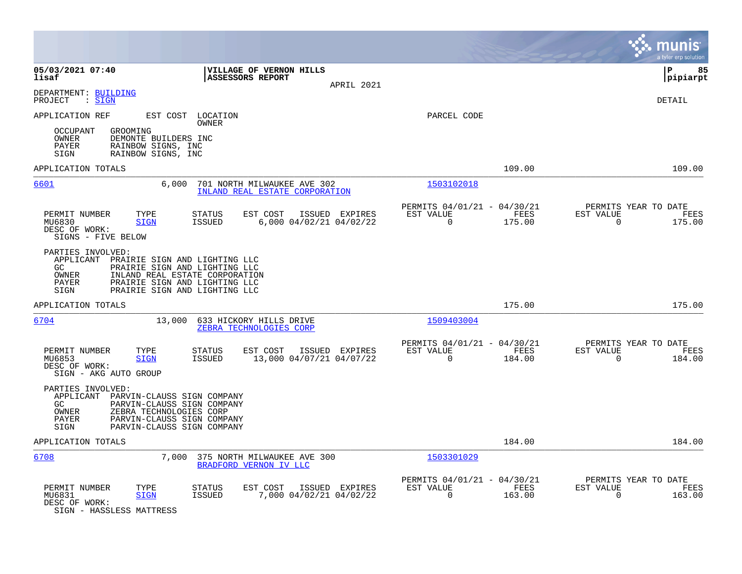|                                                                                                                                                                                                                                    |                                                                           | munis<br>a tyler erp solution                                      |
|------------------------------------------------------------------------------------------------------------------------------------------------------------------------------------------------------------------------------------|---------------------------------------------------------------------------|--------------------------------------------------------------------|
| 05/03/2021 07:40<br>VILLAGE OF VERNON HILLS<br>lisaf<br>ASSESSORS REPORT<br>APRIL 2021                                                                                                                                             |                                                                           | l P<br>85<br> pipiarpt                                             |
| DEPARTMENT: BUILDING<br>$:$ SIGN<br>PROJECT                                                                                                                                                                                        |                                                                           | <b>DETAIL</b>                                                      |
| APPLICATION REF<br>EST COST LOCATION<br>OWNER                                                                                                                                                                                      | PARCEL CODE                                                               |                                                                    |
| <b>OCCUPANT</b><br>GROOMING<br>OWNER<br>DEMONTE BUILDERS INC<br>RAINBOW SIGNS, INC<br>PAYER<br>SIGN<br>RAINBOW SIGNS, INC                                                                                                          |                                                                           |                                                                    |
| APPLICATION TOTALS                                                                                                                                                                                                                 | 109.00                                                                    | 109.00                                                             |
| 6601<br>6.000<br>701 NORTH MILWAUKEE AVE 302<br>INLAND REAL ESTATE CORPORATION                                                                                                                                                     | 1503102018                                                                |                                                                    |
| PERMIT NUMBER<br>TYPE<br>STATUS<br>EST COST<br>ISSUED EXPIRES<br><b>ISSUED</b><br>6,000 04/02/21 04/02/22<br>MU6830<br><b>SIGN</b><br>DESC OF WORK:<br>SIGNS - FIVE BELOW                                                          | PERMITS 04/01/21 - 04/30/21<br>EST VALUE<br>FEES<br>$\mathbf 0$<br>175.00 | PERMITS YEAR TO DATE<br>EST VALUE<br>FEES<br>$\mathbf 0$<br>175.00 |
| PARTIES INVOLVED:<br>APPLICANT PRAIRIE SIGN AND LIGHTING LLC<br>PRAIRIE SIGN AND LIGHTING LLC<br>GC.<br>OWNER<br>INLAND REAL ESTATE CORPORATION<br>PAYER<br>PRAIRIE SIGN AND LIGHTING LLC<br>PRAIRIE SIGN AND LIGHTING LLC<br>SIGN |                                                                           |                                                                    |
| APPLICATION TOTALS                                                                                                                                                                                                                 | 175.00                                                                    | 175.00                                                             |
| 6704<br>13,000<br>633 HICKORY HILLS DRIVE<br>ZEBRA TECHNOLOGIES CORP                                                                                                                                                               | 1509403004                                                                |                                                                    |
| PERMIT NUMBER<br>TYPE<br>STATUS<br>EST COST<br>ISSUED EXPIRES<br>13,000 04/07/21 04/07/22<br>MU6853<br><b>ISSUED</b><br><b>SIGN</b><br>DESC OF WORK:<br>SIGN - AKG AUTO GROUP                                                      | PERMITS 04/01/21 - 04/30/21<br>EST VALUE<br>FEES<br>$\mathbf 0$<br>184.00 | PERMITS YEAR TO DATE<br>EST VALUE<br>FEES<br>$\mathbf 0$<br>184.00 |
| PARTIES INVOLVED:<br>APPLICANT PARVIN-CLAUSS SIGN COMPANY<br>GC<br>PARVIN-CLAUSS SIGN COMPANY<br>ZEBRA TECHNOLOGIES CORP<br><b>OWNER</b><br><b>PAYER</b><br>PARVIN-CLAUSS SIGN COMPANY<br>PARVIN-CLAUSS SIGN COMPANY<br>SIGN       |                                                                           |                                                                    |
| APPLICATION TOTALS                                                                                                                                                                                                                 | 184.00                                                                    | 184.00                                                             |
| 6708<br>7,000<br>375 NORTH MILWAUKEE AVE 300<br>BRADFORD VERNON IV LLC                                                                                                                                                             | 1503301029                                                                |                                                                    |
| PERMIT NUMBER<br>TYPE<br>STATUS<br>EST COST<br>ISSUED EXPIRES<br>7,000 04/02/21 04/02/22<br>MU6831<br><b>SIGN</b><br><b>ISSUED</b><br>DESC OF WORK:<br>SIGN - HASSLESS MATTRESS                                                    | PERMITS 04/01/21 - 04/30/21<br>EST VALUE<br>FEES<br>$\mathbf 0$<br>163.00 | PERMITS YEAR TO DATE<br>EST VALUE<br>FEES<br>$\Omega$<br>163.00    |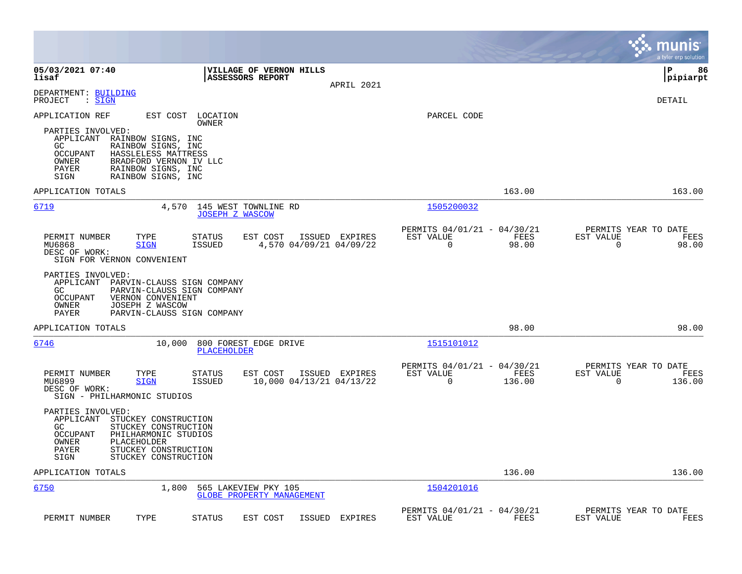|                                                                                                                                                                                                                   |                                                                           | munis<br>a tyler erp solution                                         |
|-------------------------------------------------------------------------------------------------------------------------------------------------------------------------------------------------------------------|---------------------------------------------------------------------------|-----------------------------------------------------------------------|
| 05/03/2021 07:40<br>VILLAGE OF VERNON HILLS<br>lisaf<br>ASSESSORS REPORT<br>APRIL 2021                                                                                                                            |                                                                           | l P<br>86<br> pipiarpt                                                |
| DEPARTMENT: BUILDING<br>$\mathrel{\mathop:} \mathsf{SIGN}$<br>PROJECT                                                                                                                                             |                                                                           | <b>DETAIL</b>                                                         |
| APPLICATION REF<br>EST COST LOCATION<br>OWNER<br>PARTIES INVOLVED:<br>APPLICANT RAINBOW SIGNS, INC<br>GC.<br>RAINBOW SIGNS, INC<br><b>OCCUPANT</b><br>HASSLELESS MATTRESS<br>OWNER<br>BRADFORD VERNON IV LLC      | PARCEL CODE                                                               |                                                                       |
| RAINBOW SIGNS, INC<br>PAYER<br>RAINBOW SIGNS, INC<br>SIGN                                                                                                                                                         |                                                                           |                                                                       |
| APPLICATION TOTALS                                                                                                                                                                                                | 163.00                                                                    | 163.00                                                                |
| 6719<br>145 WEST TOWNLINE RD<br>4,570<br><b>JOSEPH Z WASCOW</b>                                                                                                                                                   | 1505200032                                                                |                                                                       |
| PERMIT NUMBER<br>TYPE<br>STATUS<br>EST COST<br>ISSUED EXPIRES<br>4,570 04/09/21 04/09/22<br>MU6868<br><b>SIGN</b><br>ISSUED<br>DESC OF WORK:<br>SIGN FOR VERNON CONVENIENT                                        | PERMITS 04/01/21 - 04/30/21<br>EST VALUE<br>FEES<br>$\Omega$<br>98.00     | PERMITS YEAR TO DATE<br>EST VALUE<br>FEES<br>$\Omega$<br>98.00        |
| PARTIES INVOLVED:<br>APPLICANT<br>PARVIN-CLAUSS SIGN COMPANY<br>GC.<br>PARVIN-CLAUSS SIGN COMPANY<br><b>OCCUPANT</b><br>VERNON CONVENIENT<br>OWNER<br>JOSEPH Z WASCOW<br>PAYER<br>PARVIN-CLAUSS SIGN COMPANY      |                                                                           |                                                                       |
| APPLICATION TOTALS                                                                                                                                                                                                | 98.00                                                                     | 98.00                                                                 |
| 6746<br>10,000<br>800 FOREST EDGE DRIVE<br>PLACEHOLDER                                                                                                                                                            | 1515101012                                                                |                                                                       |
| PERMIT NUMBER<br>TYPE<br>EST COST<br>ISSUED EXPIRES<br>STATUS<br>MU6899<br><b>SIGN</b><br>ISSUED<br>10,000 04/13/21 04/13/22<br>DESC OF WORK:<br>SIGN - PHILHARMONIC STUDIOS                                      | PERMITS 04/01/21 - 04/30/21<br>EST VALUE<br>FEES<br>$\mathbf 0$<br>136.00 | PERMITS YEAR TO DATE<br>EST VALUE<br>FEES<br>$\overline{0}$<br>136.00 |
| PARTIES INVOLVED:<br>APPLICANT<br>STUCKEY CONSTRUCTION<br>GC<br>STUCKEY CONSTRUCTION<br>OCCUPANT<br>PHILHARMONIC STUDIOS<br>OWNER<br>PLACEHOLDER<br>PAYER<br>STUCKEY CONSTRUCTION<br>SIGN<br>STUCKEY CONSTRUCTION |                                                                           |                                                                       |
| APPLICATION TOTALS                                                                                                                                                                                                | 136.00                                                                    | 136.00                                                                |
| 6750<br>1,800<br>565 LAKEVIEW PKY 105<br><b>GLOBE PROPERTY MANAGEMENT</b>                                                                                                                                         | 1504201016                                                                |                                                                       |
| PERMIT NUMBER<br>TYPE<br><b>STATUS</b><br>EST COST<br>ISSUED<br>EXPIRES                                                                                                                                           | PERMITS 04/01/21 - 04/30/21<br>EST VALUE<br>FEES                          | PERMITS YEAR TO DATE<br>EST VALUE<br>FEES                             |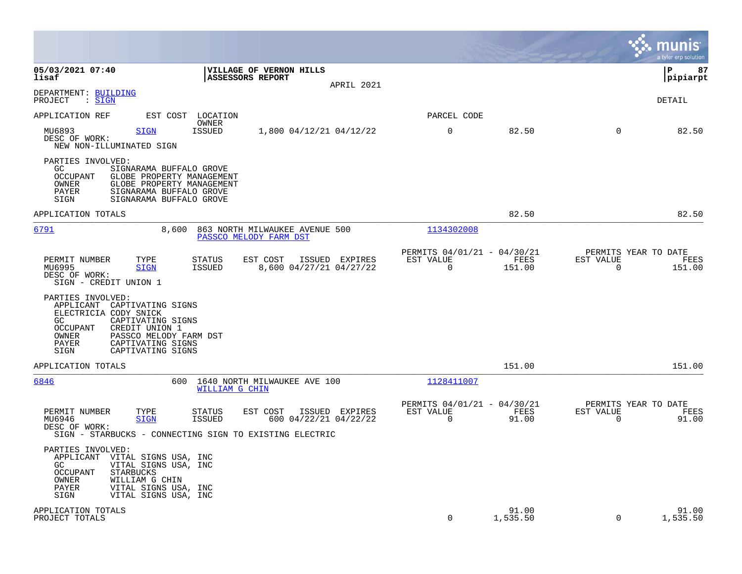|                                                                                                                                                                                                                                      |                                               |                   |                                        | munis<br>a tyler erp solution |
|--------------------------------------------------------------------------------------------------------------------------------------------------------------------------------------------------------------------------------------|-----------------------------------------------|-------------------|----------------------------------------|-------------------------------|
| 05/03/2021 07:40<br>VILLAGE OF VERNON HILLS<br>lisaf<br>ASSESSORS REPORT<br>APRIL 2021                                                                                                                                               |                                               |                   |                                        | ΙP<br>87<br> pipiarpt         |
| DEPARTMENT: BUILDING<br>PROJECT<br>: SIGN                                                                                                                                                                                            |                                               |                   |                                        | DETAIL                        |
| APPLICATION REF<br>EST COST LOCATION<br>OWNER                                                                                                                                                                                        | PARCEL CODE                                   |                   |                                        |                               |
| <b>ISSUED</b><br>MU6893<br>$\mathtt{SICN}$<br>1,800 04/12/21 04/12/22<br>DESC OF WORK:<br>NEW NON-ILLUMINATED SIGN                                                                                                                   | $\mathbf 0$                                   | 82.50             | $\mathbf 0$                            | 82.50                         |
| PARTIES INVOLVED:<br>GC.<br>SIGNARAMA BUFFALO GROVE<br>OCCUPANT<br>GLOBE PROPERTY MANAGEMENT<br>OWNER<br>GLOBE PROPERTY MANAGEMENT<br>PAYER<br>SIGNARAMA BUFFALO GROVE<br>SIGN<br>SIGNARAMA BUFFALO GROVE                            |                                               |                   |                                        |                               |
| APPLICATION TOTALS                                                                                                                                                                                                                   |                                               | 82.50             |                                        | 82.50                         |
| <u>6791</u><br>863 NORTH MILWAUKEE AVENUE 500<br>8,600<br>PASSCO MELODY FARM DST                                                                                                                                                     | 1134302008                                    |                   |                                        |                               |
| EST COST<br>ISSUED EXPIRES<br>PERMIT NUMBER<br>TYPE<br><b>STATUS</b><br>MU6995<br>8,600 04/27/21 04/27/22<br><b>SIGN</b><br>ISSUED<br>DESC OF WORK:<br>SIGN - CREDIT UNION 1                                                         | PERMITS 04/01/21 - 04/30/21<br>EST VALUE<br>0 | FEES<br>151.00    | PERMITS YEAR TO DATE<br>EST VALUE<br>0 | FEES<br>151.00                |
| PARTIES INVOLVED:<br>APPLICANT<br>CAPTIVATING SIGNS<br>ELECTRICIA CODY SNICK<br>CAPTIVATING SIGNS<br>GC.<br>OCCUPANT<br>CREDIT UNION 1<br>OWNER<br>PASSCO MELODY FARM DST<br>PAYER<br>CAPTIVATING SIGNS<br>CAPTIVATING SIGNS<br>SIGN |                                               |                   |                                        |                               |
| APPLICATION TOTALS                                                                                                                                                                                                                   |                                               | 151.00            |                                        | 151.00                        |
| 6846<br>600<br>1640 NORTH MILWAUKEE AVE 100<br>WILLIAM G CHIN                                                                                                                                                                        | 1128411007                                    |                   |                                        |                               |
| PERMIT NUMBER<br>TYPE<br>EST COST<br>ISSUED EXPIRES<br><b>STATUS</b><br>MU6946<br><b>SIGN</b><br><b>ISSUED</b><br>600 04/22/21 04/22/22<br>DESC OF WORK:<br>SIGN - STARBUCKS - CONNECTING SIGN TO EXISTING ELECTRIC                  | PERMITS 04/01/21 - 04/30/21<br>EST VALUE<br>0 | FEES<br>91.00     | PERMITS YEAR TO DATE<br>EST VALUE<br>0 | FEES<br>91.00                 |
| PARTIES INVOLVED:<br>APPLICANT<br>VITAL SIGNS USA, INC<br>GC<br>VITAL SIGNS USA, INC<br>OCCUPANT<br>STARBUCKS<br>OWNER<br>WILLIAM G CHIN<br>PAYER<br>VITAL SIGNS USA, INC<br>SIGN<br>VITAL SIGNS USA, INC                            |                                               |                   |                                        |                               |
| APPLICATION TOTALS<br>PROJECT TOTALS                                                                                                                                                                                                 | 0                                             | 91.00<br>1,535.50 | 0                                      | 91.00<br>1,535.50             |